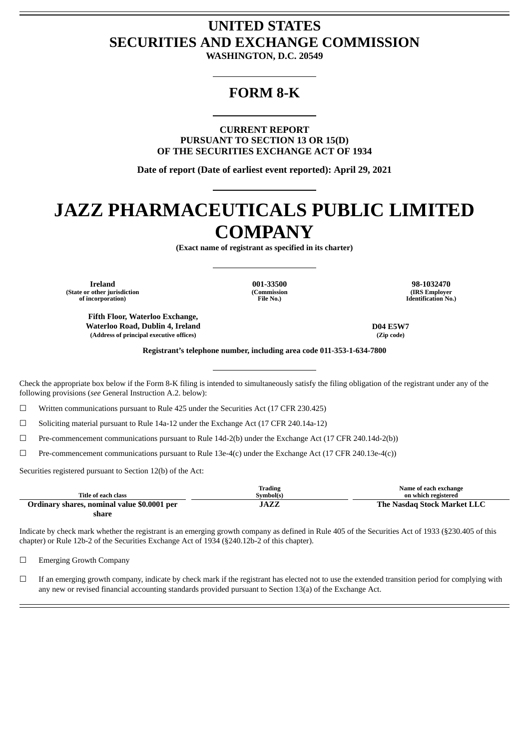# **UNITED STATES SECURITIES AND EXCHANGE COMMISSION**

**WASHINGTON, D.C. 20549**

## **FORM 8-K**

**CURRENT REPORT PURSUANT TO SECTION 13 OR 15(D) OF THE SECURITIES EXCHANGE ACT OF 1934**

**Date of report (Date of earliest event reported): April 29, 2021**

# **JAZZ PHARMACEUTICALS PUBLIC LIMITED COMPANY**

**(Exact name of registrant as specified in its charter)**

**(State or other jurisdiction of incorporation)**

**(Commission File No.)**

**Ireland 001-33500 98-1032470 (IRS Employer Identification No.)**

**Fifth Floor, Waterloo Exchange, Waterloo Road, Dublin 4, Ireland D04 E5W7 (Address of principal executive offices) (Zip code)**

**Registrant's telephone number, including area code 011-353-1-634-7800**

Check the appropriate box below if the Form 8-K filing is intended to simultaneously satisfy the filing obligation of the registrant under any of the following provisions (*see* General Instruction A.2. below):

☐ Written communications pursuant to Rule 425 under the Securities Act (17 CFR 230.425)

☐ Soliciting material pursuant to Rule 14a-12 under the Exchange Act (17 CFR 240.14a-12)

☐ Pre-commencement communications pursuant to Rule 14d-2(b) under the Exchange Act (17 CFR 240.14d-2(b))

☐ Pre-commencement communications pursuant to Rule 13e-4(c) under the Exchange Act (17 CFR 240.13e-4(c))

Securities registered pursuant to Section 12(b) of the Act:

|                                             | Trading   | Name of each exchange       |
|---------------------------------------------|-----------|-----------------------------|
| Title of each class                         | Symbol(s) | on which registered         |
| Ordinary shares, nominal value \$0.0001 per | JAZZ      | The Nasdag Stock Market LLC |
| share                                       |           |                             |

Indicate by check mark whether the registrant is an emerging growth company as defined in Rule 405 of the Securities Act of 1933 (§230.405 of this chapter) or Rule 12b-2 of the Securities Exchange Act of 1934 (§240.12b-2 of this chapter).

□ Emerging Growth Company

 $□$  If an emerging growth company, indicate by check mark if the registrant has elected not to use the extended transition period for complying with any new or revised financial accounting standards provided pursuant to Section 13(a) of the Exchange Act.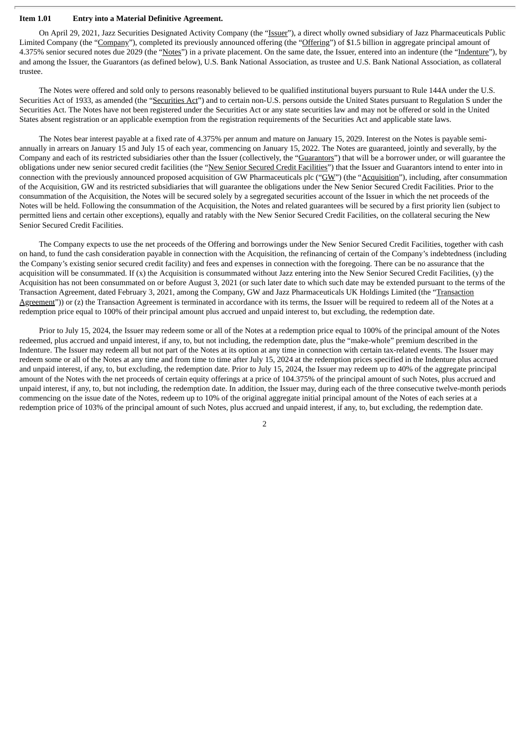#### **Item 1.01 Entry into a Material Definitive Agreement.**

On April 29, 2021, Jazz Securities Designated Activity Company (the "Issuer"), a direct wholly owned subsidiary of Jazz Pharmaceuticals Public Limited Company (the "Company"), completed its previously announced offering (the "Offering") of \$1.5 billion in aggregate principal amount of 4.375% senior secured notes due 2029 (the "Notes") in a private placement. On the same date, the Issuer, entered into an indenture (the "Indenture"), by and among the Issuer, the Guarantors (as defined below), U.S. Bank National Association, as trustee and U.S. Bank National Association, as collateral trustee.

The Notes were offered and sold only to persons reasonably believed to be qualified institutional buyers pursuant to Rule 144A under the U.S. Securities Act of 1933, as amended (the "Securities Act") and to certain non-U.S. persons outside the United States pursuant to Regulation S under the Securities Act. The Notes have not been registered under the Securities Act or any state securities law and may not be offered or sold in the United States absent registration or an applicable exemption from the registration requirements of the Securities Act and applicable state laws.

The Notes bear interest payable at a fixed rate of 4.375% per annum and mature on January 15, 2029. Interest on the Notes is payable semiannually in arrears on January 15 and July 15 of each year, commencing on January 15, 2022. The Notes are guaranteed, jointly and severally, by the Company and each of its restricted subsidiaries other than the Issuer (collectively, the "Guarantors") that will be a borrower under, or will guarantee the obligations under new senior secured credit facilities (the "New Senior Secured Credit Facilities") that the Issuer and Guarantors intend to enter into in connection with the previously announced proposed acquisition of GW Pharmaceuticals plc ("GW") (the "Acquisition"), including, after consummation of the Acquisition, GW and its restricted subsidiaries that will guarantee the obligations under the New Senior Secured Credit Facilities. Prior to the consummation of the Acquisition, the Notes will be secured solely by a segregated securities account of the Issuer in which the net proceeds of the Notes will be held. Following the consummation of the Acquisition, the Notes and related guarantees will be secured by a first priority lien (subject to permitted liens and certain other exceptions), equally and ratably with the New Senior Secured Credit Facilities, on the collateral securing the New Senior Secured Credit Facilities.

The Company expects to use the net proceeds of the Offering and borrowings under the New Senior Secured Credit Facilities, together with cash on hand, to fund the cash consideration payable in connection with the Acquisition, the refinancing of certain of the Company's indebtedness (including the Company's existing senior secured credit facility) and fees and expenses in connection with the foregoing. There can be no assurance that the acquisition will be consummated. If (x) the Acquisition is consummated without Jazz entering into the New Senior Secured Credit Facilities, (y) the Acquisition has not been consummated on or before August 3, 2021 (or such later date to which such date may be extended pursuant to the terms of the Transaction Agreement, dated February 3, 2021, among the Company, GW and Jazz Pharmaceuticals UK Holdings Limited (the "Transaction Agreement")) or (z) the Transaction Agreement is terminated in accordance with its terms, the Issuer will be required to redeem all of the Notes at a redemption price equal to 100% of their principal amount plus accrued and unpaid interest to, but excluding, the redemption date.

Prior to July 15, 2024, the Issuer may redeem some or all of the Notes at a redemption price equal to 100% of the principal amount of the Notes redeemed, plus accrued and unpaid interest, if any, to, but not including, the redemption date, plus the "make-whole" premium described in the Indenture. The Issuer may redeem all but not part of the Notes at its option at any time in connection with certain tax-related events. The Issuer may redeem some or all of the Notes at any time and from time to time after July 15, 2024 at the redemption prices specified in the Indenture plus accrued and unpaid interest, if any, to, but excluding, the redemption date. Prior to July 15, 2024, the Issuer may redeem up to 40% of the aggregate principal amount of the Notes with the net proceeds of certain equity offerings at a price of 104.375% of the principal amount of such Notes, plus accrued and unpaid interest, if any, to, but not including, the redemption date. In addition, the Issuer may, during each of the three consecutive twelve-month periods commencing on the issue date of the Notes, redeem up to 10% of the original aggregate initial principal amount of the Notes of each series at a redemption price of 103% of the principal amount of such Notes, plus accrued and unpaid interest, if any, to, but excluding, the redemption date.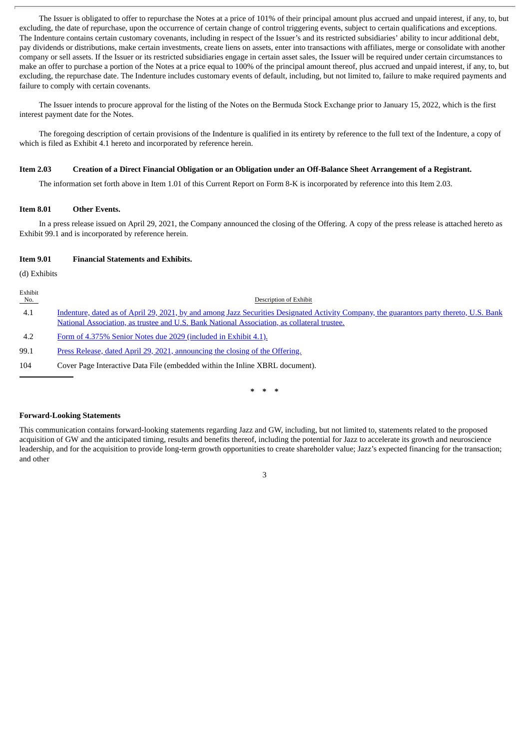The Issuer is obligated to offer to repurchase the Notes at a price of 101% of their principal amount plus accrued and unpaid interest, if any, to, but excluding, the date of repurchase, upon the occurrence of certain change of control triggering events, subject to certain qualifications and exceptions. The Indenture contains certain customary covenants, including in respect of the Issuer's and its restricted subsidiaries' ability to incur additional debt, pay dividends or distributions, make certain investments, create liens on assets, enter into transactions with affiliates, merge or consolidate with another company or sell assets. If the Issuer or its restricted subsidiaries engage in certain asset sales, the Issuer will be required under certain circumstances to make an offer to purchase a portion of the Notes at a price equal to 100% of the principal amount thereof, plus accrued and unpaid interest, if any, to, but excluding, the repurchase date. The Indenture includes customary events of default, including, but not limited to, failure to make required payments and failure to comply with certain covenants.

The Issuer intends to procure approval for the listing of the Notes on the Bermuda Stock Exchange prior to January 15, 2022, which is the first interest payment date for the Notes.

The foregoing description of certain provisions of the Indenture is qualified in its entirety by reference to the full text of the Indenture, a copy of which is filed as Exhibit 4.1 hereto and incorporated by reference herein.

#### Item 2.03 Creation of a Direct Financial Obligation or an Obligation under an Off-Balance Sheet Arrangement of a Registrant.

The information set forth above in Item 1.01 of this Current Report on Form 8-K is incorporated by reference into this Item 2.03.

## **Item 8.01 Other Events.**

In a press release issued on April 29, 2021, the Company announced the closing of the Offering. A copy of the press release is attached hereto as Exhibit 99.1 and is incorporated by reference herein.

#### **Item 9.01 Financial Statements and Exhibits.**

(d) Exhibits

Exhibit<br>No. Description of Exhibit 4.1 Indenture, dated as of April 29, 2021, by and among Jazz Securities Designated Activity Company, the guarantors party thereto, U.S. Bank National Association, as trustee and U.S. Bank National [Association,](#page-5-0) as collateral trustee. 4.2 Form of 4.375% Senior Notes due 2029 [\(included](#page-5-0) in Exhibit 4.1). 99.1 Press Release, dated April 29, 2021, [announcing](#page-156-0) the closing of the Offering.

104 Cover Page Interactive Data File (embedded within the Inline XBRL document).

**\* \* \***

#### **Forward-Looking Statements**

This communication contains forward-looking statements regarding Jazz and GW, including, but not limited to, statements related to the proposed acquisition of GW and the anticipated timing, results and benefits thereof, including the potential for Jazz to accelerate its growth and neuroscience leadership, and for the acquisition to provide long-term growth opportunities to create shareholder value; Jazz's expected financing for the transaction; and other

3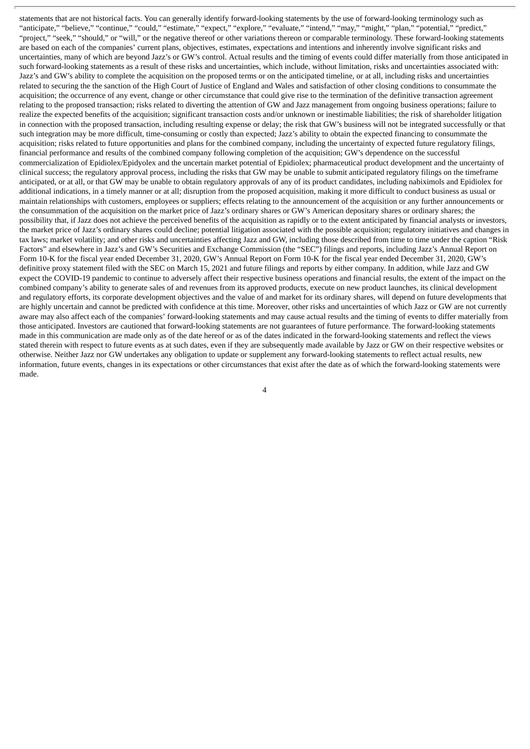statements that are not historical facts. You can generally identify forward-looking statements by the use of forward-looking terminology such as "anticipate," "believe," "continue," "could," "estimate," "expect," "explore," "evaluate," "intend," "may," "might," "plan," "potential," "predict," "project," "seek," "should," or "will," or the negative thereof or other variations thereon or comparable terminology. These forward-looking statements are based on each of the companies' current plans, objectives, estimates, expectations and intentions and inherently involve significant risks and uncertainties, many of which are beyond Jazz's or GW's control. Actual results and the timing of events could differ materially from those anticipated in such forward-looking statements as a result of these risks and uncertainties, which include, without limitation, risks and uncertainties associated with: Jazz's and GW's ability to complete the acquisition on the proposed terms or on the anticipated timeline, or at all, including risks and uncertainties related to securing the the sanction of the High Court of Justice of England and Wales and satisfaction of other closing conditions to consummate the acquisition; the occurrence of any event, change or other circumstance that could give rise to the termination of the definitive transaction agreement relating to the proposed transaction; risks related to diverting the attention of GW and Jazz management from ongoing business operations; failure to realize the expected benefits of the acquisition; significant transaction costs and/or unknown or inestimable liabilities; the risk of shareholder litigation in connection with the proposed transaction, including resulting expense or delay; the risk that GW's business will not be integrated successfully or that such integration may be more difficult, time-consuming or costly than expected; Jazz's ability to obtain the expected financing to consummate the acquisition; risks related to future opportunities and plans for the combined company, including the uncertainty of expected future regulatory filings, financial performance and results of the combined company following completion of the acquisition; GW's dependence on the successful commercialization of Epidiolex/Epidyolex and the uncertain market potential of Epidiolex; pharmaceutical product development and the uncertainty of clinical success; the regulatory approval process, including the risks that GW may be unable to submit anticipated regulatory filings on the timeframe anticipated, or at all, or that GW may be unable to obtain regulatory approvals of any of its product candidates, including nabiximols and Epidiolex for additional indications, in a timely manner or at all; disruption from the proposed acquisition, making it more difficult to conduct business as usual or maintain relationships with customers, employees or suppliers; effects relating to the announcement of the acquisition or any further announcements or the consummation of the acquisition on the market price of Jazz's ordinary shares or GW's American depositary shares or ordinary shares; the possibility that, if Jazz does not achieve the perceived benefits of the acquisition as rapidly or to the extent anticipated by financial analysts or investors, the market price of Jazz's ordinary shares could decline; potential litigation associated with the possible acquisition; regulatory initiatives and changes in tax laws; market volatility; and other risks and uncertainties affecting Jazz and GW, including those described from time to time under the caption "Risk Factors" and elsewhere in Jazz's and GW's Securities and Exchange Commission (the "SEC") filings and reports, including Jazz's Annual Report on Form 10-K for the fiscal year ended December 31, 2020, GW's Annual Report on Form 10-K for the fiscal year ended December 31, 2020, GW's definitive proxy statement filed with the SEC on March 15, 2021 and future filings and reports by either company. In addition, while Jazz and GW expect the COVID-19 pandemic to continue to adversely affect their respective business operations and financial results, the extent of the impact on the combined company's ability to generate sales of and revenues from its approved products, execute on new product launches, its clinical development and regulatory efforts, its corporate development objectives and the value of and market for its ordinary shares, will depend on future developments that are highly uncertain and cannot be predicted with confidence at this time. Moreover, other risks and uncertainties of which Jazz or GW are not currently aware may also affect each of the companies' forward-looking statements and may cause actual results and the timing of events to differ materially from those anticipated. Investors are cautioned that forward-looking statements are not guarantees of future performance. The forward-looking statements made in this communication are made only as of the date hereof or as of the dates indicated in the forward-looking statements and reflect the views stated therein with respect to future events as at such dates, even if they are subsequently made available by Jazz or GW on their respective websites or otherwise. Neither Jazz nor GW undertakes any obligation to update or supplement any forward-looking statements to reflect actual results, new information, future events, changes in its expectations or other circumstances that exist after the date as of which the forward-looking statements were made.

4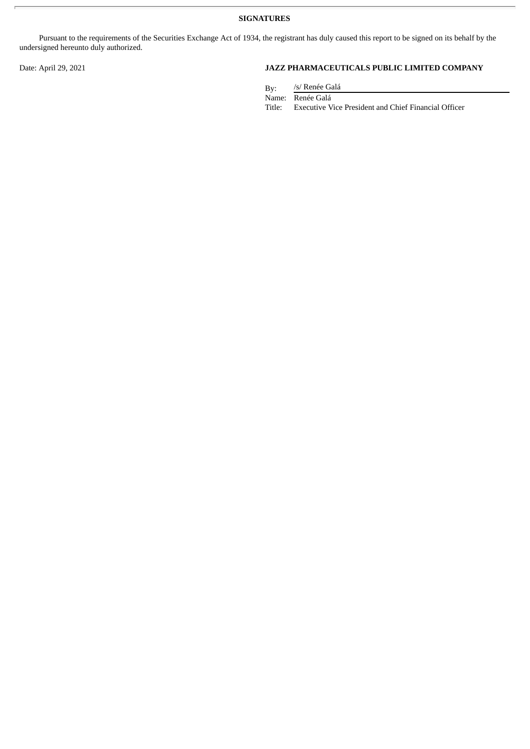**SIGNATURES**

Pursuant to the requirements of the Securities Exchange Act of 1934, the registrant has duly caused this report to be signed on its behalf by the undersigned hereunto duly authorized.

## Date: April 29, 2021 **JAZZ PHARMACEUTICALS PUBLIC LIMITED COMPANY**

By: /s/ Renée Galá

Name: Renée Galá

Title: Executive Vice President and Chief Financial Officer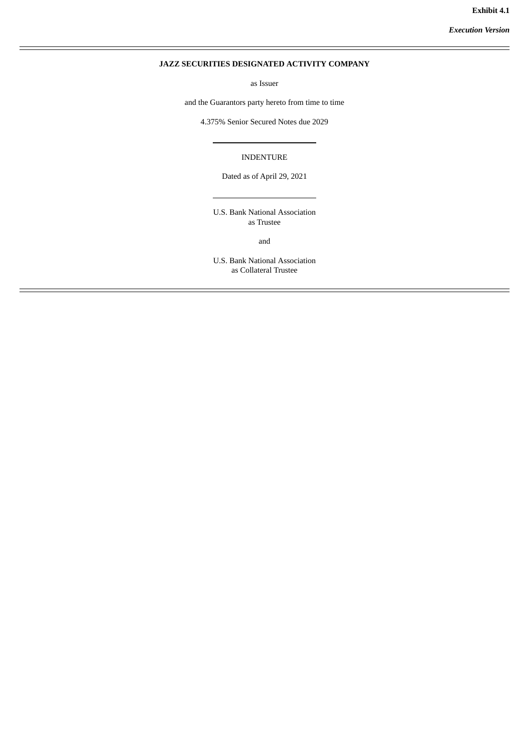*Execution Version*

## <span id="page-5-0"></span>**JAZZ SECURITIES DESIGNATED ACTIVITY COMPANY**

as Issuer

and the Guarantors party hereto from time to time

4.375% Senior Secured Notes due 2029

INDENTURE

Dated as of April 29, 2021

U.S. Bank National Association as Trustee

and

U.S. Bank National Association as Collateral Trustee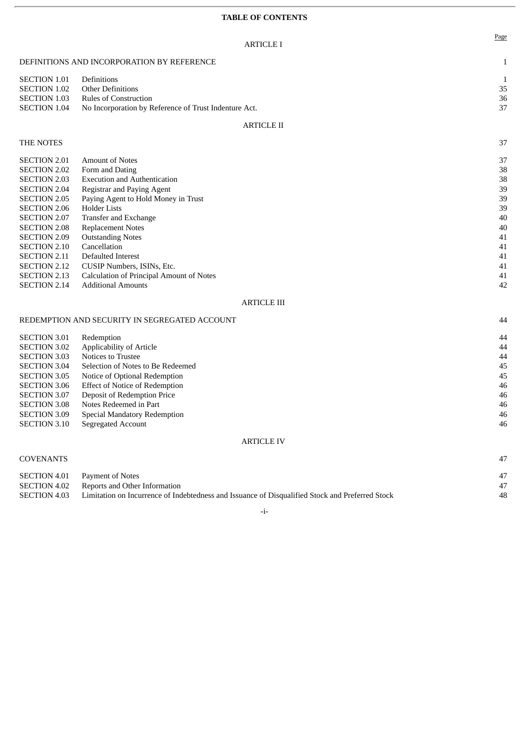## **TABLE OF CONTENTS**

|                                                                                                                                                                                                                                                                                                                                | <b>ARTICLE I</b>                                                                                                                                                                                                                                                                                                                                                                                           | Page                                                                             |
|--------------------------------------------------------------------------------------------------------------------------------------------------------------------------------------------------------------------------------------------------------------------------------------------------------------------------------|------------------------------------------------------------------------------------------------------------------------------------------------------------------------------------------------------------------------------------------------------------------------------------------------------------------------------------------------------------------------------------------------------------|----------------------------------------------------------------------------------|
|                                                                                                                                                                                                                                                                                                                                | DEFINITIONS AND INCORPORATION BY REFERENCE                                                                                                                                                                                                                                                                                                                                                                 | $\mathbf{1}$                                                                     |
| <b>SECTION 1.01</b><br><b>SECTION 1.02</b><br><b>SECTION 1.03</b><br><b>SECTION 1.04</b>                                                                                                                                                                                                                                       | Definitions<br><b>Other Definitions</b><br><b>Rules of Construction</b><br>No Incorporation by Reference of Trust Indenture Act.                                                                                                                                                                                                                                                                           | 1<br>35<br>36<br>37                                                              |
|                                                                                                                                                                                                                                                                                                                                | <b>ARTICLE II</b>                                                                                                                                                                                                                                                                                                                                                                                          |                                                                                  |
| THE NOTES                                                                                                                                                                                                                                                                                                                      |                                                                                                                                                                                                                                                                                                                                                                                                            | 37                                                                               |
| <b>SECTION 2.01</b><br><b>SECTION 2.02</b><br><b>SECTION 2.03</b><br><b>SECTION 2.04</b><br><b>SECTION 2.05</b><br><b>SECTION 2.06</b><br><b>SECTION 2.07</b><br><b>SECTION 2.08</b><br><b>SECTION 2.09</b><br><b>SECTION 2.10</b><br><b>SECTION 2.11</b><br><b>SECTION 2.12</b><br><b>SECTION 2.13</b><br><b>SECTION 2.14</b> | <b>Amount of Notes</b><br>Form and Dating<br><b>Execution and Authentication</b><br>Registrar and Paying Agent<br>Paying Agent to Hold Money in Trust<br><b>Holder Lists</b><br>Transfer and Exchange<br><b>Replacement Notes</b><br><b>Outstanding Notes</b><br>Cancellation<br>Defaulted Interest<br>CUSIP Numbers, ISINs, Etc.<br>Calculation of Principal Amount of Notes<br><b>Additional Amounts</b> | 37<br>38<br>38<br>39<br>39<br>39<br>40<br>40<br>41<br>41<br>41<br>41<br>41<br>42 |

## ARTICLE III

| REDEMPTION AND SECURITY IN SEGREGATED ACCOUNT |                                       | 44 |
|-----------------------------------------------|---------------------------------------|----|
| <b>SECTION 3.01</b>                           | Redemption                            | 44 |
| <b>SECTION 3.02</b>                           | Applicability of Article              | 44 |
| <b>SECTION 3.03</b>                           | Notices to Trustee                    | 44 |
| <b>SECTION 3.04</b>                           | Selection of Notes to Be Redeemed     | 45 |
| <b>SECTION 3.05</b>                           | Notice of Optional Redemption         | 45 |
| <b>SECTION 3.06</b>                           | <b>Effect of Notice of Redemption</b> | 46 |
| <b>SECTION 3.07</b>                           | Deposit of Redemption Price           | 46 |
| <b>SECTION 3.08</b>                           | Notes Redeemed in Part                | 46 |
| <b>SECTION 3.09</b>                           | Special Mandatory Redemption          | 46 |
| <b>SECTION 3.10</b>                           | Segregated Account                    | 46 |
|                                               |                                       |    |

## ARTICLE IV

## COVENANTS 47

| SECTION 4.01 | Payment of Notes                                                                                |    |
|--------------|-------------------------------------------------------------------------------------------------|----|
|              | <b>SECTION 4.02</b> Reports and Other Information                                               | 47 |
| SECTION 4.03 | Limitation on Incurrence of Indebtedness and Issuance of Disqualified Stock and Preferred Stock | 48 |
|              |                                                                                                 |    |

## -i-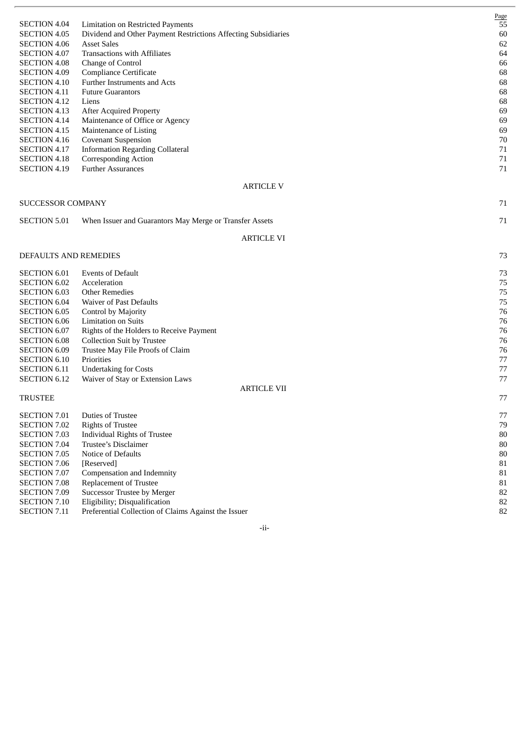| <b>SECTION 4.04</b>   |                                                                                                            | <b>Page</b><br>55 |
|-----------------------|------------------------------------------------------------------------------------------------------------|-------------------|
| <b>SECTION 4.05</b>   | <b>Limitation on Restricted Payments</b><br>Dividend and Other Payment Restrictions Affecting Subsidiaries | 60                |
| <b>SECTION 4.06</b>   | <b>Asset Sales</b>                                                                                         | 62                |
| <b>SECTION 4.07</b>   | <b>Transactions with Affiliates</b>                                                                        | 64                |
| <b>SECTION 4.08</b>   | Change of Control                                                                                          | 66                |
| <b>SECTION 4.09</b>   | <b>Compliance Certificate</b>                                                                              | 68                |
| <b>SECTION 4.10</b>   | Further Instruments and Acts                                                                               | 68                |
| <b>SECTION 4.11</b>   | <b>Future Guarantors</b>                                                                                   | 68                |
| <b>SECTION 4.12</b>   | Liens                                                                                                      | 68                |
| <b>SECTION 4.13</b>   | <b>After Acquired Property</b>                                                                             | 69                |
| <b>SECTION 4.14</b>   | Maintenance of Office or Agency                                                                            | 69                |
| <b>SECTION 4.15</b>   | Maintenance of Listing                                                                                     | 69                |
| <b>SECTION 4.16</b>   | <b>Covenant Suspension</b>                                                                                 | 70                |
| <b>SECTION 4.17</b>   | <b>Information Regarding Collateral</b>                                                                    | 71                |
| SECTION 4.18          | Corresponding Action                                                                                       | 71                |
| <b>SECTION 4.19</b>   | <b>Further Assurances</b>                                                                                  | 71                |
|                       | <b>ARTICLE V</b>                                                                                           |                   |
| SUCCESSOR COMPANY     |                                                                                                            | 71                |
| <b>SECTION 5.01</b>   | When Issuer and Guarantors May Merge or Transfer Assets                                                    | 71                |
|                       | <b>ARTICLE VI</b>                                                                                          |                   |
|                       |                                                                                                            |                   |
| DEFAULTS AND REMEDIES |                                                                                                            | 73                |
| <b>SECTION 6.01</b>   | <b>Events of Default</b>                                                                                   | 73                |
| <b>SECTION 6.02</b>   | Acceleration                                                                                               | 75                |
| <b>SECTION 6.03</b>   | <b>Other Remedies</b>                                                                                      | 75                |
| <b>SECTION 6.04</b>   | Waiver of Past Defaults                                                                                    | 75                |
| <b>SECTION 6.05</b>   | Control by Majority                                                                                        | 76                |
| <b>SECTION 6.06</b>   | <b>Limitation on Suits</b>                                                                                 | 76                |
| <b>SECTION 6.07</b>   | Rights of the Holders to Receive Payment                                                                   | 76                |
| <b>SECTION 6.08</b>   | <b>Collection Suit by Trustee</b>                                                                          | 76                |
| <b>SECTION 6.09</b>   | Trustee May File Proofs of Claim                                                                           | 76                |
| <b>SECTION 6.10</b>   | Priorities                                                                                                 | 77                |
| <b>SECTION 6.11</b>   | <b>Undertaking for Costs</b>                                                                               | 77                |
| <b>SECTION 6.12</b>   | Waiver of Stay or Extension Laws<br><b>ARTICLE VII</b>                                                     | 77                |
| <b>TRUSTEE</b>        |                                                                                                            | 77                |
| SECTION 7.01          | Duties of Trustee                                                                                          | $77\,$            |
| <b>SECTION 7.02</b>   | <b>Rights of Trustee</b>                                                                                   | $79\,$            |
| <b>SECTION 7.03</b>   | <b>Individual Rights of Trustee</b>                                                                        | $80\,$            |
| <b>SECTION 7.04</b>   | Trustee's Disclaimer                                                                                       | $80\,$            |
| <b>SECTION 7.05</b>   | Notice of Defaults                                                                                         | $80\,$            |
| <b>SECTION 7.06</b>   | [Reserved]                                                                                                 | ${\bf 81}$        |
| SECTION 7.07          | Compensation and Indemnity                                                                                 | 81                |
| <b>SECTION 7.08</b>   | Replacement of Trustee                                                                                     | 81                |
| <b>SECTION 7.09</b>   | Successor Trustee by Merger                                                                                | 82                |
| <b>SECTION 7.10</b>   | Eligibility; Disqualification                                                                              | 82                |
| SECTION 7.11          | Preferential Collection of Claims Against the Issuer                                                       | 82                |

- i i -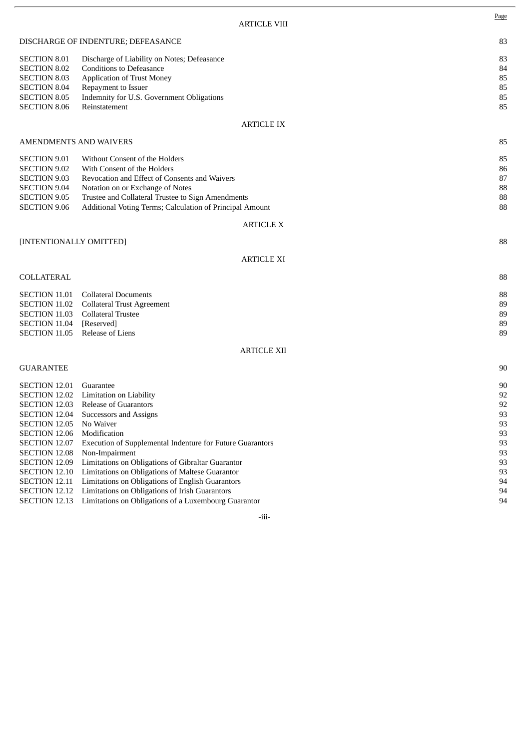|                                                                                                                 |                                                                                                                                                                                         | <b>ARTICLE VIII</b> | $rac{1}{2}$                |
|-----------------------------------------------------------------------------------------------------------------|-----------------------------------------------------------------------------------------------------------------------------------------------------------------------------------------|---------------------|----------------------------|
|                                                                                                                 | DISCHARGE OF INDENTURE; DEFEASANCE                                                                                                                                                      |                     | 83                         |
| <b>SECTION 8.01</b><br><b>SECTION 8.02</b><br><b>SECTION 8.03</b><br><b>SECTION 8.04</b><br><b>SECTION 8.05</b> | Discharge of Liability on Notes; Defeasance<br><b>Conditions to Defeasance</b><br><b>Application of Trust Money</b><br>Repayment to Issuer<br>Indemnity for U.S. Government Obligations |                     | 83<br>84<br>85<br>85<br>85 |
| <b>SECTION 8.06</b>                                                                                             | Reinstatement                                                                                                                                                                           | A DTICI E IV        | 85                         |
|                                                                                                                 |                                                                                                                                                                                         |                     |                            |

Page

## ARTICLE IX

| <b>SECTION 9.01</b> | Without Consent of the Holders                           | 85 |
|---------------------|----------------------------------------------------------|----|
| <b>SECTION 9.02</b> | With Consent of the Holders                              | 86 |
| <b>SECTION 9.03</b> | Revocation and Effect of Consents and Waivers            | 87 |
| <b>SECTION 9.04</b> | Notation on or Exchange of Notes                         | 88 |
| <b>SECTION 9.05</b> | Trustee and Collateral Trustee to Sign Amendments        | 88 |
| <b>SECTION 9.06</b> | Additional Voting Terms; Calculation of Principal Amount | 88 |
|                     |                                                          |    |

#### ARTICLE X

## [INTENTIONALLY OMITTED] 88

## ARTICLE XI

## COLLATERAL 88

|                                | <b>SECTION 11.01</b> Collateral Documents       | 88 |
|--------------------------------|-------------------------------------------------|----|
|                                | <b>SECTION 11.02</b> Collateral Trust Agreement | 89 |
|                                | SECTION 11.03 Collateral Trustee                | 89 |
| SECTION 11.04 [Reserved]       |                                                 | 89 |
| SECTION 11.05 Release of Liens |                                                 | 89 |
|                                |                                                 |    |

## ARTICLE XII

## GUARANTEE 90

| <b>SECTION 12.01</b> | Guarantee                                                                      | 90 |
|----------------------|--------------------------------------------------------------------------------|----|
|                      | SECTION 12.02 Limitation on Liability                                          | 92 |
| SECTION 12.03        | Release of Guarantors                                                          | 92 |
|                      | <b>SECTION 12.04</b> Successors and Assigns                                    | 93 |
| <b>SECTION 12.05</b> | No Waiver                                                                      | 93 |
| SECTION 12.06        | Modification                                                                   | 93 |
|                      | <b>SECTION 12.07</b> Execution of Supplemental Indenture for Future Guarantors | 93 |
| SECTION 12.08        | Non-Impairment                                                                 | 93 |
|                      | <b>SECTION 12.09</b> Limitations on Obligations of Gibraltar Guarantor         | 93 |
|                      | <b>SECTION 12.10</b> Limitations on Obligations of Maltese Guarantor           | 93 |
|                      | <b>SECTION 12.11</b> Limitations on Obligations of English Guarantors          | 94 |
|                      | SECTION 12.12 Limitations on Obligations of Irish Guarantors                   | 94 |
|                      | <b>SECTION 12.13</b> Limitations on Obligations of a Luxembourg Guarantor      | 94 |
|                      |                                                                                |    |

-iii-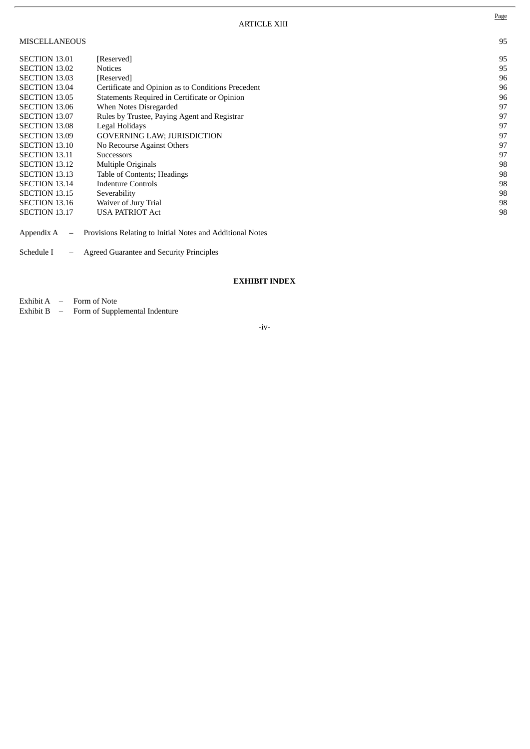## MISCELLANEOUS 95

| <b>SECTION 13.01</b> | [Reserved]                                         | 95 |
|----------------------|----------------------------------------------------|----|
| <b>SECTION 13.02</b> | <b>Notices</b>                                     | 95 |
| <b>SECTION 13.03</b> | [Reserved]                                         | 96 |
| <b>SECTION 13.04</b> | Certificate and Opinion as to Conditions Precedent | 96 |
| <b>SECTION 13.05</b> | Statements Required in Certificate or Opinion      | 96 |
| <b>SECTION 13.06</b> | When Notes Disregarded                             | 97 |
| <b>SECTION 13.07</b> | Rules by Trustee, Paying Agent and Registrar       | 97 |
| <b>SECTION 13.08</b> | Legal Holidays                                     | 97 |
| <b>SECTION 13.09</b> | <b>GOVERNING LAW; JURISDICTION</b>                 | 97 |
| <b>SECTION 13.10</b> | No Recourse Against Others                         | 97 |
| <b>SECTION 13.11</b> | <b>Successors</b>                                  | 97 |
| <b>SECTION 13.12</b> | <b>Multiple Originals</b>                          | 98 |
| <b>SECTION 13.13</b> | Table of Contents; Headings                        | 98 |
| <b>SECTION 13.14</b> | Indenture Controls                                 | 98 |
| <b>SECTION 13.15</b> | Severability                                       | 98 |
| <b>SECTION 13.16</b> | Waiver of Jury Trial                               | 98 |
| <b>SECTION 13.17</b> | <b>USA PATRIOT Act</b>                             | 98 |
|                      |                                                    |    |

Appendix A – Provisions Relating to Initial Notes and Additional Notes

Schedule I – Agreed Guarantee and Security Principles

## **EXHIBIT INDEX**

Exhibit A – Form of Note

Exhibit B – Form of Supplemental Indenture

-iv-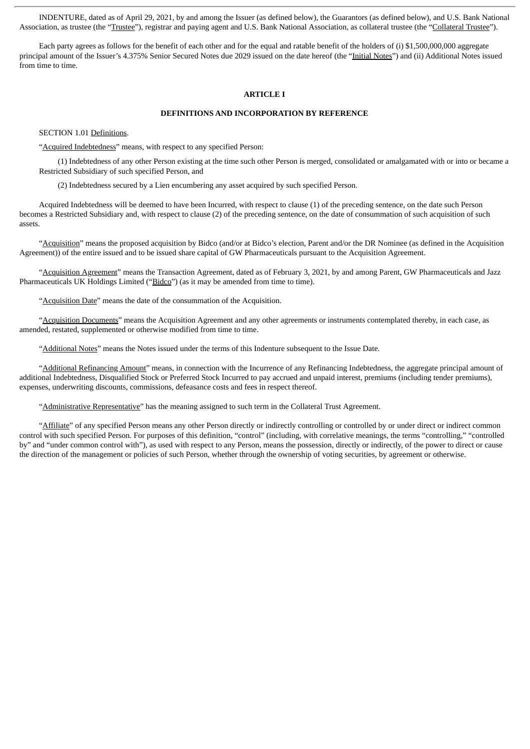INDENTURE, dated as of April 29, 2021, by and among the Issuer (as defined below), the Guarantors (as defined below), and U.S. Bank National Association, as trustee (the "Trustee"), registrar and paying agent and U.S. Bank National Association, as collateral trustee (the "Collateral Trustee").

Each party agrees as follows for the benefit of each other and for the equal and ratable benefit of the holders of (i) \$1,500,000,000 aggregate principal amount of the Issuer's 4.375% Senior Secured Notes due 2029 issued on the date hereof (the "Initial Notes") and (ii) Additional Notes issued from time to time.

#### **ARTICLE I**

## **DEFINITIONS AND INCORPORATION BY REFERENCE**

SECTION 1.01 Definitions.

"Acquired Indebtedness" means, with respect to any specified Person:

(1) Indebtedness of any other Person existing at the time such other Person is merged, consolidated or amalgamated with or into or became a Restricted Subsidiary of such specified Person, and

(2) Indebtedness secured by a Lien encumbering any asset acquired by such specified Person.

Acquired Indebtedness will be deemed to have been Incurred, with respect to clause (1) of the preceding sentence, on the date such Person becomes a Restricted Subsidiary and, with respect to clause (2) of the preceding sentence, on the date of consummation of such acquisition of such assets.

"Acquisition" means the proposed acquisition by Bidco (and/or at Bidco's election, Parent and/or the DR Nominee (as defined in the Acquisition Agreement)) of the entire issued and to be issued share capital of GW Pharmaceuticals pursuant to the Acquisition Agreement.

"Acquisition Agreement" means the Transaction Agreement, dated as of February 3, 2021, by and among Parent, GW Pharmaceuticals and Jazz Pharmaceuticals UK Holdings Limited ("Bidco") (as it may be amended from time to time).

"Acquisition Date" means the date of the consummation of the Acquisition.

"Acquisition Documents" means the Acquisition Agreement and any other agreements or instruments contemplated thereby, in each case, as amended, restated, supplemented or otherwise modified from time to time.

"Additional Notes" means the Notes issued under the terms of this Indenture subsequent to the Issue Date.

"Additional Refinancing Amount" means, in connection with the Incurrence of any Refinancing Indebtedness, the aggregate principal amount of additional Indebtedness, Disqualified Stock or Preferred Stock Incurred to pay accrued and unpaid interest, premiums (including tender premiums), expenses, underwriting discounts, commissions, defeasance costs and fees in respect thereof.

"Administrative Representative" has the meaning assigned to such term in the Collateral Trust Agreement.

"Affiliate" of any specified Person means any other Person directly or indirectly controlling or controlled by or under direct or indirect common control with such specified Person. For purposes of this definition, "control" (including, with correlative meanings, the terms "controlling," "controlled by" and "under common control with"), as used with respect to any Person, means the possession, directly or indirectly, of the power to direct or cause the direction of the management or policies of such Person, whether through the ownership of voting securities, by agreement or otherwise.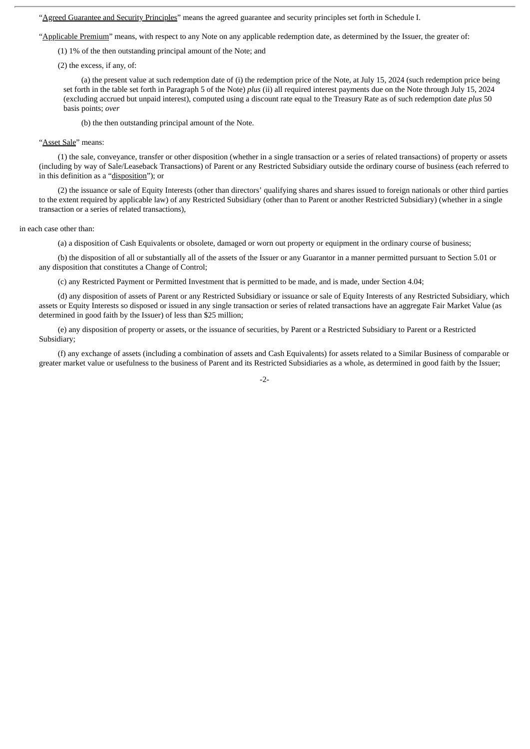"Agreed Guarantee and Security Principles" means the agreed guarantee and security principles set forth in Schedule I.

"Applicable Premium" means, with respect to any Note on any applicable redemption date, as determined by the Issuer, the greater of:

(1) 1% of the then outstanding principal amount of the Note; and

(2) the excess, if any, of:

(a) the present value at such redemption date of (i) the redemption price of the Note, at July 15, 2024 (such redemption price being set forth in the table set forth in Paragraph 5 of the Note) *plus* (ii) all required interest payments due on the Note through July 15, 2024 (excluding accrued but unpaid interest), computed using a discount rate equal to the Treasury Rate as of such redemption date *plus* 50 basis points; *over*

(b) the then outstanding principal amount of the Note.

"Asset Sale" means:

(1) the sale, conveyance, transfer or other disposition (whether in a single transaction or a series of related transactions) of property or assets (including by way of Sale/Leaseback Transactions) of Parent or any Restricted Subsidiary outside the ordinary course of business (each referred to in this definition as a "disposition"); or

(2) the issuance or sale of Equity Interests (other than directors' qualifying shares and shares issued to foreign nationals or other third parties to the extent required by applicable law) of any Restricted Subsidiary (other than to Parent or another Restricted Subsidiary) (whether in a single transaction or a series of related transactions),

#### in each case other than:

(a) a disposition of Cash Equivalents or obsolete, damaged or worn out property or equipment in the ordinary course of business;

(b) the disposition of all or substantially all of the assets of the Issuer or any Guarantor in a manner permitted pursuant to Section 5.01 or any disposition that constitutes a Change of Control;

(c) any Restricted Payment or Permitted Investment that is permitted to be made, and is made, under Section 4.04;

(d) any disposition of assets of Parent or any Restricted Subsidiary or issuance or sale of Equity Interests of any Restricted Subsidiary, which assets or Equity Interests so disposed or issued in any single transaction or series of related transactions have an aggregate Fair Market Value (as determined in good faith by the Issuer) of less than \$25 million;

(e) any disposition of property or assets, or the issuance of securities, by Parent or a Restricted Subsidiary to Parent or a Restricted Subsidiary;

(f) any exchange of assets (including a combination of assets and Cash Equivalents) for assets related to a Similar Business of comparable or greater market value or usefulness to the business of Parent and its Restricted Subsidiaries as a whole, as determined in good faith by the Issuer;

-2-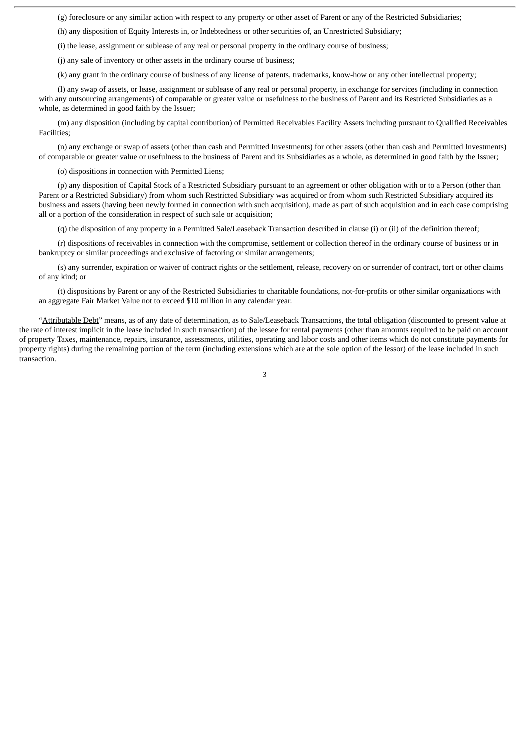(g) foreclosure or any similar action with respect to any property or other asset of Parent or any of the Restricted Subsidiaries;

(h) any disposition of Equity Interests in, or Indebtedness or other securities of, an Unrestricted Subsidiary;

(i) the lease, assignment or sublease of any real or personal property in the ordinary course of business;

(j) any sale of inventory or other assets in the ordinary course of business;

(k) any grant in the ordinary course of business of any license of patents, trademarks, know-how or any other intellectual property;

(l) any swap of assets, or lease, assignment or sublease of any real or personal property, in exchange for services (including in connection with any outsourcing arrangements) of comparable or greater value or usefulness to the business of Parent and its Restricted Subsidiaries as a whole, as determined in good faith by the Issuer;

(m) any disposition (including by capital contribution) of Permitted Receivables Facility Assets including pursuant to Qualified Receivables Facilities;

(n) any exchange or swap of assets (other than cash and Permitted Investments) for other assets (other than cash and Permitted Investments) of comparable or greater value or usefulness to the business of Parent and its Subsidiaries as a whole, as determined in good faith by the Issuer;

(o) dispositions in connection with Permitted Liens;

(p) any disposition of Capital Stock of a Restricted Subsidiary pursuant to an agreement or other obligation with or to a Person (other than Parent or a Restricted Subsidiary) from whom such Restricted Subsidiary was acquired or from whom such Restricted Subsidiary acquired its business and assets (having been newly formed in connection with such acquisition), made as part of such acquisition and in each case comprising all or a portion of the consideration in respect of such sale or acquisition;

(q) the disposition of any property in a Permitted Sale/Leaseback Transaction described in clause (i) or (ii) of the definition thereof;

(r) dispositions of receivables in connection with the compromise, settlement or collection thereof in the ordinary course of business or in bankruptcy or similar proceedings and exclusive of factoring or similar arrangements;

(s) any surrender, expiration or waiver of contract rights or the settlement, release, recovery on or surrender of contract, tort or other claims of any kind; or

(t) dispositions by Parent or any of the Restricted Subsidiaries to charitable foundations, not-for-profits or other similar organizations with an aggregate Fair Market Value not to exceed \$10 million in any calendar year.

"Attributable Debt" means, as of any date of determination, as to Sale/Leaseback Transactions, the total obligation (discounted to present value at the rate of interest implicit in the lease included in such transaction) of the lessee for rental payments (other than amounts required to be paid on account of property Taxes, maintenance, repairs, insurance, assessments, utilities, operating and labor costs and other items which do not constitute payments for property rights) during the remaining portion of the term (including extensions which are at the sole option of the lessor) of the lease included in such transaction.

-3-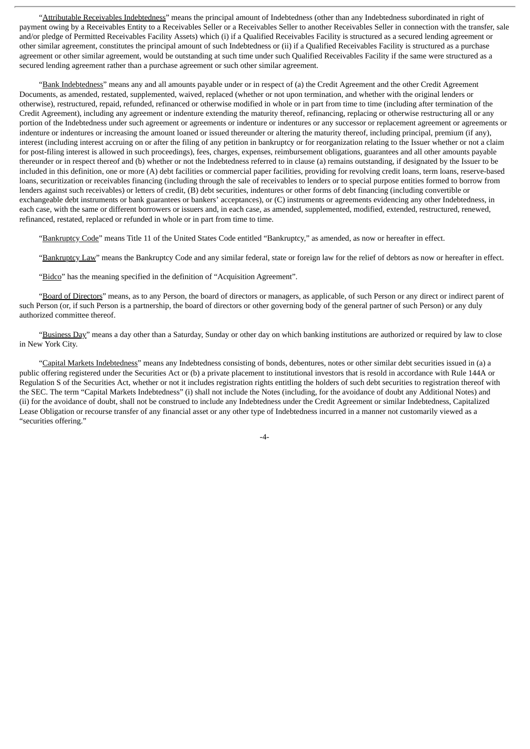"Attributable Receivables Indebtedness" means the principal amount of Indebtedness (other than any Indebtedness subordinated in right of payment owing by a Receivables Entity to a Receivables Seller or a Receivables Seller to another Receivables Seller in connection with the transfer, sale and/or pledge of Permitted Receivables Facility Assets) which (i) if a Qualified Receivables Facility is structured as a secured lending agreement or other similar agreement, constitutes the principal amount of such Indebtedness or (ii) if a Qualified Receivables Facility is structured as a purchase agreement or other similar agreement, would be outstanding at such time under such Qualified Receivables Facility if the same were structured as a secured lending agreement rather than a purchase agreement or such other similar agreement.

"Bank Indebtedness" means any and all amounts payable under or in respect of (a) the Credit Agreement and the other Credit Agreement Documents, as amended, restated, supplemented, waived, replaced (whether or not upon termination, and whether with the original lenders or otherwise), restructured, repaid, refunded, refinanced or otherwise modified in whole or in part from time to time (including after termination of the Credit Agreement), including any agreement or indenture extending the maturity thereof, refinancing, replacing or otherwise restructuring all or any portion of the Indebtedness under such agreement or agreements or indenture or indentures or any successor or replacement agreement or agreements or indenture or indentures or increasing the amount loaned or issued thereunder or altering the maturity thereof, including principal, premium (if any), interest (including interest accruing on or after the filing of any petition in bankruptcy or for reorganization relating to the Issuer whether or not a claim for post-filing interest is allowed in such proceedings), fees, charges, expenses, reimbursement obligations, guarantees and all other amounts payable thereunder or in respect thereof and (b) whether or not the Indebtedness referred to in clause (a) remains outstanding, if designated by the Issuer to be included in this definition, one or more (A) debt facilities or commercial paper facilities, providing for revolving credit loans, term loans, reserve-based loans, securitization or receivables financing (including through the sale of receivables to lenders or to special purpose entities formed to borrow from lenders against such receivables) or letters of credit, (B) debt securities, indentures or other forms of debt financing (including convertible or exchangeable debt instruments or bank guarantees or bankers' acceptances), or (C) instruments or agreements evidencing any other Indebtedness, in each case, with the same or different borrowers or issuers and, in each case, as amended, supplemented, modified, extended, restructured, renewed, refinanced, restated, replaced or refunded in whole or in part from time to time.

"Bankruptcy Code" means Title 11 of the United States Code entitled "Bankruptcy," as amended, as now or hereafter in effect.

"Bankruptcy Law" means the Bankruptcy Code and any similar federal, state or foreign law for the relief of debtors as now or hereafter in effect.

"Bidco" has the meaning specified in the definition of "Acquisition Agreement".

"Board of Directors" means, as to any Person, the board of directors or managers, as applicable, of such Person or any direct or indirect parent of such Person (or, if such Person is a partnership, the board of directors or other governing body of the general partner of such Person) or any duly authorized committee thereof.

"Business Day" means a day other than a Saturday, Sunday or other day on which banking institutions are authorized or required by law to close in New York City.

"Capital Markets Indebtedness" means any Indebtedness consisting of bonds, debentures, notes or other similar debt securities issued in (a) a public offering registered under the Securities Act or (b) a private placement to institutional investors that is resold in accordance with Rule 144A or Regulation S of the Securities Act, whether or not it includes registration rights entitling the holders of such debt securities to registration thereof with the SEC. The term "Capital Markets Indebtedness" (i) shall not include the Notes (including, for the avoidance of doubt any Additional Notes) and (ii) for the avoidance of doubt, shall not be construed to include any Indebtedness under the Credit Agreement or similar Indebtedness, Capitalized Lease Obligation or recourse transfer of any financial asset or any other type of Indebtedness incurred in a manner not customarily viewed as a "securities offering."

 $-4-$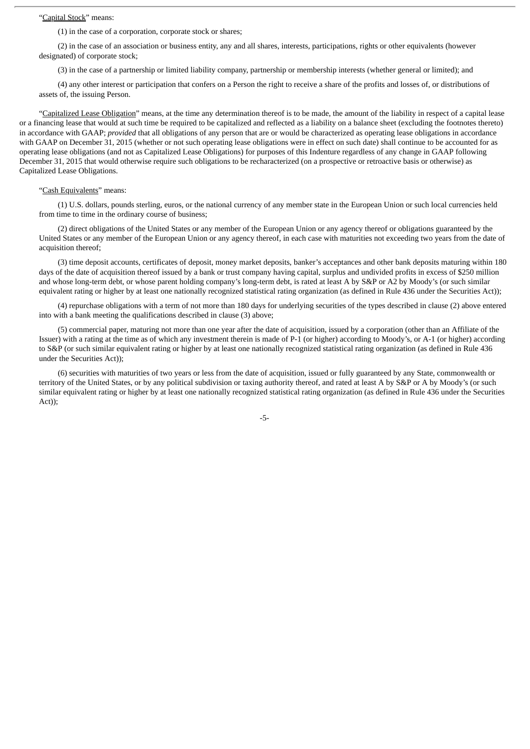#### "Capital Stock" means:

(1) in the case of a corporation, corporate stock or shares;

(2) in the case of an association or business entity, any and all shares, interests, participations, rights or other equivalents (however designated) of corporate stock;

(3) in the case of a partnership or limited liability company, partnership or membership interests (whether general or limited); and

(4) any other interest or participation that confers on a Person the right to receive a share of the profits and losses of, or distributions of assets of, the issuing Person.

"Capitalized Lease Obligation" means, at the time any determination thereof is to be made, the amount of the liability in respect of a capital lease or a financing lease that would at such time be required to be capitalized and reflected as a liability on a balance sheet (excluding the footnotes thereto) in accordance with GAAP; *provided* that all obligations of any person that are or would be characterized as operating lease obligations in accordance with GAAP on December 31, 2015 (whether or not such operating lease obligations were in effect on such date) shall continue to be accounted for as operating lease obligations (and not as Capitalized Lease Obligations) for purposes of this Indenture regardless of any change in GAAP following December 31, 2015 that would otherwise require such obligations to be recharacterized (on a prospective or retroactive basis or otherwise) as Capitalized Lease Obligations.

#### "Cash Equivalents" means:

(1) U.S. dollars, pounds sterling, euros, or the national currency of any member state in the European Union or such local currencies held from time to time in the ordinary course of business;

(2) direct obligations of the United States or any member of the European Union or any agency thereof or obligations guaranteed by the United States or any member of the European Union or any agency thereof, in each case with maturities not exceeding two years from the date of acquisition thereof;

(3) time deposit accounts, certificates of deposit, money market deposits, banker's acceptances and other bank deposits maturing within 180 days of the date of acquisition thereof issued by a bank or trust company having capital, surplus and undivided profits in excess of \$250 million and whose long-term debt, or whose parent holding company's long-term debt, is rated at least A by S&P or A2 by Moody's (or such similar equivalent rating or higher by at least one nationally recognized statistical rating organization (as defined in Rule 436 under the Securities Act));

(4) repurchase obligations with a term of not more than 180 days for underlying securities of the types described in clause (2) above entered into with a bank meeting the qualifications described in clause (3) above;

(5) commercial paper, maturing not more than one year after the date of acquisition, issued by a corporation (other than an Affiliate of the Issuer) with a rating at the time as of which any investment therein is made of P-1 (or higher) according to Moody's, or A-1 (or higher) according to S&P (or such similar equivalent rating or higher by at least one nationally recognized statistical rating organization (as defined in Rule 436 under the Securities Act));

(6) securities with maturities of two years or less from the date of acquisition, issued or fully guaranteed by any State, commonwealth or territory of the United States, or by any political subdivision or taxing authority thereof, and rated at least A by S&P or A by Moody's (or such similar equivalent rating or higher by at least one nationally recognized statistical rating organization (as defined in Rule 436 under the Securities Act));

-5-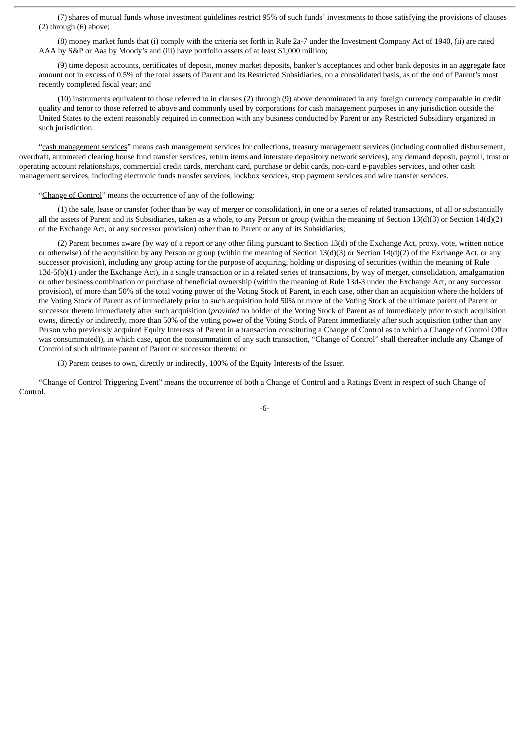(7) shares of mutual funds whose investment guidelines restrict 95% of such funds' investments to those satisfying the provisions of clauses (2) through (6) above;

(8) money market funds that (i) comply with the criteria set forth in Rule 2a-7 under the Investment Company Act of 1940, (ii) are rated AAA by S&P or Aaa by Moody's and (iii) have portfolio assets of at least \$1,000 million;

(9) time deposit accounts, certificates of deposit, money market deposits, banker's acceptances and other bank deposits in an aggregate face amount not in excess of 0.5% of the total assets of Parent and its Restricted Subsidiaries, on a consolidated basis, as of the end of Parent's most recently completed fiscal year; and

(10) instruments equivalent to those referred to in clauses (2) through (9) above denominated in any foreign currency comparable in credit quality and tenor to those referred to above and commonly used by corporations for cash management purposes in any jurisdiction outside the United States to the extent reasonably required in connection with any business conducted by Parent or any Restricted Subsidiary organized in such jurisdiction.

"cash management services" means cash management services for collections, treasury management services (including controlled disbursement, overdraft, automated clearing house fund transfer services, return items and interstate depository network services), any demand deposit, payroll, trust or operating account relationships, commercial credit cards, merchant card, purchase or debit cards, non-card e-payables services, and other cash management services, including electronic funds transfer services, lockbox services, stop payment services and wire transfer services.

#### "Change of Control" means the occurrence of any of the following:

(1) the sale, lease or transfer (other than by way of merger or consolidation), in one or a series of related transactions, of all or substantially all the assets of Parent and its Subsidiaries, taken as a whole, to any Person or group (within the meaning of Section 13(d)(3) or Section 14(d)(2) of the Exchange Act, or any successor provision) other than to Parent or any of its Subsidiaries;

(2) Parent becomes aware (by way of a report or any other filing pursuant to Section 13(d) of the Exchange Act, proxy, vote, written notice or otherwise) of the acquisition by any Person or group (within the meaning of Section 13(d)(3) or Section 14(d)(2) of the Exchange Act, or any successor provision), including any group acting for the purpose of acquiring, holding or disposing of securities (within the meaning of Rule 13d-5(b)(1) under the Exchange Act), in a single transaction or in a related series of transactions, by way of merger, consolidation, amalgamation or other business combination or purchase of beneficial ownership (within the meaning of Rule 13d-3 under the Exchange Act, or any successor provision), of more than 50% of the total voting power of the Voting Stock of Parent, in each case, other than an acquisition where the holders of the Voting Stock of Parent as of immediately prior to such acquisition hold 50% or more of the Voting Stock of the ultimate parent of Parent or successor thereto immediately after such acquisition (*provided* no holder of the Voting Stock of Parent as of immediately prior to such acquisition owns, directly or indirectly, more than 50% of the voting power of the Voting Stock of Parent immediately after such acquisition (other than any Person who previously acquired Equity Interests of Parent in a transaction constituting a Change of Control as to which a Change of Control Offer was consummated)), in which case, upon the consummation of any such transaction, "Change of Control" shall thereafter include any Change of Control of such ultimate parent of Parent or successor thereto; or

(3) Parent ceases to own, directly or indirectly, 100% of the Equity Interests of the Issuer.

"Change of Control Triggering Event" means the occurrence of both a Change of Control and a Ratings Event in respect of such Change of Control.

-6-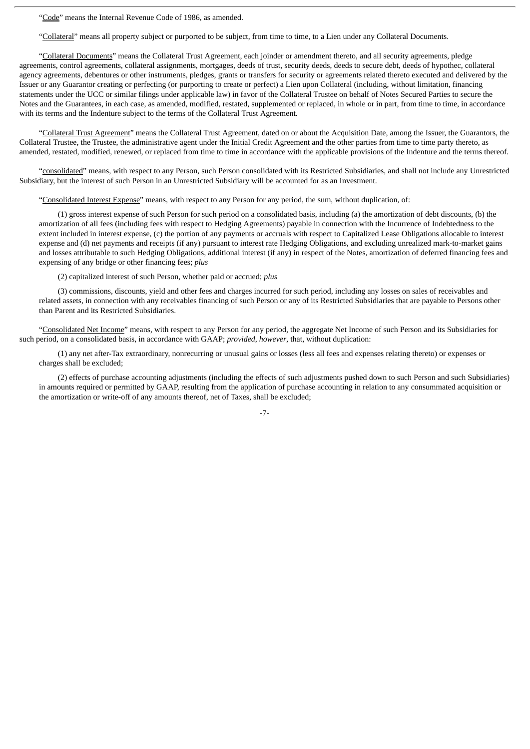"Code" means the Internal Revenue Code of 1986, as amended.

"Collateral" means all property subject or purported to be subject, from time to time, to a Lien under any Collateral Documents.

"Collateral Documents" means the Collateral Trust Agreement, each joinder or amendment thereto, and all security agreements, pledge agreements, control agreements, collateral assignments, mortgages, deeds of trust, security deeds, deeds to secure debt, deeds of hypothec, collateral agency agreements, debentures or other instruments, pledges, grants or transfers for security or agreements related thereto executed and delivered by the Issuer or any Guarantor creating or perfecting (or purporting to create or perfect) a Lien upon Collateral (including, without limitation, financing statements under the UCC or similar filings under applicable law) in favor of the Collateral Trustee on behalf of Notes Secured Parties to secure the Notes and the Guarantees, in each case, as amended, modified, restated, supplemented or replaced, in whole or in part, from time to time, in accordance with its terms and the Indenture subject to the terms of the Collateral Trust Agreement.

"Collateral Trust Agreement" means the Collateral Trust Agreement, dated on or about the Acquisition Date, among the Issuer, the Guarantors, the Collateral Trustee, the Trustee, the administrative agent under the Initial Credit Agreement and the other parties from time to time party thereto, as amended, restated, modified, renewed, or replaced from time to time in accordance with the applicable provisions of the Indenture and the terms thereof.

"consolidated" means, with respect to any Person, such Person consolidated with its Restricted Subsidiaries, and shall not include any Unrestricted Subsidiary, but the interest of such Person in an Unrestricted Subsidiary will be accounted for as an Investment.

"Consolidated Interest Expense" means, with respect to any Person for any period, the sum, without duplication, of:

(1) gross interest expense of such Person for such period on a consolidated basis, including (a) the amortization of debt discounts, (b) the amortization of all fees (including fees with respect to Hedging Agreements) payable in connection with the Incurrence of Indebtedness to the extent included in interest expense, (c) the portion of any payments or accruals with respect to Capitalized Lease Obligations allocable to interest expense and (d) net payments and receipts (if any) pursuant to interest rate Hedging Obligations, and excluding unrealized mark-to-market gains and losses attributable to such Hedging Obligations, additional interest (if any) in respect of the Notes, amortization of deferred financing fees and expensing of any bridge or other financing fees; *plus*

(2) capitalized interest of such Person, whether paid or accrued; *plus*

(3) commissions, discounts, yield and other fees and charges incurred for such period, including any losses on sales of receivables and related assets, in connection with any receivables financing of such Person or any of its Restricted Subsidiaries that are payable to Persons other than Parent and its Restricted Subsidiaries.

"Consolidated Net Income" means, with respect to any Person for any period, the aggregate Net Income of such Person and its Subsidiaries for such period, on a consolidated basis, in accordance with GAAP; *provided*, *however*, that, without duplication:

(1) any net after-Tax extraordinary, nonrecurring or unusual gains or losses (less all fees and expenses relating thereto) or expenses or charges shall be excluded;

(2) effects of purchase accounting adjustments (including the effects of such adjustments pushed down to such Person and such Subsidiaries) in amounts required or permitted by GAAP, resulting from the application of purchase accounting in relation to any consummated acquisition or the amortization or write-off of any amounts thereof, net of Taxes, shall be excluded;

-7-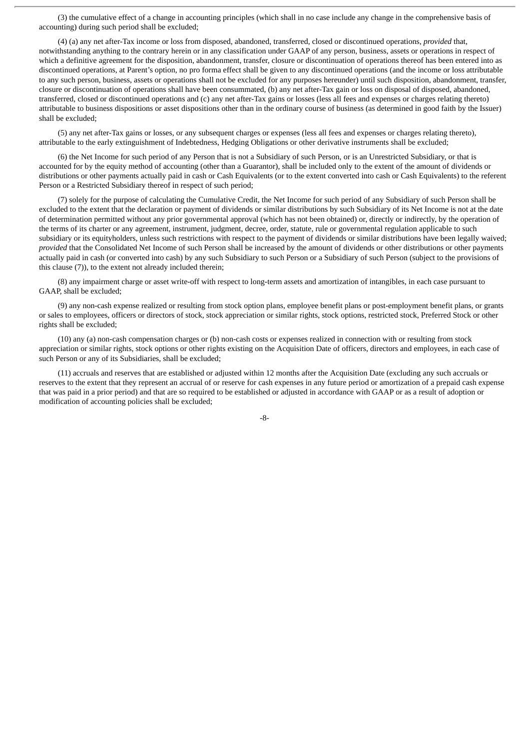(3) the cumulative effect of a change in accounting principles (which shall in no case include any change in the comprehensive basis of accounting) during such period shall be excluded;

(4) (a) any net after-Tax income or loss from disposed, abandoned, transferred, closed or discontinued operations, *provided* that, notwithstanding anything to the contrary herein or in any classification under GAAP of any person, business, assets or operations in respect of which a definitive agreement for the disposition, abandonment, transfer, closure or discontinuation of operations thereof has been entered into as discontinued operations, at Parent's option, no pro forma effect shall be given to any discontinued operations (and the income or loss attributable to any such person, business, assets or operations shall not be excluded for any purposes hereunder) until such disposition, abandonment, transfer, closure or discontinuation of operations shall have been consummated, (b) any net after-Tax gain or loss on disposal of disposed, abandoned, transferred, closed or discontinued operations and (c) any net after-Tax gains or losses (less all fees and expenses or charges relating thereto) attributable to business dispositions or asset dispositions other than in the ordinary course of business (as determined in good faith by the Issuer) shall be excluded;

(5) any net after-Tax gains or losses, or any subsequent charges or expenses (less all fees and expenses or charges relating thereto), attributable to the early extinguishment of Indebtedness, Hedging Obligations or other derivative instruments shall be excluded;

(6) the Net Income for such period of any Person that is not a Subsidiary of such Person, or is an Unrestricted Subsidiary, or that is accounted for by the equity method of accounting (other than a Guarantor), shall be included only to the extent of the amount of dividends or distributions or other payments actually paid in cash or Cash Equivalents (or to the extent converted into cash or Cash Equivalents) to the referent Person or a Restricted Subsidiary thereof in respect of such period;

(7) solely for the purpose of calculating the Cumulative Credit, the Net Income for such period of any Subsidiary of such Person shall be excluded to the extent that the declaration or payment of dividends or similar distributions by such Subsidiary of its Net Income is not at the date of determination permitted without any prior governmental approval (which has not been obtained) or, directly or indirectly, by the operation of the terms of its charter or any agreement, instrument, judgment, decree, order, statute, rule or governmental regulation applicable to such subsidiary or its equityholders, unless such restrictions with respect to the payment of dividends or similar distributions have been legally waived; *provided* that the Consolidated Net Income of such Person shall be increased by the amount of dividends or other distributions or other payments actually paid in cash (or converted into cash) by any such Subsidiary to such Person or a Subsidiary of such Person (subject to the provisions of this clause (7)), to the extent not already included therein;

(8) any impairment charge or asset write-off with respect to long-term assets and amortization of intangibles, in each case pursuant to GAAP, shall be excluded;

(9) any non-cash expense realized or resulting from stock option plans, employee benefit plans or post-employment benefit plans, or grants or sales to employees, officers or directors of stock, stock appreciation or similar rights, stock options, restricted stock, Preferred Stock or other rights shall be excluded;

(10) any (a) non-cash compensation charges or (b) non-cash costs or expenses realized in connection with or resulting from stock appreciation or similar rights, stock options or other rights existing on the Acquisition Date of officers, directors and employees, in each case of such Person or any of its Subsidiaries, shall be excluded;

(11) accruals and reserves that are established or adjusted within 12 months after the Acquisition Date (excluding any such accruals or reserves to the extent that they represent an accrual of or reserve for cash expenses in any future period or amortization of a prepaid cash expense that was paid in a prior period) and that are so required to be established or adjusted in accordance with GAAP or as a result of adoption or modification of accounting policies shall be excluded;

-8-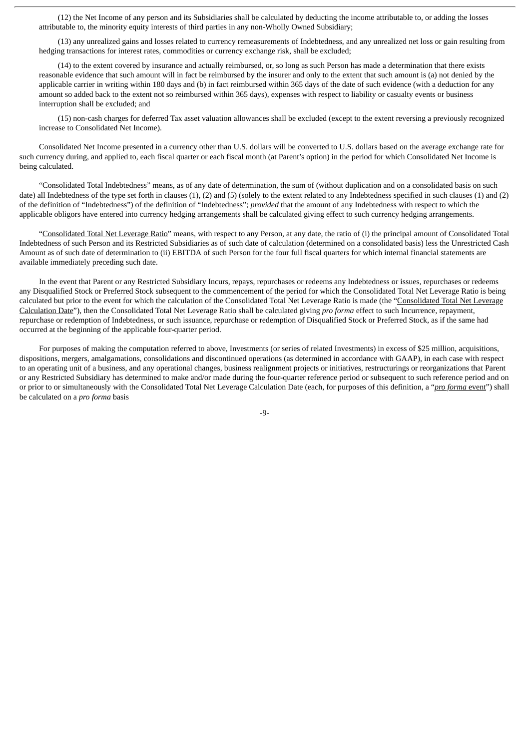(12) the Net Income of any person and its Subsidiaries shall be calculated by deducting the income attributable to, or adding the losses attributable to, the minority equity interests of third parties in any non-Wholly Owned Subsidiary;

(13) any unrealized gains and losses related to currency remeasurements of Indebtedness, and any unrealized net loss or gain resulting from hedging transactions for interest rates, commodities or currency exchange risk, shall be excluded;

(14) to the extent covered by insurance and actually reimbursed, or, so long as such Person has made a determination that there exists reasonable evidence that such amount will in fact be reimbursed by the insurer and only to the extent that such amount is (a) not denied by the applicable carrier in writing within 180 days and (b) in fact reimbursed within 365 days of the date of such evidence (with a deduction for any amount so added back to the extent not so reimbursed within 365 days), expenses with respect to liability or casualty events or business interruption shall be excluded; and

(15) non-cash charges for deferred Tax asset valuation allowances shall be excluded (except to the extent reversing a previously recognized increase to Consolidated Net Income).

Consolidated Net Income presented in a currency other than U.S. dollars will be converted to U.S. dollars based on the average exchange rate for such currency during, and applied to, each fiscal quarter or each fiscal month (at Parent's option) in the period for which Consolidated Net Income is being calculated.

"Consolidated Total Indebtedness" means, as of any date of determination, the sum of (without duplication and on a consolidated basis on such date) all Indebtedness of the type set forth in clauses (1), (2) and (5) (solely to the extent related to any Indebtedness specified in such clauses (1) and (2) of the definition of "Indebtedness") of the definition of "Indebtedness"; *provided* that the amount of any Indebtedness with respect to which the applicable obligors have entered into currency hedging arrangements shall be calculated giving effect to such currency hedging arrangements.

"Consolidated Total Net Leverage Ratio" means, with respect to any Person, at any date, the ratio of (i) the principal amount of Consolidated Total Indebtedness of such Person and its Restricted Subsidiaries as of such date of calculation (determined on a consolidated basis) less the Unrestricted Cash Amount as of such date of determination to (ii) EBITDA of such Person for the four full fiscal quarters for which internal financial statements are available immediately preceding such date.

In the event that Parent or any Restricted Subsidiary Incurs, repays, repurchases or redeems any Indebtedness or issues, repurchases or redeems any Disqualified Stock or Preferred Stock subsequent to the commencement of the period for which the Consolidated Total Net Leverage Ratio is being calculated but prior to the event for which the calculation of the Consolidated Total Net Leverage Ratio is made (the "Consolidated Total Net Leverage Calculation Date"), then the Consolidated Total Net Leverage Ratio shall be calculated giving *pro forma* effect to such Incurrence, repayment, repurchase or redemption of Indebtedness, or such issuance, repurchase or redemption of Disqualified Stock or Preferred Stock, as if the same had occurred at the beginning of the applicable four-quarter period.

For purposes of making the computation referred to above, Investments (or series of related Investments) in excess of \$25 million, acquisitions, dispositions, mergers, amalgamations, consolidations and discontinued operations (as determined in accordance with GAAP), in each case with respect to an operating unit of a business, and any operational changes, business realignment projects or initiatives, restructurings or reorganizations that Parent or any Restricted Subsidiary has determined to make and/or made during the four-quarter reference period or subsequent to such reference period and on or prior to or simultaneously with the Consolidated Total Net Leverage Calculation Date (each, for purposes of this definition, a "*pro forma* event") shall be calculated on a *pro forma* basis

-9-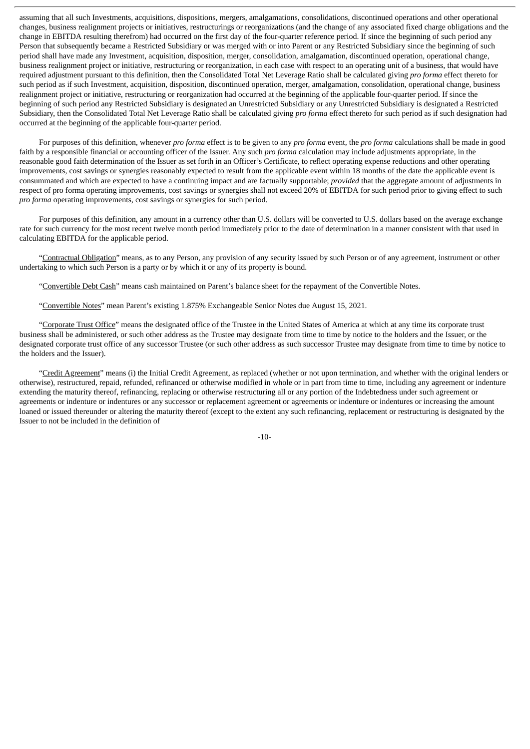assuming that all such Investments, acquisitions, dispositions, mergers, amalgamations, consolidations, discontinued operations and other operational changes, business realignment projects or initiatives, restructurings or reorganizations (and the change of any associated fixed charge obligations and the change in EBITDA resulting therefrom) had occurred on the first day of the four-quarter reference period. If since the beginning of such period any Person that subsequently became a Restricted Subsidiary or was merged with or into Parent or any Restricted Subsidiary since the beginning of such period shall have made any Investment, acquisition, disposition, merger, consolidation, amalgamation, discontinued operation, operational change, business realignment project or initiative, restructuring or reorganization, in each case with respect to an operating unit of a business, that would have required adjustment pursuant to this definition, then the Consolidated Total Net Leverage Ratio shall be calculated giving *pro forma* effect thereto for such period as if such Investment, acquisition, disposition, discontinued operation, merger, amalgamation, consolidation, operational change, business realignment project or initiative, restructuring or reorganization had occurred at the beginning of the applicable four-quarter period. If since the beginning of such period any Restricted Subsidiary is designated an Unrestricted Subsidiary or any Unrestricted Subsidiary is designated a Restricted Subsidiary, then the Consolidated Total Net Leverage Ratio shall be calculated giving *pro forma* effect thereto for such period as if such designation had occurred at the beginning of the applicable four-quarter period.

For purposes of this definition, whenever *pro forma* effect is to be given to any *pro forma* event, the *pro forma* calculations shall be made in good faith by a responsible financial or accounting officer of the Issuer. Any such *pro forma* calculation may include adjustments appropriate, in the reasonable good faith determination of the Issuer as set forth in an Officer's Certificate, to reflect operating expense reductions and other operating improvements, cost savings or synergies reasonably expected to result from the applicable event within 18 months of the date the applicable event is consummated and which are expected to have a continuing impact and are factually supportable; *provided* that the aggregate amount of adjustments in respect of pro forma operating improvements, cost savings or synergies shall not exceed 20% of EBITDA for such period prior to giving effect to such *pro forma* operating improvements, cost savings or synergies for such period.

For purposes of this definition, any amount in a currency other than U.S. dollars will be converted to U.S. dollars based on the average exchange rate for such currency for the most recent twelve month period immediately prior to the date of determination in a manner consistent with that used in calculating EBITDA for the applicable period.

"Contractual Obligation" means, as to any Person, any provision of any security issued by such Person or of any agreement, instrument or other undertaking to which such Person is a party or by which it or any of its property is bound.

"Convertible Debt Cash" means cash maintained on Parent's balance sheet for the repayment of the Convertible Notes.

"Convertible Notes" mean Parent's existing 1.875% Exchangeable Senior Notes due August 15, 2021.

"Corporate Trust Office" means the designated office of the Trustee in the United States of America at which at any time its corporate trust business shall be administered, or such other address as the Trustee may designate from time to time by notice to the holders and the Issuer, or the designated corporate trust office of any successor Trustee (or such other address as such successor Trustee may designate from time to time by notice to the holders and the Issuer).

"Credit Agreement" means (i) the Initial Credit Agreement, as replaced (whether or not upon termination, and whether with the original lenders or otherwise), restructured, repaid, refunded, refinanced or otherwise modified in whole or in part from time to time, including any agreement or indenture extending the maturity thereof, refinancing, replacing or otherwise restructuring all or any portion of the Indebtedness under such agreement or agreements or indenture or indentures or any successor or replacement agreement or agreements or indenture or indentures or increasing the amount loaned or issued thereunder or altering the maturity thereof (except to the extent any such refinancing, replacement or restructuring is designated by the Issuer to not be included in the definition of

-10-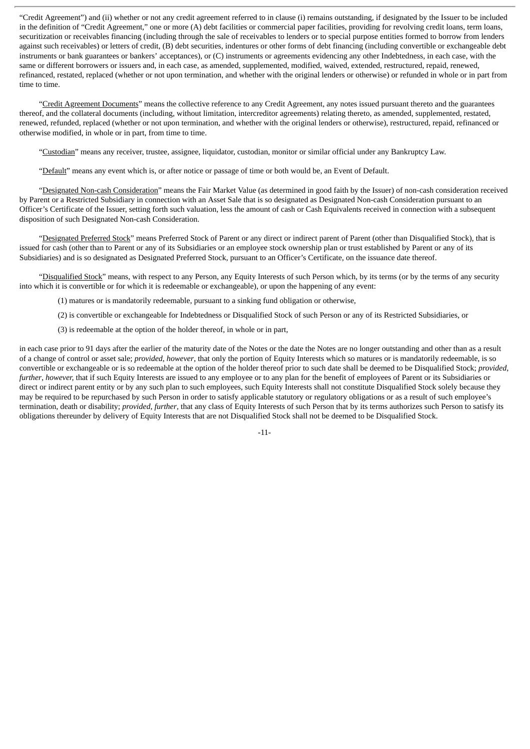"Credit Agreement") and (ii) whether or not any credit agreement referred to in clause (i) remains outstanding, if designated by the Issuer to be included in the definition of "Credit Agreement," one or more (A) debt facilities or commercial paper facilities, providing for revolving credit loans, term loans, securitization or receivables financing (including through the sale of receivables to lenders or to special purpose entities formed to borrow from lenders against such receivables) or letters of credit, (B) debt securities, indentures or other forms of debt financing (including convertible or exchangeable debt instruments or bank guarantees or bankers' acceptances), or (C) instruments or agreements evidencing any other Indebtedness, in each case, with the same or different borrowers or issuers and, in each case, as amended, supplemented, modified, waived, extended, restructured, repaid, renewed, refinanced, restated, replaced (whether or not upon termination, and whether with the original lenders or otherwise) or refunded in whole or in part from time to time.

"Credit Agreement Documents" means the collective reference to any Credit Agreement, any notes issued pursuant thereto and the guarantees thereof, and the collateral documents (including, without limitation, intercreditor agreements) relating thereto, as amended, supplemented, restated, renewed, refunded, replaced (whether or not upon termination, and whether with the original lenders or otherwise), restructured, repaid, refinanced or otherwise modified, in whole or in part, from time to time.

"Custodian" means any receiver, trustee, assignee, liquidator, custodian, monitor or similar official under any Bankruptcy Law.

"Default" means any event which is, or after notice or passage of time or both would be, an Event of Default.

"Designated Non-cash Consideration" means the Fair Market Value (as determined in good faith by the Issuer) of non-cash consideration received by Parent or a Restricted Subsidiary in connection with an Asset Sale that is so designated as Designated Non-cash Consideration pursuant to an Officer's Certificate of the Issuer, setting forth such valuation, less the amount of cash or Cash Equivalents received in connection with a subsequent disposition of such Designated Non-cash Consideration.

"Designated Preferred Stock" means Preferred Stock of Parent or any direct or indirect parent of Parent (other than Disqualified Stock), that is issued for cash (other than to Parent or any of its Subsidiaries or an employee stock ownership plan or trust established by Parent or any of its Subsidiaries) and is so designated as Designated Preferred Stock, pursuant to an Officer's Certificate, on the issuance date thereof.

"Disqualified Stock" means, with respect to any Person, any Equity Interests of such Person which, by its terms (or by the terms of any security into which it is convertible or for which it is redeemable or exchangeable), or upon the happening of any event:

(1) matures or is mandatorily redeemable, pursuant to a sinking fund obligation or otherwise,

(2) is convertible or exchangeable for Indebtedness or Disqualified Stock of such Person or any of its Restricted Subsidiaries, or

(3) is redeemable at the option of the holder thereof, in whole or in part,

in each case prior to 91 days after the earlier of the maturity date of the Notes or the date the Notes are no longer outstanding and other than as a result of a change of control or asset sale; *provided*, *however*, that only the portion of Equity Interests which so matures or is mandatorily redeemable, is so convertible or exchangeable or is so redeemable at the option of the holder thereof prior to such date shall be deemed to be Disqualified Stock; *provided*, *further*, *however*, that if such Equity Interests are issued to any employee or to any plan for the benefit of employees of Parent or its Subsidiaries or direct or indirect parent entity or by any such plan to such employees, such Equity Interests shall not constitute Disqualified Stock solely because they may be required to be repurchased by such Person in order to satisfy applicable statutory or regulatory obligations or as a result of such employee's termination, death or disability; *provided*, *further*, that any class of Equity Interests of such Person that by its terms authorizes such Person to satisfy its obligations thereunder by delivery of Equity Interests that are not Disqualified Stock shall not be deemed to be Disqualified Stock.

-11-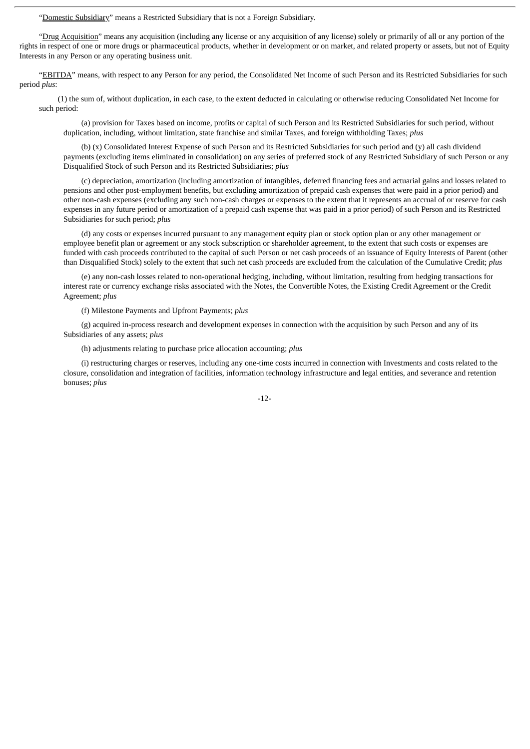"Domestic Subsidiary" means a Restricted Subsidiary that is not a Foreign Subsidiary.

"Drug Acquisition" means any acquisition (including any license or any acquisition of any license) solely or primarily of all or any portion of the rights in respect of one or more drugs or pharmaceutical products, whether in development or on market, and related property or assets, but not of Equity Interests in any Person or any operating business unit.

"EBITDA" means, with respect to any Person for any period, the Consolidated Net Income of such Person and its Restricted Subsidiaries for such period *plus*:

(1) the sum of, without duplication, in each case, to the extent deducted in calculating or otherwise reducing Consolidated Net Income for such period:

(a) provision for Taxes based on income, profits or capital of such Person and its Restricted Subsidiaries for such period, without duplication, including, without limitation, state franchise and similar Taxes, and foreign withholding Taxes; *plus*

(b) (x) Consolidated Interest Expense of such Person and its Restricted Subsidiaries for such period and (y) all cash dividend payments (excluding items eliminated in consolidation) on any series of preferred stock of any Restricted Subsidiary of such Person or any Disqualified Stock of such Person and its Restricted Subsidiaries; *plus*

(c) depreciation, amortization (including amortization of intangibles, deferred financing fees and actuarial gains and losses related to pensions and other post-employment benefits, but excluding amortization of prepaid cash expenses that were paid in a prior period) and other non-cash expenses (excluding any such non-cash charges or expenses to the extent that it represents an accrual of or reserve for cash expenses in any future period or amortization of a prepaid cash expense that was paid in a prior period) of such Person and its Restricted Subsidiaries for such period; *plus*

(d) any costs or expenses incurred pursuant to any management equity plan or stock option plan or any other management or employee benefit plan or agreement or any stock subscription or shareholder agreement, to the extent that such costs or expenses are funded with cash proceeds contributed to the capital of such Person or net cash proceeds of an issuance of Equity Interests of Parent (other than Disqualified Stock) solely to the extent that such net cash proceeds are excluded from the calculation of the Cumulative Credit; *plus*

(e) any non-cash losses related to non-operational hedging, including, without limitation, resulting from hedging transactions for interest rate or currency exchange risks associated with the Notes, the Convertible Notes, the Existing Credit Agreement or the Credit Agreement; *plus*

(f) Milestone Payments and Upfront Payments; *plus*

(g) acquired in-process research and development expenses in connection with the acquisition by such Person and any of its Subsidiaries of any assets; *plus*

(h) adjustments relating to purchase price allocation accounting; *plus*

(i) restructuring charges or reserves, including any one-time costs incurred in connection with Investments and costs related to the closure, consolidation and integration of facilities, information technology infrastructure and legal entities, and severance and retention bonuses; *plus*

-12-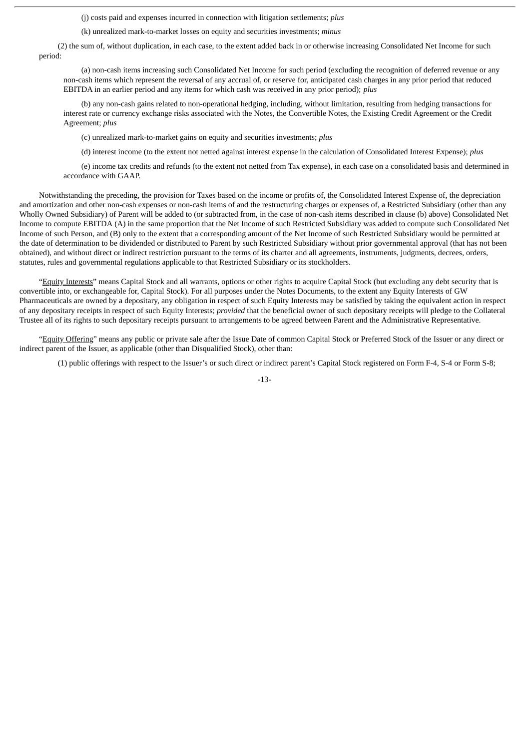(j) costs paid and expenses incurred in connection with litigation settlements; *plus*

(k) unrealized mark-to-market losses on equity and securities investments; *minus*

(2) the sum of, without duplication, in each case, to the extent added back in or otherwise increasing Consolidated Net Income for such period:

(a) non-cash items increasing such Consolidated Net Income for such period (excluding the recognition of deferred revenue or any non-cash items which represent the reversal of any accrual of, or reserve for, anticipated cash charges in any prior period that reduced EBITDA in an earlier period and any items for which cash was received in any prior period); *plus*

(b) any non-cash gains related to non-operational hedging, including, without limitation, resulting from hedging transactions for interest rate or currency exchange risks associated with the Notes, the Convertible Notes, the Existing Credit Agreement or the Credit Agreement; *plus*

(c) unrealized mark-to-market gains on equity and securities investments; *plus*

(d) interest income (to the extent not netted against interest expense in the calculation of Consolidated Interest Expense); *plus*

(e) income tax credits and refunds (to the extent not netted from Tax expense), in each case on a consolidated basis and determined in accordance with GAAP.

Notwithstanding the preceding, the provision for Taxes based on the income or profits of, the Consolidated Interest Expense of, the depreciation and amortization and other non-cash expenses or non-cash items of and the restructuring charges or expenses of, a Restricted Subsidiary (other than any Wholly Owned Subsidiary) of Parent will be added to (or subtracted from, in the case of non-cash items described in clause (b) above) Consolidated Net Income to compute EBITDA (A) in the same proportion that the Net Income of such Restricted Subsidiary was added to compute such Consolidated Net Income of such Person, and (B) only to the extent that a corresponding amount of the Net Income of such Restricted Subsidiary would be permitted at the date of determination to be dividended or distributed to Parent by such Restricted Subsidiary without prior governmental approval (that has not been obtained), and without direct or indirect restriction pursuant to the terms of its charter and all agreements, instruments, judgments, decrees, orders, statutes, rules and governmental regulations applicable to that Restricted Subsidiary or its stockholders.

"Equity Interests" means Capital Stock and all warrants, options or other rights to acquire Capital Stock (but excluding any debt security that is convertible into, or exchangeable for, Capital Stock). For all purposes under the Notes Documents, to the extent any Equity Interests of GW Pharmaceuticals are owned by a depositary, any obligation in respect of such Equity Interests may be satisfied by taking the equivalent action in respect of any depositary receipts in respect of such Equity Interests; *provided* that the beneficial owner of such depositary receipts will pledge to the Collateral Trustee all of its rights to such depositary receipts pursuant to arrangements to be agreed between Parent and the Administrative Representative.

"Equity Offering" means any public or private sale after the Issue Date of common Capital Stock or Preferred Stock of the Issuer or any direct or indirect parent of the Issuer, as applicable (other than Disqualified Stock), other than:

(1) public offerings with respect to the Issuer's or such direct or indirect parent's Capital Stock registered on Form F-4, S-4 or Form S-8;

-13-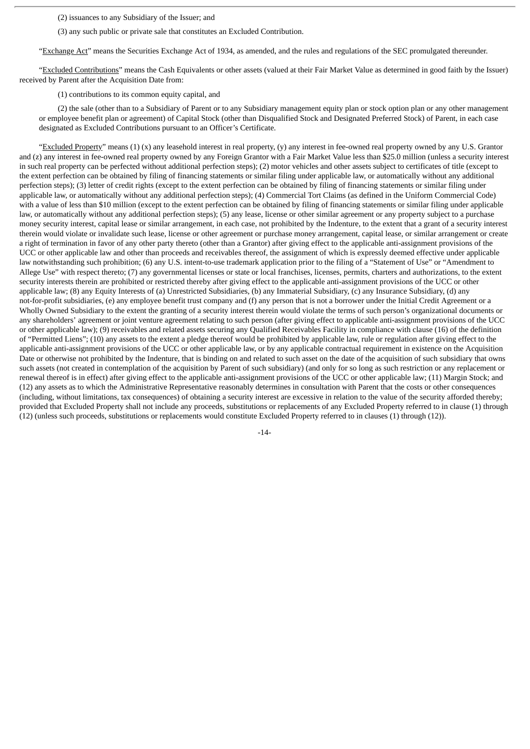(2) issuances to any Subsidiary of the Issuer; and

(3) any such public or private sale that constitutes an Excluded Contribution.

"Exchange Act" means the Securities Exchange Act of 1934, as amended, and the rules and regulations of the SEC promulgated thereunder.

"Excluded Contributions" means the Cash Equivalents or other assets (valued at their Fair Market Value as determined in good faith by the Issuer) received by Parent after the Acquisition Date from:

(1) contributions to its common equity capital, and

(2) the sale (other than to a Subsidiary of Parent or to any Subsidiary management equity plan or stock option plan or any other management or employee benefit plan or agreement) of Capital Stock (other than Disqualified Stock and Designated Preferred Stock) of Parent, in each case designated as Excluded Contributions pursuant to an Officer's Certificate.

"Excluded Property" means  $(1)$  (x) any leasehold interest in real property,  $(y)$  any interest in fee-owned real property owned by any U.S. Grantor and (z) any interest in fee-owned real property owned by any Foreign Grantor with a Fair Market Value less than \$25.0 million (unless a security interest in such real property can be perfected without additional perfection steps); (2) motor vehicles and other assets subject to certificates of title (except to the extent perfection can be obtained by filing of financing statements or similar filing under applicable law, or automatically without any additional perfection steps); (3) letter of credit rights (except to the extent perfection can be obtained by filing of financing statements or similar filing under applicable law, or automatically without any additional perfection steps); (4) Commercial Tort Claims (as defined in the Uniform Commercial Code) with a value of less than \$10 million (except to the extent perfection can be obtained by filing of financing statements or similar filing under applicable law, or automatically without any additional perfection steps); (5) any lease, license or other similar agreement or any property subject to a purchase money security interest, capital lease or similar arrangement, in each case, not prohibited by the Indenture, to the extent that a grant of a security interest therein would violate or invalidate such lease, license or other agreement or purchase money arrangement, capital lease, or similar arrangement or create a right of termination in favor of any other party thereto (other than a Grantor) after giving effect to the applicable anti-assignment provisions of the UCC or other applicable law and other than proceeds and receivables thereof, the assignment of which is expressly deemed effective under applicable law notwithstanding such prohibition; (6) any U.S. intent-to-use trademark application prior to the filing of a "Statement of Use" or "Amendment to Allege Use" with respect thereto; (7) any governmental licenses or state or local franchises, licenses, permits, charters and authorizations, to the extent security interests therein are prohibited or restricted thereby after giving effect to the applicable anti-assignment provisions of the UCC or other applicable law; (8) any Equity Interests of (a) Unrestricted Subsidiaries, (b) any Immaterial Subsidiary, (c) any Insurance Subsidiary, (d) any not-for-profit subsidiaries, (e) any employee benefit trust company and (f) any person that is not a borrower under the Initial Credit Agreement or a Wholly Owned Subsidiary to the extent the granting of a security interest therein would violate the terms of such person's organizational documents or any shareholders' agreement or joint venture agreement relating to such person (after giving effect to applicable anti-assignment provisions of the UCC or other applicable law); (9) receivables and related assets securing any Qualified Receivables Facility in compliance with clause (16) of the definition of "Permitted Liens"; (10) any assets to the extent a pledge thereof would be prohibited by applicable law, rule or regulation after giving effect to the applicable anti-assignment provisions of the UCC or other applicable law, or by any applicable contractual requirement in existence on the Acquisition Date or otherwise not prohibited by the Indenture, that is binding on and related to such asset on the date of the acquisition of such subsidiary that owns such assets (not created in contemplation of the acquisition by Parent of such subsidiary) (and only for so long as such restriction or any replacement or renewal thereof is in effect) after giving effect to the applicable anti-assignment provisions of the UCC or other applicable law; (11) Margin Stock; and (12) any assets as to which the Administrative Representative reasonably determines in consultation with Parent that the costs or other consequences (including, without limitations, tax consequences) of obtaining a security interest are excessive in relation to the value of the security afforded thereby; provided that Excluded Property shall not include any proceeds, substitutions or replacements of any Excluded Property referred to in clause (1) through (12) (unless such proceeds, substitutions or replacements would constitute Excluded Property referred to in clauses (1) through (12)).

-14-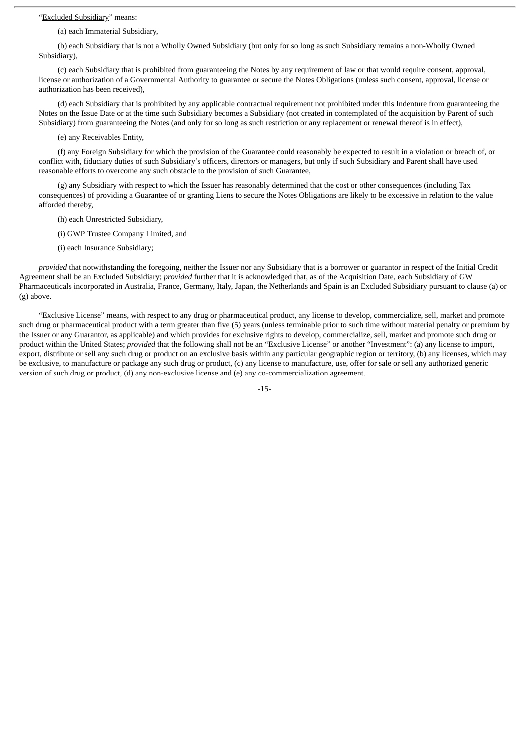#### "Excluded Subsidiary" means:

(a) each Immaterial Subsidiary,

(b) each Subsidiary that is not a Wholly Owned Subsidiary (but only for so long as such Subsidiary remains a non-Wholly Owned Subsidiary),

(c) each Subsidiary that is prohibited from guaranteeing the Notes by any requirement of law or that would require consent, approval, license or authorization of a Governmental Authority to guarantee or secure the Notes Obligations (unless such consent, approval, license or authorization has been received),

(d) each Subsidiary that is prohibited by any applicable contractual requirement not prohibited under this Indenture from guaranteeing the Notes on the Issue Date or at the time such Subsidiary becomes a Subsidiary (not created in contemplated of the acquisition by Parent of such Subsidiary) from guaranteeing the Notes (and only for so long as such restriction or any replacement or renewal thereof is in effect),

(e) any Receivables Entity,

(f) any Foreign Subsidiary for which the provision of the Guarantee could reasonably be expected to result in a violation or breach of, or conflict with, fiduciary duties of such Subsidiary's officers, directors or managers, but only if such Subsidiary and Parent shall have used reasonable efforts to overcome any such obstacle to the provision of such Guarantee,

(g) any Subsidiary with respect to which the Issuer has reasonably determined that the cost or other consequences (including Tax consequences) of providing a Guarantee of or granting Liens to secure the Notes Obligations are likely to be excessive in relation to the value afforded thereby,

(h) each Unrestricted Subsidiary,

(i) GWP Trustee Company Limited, and

(i) each Insurance Subsidiary;

*provided* that notwithstanding the foregoing, neither the Issuer nor any Subsidiary that is a borrower or guarantor in respect of the Initial Credit Agreement shall be an Excluded Subsidiary; *provided* further that it is acknowledged that, as of the Acquisition Date, each Subsidiary of GW Pharmaceuticals incorporated in Australia, France, Germany, Italy, Japan, the Netherlands and Spain is an Excluded Subsidiary pursuant to clause (a) or (g) above.

"Exclusive License" means, with respect to any drug or pharmaceutical product, any license to develop, commercialize, sell, market and promote such drug or pharmaceutical product with a term greater than five (5) years (unless terminable prior to such time without material penalty or premium by the Issuer or any Guarantor, as applicable) and which provides for exclusive rights to develop, commercialize, sell, market and promote such drug or product within the United States; *provided* that the following shall not be an "Exclusive License" or another "Investment": (a) any license to import, export, distribute or sell any such drug or product on an exclusive basis within any particular geographic region or territory, (b) any licenses, which may be exclusive, to manufacture or package any such drug or product, (c) any license to manufacture, use, offer for sale or sell any authorized generic version of such drug or product, (d) any non-exclusive license and (e) any co-commercialization agreement.

-15-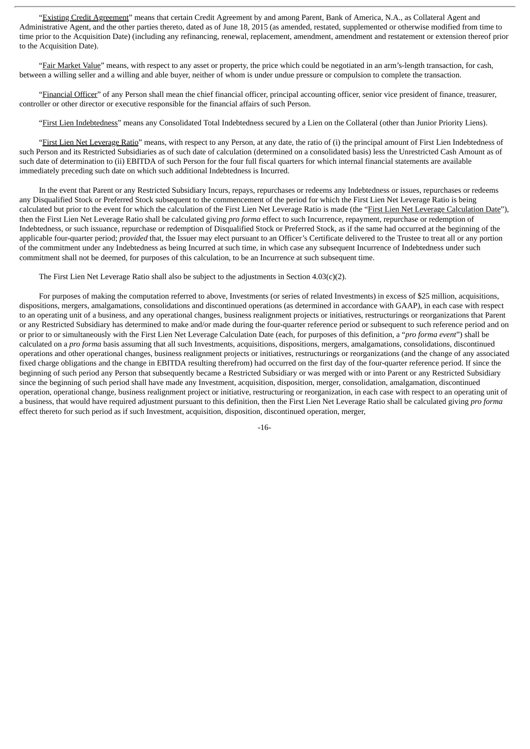"Existing Credit Agreement" means that certain Credit Agreement by and among Parent, Bank of America, N.A., as Collateral Agent and Administrative Agent, and the other parties thereto, dated as of June 18, 2015 (as amended, restated, supplemented or otherwise modified from time to time prior to the Acquisition Date) (including any refinancing, renewal, replacement, amendment, amendment and restatement or extension thereof prior to the Acquisition Date).

"Fair Market Value" means, with respect to any asset or property, the price which could be negotiated in an arm's-length transaction, for cash, between a willing seller and a willing and able buyer, neither of whom is under undue pressure or compulsion to complete the transaction.

"Financial Officer" of any Person shall mean the chief financial officer, principal accounting officer, senior vice president of finance, treasurer, controller or other director or executive responsible for the financial affairs of such Person.

"First Lien Indebtedness" means any Consolidated Total Indebtedness secured by a Lien on the Collateral (other than Junior Priority Liens).

"First Lien Net Leverage Ratio" means, with respect to any Person, at any date, the ratio of (i) the principal amount of First Lien Indebtedness of such Person and its Restricted Subsidiaries as of such date of calculation (determined on a consolidated basis) less the Unrestricted Cash Amount as of such date of determination to (ii) EBITDA of such Person for the four full fiscal quarters for which internal financial statements are available immediately preceding such date on which such additional Indebtedness is Incurred.

In the event that Parent or any Restricted Subsidiary Incurs, repays, repurchases or redeems any Indebtedness or issues, repurchases or redeems any Disqualified Stock or Preferred Stock subsequent to the commencement of the period for which the First Lien Net Leverage Ratio is being calculated but prior to the event for which the calculation of the First Lien Net Leverage Ratio is made (the "First Lien Net Leverage Calculation Date"), then the First Lien Net Leverage Ratio shall be calculated giving *pro forma* effect to such Incurrence, repayment, repurchase or redemption of Indebtedness, or such issuance, repurchase or redemption of Disqualified Stock or Preferred Stock, as if the same had occurred at the beginning of the applicable four-quarter period; *provided* that, the Issuer may elect pursuant to an Officer's Certificate delivered to the Trustee to treat all or any portion of the commitment under any Indebtedness as being Incurred at such time, in which case any subsequent Incurrence of Indebtedness under such commitment shall not be deemed, for purposes of this calculation, to be an Incurrence at such subsequent time.

The First Lien Net Leverage Ratio shall also be subject to the adjustments in Section 4.03(c)(2).

For purposes of making the computation referred to above, Investments (or series of related Investments) in excess of \$25 million, acquisitions, dispositions, mergers, amalgamations, consolidations and discontinued operations (as determined in accordance with GAAP), in each case with respect to an operating unit of a business, and any operational changes, business realignment projects or initiatives, restructurings or reorganizations that Parent or any Restricted Subsidiary has determined to make and/or made during the four-quarter reference period or subsequent to such reference period and on or prior to or simultaneously with the First Lien Net Leverage Calculation Date (each, for purposes of this definition, a "*pro forma event*") shall be calculated on a *pro forma* basis assuming that all such Investments, acquisitions, dispositions, mergers, amalgamations, consolidations, discontinued operations and other operational changes, business realignment projects or initiatives, restructurings or reorganizations (and the change of any associated fixed charge obligations and the change in EBITDA resulting therefrom) had occurred on the first day of the four-quarter reference period. If since the beginning of such period any Person that subsequently became a Restricted Subsidiary or was merged with or into Parent or any Restricted Subsidiary since the beginning of such period shall have made any Investment, acquisition, disposition, merger, consolidation, amalgamation, discontinued operation, operational change, business realignment project or initiative, restructuring or reorganization, in each case with respect to an operating unit of a business, that would have required adjustment pursuant to this definition, then the First Lien Net Leverage Ratio shall be calculated giving *pro forma* effect thereto for such period as if such Investment, acquisition, disposition, discontinued operation, merger,

-16-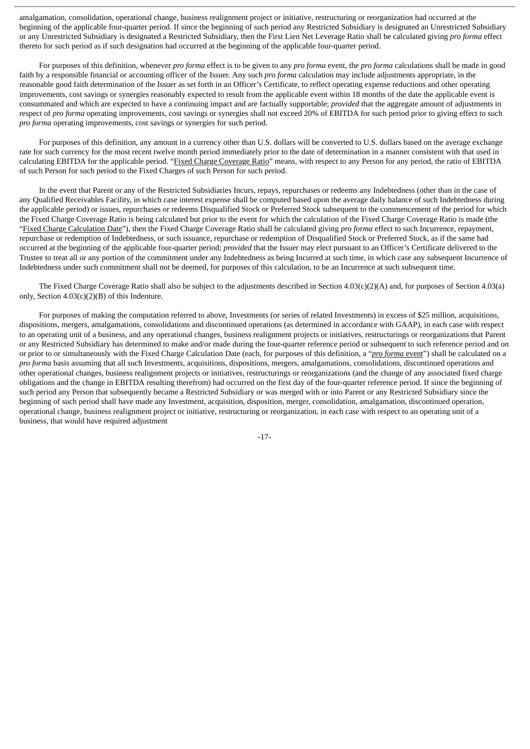amalgamation, consolidation, operational change, business realignment project or initiative, restructuring or reorganization had occurred at the beginning of the applicable four-quarter period. If since the beginning of such period any Restricted Subsidiary is designated an Unrestricted Subsidiary or any Unrestricted Subsidiary is designated a Restricted Subsidiary, then the First Lien Net Leverage Ratio shall be calculated giving *pro forma* effect thereto for such period as if such designation had occurred at the beginning of the applicable four-quarter period.

For purposes of this definition, whenever *pro forma* effect is to be given to any *pro forma* event, the *pro forma* calculations shall be made in good faith by a responsible financial or accounting officer of the Issuer. Any such *pro forma* calculation may include adjustments appropriate, in the reasonable good faith determination of the Issuer as set forth in an Officer's Certificate, to reflect operating expense reductions and other operating improvements, cost savings or synergies reasonably expected to result from the applicable event within 18 months of the date the applicable event is consummated and which are expected to have a continuing impact and are factually supportable; *provided* that the aggregate amount of adjustments in respect of *pro forma* operating improvements, cost savings or synergies shall not exceed 20% of EBITDA for such period prior to giving effect to such *pro forma* operating improvements, cost savings or synergies for such period.

For purposes of this definition, any amount in a currency other than U.S. dollars will be converted to U.S. dollars based on the average exchange rate for such currency for the most recent twelve month period immediately prior to the date of determination in a manner consistent with that used in calculating EBITDA for the applicable period. "Fixed Charge Coverage Ratio" means, with respect to any Person for any period, the ratio of EBITDA of such Person for such period to the Fixed Charges of such Person for such period.

In the event that Parent or any of the Restricted Subsidiaries Incurs, repays, repurchases or redeems any Indebtedness (other than in the case of any Qualified Receivables Facility, in which case interest expense shall be computed based upon the average daily balance of such Indebtedness during the applicable period) or issues, repurchases or redeems Disqualified Stock or Preferred Stock subsequent to the commencement of the period for which the Fixed Charge Coverage Ratio is being calculated but prior to the event for which the calculation of the Fixed Charge Coverage Ratio is made (the "Fixed Charge Calculation Date"), then the Fixed Charge Coverage Ratio shall be calculated giving *pro forma* effect to such Incurrence, repayment, repurchase or redemption of Indebtedness, or such issuance, repurchase or redemption of Disqualified Stock or Preferred Stock, as if the same had occurred at the beginning of the applicable four-quarter period; *provided* that the Issuer may elect pursuant to an Officer's Certificate delivered to the Trustee to treat all or any portion of the commitment under any Indebtedness as being Incurred at such time, in which case any subsequent Incurrence of Indebtedness under such commitment shall not be deemed, for purposes of this calculation, to be an Incurrence at such subsequent time.

The Fixed Charge Coverage Ratio shall also be subject to the adjustments described in Section 4.03(c)(2)(A) and, for purposes of Section 4.03(a) only, Section 4.03(c)(2)(B) of this Indenture.

For purposes of making the computation referred to above, Investments (or series of related Investments) in excess of \$25 million, acquisitions, dispositions, mergers, amalgamations, consolidations and discontinued operations (as determined in accordance with GAAP), in each case with respect to an operating unit of a business, and any operational changes, business realignment projects or initiatives, restructurings or reorganizations that Parent or any Restricted Subsidiary has determined to make and/or made during the four-quarter reference period or subsequent to such reference period and on or prior to or simultaneously with the Fixed Charge Calculation Date (each, for purposes of this definition, a "*pro forma* event") shall be calculated on a *pro forma* basis assuming that all such Investments, acquisitions, dispositions, mergers, amalgamations, consolidations, discontinued operations and other operational changes, business realignment projects or initiatives, restructurings or reorganizations (and the change of any associated fixed charge obligations and the change in EBITDA resulting therefrom) had occurred on the first day of the four-quarter reference period. If since the beginning of such period any Person that subsequently became a Restricted Subsidiary or was merged with or into Parent or any Restricted Subsidiary since the beginning of such period shall have made any Investment, acquisition, disposition, merger, consolidation, amalgamation, discontinued operation, operational change, business realignment project or initiative, restructuring or reorganization, in each case with respect to an operating unit of a business, that would have required adjustment

-17-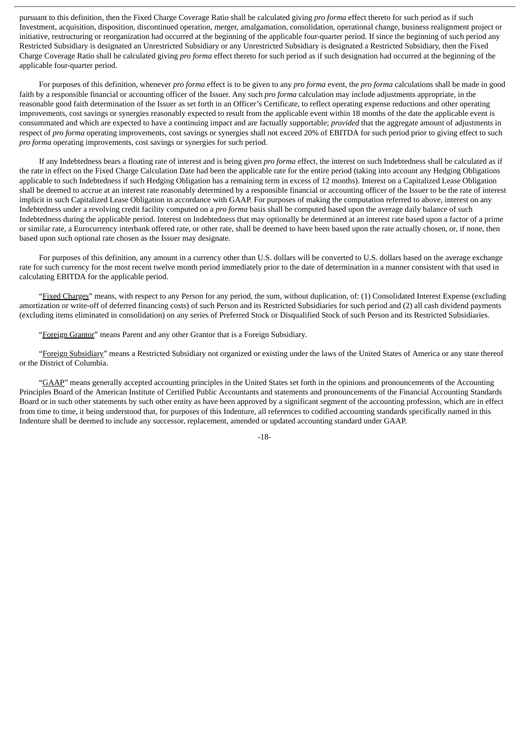pursuant to this definition, then the Fixed Charge Coverage Ratio shall be calculated giving *pro forma* effect thereto for such period as if such Investment, acquisition, disposition, discontinued operation, merger, amalgamation, consolidation, operational change, business realignment project or initiative, restructuring or reorganization had occurred at the beginning of the applicable four-quarter period. If since the beginning of such period any Restricted Subsidiary is designated an Unrestricted Subsidiary or any Unrestricted Subsidiary is designated a Restricted Subsidiary, then the Fixed Charge Coverage Ratio shall be calculated giving *pro forma* effect thereto for such period as if such designation had occurred at the beginning of the applicable four-quarter period.

For purposes of this definition, whenever *pro forma* effect is to be given to any *pro forma* event, the *pro forma* calculations shall be made in good faith by a responsible financial or accounting officer of the Issuer. Any such *pro forma* calculation may include adjustments appropriate, in the reasonable good faith determination of the Issuer as set forth in an Officer's Certificate, to reflect operating expense reductions and other operating improvements, cost savings or synergies reasonably expected to result from the applicable event within 18 months of the date the applicable event is consummated and which are expected to have a continuing impact and are factually supportable; *provided* that the aggregate amount of adjustments in respect of *pro forma* operating improvements, cost savings or synergies shall not exceed 20% of EBITDA for such period prior to giving effect to such *pro forma* operating improvements, cost savings or synergies for such period.

If any Indebtedness bears a floating rate of interest and is being given *pro forma* effect, the interest on such Indebtedness shall be calculated as if the rate in effect on the Fixed Charge Calculation Date had been the applicable rate for the entire period (taking into account any Hedging Obligations applicable to such Indebtedness if such Hedging Obligation has a remaining term in excess of 12 months). Interest on a Capitalized Lease Obligation shall be deemed to accrue at an interest rate reasonably determined by a responsible financial or accounting officer of the Issuer to be the rate of interest implicit in such Capitalized Lease Obligation in accordance with GAAP. For purposes of making the computation referred to above, interest on any Indebtedness under a revolving credit facility computed on a *pro forma* basis shall be computed based upon the average daily balance of such Indebtedness during the applicable period. Interest on Indebtedness that may optionally be determined at an interest rate based upon a factor of a prime or similar rate, a Eurocurrency interbank offered rate, or other rate, shall be deemed to have been based upon the rate actually chosen, or, if none, then based upon such optional rate chosen as the Issuer may designate.

For purposes of this definition, any amount in a currency other than U.S. dollars will be converted to U.S. dollars based on the average exchange rate for such currency for the most recent twelve month period immediately prior to the date of determination in a manner consistent with that used in calculating EBITDA for the applicable period.

"Fixed Charges" means, with respect to any Person for any period, the sum, without duplication, of: (1) Consolidated Interest Expense (excluding amortization or write-off of deferred financing costs) of such Person and its Restricted Subsidiaries for such period and (2) all cash dividend payments (excluding items eliminated in consolidation) on any series of Preferred Stock or Disqualified Stock of such Person and its Restricted Subsidiaries.

"Foreign Grantor" means Parent and any other Grantor that is a Foreign Subsidiary.

"Foreign Subsidiary" means a Restricted Subsidiary not organized or existing under the laws of the United States of America or any state thereof or the District of Columbia.

"GAAP" means generally accepted accounting principles in the United States set forth in the opinions and pronouncements of the Accounting Principles Board of the American Institute of Certified Public Accountants and statements and pronouncements of the Financial Accounting Standards Board or in such other statements by such other entity as have been approved by a significant segment of the accounting profession, which are in effect from time to time, it being understood that, for purposes of this Indenture, all references to codified accounting standards specifically named in this Indenture shall be deemed to include any successor, replacement, amended or updated accounting standard under GAAP.

-18-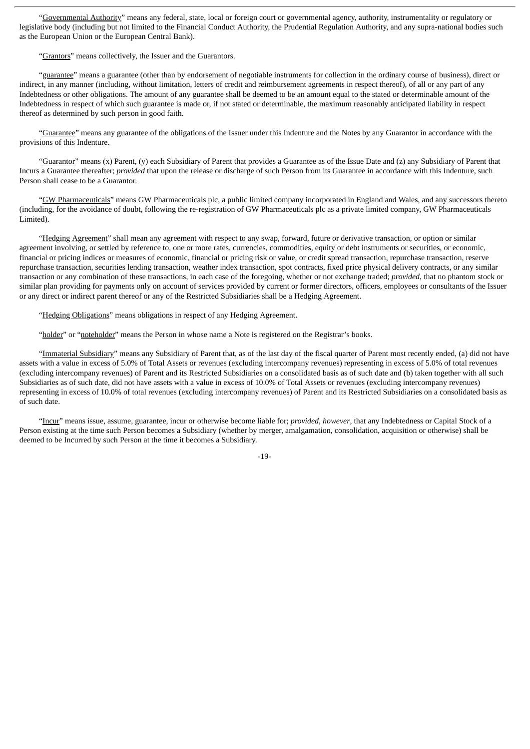"Governmental Authority" means any federal, state, local or foreign court or governmental agency, authority, instrumentality or regulatory or legislative body (including but not limited to the Financial Conduct Authority, the Prudential Regulation Authority, and any supra-national bodies such as the European Union or the European Central Bank).

"Grantors" means collectively, the Issuer and the Guarantors.

"guarantee" means a guarantee (other than by endorsement of negotiable instruments for collection in the ordinary course of business), direct or indirect, in any manner (including, without limitation, letters of credit and reimbursement agreements in respect thereof), of all or any part of any Indebtedness or other obligations. The amount of any guarantee shall be deemed to be an amount equal to the stated or determinable amount of the Indebtedness in respect of which such guarantee is made or, if not stated or determinable, the maximum reasonably anticipated liability in respect thereof as determined by such person in good faith.

"Guarantee" means any guarantee of the obligations of the Issuer under this Indenture and the Notes by any Guarantor in accordance with the provisions of this Indenture.

"Guarantor" means (x) Parent, (y) each Subsidiary of Parent that provides a Guarantee as of the Issue Date and (z) any Subsidiary of Parent that Incurs a Guarantee thereafter; *provided* that upon the release or discharge of such Person from its Guarantee in accordance with this Indenture, such Person shall cease to be a Guarantor.

"GW Pharmaceuticals" means GW Pharmaceuticals plc, a public limited company incorporated in England and Wales, and any successors thereto (including, for the avoidance of doubt, following the re-registration of GW Pharmaceuticals plc as a private limited company, GW Pharmaceuticals Limited).

"Hedging Agreement" shall mean any agreement with respect to any swap, forward, future or derivative transaction, or option or similar agreement involving, or settled by reference to, one or more rates, currencies, commodities, equity or debt instruments or securities, or economic, financial or pricing indices or measures of economic, financial or pricing risk or value, or credit spread transaction, repurchase transaction, reserve repurchase transaction, securities lending transaction, weather index transaction, spot contracts, fixed price physical delivery contracts, or any similar transaction or any combination of these transactions, in each case of the foregoing, whether or not exchange traded; *provided*, that no phantom stock or similar plan providing for payments only on account of services provided by current or former directors, officers, employees or consultants of the Issuer or any direct or indirect parent thereof or any of the Restricted Subsidiaries shall be a Hedging Agreement.

"Hedging Obligations" means obligations in respect of any Hedging Agreement.

"holder" or "noteholder" means the Person in whose name a Note is registered on the Registrar's books.

"Immaterial Subsidiary" means any Subsidiary of Parent that, as of the last day of the fiscal quarter of Parent most recently ended, (a) did not have assets with a value in excess of 5.0% of Total Assets or revenues (excluding intercompany revenues) representing in excess of 5.0% of total revenues (excluding intercompany revenues) of Parent and its Restricted Subsidiaries on a consolidated basis as of such date and (b) taken together with all such Subsidiaries as of such date, did not have assets with a value in excess of 10.0% of Total Assets or revenues (excluding intercompany revenues) representing in excess of 10.0% of total revenues (excluding intercompany revenues) of Parent and its Restricted Subsidiaries on a consolidated basis as of such date.

"Incur" means issue, assume, guarantee, incur or otherwise become liable for; *provided*, *however*, that any Indebtedness or Capital Stock of a Person existing at the time such Person becomes a Subsidiary (whether by merger, amalgamation, consolidation, acquisition or otherwise) shall be deemed to be Incurred by such Person at the time it becomes a Subsidiary.

-19-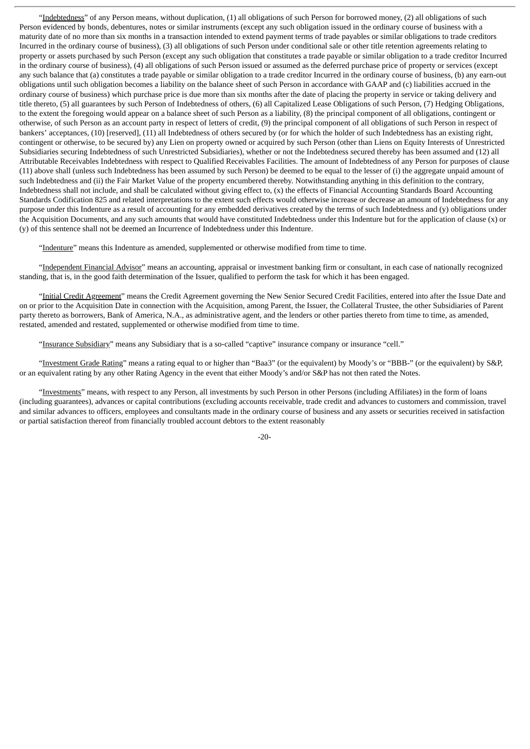"Indebtedness" of any Person means, without duplication, (1) all obligations of such Person for borrowed money, (2) all obligations of such Person evidenced by bonds, debentures, notes or similar instruments (except any such obligation issued in the ordinary course of business with a maturity date of no more than six months in a transaction intended to extend payment terms of trade payables or similar obligations to trade creditors Incurred in the ordinary course of business), (3) all obligations of such Person under conditional sale or other title retention agreements relating to property or assets purchased by such Person (except any such obligation that constitutes a trade payable or similar obligation to a trade creditor Incurred in the ordinary course of business), (4) all obligations of such Person issued or assumed as the deferred purchase price of property or services (except any such balance that (a) constitutes a trade payable or similar obligation to a trade creditor Incurred in the ordinary course of business, (b) any earn-out obligations until such obligation becomes a liability on the balance sheet of such Person in accordance with GAAP and (c) liabilities accrued in the ordinary course of business) which purchase price is due more than six months after the date of placing the property in service or taking delivery and title thereto, (5) all guarantees by such Person of Indebtedness of others, (6) all Capitalized Lease Obligations of such Person, (7) Hedging Obligations, to the extent the foregoing would appear on a balance sheet of such Person as a liability, (8) the principal component of all obligations, contingent or otherwise, of such Person as an account party in respect of letters of credit, (9) the principal component of all obligations of such Person in respect of bankers' acceptances, (10) [reserved], (11) all Indebtedness of others secured by (or for which the holder of such Indebtedness has an existing right, contingent or otherwise, to be secured by) any Lien on property owned or acquired by such Person (other than Liens on Equity Interests of Unrestricted Subsidiaries securing Indebtedness of such Unrestricted Subsidiaries), whether or not the Indebtedness secured thereby has been assumed and (12) all Attributable Receivables Indebtedness with respect to Qualified Receivables Facilities. The amount of Indebtedness of any Person for purposes of clause (11) above shall (unless such Indebtedness has been assumed by such Person) be deemed to be equal to the lesser of (i) the aggregate unpaid amount of such Indebtedness and (ii) the Fair Market Value of the property encumbered thereby. Notwithstanding anything in this definition to the contrary, Indebtedness shall not include, and shall be calculated without giving effect to, (x) the effects of Financial Accounting Standards Board Accounting Standards Codification 825 and related interpretations to the extent such effects would otherwise increase or decrease an amount of Indebtedness for any purpose under this Indenture as a result of accounting for any embedded derivatives created by the terms of such Indebtedness and (y) obligations under the Acquisition Documents, and any such amounts that would have constituted Indebtedness under this Indenture but for the application of clause (x) or (y) of this sentence shall not be deemed an Incurrence of Indebtedness under this Indenture.

"Indenture" means this Indenture as amended, supplemented or otherwise modified from time to time.

"Independent Financial Advisor" means an accounting, appraisal or investment banking firm or consultant, in each case of nationally recognized standing, that is, in the good faith determination of the Issuer, qualified to perform the task for which it has been engaged.

"Initial Credit Agreement" means the Credit Agreement governing the New Senior Secured Credit Facilities, entered into after the Issue Date and on or prior to the Acquisition Date in connection with the Acquisition, among Parent, the Issuer, the Collateral Trustee, the other Subsidiaries of Parent party thereto as borrowers, Bank of America, N.A., as administrative agent, and the lenders or other parties thereto from time to time, as amended, restated, amended and restated, supplemented or otherwise modified from time to time.

"Insurance Subsidiary" means any Subsidiary that is a so-called "captive" insurance company or insurance "cell."

"Investment Grade Rating" means a rating equal to or higher than "Baa3" (or the equivalent) by Moody's or "BBB-" (or the equivalent) by S&P, or an equivalent rating by any other Rating Agency in the event that either Moody's and/or S&P has not then rated the Notes.

"Investments" means, with respect to any Person, all investments by such Person in other Persons (including Affiliates) in the form of loans (including guarantees), advances or capital contributions (excluding accounts receivable, trade credit and advances to customers and commission, travel and similar advances to officers, employees and consultants made in the ordinary course of business and any assets or securities received in satisfaction or partial satisfaction thereof from financially troubled account debtors to the extent reasonably

 $-20-$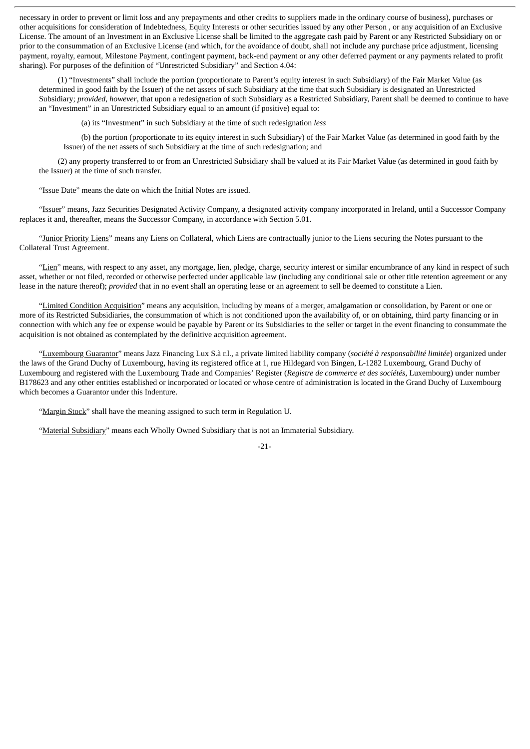necessary in order to prevent or limit loss and any prepayments and other credits to suppliers made in the ordinary course of business), purchases or other acquisitions for consideration of Indebtedness, Equity Interests or other securities issued by any other Person , or any acquisition of an Exclusive License. The amount of an Investment in an Exclusive License shall be limited to the aggregate cash paid by Parent or any Restricted Subsidiary on or prior to the consummation of an Exclusive License (and which, for the avoidance of doubt, shall not include any purchase price adjustment, licensing payment, royalty, earnout, Milestone Payment, contingent payment, back-end payment or any other deferred payment or any payments related to profit sharing). For purposes of the definition of "Unrestricted Subsidiary" and Section 4.04:

(1) "Investments" shall include the portion (proportionate to Parent's equity interest in such Subsidiary) of the Fair Market Value (as determined in good faith by the Issuer) of the net assets of such Subsidiary at the time that such Subsidiary is designated an Unrestricted Subsidiary; *provided*, *however*, that upon a redesignation of such Subsidiary as a Restricted Subsidiary, Parent shall be deemed to continue to have an "Investment" in an Unrestricted Subsidiary equal to an amount (if positive) equal to:

(a) its "Investment" in such Subsidiary at the time of such redesignation *less*

(b) the portion (proportionate to its equity interest in such Subsidiary) of the Fair Market Value (as determined in good faith by the Issuer) of the net assets of such Subsidiary at the time of such redesignation; and

(2) any property transferred to or from an Unrestricted Subsidiary shall be valued at its Fair Market Value (as determined in good faith by the Issuer) at the time of such transfer.

"Issue Date" means the date on which the Initial Notes are issued.

"Issuer" means, Jazz Securities Designated Activity Company, a designated activity company incorporated in Ireland, until a Successor Company replaces it and, thereafter, means the Successor Company, in accordance with Section 5.01.

"Junior Priority Liens" means any Liens on Collateral, which Liens are contractually junior to the Liens securing the Notes pursuant to the Collateral Trust Agreement.

"Lien" means, with respect to any asset, any mortgage, lien, pledge, charge, security interest or similar encumbrance of any kind in respect of such asset, whether or not filed, recorded or otherwise perfected under applicable law (including any conditional sale or other title retention agreement or any lease in the nature thereof); *provided* that in no event shall an operating lease or an agreement to sell be deemed to constitute a Lien.

"Limited Condition Acquisition" means any acquisition, including by means of a merger, amalgamation or consolidation, by Parent or one or more of its Restricted Subsidiaries, the consummation of which is not conditioned upon the availability of, or on obtaining, third party financing or in connection with which any fee or expense would be payable by Parent or its Subsidiaries to the seller or target in the event financing to consummate the acquisition is not obtained as contemplated by the definitive acquisition agreement.

"Luxembourg Guarantor" means Jazz Financing Lux S.à r.l., a private limited liability company (*société à responsabilité limitée*) organized under the laws of the Grand Duchy of Luxembourg, having its registered office at 1, rue Hildegard von Bingen, L-1282 Luxembourg, Grand Duchy of Luxembourg and registered with the Luxembourg Trade and Companies' Register (*Registre de commerce et des sociétés*, Luxembourg) under number B178623 and any other entities established or incorporated or located or whose centre of administration is located in the Grand Duchy of Luxembourg which becomes a Guarantor under this Indenture.

"Margin Stock" shall have the meaning assigned to such term in Regulation U.

"Material Subsidiary" means each Wholly Owned Subsidiary that is not an Immaterial Subsidiary.

-21-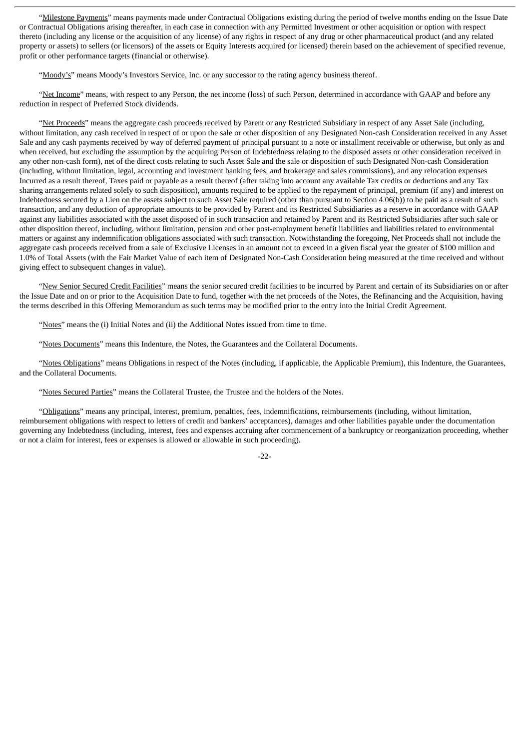"Milestone Payments" means payments made under Contractual Obligations existing during the period of twelve months ending on the Issue Date or Contractual Obligations arising thereafter, in each case in connection with any Permitted Investment or other acquisition or option with respect thereto (including any license or the acquisition of any license) of any rights in respect of any drug or other pharmaceutical product (and any related property or assets) to sellers (or licensors) of the assets or Equity Interests acquired (or licensed) therein based on the achievement of specified revenue, profit or other performance targets (financial or otherwise).

"Moody's" means Moody's Investors Service, Inc. or any successor to the rating agency business thereof.

"Net Income" means, with respect to any Person, the net income (loss) of such Person, determined in accordance with GAAP and before any reduction in respect of Preferred Stock dividends.

"Net Proceeds" means the aggregate cash proceeds received by Parent or any Restricted Subsidiary in respect of any Asset Sale (including, without limitation, any cash received in respect of or upon the sale or other disposition of any Designated Non-cash Consideration received in any Asset Sale and any cash payments received by way of deferred payment of principal pursuant to a note or installment receivable or otherwise, but only as and when received, but excluding the assumption by the acquiring Person of Indebtedness relating to the disposed assets or other consideration received in any other non-cash form), net of the direct costs relating to such Asset Sale and the sale or disposition of such Designated Non-cash Consideration (including, without limitation, legal, accounting and investment banking fees, and brokerage and sales commissions), and any relocation expenses Incurred as a result thereof, Taxes paid or payable as a result thereof (after taking into account any available Tax credits or deductions and any Tax sharing arrangements related solely to such disposition), amounts required to be applied to the repayment of principal, premium (if any) and interest on Indebtedness secured by a Lien on the assets subject to such Asset Sale required (other than pursuant to Section 4.06(b)) to be paid as a result of such transaction, and any deduction of appropriate amounts to be provided by Parent and its Restricted Subsidiaries as a reserve in accordance with GAAP against any liabilities associated with the asset disposed of in such transaction and retained by Parent and its Restricted Subsidiaries after such sale or other disposition thereof, including, without limitation, pension and other post-employment benefit liabilities and liabilities related to environmental matters or against any indemnification obligations associated with such transaction. Notwithstanding the foregoing, Net Proceeds shall not include the aggregate cash proceeds received from a sale of Exclusive Licenses in an amount not to exceed in a given fiscal year the greater of \$100 million and 1.0% of Total Assets (with the Fair Market Value of each item of Designated Non-Cash Consideration being measured at the time received and without giving effect to subsequent changes in value).

"New Senior Secured Credit Facilities" means the senior secured credit facilities to be incurred by Parent and certain of its Subsidiaries on or after the Issue Date and on or prior to the Acquisition Date to fund, together with the net proceeds of the Notes, the Refinancing and the Acquisition, having the terms described in this Offering Memorandum as such terms may be modified prior to the entry into the Initial Credit Agreement.

"Notes" means the (i) Initial Notes and (ii) the Additional Notes issued from time to time.

"Notes Documents" means this Indenture, the Notes, the Guarantees and the Collateral Documents.

"Notes Obligations" means Obligations in respect of the Notes (including, if applicable, the Applicable Premium), this Indenture, the Guarantees, and the Collateral Documents.

"Notes Secured Parties" means the Collateral Trustee, the Trustee and the holders of the Notes.

"Obligations" means any principal, interest, premium, penalties, fees, indemnifications, reimbursements (including, without limitation, reimbursement obligations with respect to letters of credit and bankers' acceptances), damages and other liabilities payable under the documentation governing any Indebtedness (including, interest, fees and expenses accruing after commencement of a bankruptcy or reorganization proceeding, whether or not a claim for interest, fees or expenses is allowed or allowable in such proceeding).

-22-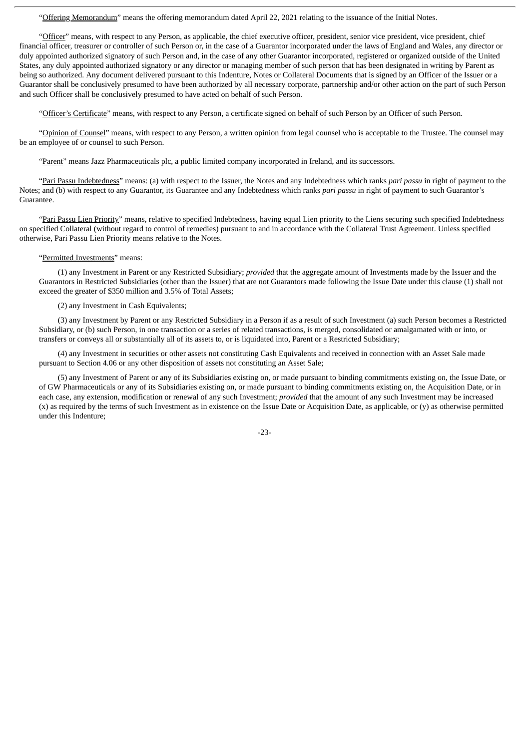"Offering Memorandum" means the offering memorandum dated April 22, 2021 relating to the issuance of the Initial Notes.

"Officer" means, with respect to any Person, as applicable, the chief executive officer, president, senior vice president, vice president, chief financial officer, treasurer or controller of such Person or, in the case of a Guarantor incorporated under the laws of England and Wales, any director or duly appointed authorized signatory of such Person and, in the case of any other Guarantor incorporated, registered or organized outside of the United States, any duly appointed authorized signatory or any director or managing member of such person that has been designated in writing by Parent as being so authorized. Any document delivered pursuant to this Indenture, Notes or Collateral Documents that is signed by an Officer of the Issuer or a Guarantor shall be conclusively presumed to have been authorized by all necessary corporate, partnership and/or other action on the part of such Person and such Officer shall be conclusively presumed to have acted on behalf of such Person.

"Officer's Certificate" means, with respect to any Person, a certificate signed on behalf of such Person by an Officer of such Person.

"Opinion of Counsel" means, with respect to any Person, a written opinion from legal counsel who is acceptable to the Trustee. The counsel may be an employee of or counsel to such Person.

"Parent" means Jazz Pharmaceuticals plc, a public limited company incorporated in Ireland, and its successors.

"Pari Passu Indebtedness" means: (a) with respect to the Issuer, the Notes and any Indebtedness which ranks *pari passu* in right of payment to the Notes; and (b) with respect to any Guarantor, its Guarantee and any Indebtedness which ranks *pari passu* in right of payment to such Guarantor's Guarantee.

"Pari Passu Lien Priority" means, relative to specified Indebtedness, having equal Lien priority to the Liens securing such specified Indebtedness on specified Collateral (without regard to control of remedies) pursuant to and in accordance with the Collateral Trust Agreement. Unless specified otherwise, Pari Passu Lien Priority means relative to the Notes.

#### "Permitted Investments" means:

(1) any Investment in Parent or any Restricted Subsidiary; *provided* that the aggregate amount of Investments made by the Issuer and the Guarantors in Restricted Subsidiaries (other than the Issuer) that are not Guarantors made following the Issue Date under this clause (1) shall not exceed the greater of \$350 million and 3.5% of Total Assets;

(2) any Investment in Cash Equivalents;

(3) any Investment by Parent or any Restricted Subsidiary in a Person if as a result of such Investment (a) such Person becomes a Restricted Subsidiary, or (b) such Person, in one transaction or a series of related transactions, is merged, consolidated or amalgamated with or into, or transfers or conveys all or substantially all of its assets to, or is liquidated into, Parent or a Restricted Subsidiary;

(4) any Investment in securities or other assets not constituting Cash Equivalents and received in connection with an Asset Sale made pursuant to Section 4.06 or any other disposition of assets not constituting an Asset Sale;

(5) any Investment of Parent or any of its Subsidiaries existing on, or made pursuant to binding commitments existing on, the Issue Date, or of GW Pharmaceuticals or any of its Subsidiaries existing on, or made pursuant to binding commitments existing on, the Acquisition Date, or in each case, any extension, modification or renewal of any such Investment; *provided* that the amount of any such Investment may be increased (x) as required by the terms of such Investment as in existence on the Issue Date or Acquisition Date, as applicable, or (y) as otherwise permitted under this Indenture;

-23-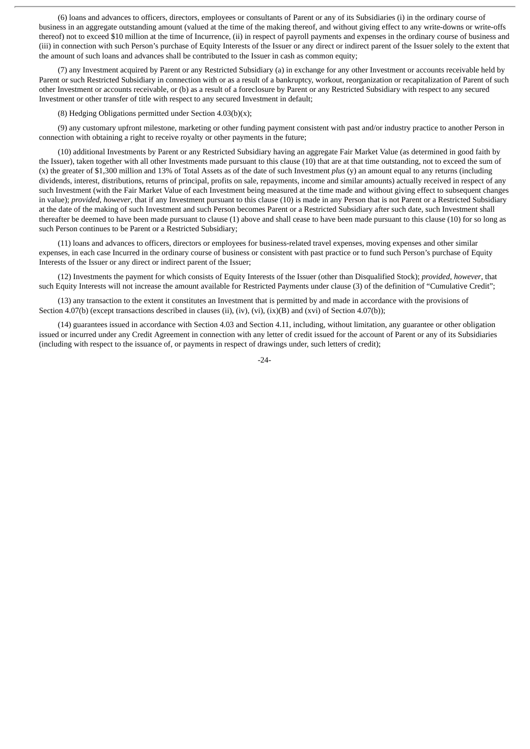(6) loans and advances to officers, directors, employees or consultants of Parent or any of its Subsidiaries (i) in the ordinary course of business in an aggregate outstanding amount (valued at the time of the making thereof, and without giving effect to any write-downs or write-offs thereof) not to exceed \$10 million at the time of Incurrence, (ii) in respect of payroll payments and expenses in the ordinary course of business and (iii) in connection with such Person's purchase of Equity Interests of the Issuer or any direct or indirect parent of the Issuer solely to the extent that the amount of such loans and advances shall be contributed to the Issuer in cash as common equity;

(7) any Investment acquired by Parent or any Restricted Subsidiary (a) in exchange for any other Investment or accounts receivable held by Parent or such Restricted Subsidiary in connection with or as a result of a bankruptcy, workout, reorganization or recapitalization of Parent of such other Investment or accounts receivable, or (b) as a result of a foreclosure by Parent or any Restricted Subsidiary with respect to any secured Investment or other transfer of title with respect to any secured Investment in default;

(8) Hedging Obligations permitted under Section  $4.03(b)(x)$ ;

(9) any customary upfront milestone, marketing or other funding payment consistent with past and/or industry practice to another Person in connection with obtaining a right to receive royalty or other payments in the future;

(10) additional Investments by Parent or any Restricted Subsidiary having an aggregate Fair Market Value (as determined in good faith by the Issuer), taken together with all other Investments made pursuant to this clause (10) that are at that time outstanding, not to exceed the sum of (x) the greater of \$1,300 million and 13% of Total Assets as of the date of such Investment *plus* (y) an amount equal to any returns (including dividends, interest, distributions, returns of principal, profits on sale, repayments, income and similar amounts) actually received in respect of any such Investment (with the Fair Market Value of each Investment being measured at the time made and without giving effect to subsequent changes in value); *provided*, *however*, that if any Investment pursuant to this clause (10) is made in any Person that is not Parent or a Restricted Subsidiary at the date of the making of such Investment and such Person becomes Parent or a Restricted Subsidiary after such date, such Investment shall thereafter be deemed to have been made pursuant to clause (1) above and shall cease to have been made pursuant to this clause (10) for so long as such Person continues to be Parent or a Restricted Subsidiary;

(11) loans and advances to officers, directors or employees for business-related travel expenses, moving expenses and other similar expenses, in each case Incurred in the ordinary course of business or consistent with past practice or to fund such Person's purchase of Equity Interests of the Issuer or any direct or indirect parent of the Issuer;

(12) Investments the payment for which consists of Equity Interests of the Issuer (other than Disqualified Stock); *provided*, *however*, that such Equity Interests will not increase the amount available for Restricted Payments under clause (3) of the definition of "Cumulative Credit";

(13) any transaction to the extent it constitutes an Investment that is permitted by and made in accordance with the provisions of Section 4.07(b) (except transactions described in clauses (ii), (iv), (vi), (ix)(B) and (xvi) of Section 4.07(b));

(14) guarantees issued in accordance with Section 4.03 and Section 4.11, including, without limitation, any guarantee or other obligation issued or incurred under any Credit Agreement in connection with any letter of credit issued for the account of Parent or any of its Subsidiaries (including with respect to the issuance of, or payments in respect of drawings under, such letters of credit);

-24-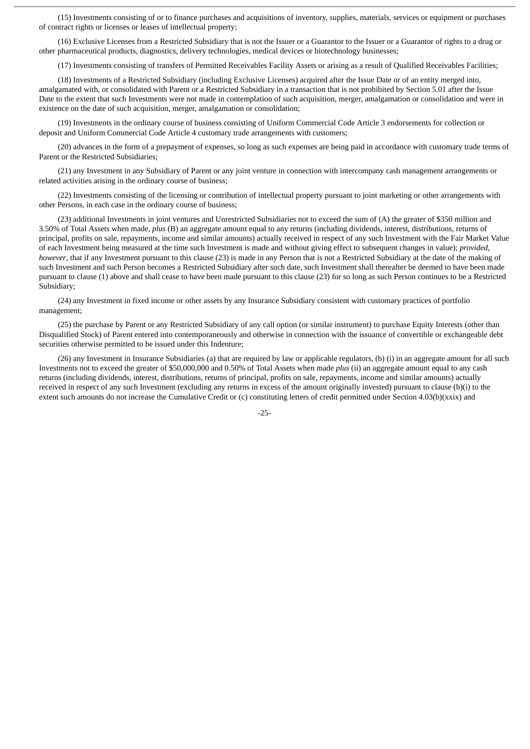(15) Investments consisting of or to finance purchases and acquisitions of inventory, supplies, materials, services or equipment or purchases of contract rights or licenses or leases of intellectual property;

(16) Exclusive Licenses from a Restricted Subsidiary that is not the Issuer or a Guarantor to the Issuer or a Guarantor of rights to a drug or other pharmaceutical products, diagnostics, delivery technologies, medical devices or biotechnology businesses;

(17) Investments consisting of transfers of Permitted Receivables Facility Assets or arising as a result of Qualified Receivables Facilities;

(18) Investments of a Restricted Subsidiary (including Exclusive Licenses) acquired after the Issue Date or of an entity merged into, amalgamated with, or consolidated with Parent or a Restricted Subsidiary in a transaction that is not prohibited by Section 5.01 after the Issue Date to the extent that such Investments were not made in contemplation of such acquisition, merger, amalgamation or consolidation and were in existence on the date of such acquisition, merger, amalgamation or consolidation;

(19) Investments in the ordinary course of business consisting of Uniform Commercial Code Article 3 endorsements for collection or deposit and Uniform Commercial Code Article 4 customary trade arrangements with customers;

(20) advances in the form of a prepayment of expenses, so long as such expenses are being paid in accordance with customary trade terms of Parent or the Restricted Subsidiaries;

(21) any Investment in any Subsidiary of Parent or any joint venture in connection with intercompany cash management arrangements or related activities arising in the ordinary course of business;

(22) Investments consisting of the licensing or contribution of intellectual property pursuant to joint marketing or other arrangements with other Persons, in each case in the ordinary course of business;

(23) additional Investments in joint ventures and Unrestricted Subsidiaries not to exceed the sum of (A) the greater of \$350 million and 3.50% of Total Assets when made, *plus* (B) an aggregate amount equal to any returns (including dividends, interest, distributions, returns of principal, profits on sale, repayments, income and similar amounts) actually received in respect of any such Investment with the Fair Market Value of each Investment being measured at the time such Investment is made and without giving effect to subsequent changes in value); *provided*, *however*, that if any Investment pursuant to this clause (23) is made in any Person that is not a Restricted Subsidiary at the date of the making of such Investment and such Person becomes a Restricted Subsidiary after such date, such Investment shall thereafter be deemed to have been made pursuant to clause (1) above and shall cease to have been made pursuant to this clause (23) for so long as such Person continues to be a Restricted Subsidiary;

(24) any Investment in fixed income or other assets by any Insurance Subsidiary consistent with customary practices of portfolio management;

(25) the purchase by Parent or any Restricted Subsidiary of any call option (or similar instrument) to purchase Equity Interests (other than Disqualified Stock) of Parent entered into contemporaneously and otherwise in connection with the issuance of convertible or exchangeable debt securities otherwise permitted to be issued under this Indenture;

(26) any Investment in Insurance Subsidiaries (a) that are required by law or applicable regulators, (b) (i) in an aggregate amount for all such Investments not to exceed the greater of \$50,000,000 and 0.50% of Total Assets when made *plus* (ii) an aggregate amount equal to any cash returns (including dividends, interest, distributions, returns of principal, profits on sale, repayments, income and similar amounts) actually received in respect of any such Investment (excluding any returns in excess of the amount originally invested) pursuant to clause (b)(i) to the extent such amounts do not increase the Cumulative Credit or (c) constituting letters of credit permitted under Section 4.03(b)(xxix) and

-25-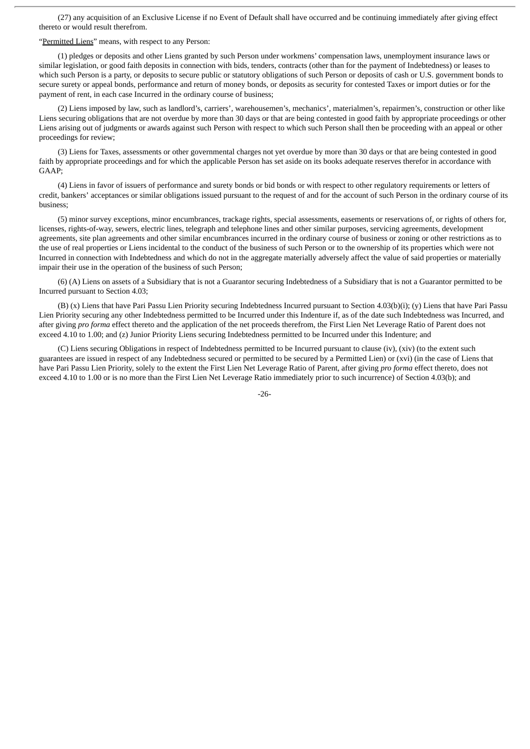(27) any acquisition of an Exclusive License if no Event of Default shall have occurred and be continuing immediately after giving effect thereto or would result therefrom.

#### "Permitted Liens" means, with respect to any Person:

(1) pledges or deposits and other Liens granted by such Person under workmens' compensation laws, unemployment insurance laws or similar legislation, or good faith deposits in connection with bids, tenders, contracts (other than for the payment of Indebtedness) or leases to which such Person is a party, or deposits to secure public or statutory obligations of such Person or deposits of cash or U.S. government bonds to secure surety or appeal bonds, performance and return of money bonds, or deposits as security for contested Taxes or import duties or for the payment of rent, in each case Incurred in the ordinary course of business;

(2) Liens imposed by law, such as landlord's, carriers', warehousemen's, mechanics', materialmen's, repairmen's, construction or other like Liens securing obligations that are not overdue by more than 30 days or that are being contested in good faith by appropriate proceedings or other Liens arising out of judgments or awards against such Person with respect to which such Person shall then be proceeding with an appeal or other proceedings for review;

(3) Liens for Taxes, assessments or other governmental charges not yet overdue by more than 30 days or that are being contested in good faith by appropriate proceedings and for which the applicable Person has set aside on its books adequate reserves therefor in accordance with GAAP;

(4) Liens in favor of issuers of performance and surety bonds or bid bonds or with respect to other regulatory requirements or letters of credit, bankers' acceptances or similar obligations issued pursuant to the request of and for the account of such Person in the ordinary course of its business;

(5) minor survey exceptions, minor encumbrances, trackage rights, special assessments, easements or reservations of, or rights of others for, licenses, rights-of-way, sewers, electric lines, telegraph and telephone lines and other similar purposes, servicing agreements, development agreements, site plan agreements and other similar encumbrances incurred in the ordinary course of business or zoning or other restrictions as to the use of real properties or Liens incidental to the conduct of the business of such Person or to the ownership of its properties which were not Incurred in connection with Indebtedness and which do not in the aggregate materially adversely affect the value of said properties or materially impair their use in the operation of the business of such Person;

(6) (A) Liens on assets of a Subsidiary that is not a Guarantor securing Indebtedness of a Subsidiary that is not a Guarantor permitted to be Incurred pursuant to Section 4.03;

(B) (x) Liens that have Pari Passu Lien Priority securing Indebtedness Incurred pursuant to Section 4.03(b)(i); (y) Liens that have Pari Passu Lien Priority securing any other Indebtedness permitted to be Incurred under this Indenture if, as of the date such Indebtedness was Incurred, and after giving *pro forma* effect thereto and the application of the net proceeds therefrom, the First Lien Net Leverage Ratio of Parent does not exceed 4.10 to 1.00; and (z) Junior Priority Liens securing Indebtedness permitted to be Incurred under this Indenture; and

(C) Liens securing Obligations in respect of Indebtedness permitted to be Incurred pursuant to clause (iv), (xiv) (to the extent such guarantees are issued in respect of any Indebtedness secured or permitted to be secured by a Permitted Lien) or (xvi) (in the case of Liens that have Pari Passu Lien Priority, solely to the extent the First Lien Net Leverage Ratio of Parent, after giving *pro forma* effect thereto, does not exceed 4.10 to 1.00 or is no more than the First Lien Net Leverage Ratio immediately prior to such incurrence) of Section 4.03(b); and

-26-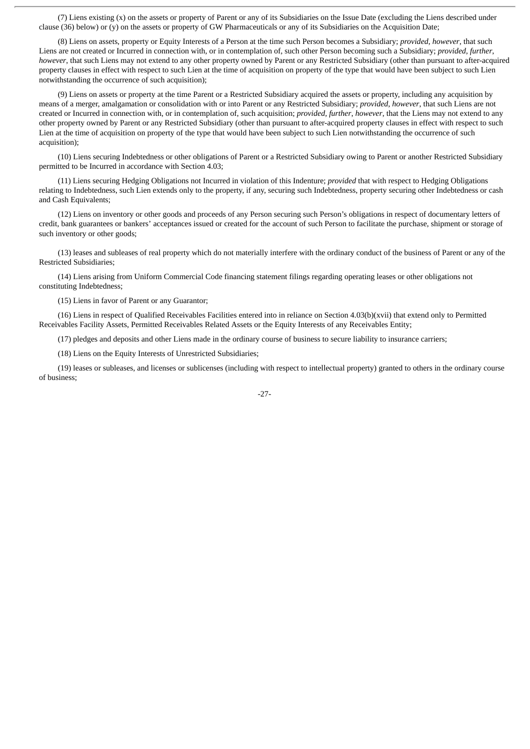(7) Liens existing (x) on the assets or property of Parent or any of its Subsidiaries on the Issue Date (excluding the Liens described under clause (36) below) or (y) on the assets or property of GW Pharmaceuticals or any of its Subsidiaries on the Acquisition Date;

(8) Liens on assets, property or Equity Interests of a Person at the time such Person becomes a Subsidiary; *provided*, *however*, that such Liens are not created or Incurred in connection with, or in contemplation of, such other Person becoming such a Subsidiary; *provided*, *further*, *however*, that such Liens may not extend to any other property owned by Parent or any Restricted Subsidiary (other than pursuant to after-acquired property clauses in effect with respect to such Lien at the time of acquisition on property of the type that would have been subject to such Lien notwithstanding the occurrence of such acquisition);

(9) Liens on assets or property at the time Parent or a Restricted Subsidiary acquired the assets or property, including any acquisition by means of a merger, amalgamation or consolidation with or into Parent or any Restricted Subsidiary; *provided*, *however*, that such Liens are not created or Incurred in connection with, or in contemplation of, such acquisition; *provided*, *further*, *however*, that the Liens may not extend to any other property owned by Parent or any Restricted Subsidiary (other than pursuant to after-acquired property clauses in effect with respect to such Lien at the time of acquisition on property of the type that would have been subject to such Lien notwithstanding the occurrence of such acquisition);

(10) Liens securing Indebtedness or other obligations of Parent or a Restricted Subsidiary owing to Parent or another Restricted Subsidiary permitted to be Incurred in accordance with Section 4.03;

(11) Liens securing Hedging Obligations not Incurred in violation of this Indenture; *provided* that with respect to Hedging Obligations relating to Indebtedness, such Lien extends only to the property, if any, securing such Indebtedness, property securing other Indebtedness or cash and Cash Equivalents;

(12) Liens on inventory or other goods and proceeds of any Person securing such Person's obligations in respect of documentary letters of credit, bank guarantees or bankers' acceptances issued or created for the account of such Person to facilitate the purchase, shipment or storage of such inventory or other goods;

(13) leases and subleases of real property which do not materially interfere with the ordinary conduct of the business of Parent or any of the Restricted Subsidiaries;

(14) Liens arising from Uniform Commercial Code financing statement filings regarding operating leases or other obligations not constituting Indebtedness;

(15) Liens in favor of Parent or any Guarantor;

(16) Liens in respect of Qualified Receivables Facilities entered into in reliance on Section 4.03(b)(xvii) that extend only to Permitted Receivables Facility Assets, Permitted Receivables Related Assets or the Equity Interests of any Receivables Entity;

(17) pledges and deposits and other Liens made in the ordinary course of business to secure liability to insurance carriers;

(18) Liens on the Equity Interests of Unrestricted Subsidiaries;

(19) leases or subleases, and licenses or sublicenses (including with respect to intellectual property) granted to others in the ordinary course of business;

-27-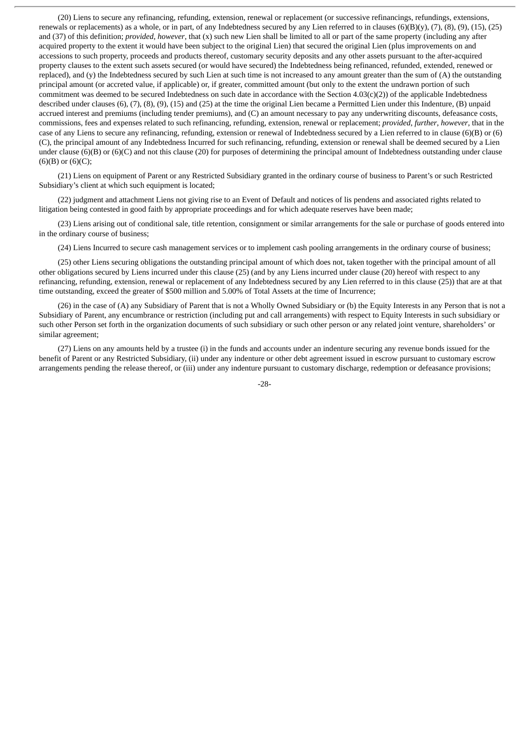(20) Liens to secure any refinancing, refunding, extension, renewal or replacement (or successive refinancings, refundings, extensions, renewals or replacements) as a whole, or in part, of any Indebtedness secured by any Lien referred to in clauses (6)(B)(y), (7), (8), (9), (15), (25) and (37) of this definition; *provided*, *however*, that (x) such new Lien shall be limited to all or part of the same property (including any after acquired property to the extent it would have been subject to the original Lien) that secured the original Lien (plus improvements on and accessions to such property, proceeds and products thereof, customary security deposits and any other assets pursuant to the after-acquired property clauses to the extent such assets secured (or would have secured) the Indebtedness being refinanced, refunded, extended, renewed or replaced), and (y) the Indebtedness secured by such Lien at such time is not increased to any amount greater than the sum of (A) the outstanding principal amount (or accreted value, if applicable) or, if greater, committed amount (but only to the extent the undrawn portion of such commitment was deemed to be secured Indebtedness on such date in accordance with the Section 4.03(c)(2)) of the applicable Indebtedness described under clauses (6), (7), (8), (9), (15) and (25) at the time the original Lien became a Permitted Lien under this Indenture, (B) unpaid accrued interest and premiums (including tender premiums), and (C) an amount necessary to pay any underwriting discounts, defeasance costs, commissions, fees and expenses related to such refinancing, refunding, extension, renewal or replacement; *provided*, *further*, *however*, that in the case of any Liens to secure any refinancing, refunding, extension or renewal of Indebtedness secured by a Lien referred to in clause (6)(B) or (6) (C), the principal amount of any Indebtedness Incurred for such refinancing, refunding, extension or renewal shall be deemed secured by a Lien under clause  $(6)(B)$  or  $(6)(C)$  and not this clause (20) for purposes of determining the principal amount of Indebtedness outstanding under clause  $(6)(B)$  or  $(6)(C)$ ;

(21) Liens on equipment of Parent or any Restricted Subsidiary granted in the ordinary course of business to Parent's or such Restricted Subsidiary's client at which such equipment is located;

(22) judgment and attachment Liens not giving rise to an Event of Default and notices of lis pendens and associated rights related to litigation being contested in good faith by appropriate proceedings and for which adequate reserves have been made;

(23) Liens arising out of conditional sale, title retention, consignment or similar arrangements for the sale or purchase of goods entered into in the ordinary course of business;

(24) Liens Incurred to secure cash management services or to implement cash pooling arrangements in the ordinary course of business;

(25) other Liens securing obligations the outstanding principal amount of which does not, taken together with the principal amount of all other obligations secured by Liens incurred under this clause (25) (and by any Liens incurred under clause (20) hereof with respect to any refinancing, refunding, extension, renewal or replacement of any Indebtedness secured by any Lien referred to in this clause (25)) that are at that time outstanding, exceed the greater of \$500 million and 5.00% of Total Assets at the time of Incurrence;

(26) in the case of (A) any Subsidiary of Parent that is not a Wholly Owned Subsidiary or (b) the Equity Interests in any Person that is not a Subsidiary of Parent, any encumbrance or restriction (including put and call arrangements) with respect to Equity Interests in such subsidiary or such other Person set forth in the organization documents of such subsidiary or such other person or any related joint venture, shareholders' or similar agreement;

(27) Liens on any amounts held by a trustee (i) in the funds and accounts under an indenture securing any revenue bonds issued for the benefit of Parent or any Restricted Subsidiary, (ii) under any indenture or other debt agreement issued in escrow pursuant to customary escrow arrangements pending the release thereof, or (iii) under any indenture pursuant to customary discharge, redemption or defeasance provisions;

-28-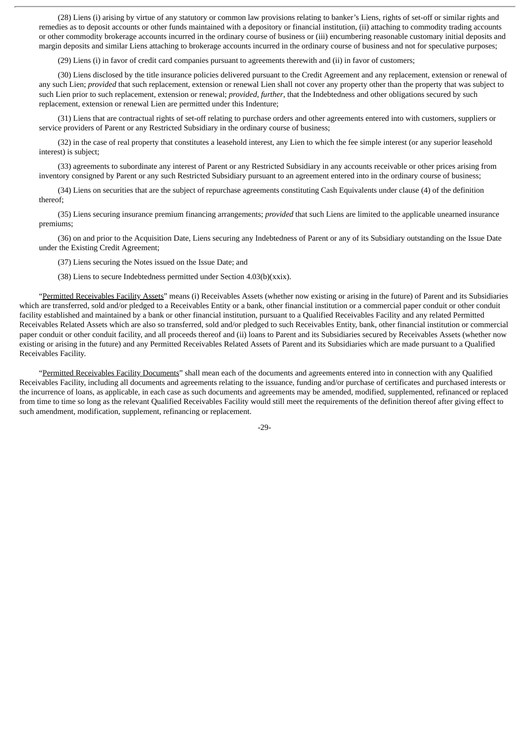(28) Liens (i) arising by virtue of any statutory or common law provisions relating to banker's Liens, rights of set-off or similar rights and remedies as to deposit accounts or other funds maintained with a depository or financial institution, (ii) attaching to commodity trading accounts or other commodity brokerage accounts incurred in the ordinary course of business or (iii) encumbering reasonable customary initial deposits and margin deposits and similar Liens attaching to brokerage accounts incurred in the ordinary course of business and not for speculative purposes;

(29) Liens (i) in favor of credit card companies pursuant to agreements therewith and (ii) in favor of customers;

(30) Liens disclosed by the title insurance policies delivered pursuant to the Credit Agreement and any replacement, extension or renewal of any such Lien; *provided* that such replacement, extension or renewal Lien shall not cover any property other than the property that was subject to such Lien prior to such replacement, extension or renewal; *provided*, *further*, that the Indebtedness and other obligations secured by such replacement, extension or renewal Lien are permitted under this Indenture;

(31) Liens that are contractual rights of set-off relating to purchase orders and other agreements entered into with customers, suppliers or service providers of Parent or any Restricted Subsidiary in the ordinary course of business;

(32) in the case of real property that constitutes a leasehold interest, any Lien to which the fee simple interest (or any superior leasehold interest) is subject;

(33) agreements to subordinate any interest of Parent or any Restricted Subsidiary in any accounts receivable or other prices arising from inventory consigned by Parent or any such Restricted Subsidiary pursuant to an agreement entered into in the ordinary course of business;

(34) Liens on securities that are the subject of repurchase agreements constituting Cash Equivalents under clause (4) of the definition thereof;

(35) Liens securing insurance premium financing arrangements; *provided* that such Liens are limited to the applicable unearned insurance premiums;

(36) on and prior to the Acquisition Date, Liens securing any Indebtedness of Parent or any of its Subsidiary outstanding on the Issue Date under the Existing Credit Agreement;

(37) Liens securing the Notes issued on the Issue Date; and

(38) Liens to secure Indebtedness permitted under Section 4.03(b)(xxix).

"Permitted Receivables Facility Assets" means (i) Receivables Assets (whether now existing or arising in the future) of Parent and its Subsidiaries which are transferred, sold and/or pledged to a Receivables Entity or a bank, other financial institution or a commercial paper conduit or other conduit facility established and maintained by a bank or other financial institution, pursuant to a Qualified Receivables Facility and any related Permitted Receivables Related Assets which are also so transferred, sold and/or pledged to such Receivables Entity, bank, other financial institution or commercial paper conduit or other conduit facility, and all proceeds thereof and (ii) loans to Parent and its Subsidiaries secured by Receivables Assets (whether now existing or arising in the future) and any Permitted Receivables Related Assets of Parent and its Subsidiaries which are made pursuant to a Qualified Receivables Facility.

"Permitted Receivables Facility Documents" shall mean each of the documents and agreements entered into in connection with any Qualified Receivables Facility, including all documents and agreements relating to the issuance, funding and/or purchase of certificates and purchased interests or the incurrence of loans, as applicable, in each case as such documents and agreements may be amended, modified, supplemented, refinanced or replaced from time to time so long as the relevant Qualified Receivables Facility would still meet the requirements of the definition thereof after giving effect to such amendment, modification, supplement, refinancing or replacement.

-29-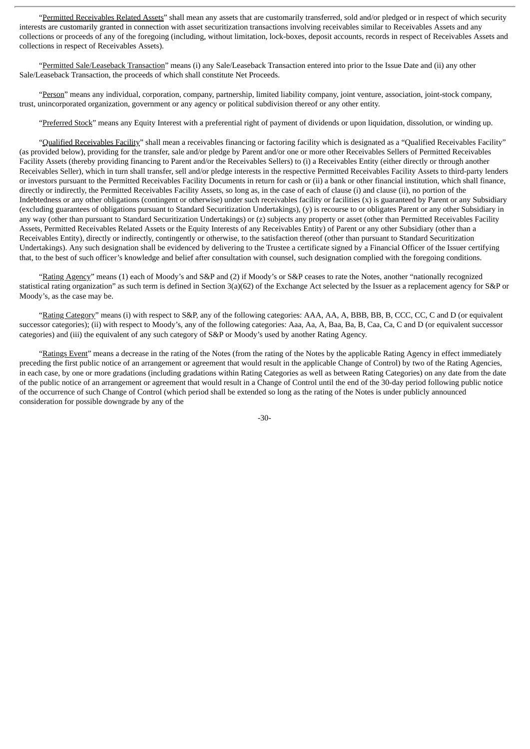"Permitted Receivables Related Assets" shall mean any assets that are customarily transferred, sold and/or pledged or in respect of which security interests are customarily granted in connection with asset securitization transactions involving receivables similar to Receivables Assets and any collections or proceeds of any of the foregoing (including, without limitation, lock-boxes, deposit accounts, records in respect of Receivables Assets and collections in respect of Receivables Assets).

"Permitted Sale/Leaseback Transaction" means (i) any Sale/Leaseback Transaction entered into prior to the Issue Date and (ii) any other Sale/Leaseback Transaction, the proceeds of which shall constitute Net Proceeds.

"Person" means any individual, corporation, company, partnership, limited liability company, joint venture, association, joint-stock company, trust, unincorporated organization, government or any agency or political subdivision thereof or any other entity.

"Preferred Stock" means any Equity Interest with a preferential right of payment of dividends or upon liquidation, dissolution, or winding up.

"Qualified Receivables Facility" shall mean a receivables financing or factoring facility which is designated as a "Qualified Receivables Facility" (as provided below), providing for the transfer, sale and/or pledge by Parent and/or one or more other Receivables Sellers of Permitted Receivables Facility Assets (thereby providing financing to Parent and/or the Receivables Sellers) to (i) a Receivables Entity (either directly or through another Receivables Seller), which in turn shall transfer, sell and/or pledge interests in the respective Permitted Receivables Facility Assets to third-party lenders or investors pursuant to the Permitted Receivables Facility Documents in return for cash or (ii) a bank or other financial institution, which shall finance, directly or indirectly, the Permitted Receivables Facility Assets, so long as, in the case of each of clause (i) and clause (ii), no portion of the Indebtedness or any other obligations (contingent or otherwise) under such receivables facility or facilities (x) is guaranteed by Parent or any Subsidiary (excluding guarantees of obligations pursuant to Standard Securitization Undertakings), (y) is recourse to or obligates Parent or any other Subsidiary in any way (other than pursuant to Standard Securitization Undertakings) or (z) subjects any property or asset (other than Permitted Receivables Facility Assets, Permitted Receivables Related Assets or the Equity Interests of any Receivables Entity) of Parent or any other Subsidiary (other than a Receivables Entity), directly or indirectly, contingently or otherwise, to the satisfaction thereof (other than pursuant to Standard Securitization Undertakings). Any such designation shall be evidenced by delivering to the Trustee a certificate signed by a Financial Officer of the Issuer certifying that, to the best of such officer's knowledge and belief after consultation with counsel, such designation complied with the foregoing conditions.

"Rating Agency" means (1) each of Moody's and S&P and (2) if Moody's or S&P ceases to rate the Notes, another "nationally recognized statistical rating organization" as such term is defined in Section 3(a)(62) of the Exchange Act selected by the Issuer as a replacement agency for S&P or Moody's, as the case may be.

"Rating Category" means (i) with respect to S&P, any of the following categories: AAA, AA, A, BBB, BB, B, CCC, CC, C and D (or equivalent successor categories); (ii) with respect to Moody's, any of the following categories: Aaa, Aa, A, Baa, Ba, B, Caa, Ca, C and D (or equivalent successor categories) and (iii) the equivalent of any such category of S&P or Moody's used by another Rating Agency.

"Ratings Event" means a decrease in the rating of the Notes (from the rating of the Notes by the applicable Rating Agency in effect immediately preceding the first public notice of an arrangement or agreement that would result in the applicable Change of Control) by two of the Rating Agencies, in each case, by one or more gradations (including gradations within Rating Categories as well as between Rating Categories) on any date from the date of the public notice of an arrangement or agreement that would result in a Change of Control until the end of the 30-day period following public notice of the occurrence of such Change of Control (which period shall be extended so long as the rating of the Notes is under publicly announced consideration for possible downgrade by any of the

-30-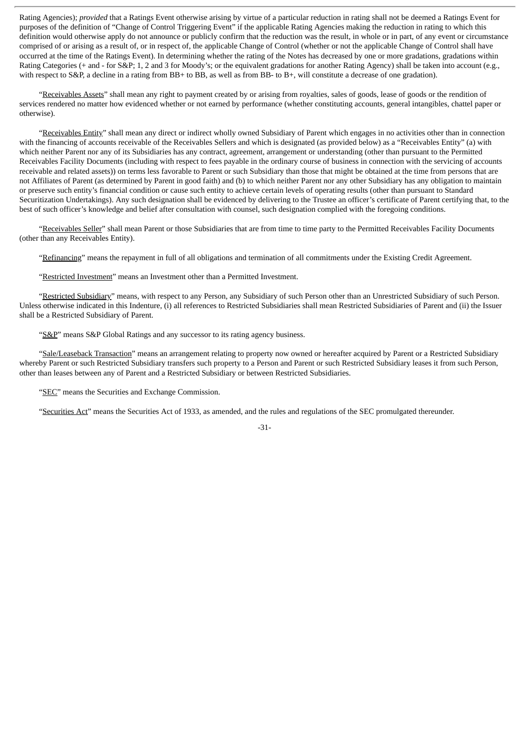Rating Agencies); *provided* that a Ratings Event otherwise arising by virtue of a particular reduction in rating shall not be deemed a Ratings Event for purposes of the definition of "Change of Control Triggering Event" if the applicable Rating Agencies making the reduction in rating to which this definition would otherwise apply do not announce or publicly confirm that the reduction was the result, in whole or in part, of any event or circumstance comprised of or arising as a result of, or in respect of, the applicable Change of Control (whether or not the applicable Change of Control shall have occurred at the time of the Ratings Event). In determining whether the rating of the Notes has decreased by one or more gradations, gradations within Rating Categories (+ and - for S&P; 1, 2 and 3 for Moody's; or the equivalent gradations for another Rating Agency) shall be taken into account (e.g., with respect to S&P, a decline in a rating from BB+ to BB, as well as from BB- to B+, will constitute a decrease of one gradation).

"Receivables Assets" shall mean any right to payment created by or arising from royalties, sales of goods, lease of goods or the rendition of services rendered no matter how evidenced whether or not earned by performance (whether constituting accounts, general intangibles, chattel paper or otherwise).

"Receivables Entity" shall mean any direct or indirect wholly owned Subsidiary of Parent which engages in no activities other than in connection with the financing of accounts receivable of the Receivables Sellers and which is designated (as provided below) as a "Receivables Entity" (a) with which neither Parent nor any of its Subsidiaries has any contract, agreement, arrangement or understanding (other than pursuant to the Permitted Receivables Facility Documents (including with respect to fees payable in the ordinary course of business in connection with the servicing of accounts receivable and related assets)) on terms less favorable to Parent or such Subsidiary than those that might be obtained at the time from persons that are not Affiliates of Parent (as determined by Parent in good faith) and (b) to which neither Parent nor any other Subsidiary has any obligation to maintain or preserve such entity's financial condition or cause such entity to achieve certain levels of operating results (other than pursuant to Standard Securitization Undertakings). Any such designation shall be evidenced by delivering to the Trustee an officer's certificate of Parent certifying that, to the best of such officer's knowledge and belief after consultation with counsel, such designation complied with the foregoing conditions.

"Receivables Seller" shall mean Parent or those Subsidiaries that are from time to time party to the Permitted Receivables Facility Documents (other than any Receivables Entity).

"Refinancing" means the repayment in full of all obligations and termination of all commitments under the Existing Credit Agreement.

"Restricted Investment" means an Investment other than a Permitted Investment.

"Restricted Subsidiary" means, with respect to any Person, any Subsidiary of such Person other than an Unrestricted Subsidiary of such Person. Unless otherwise indicated in this Indenture, (i) all references to Restricted Subsidiaries shall mean Restricted Subsidiaries of Parent and (ii) the Issuer shall be a Restricted Subsidiary of Parent.

"S&P" means S&P Global Ratings and any successor to its rating agency business.

"Sale/Leaseback Transaction" means an arrangement relating to property now owned or hereafter acquired by Parent or a Restricted Subsidiary whereby Parent or such Restricted Subsidiary transfers such property to a Person and Parent or such Restricted Subsidiary leases it from such Person, other than leases between any of Parent and a Restricted Subsidiary or between Restricted Subsidiaries.

"SEC" means the Securities and Exchange Commission.

"Securities Act" means the Securities Act of 1933, as amended, and the rules and regulations of the SEC promulgated thereunder.

# -31-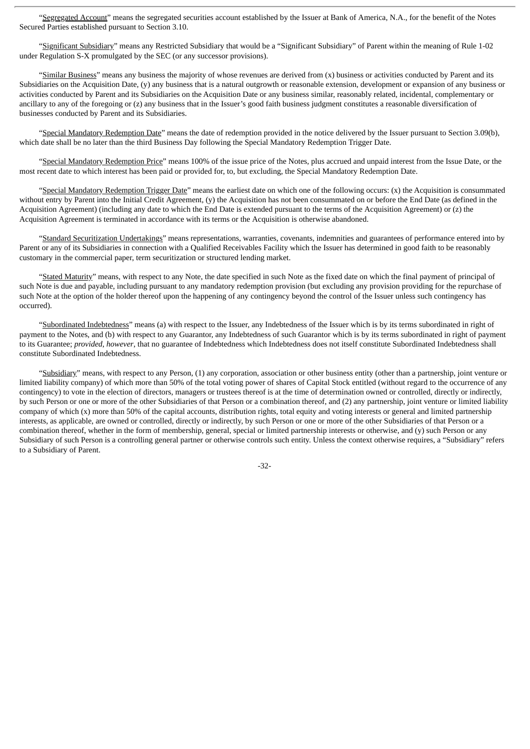"Segregated Account" means the segregated securities account established by the Issuer at Bank of America, N.A., for the benefit of the Notes Secured Parties established pursuant to Section 3.10.

"Significant Subsidiary" means any Restricted Subsidiary that would be a "Significant Subsidiary" of Parent within the meaning of Rule 1-02 under Regulation S-X promulgated by the SEC (or any successor provisions).

"Similar Business" means any business the majority of whose revenues are derived from (x) business or activities conducted by Parent and its Subsidiaries on the Acquisition Date, (y) any business that is a natural outgrowth or reasonable extension, development or expansion of any business or activities conducted by Parent and its Subsidiaries on the Acquisition Date or any business similar, reasonably related, incidental, complementary or ancillary to any of the foregoing or (z) any business that in the Issuer's good faith business judgment constitutes a reasonable diversification of businesses conducted by Parent and its Subsidiaries.

"Special Mandatory Redemption Date" means the date of redemption provided in the notice delivered by the Issuer pursuant to Section 3.09(b), which date shall be no later than the third Business Day following the Special Mandatory Redemption Trigger Date.

"Special Mandatory Redemption Price" means 100% of the issue price of the Notes, plus accrued and unpaid interest from the Issue Date, or the most recent date to which interest has been paid or provided for, to, but excluding, the Special Mandatory Redemption Date.

"Special Mandatory Redemption Trigger Date" means the earliest date on which one of the following occurs: (x) the Acquisition is consummated without entry by Parent into the Initial Credit Agreement, (y) the Acquisition has not been consummated on or before the End Date (as defined in the Acquisition Agreement) (including any date to which the End Date is extended pursuant to the terms of the Acquisition Agreement) or (z) the Acquisition Agreement is terminated in accordance with its terms or the Acquisition is otherwise abandoned.

"Standard Securitization Undertakings" means representations, warranties, covenants, indemnities and guarantees of performance entered into by Parent or any of its Subsidiaries in connection with a Qualified Receivables Facility which the Issuer has determined in good faith to be reasonably customary in the commercial paper, term securitization or structured lending market.

"Stated Maturity" means, with respect to any Note, the date specified in such Note as the fixed date on which the final payment of principal of such Note is due and payable, including pursuant to any mandatory redemption provision (but excluding any provision providing for the repurchase of such Note at the option of the holder thereof upon the happening of any contingency beyond the control of the Issuer unless such contingency has occurred).

"Subordinated Indebtedness" means (a) with respect to the Issuer, any Indebtedness of the Issuer which is by its terms subordinated in right of payment to the Notes, and (b) with respect to any Guarantor, any Indebtedness of such Guarantor which is by its terms subordinated in right of payment to its Guarantee; *provided*, *however*, that no guarantee of Indebtedness which Indebtedness does not itself constitute Subordinated Indebtedness shall constitute Subordinated Indebtedness.

"Subsidiary" means, with respect to any Person, (1) any corporation, association or other business entity (other than a partnership, joint venture or limited liability company) of which more than 50% of the total voting power of shares of Capital Stock entitled (without regard to the occurrence of any contingency) to vote in the election of directors, managers or trustees thereof is at the time of determination owned or controlled, directly or indirectly, by such Person or one or more of the other Subsidiaries of that Person or a combination thereof, and (2) any partnership, joint venture or limited liability company of which (x) more than 50% of the capital accounts, distribution rights, total equity and voting interests or general and limited partnership interests, as applicable, are owned or controlled, directly or indirectly, by such Person or one or more of the other Subsidiaries of that Person or a combination thereof, whether in the form of membership, general, special or limited partnership interests or otherwise, and (y) such Person or any Subsidiary of such Person is a controlling general partner or otherwise controls such entity. Unless the context otherwise requires, a "Subsidiary" refers to a Subsidiary of Parent.

-32-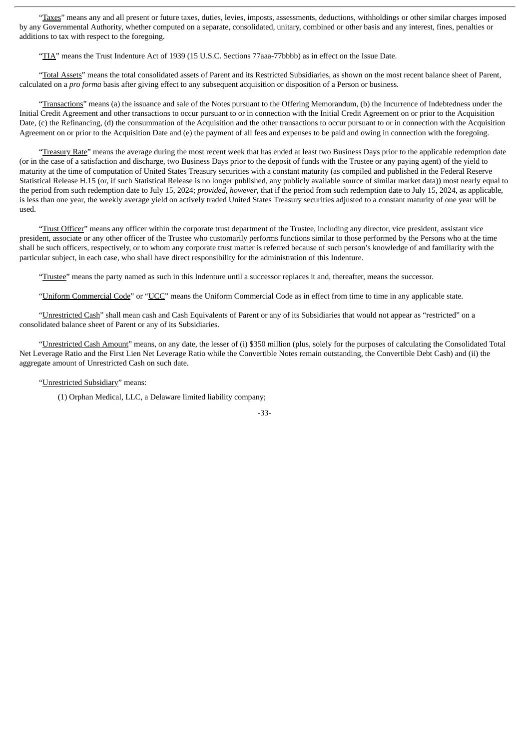"Taxes" means any and all present or future taxes, duties, levies, imposts, assessments, deductions, withholdings or other similar charges imposed by any Governmental Authority, whether computed on a separate, consolidated, unitary, combined or other basis and any interest, fines, penalties or additions to tax with respect to the foregoing.

"TIA" means the Trust Indenture Act of 1939 (15 U.S.C. Sections 77aaa-77bbbb) as in effect on the Issue Date.

"Total Assets" means the total consolidated assets of Parent and its Restricted Subsidiaries, as shown on the most recent balance sheet of Parent, calculated on a *pro forma* basis after giving effect to any subsequent acquisition or disposition of a Person or business.

"Transactions" means (a) the issuance and sale of the Notes pursuant to the Offering Memorandum, (b) the Incurrence of Indebtedness under the Initial Credit Agreement and other transactions to occur pursuant to or in connection with the Initial Credit Agreement on or prior to the Acquisition Date, (c) the Refinancing, (d) the consummation of the Acquisition and the other transactions to occur pursuant to or in connection with the Acquisition Agreement on or prior to the Acquisition Date and (e) the payment of all fees and expenses to be paid and owing in connection with the foregoing.

"Treasury Rate" means the average during the most recent week that has ended at least two Business Days prior to the applicable redemption date (or in the case of a satisfaction and discharge, two Business Days prior to the deposit of funds with the Trustee or any paying agent) of the yield to maturity at the time of computation of United States Treasury securities with a constant maturity (as compiled and published in the Federal Reserve Statistical Release H.15 (or, if such Statistical Release is no longer published, any publicly available source of similar market data)) most nearly equal to the period from such redemption date to July 15, 2024; *provided*, *however*, that if the period from such redemption date to July 15, 2024, as applicable, is less than one year, the weekly average yield on actively traded United States Treasury securities adjusted to a constant maturity of one year will be used.

"Trust Officer" means any officer within the corporate trust department of the Trustee, including any director, vice president, assistant vice president, associate or any other officer of the Trustee who customarily performs functions similar to those performed by the Persons who at the time shall be such officers, respectively, or to whom any corporate trust matter is referred because of such person's knowledge of and familiarity with the particular subject, in each case, who shall have direct responsibility for the administration of this Indenture.

"Trustee" means the party named as such in this Indenture until a successor replaces it and, thereafter, means the successor.

"Uniform Commercial Code" or "UCC" means the Uniform Commercial Code as in effect from time to time in any applicable state.

"Unrestricted Cash" shall mean cash and Cash Equivalents of Parent or any of its Subsidiaries that would not appear as "restricted" on a consolidated balance sheet of Parent or any of its Subsidiaries.

"Unrestricted Cash Amount" means, on any date, the lesser of (i) \$350 million (plus, solely for the purposes of calculating the Consolidated Total Net Leverage Ratio and the First Lien Net Leverage Ratio while the Convertible Notes remain outstanding, the Convertible Debt Cash) and (ii) the aggregate amount of Unrestricted Cash on such date.

#### "Unrestricted Subsidiary" means:

(1) Orphan Medical, LLC, a Delaware limited liability company;

-33-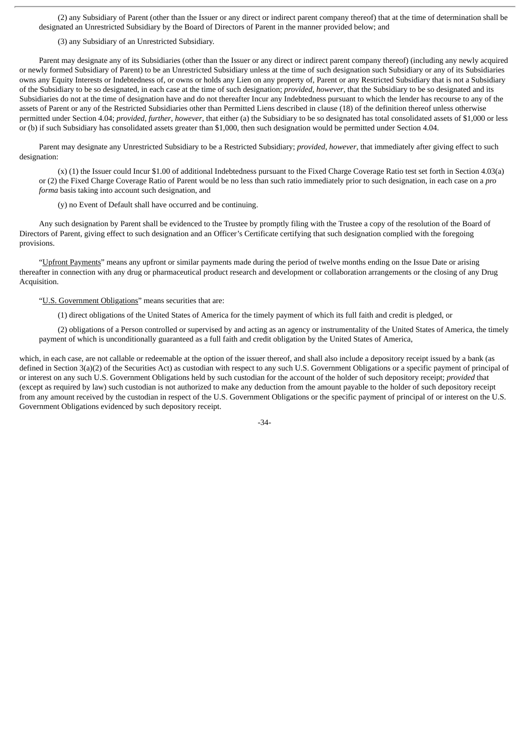(2) any Subsidiary of Parent (other than the Issuer or any direct or indirect parent company thereof) that at the time of determination shall be designated an Unrestricted Subsidiary by the Board of Directors of Parent in the manner provided below; and

(3) any Subsidiary of an Unrestricted Subsidiary.

Parent may designate any of its Subsidiaries (other than the Issuer or any direct or indirect parent company thereof) (including any newly acquired or newly formed Subsidiary of Parent) to be an Unrestricted Subsidiary unless at the time of such designation such Subsidiary or any of its Subsidiaries owns any Equity Interests or Indebtedness of, or owns or holds any Lien on any property of, Parent or any Restricted Subsidiary that is not a Subsidiary of the Subsidiary to be so designated, in each case at the time of such designation; *provided*, *however*, that the Subsidiary to be so designated and its Subsidiaries do not at the time of designation have and do not thereafter Incur any Indebtedness pursuant to which the lender has recourse to any of the assets of Parent or any of the Restricted Subsidiaries other than Permitted Liens described in clause (18) of the definition thereof unless otherwise permitted under Section 4.04; *provided*, *further*, *however*, that either (a) the Subsidiary to be so designated has total consolidated assets of \$1,000 or less or (b) if such Subsidiary has consolidated assets greater than \$1,000, then such designation would be permitted under Section 4.04.

Parent may designate any Unrestricted Subsidiary to be a Restricted Subsidiary; *provided*, *however*, that immediately after giving effect to such designation:

(x) (1) the Issuer could Incur \$1.00 of additional Indebtedness pursuant to the Fixed Charge Coverage Ratio test set forth in Section 4.03(a) or (2) the Fixed Charge Coverage Ratio of Parent would be no less than such ratio immediately prior to such designation, in each case on a *pro forma* basis taking into account such designation, and

(y) no Event of Default shall have occurred and be continuing.

Any such designation by Parent shall be evidenced to the Trustee by promptly filing with the Trustee a copy of the resolution of the Board of Directors of Parent, giving effect to such designation and an Officer's Certificate certifying that such designation complied with the foregoing provisions.

"Upfront Payments" means any upfront or similar payments made during the period of twelve months ending on the Issue Date or arising thereafter in connection with any drug or pharmaceutical product research and development or collaboration arrangements or the closing of any Drug Acquisition.

"U.S. Government Obligations" means securities that are:

(1) direct obligations of the United States of America for the timely payment of which its full faith and credit is pledged, or

(2) obligations of a Person controlled or supervised by and acting as an agency or instrumentality of the United States of America, the timely payment of which is unconditionally guaranteed as a full faith and credit obligation by the United States of America,

which, in each case, are not callable or redeemable at the option of the issuer thereof, and shall also include a depository receipt issued by a bank (as defined in Section 3(a)(2) of the Securities Act) as custodian with respect to any such U.S. Government Obligations or a specific payment of principal of or interest on any such U.S. Government Obligations held by such custodian for the account of the holder of such depository receipt; *provided* that (except as required by law) such custodian is not authorized to make any deduction from the amount payable to the holder of such depository receipt from any amount received by the custodian in respect of the U.S. Government Obligations or the specific payment of principal of or interest on the U.S. Government Obligations evidenced by such depository receipt.

-34-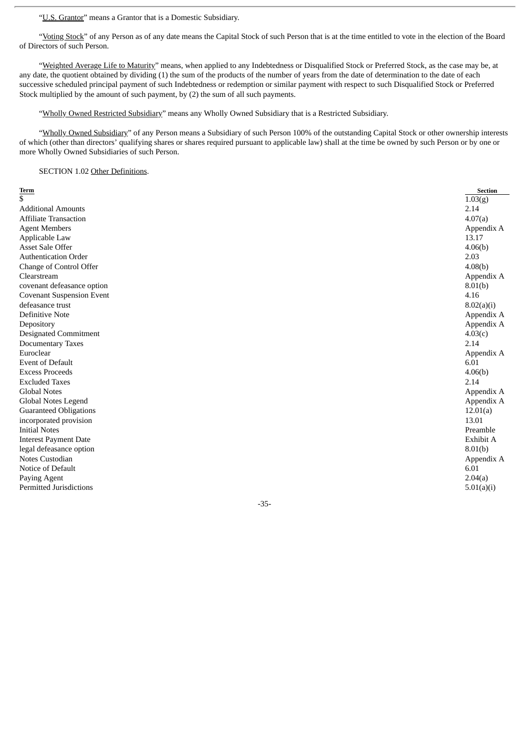"U.S. Grantor" means a Grantor that is a Domestic Subsidiary.

"Voting Stock" of any Person as of any date means the Capital Stock of such Person that is at the time entitled to vote in the election of the Board of Directors of such Person.

"Weighted Average Life to Maturity" means, when applied to any Indebtedness or Disqualified Stock or Preferred Stock, as the case may be, at any date, the quotient obtained by dividing (1) the sum of the products of the number of years from the date of determination to the date of each successive scheduled principal payment of such Indebtedness or redemption or similar payment with respect to such Disqualified Stock or Preferred Stock multiplied by the amount of such payment, by (2) the sum of all such payments.

"Wholly Owned Restricted Subsidiary" means any Wholly Owned Subsidiary that is a Restricted Subsidiary.

"Wholly Owned Subsidiary" of any Person means a Subsidiary of such Person 100% of the outstanding Capital Stock or other ownership interests of which (other than directors' qualifying shares or shares required pursuant to applicable law) shall at the time be owned by such Person or by one or more Wholly Owned Subsidiaries of such Person.

SECTION 1.02 Other Definitions.

| <b>Term</b>                      | <b>Section</b> |
|----------------------------------|----------------|
| \$                               | 1.03(g)        |
| <b>Additional Amounts</b>        | 2.14           |
| <b>Affiliate Transaction</b>     | 4.07(a)        |
| <b>Agent Members</b>             | Appendix A     |
| Applicable Law                   | 13.17          |
| <b>Asset Sale Offer</b>          | 4.06(b)        |
| <b>Authentication Order</b>      | 2.03           |
| Change of Control Offer          | 4.08(b)        |
| Clearstream                      | Appendix A     |
| covenant defeasance option       | 8.01(b)        |
| <b>Covenant Suspension Event</b> | 4.16           |
| defeasance trust                 | 8.02(a)(i)     |
| <b>Definitive Note</b>           | Appendix A     |
| Depository                       | Appendix A     |
| <b>Designated Commitment</b>     | 4.03(c)        |
| <b>Documentary Taxes</b>         | 2.14           |
| Euroclear                        | Appendix A     |
| <b>Event of Default</b>          | 6.01           |
| <b>Excess Proceeds</b>           | 4.06(b)        |
| <b>Excluded Taxes</b>            | 2.14           |
| <b>Global Notes</b>              | Appendix A     |
| Global Notes Legend              | Appendix A     |
| <b>Guaranteed Obligations</b>    | 12.01(a)       |
| incorporated provision           | 13.01          |
| <b>Initial Notes</b>             | Preamble       |
| <b>Interest Payment Date</b>     | Exhibit A      |
| legal defeasance option          | 8.01(b)        |
| Notes Custodian                  | Appendix A     |
| Notice of Default                | 6.01           |
| Paying Agent                     | 2.04(a)        |
| <b>Permitted Jurisdictions</b>   | 5.01(a)(i)     |
|                                  |                |

-35-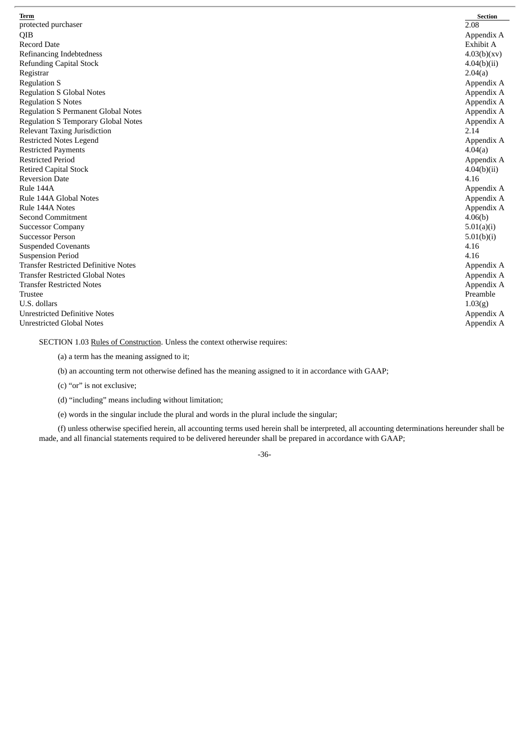| Term                                        | <b>Section</b> |
|---------------------------------------------|----------------|
| protected purchaser                         | 2.08           |
| QIB                                         | Appendix A     |
| <b>Record Date</b>                          | Exhibit A      |
| Refinancing Indebtedness                    | 4.03(b)(xv)    |
| <b>Refunding Capital Stock</b>              | 4.04(b)(ii)    |
| Registrar                                   | 2.04(a)        |
| <b>Regulation S</b>                         | Appendix A     |
| <b>Regulation S Global Notes</b>            | Appendix A     |
| <b>Regulation S Notes</b>                   | Appendix A     |
| <b>Regulation S Permanent Global Notes</b>  | Appendix A     |
| <b>Regulation S Temporary Global Notes</b>  | Appendix A     |
| <b>Relevant Taxing Jurisdiction</b>         | 2.14           |
| <b>Restricted Notes Legend</b>              | Appendix A     |
| <b>Restricted Payments</b>                  | 4.04(a)        |
| <b>Restricted Period</b>                    | Appendix A     |
| <b>Retired Capital Stock</b>                | 4.04(b)(ii)    |
| <b>Reversion Date</b>                       | 4.16           |
| Rule 144A                                   | Appendix A     |
| Rule 144A Global Notes                      | Appendix A     |
| Rule 144A Notes                             | Appendix A     |
| <b>Second Commitment</b>                    | 4.06(b)        |
| <b>Successor Company</b>                    | 5.01(a)(i)     |
| <b>Successor Person</b>                     | 5.01(b)(i)     |
| <b>Suspended Covenants</b>                  | 4.16           |
| <b>Suspension Period</b>                    | 4.16           |
| <b>Transfer Restricted Definitive Notes</b> | Appendix A     |
| <b>Transfer Restricted Global Notes</b>     | Appendix A     |
| <b>Transfer Restricted Notes</b>            | Appendix A     |
| <b>Trustee</b>                              | Preamble       |
| U.S. dollars                                | 1.03(g)        |
| <b>Unrestricted Definitive Notes</b>        | Appendix A     |
| <b>Unrestricted Global Notes</b>            | Appendix A     |

SECTION 1.03 Rules of Construction. Unless the context otherwise requires:

(b) an accounting term not otherwise defined has the meaning assigned to it in accordance with GAAP;

(c) "or" is not exclusive;

(d) "including" means including without limitation;

(e) words in the singular include the plural and words in the plural include the singular;

(f) unless otherwise specified herein, all accounting terms used herein shall be interpreted, all accounting determinations hereunder shall be made, and all financial statements required to be delivered hereunder shall be prepared in accordance with GAAP;

-36-

<sup>(</sup>a) a term has the meaning assigned to it;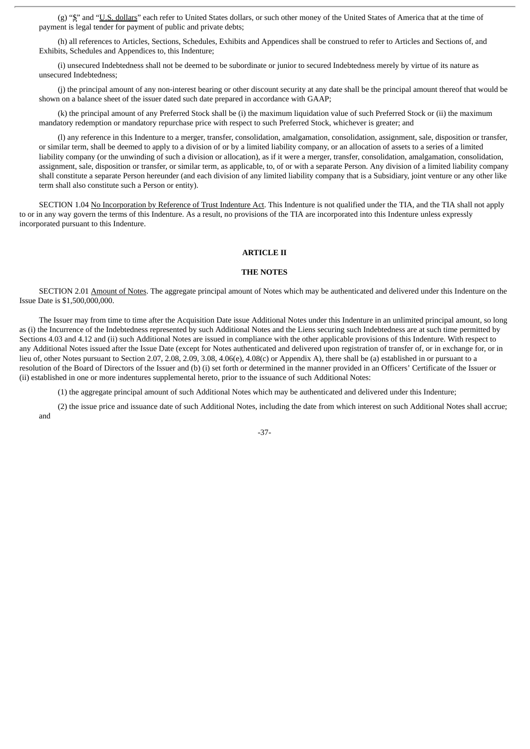(g) "\$" and "U.S. dollars" each refer to United States dollars, or such other money of the United States of America that at the time of payment is legal tender for payment of public and private debts;

(h) all references to Articles, Sections, Schedules, Exhibits and Appendices shall be construed to refer to Articles and Sections of, and Exhibits, Schedules and Appendices to, this Indenture;

(i) unsecured Indebtedness shall not be deemed to be subordinate or junior to secured Indebtedness merely by virtue of its nature as unsecured Indebtedness;

(j) the principal amount of any non-interest bearing or other discount security at any date shall be the principal amount thereof that would be shown on a balance sheet of the issuer dated such date prepared in accordance with GAAP;

(k) the principal amount of any Preferred Stock shall be (i) the maximum liquidation value of such Preferred Stock or (ii) the maximum mandatory redemption or mandatory repurchase price with respect to such Preferred Stock, whichever is greater; and

(l) any reference in this Indenture to a merger, transfer, consolidation, amalgamation, consolidation, assignment, sale, disposition or transfer, or similar term, shall be deemed to apply to a division of or by a limited liability company, or an allocation of assets to a series of a limited liability company (or the unwinding of such a division or allocation), as if it were a merger, transfer, consolidation, amalgamation, consolidation, assignment, sale, disposition or transfer, or similar term, as applicable, to, of or with a separate Person. Any division of a limited liability company shall constitute a separate Person hereunder (and each division of any limited liability company that is a Subsidiary, joint venture or any other like term shall also constitute such a Person or entity).

SECTION 1.04 No Incorporation by Reference of Trust Indenture Act. This Indenture is not qualified under the TIA, and the TIA shall not apply to or in any way govern the terms of this Indenture. As a result, no provisions of the TIA are incorporated into this Indenture unless expressly incorporated pursuant to this Indenture.

# **ARTICLE II**

# **THE NOTES**

SECTION 2.01 Amount of Notes. The aggregate principal amount of Notes which may be authenticated and delivered under this Indenture on the Issue Date is \$1,500,000,000.

The Issuer may from time to time after the Acquisition Date issue Additional Notes under this Indenture in an unlimited principal amount, so long as (i) the Incurrence of the Indebtedness represented by such Additional Notes and the Liens securing such Indebtedness are at such time permitted by Sections 4.03 and 4.12 and (ii) such Additional Notes are issued in compliance with the other applicable provisions of this Indenture. With respect to any Additional Notes issued after the Issue Date (except for Notes authenticated and delivered upon registration of transfer of, or in exchange for, or in lieu of, other Notes pursuant to Section 2.07, 2.08, 2.09, 3.08, 4.06(e), 4.08(c) or Appendix A), there shall be (a) established in or pursuant to a resolution of the Board of Directors of the Issuer and (b) (i) set forth or determined in the manner provided in an Officers' Certificate of the Issuer or (ii) established in one or more indentures supplemental hereto, prior to the issuance of such Additional Notes:

(1) the aggregate principal amount of such Additional Notes which may be authenticated and delivered under this Indenture;

(2) the issue price and issuance date of such Additional Notes, including the date from which interest on such Additional Notes shall accrue; and

-37-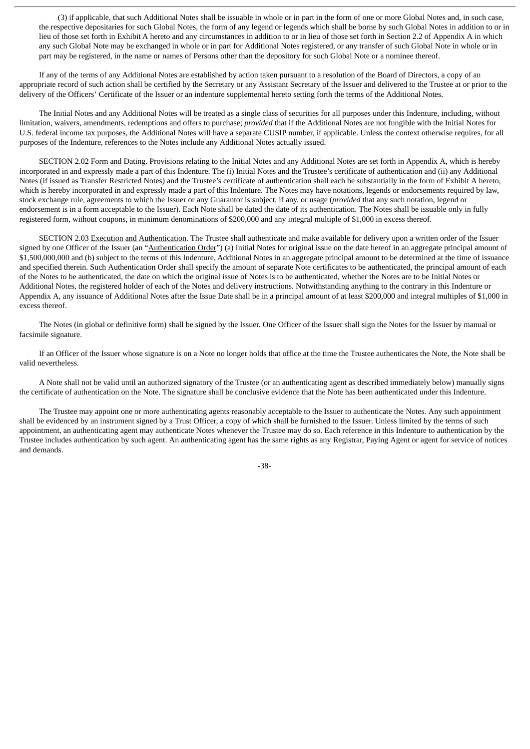(3) if applicable, that such Additional Notes shall be issuable in whole or in part in the form of one or more Global Notes and, in such case, the respective depositaries for such Global Notes, the form of any legend or legends which shall be borne by such Global Notes in addition to or in lieu of those set forth in Exhibit A hereto and any circumstances in addition to or in lieu of those set forth in Section 2.2 of Appendix A in which any such Global Note may be exchanged in whole or in part for Additional Notes registered, or any transfer of such Global Note in whole or in part may be registered, in the name or names of Persons other than the depository for such Global Note or a nominee thereof.

If any of the terms of any Additional Notes are established by action taken pursuant to a resolution of the Board of Directors, a copy of an appropriate record of such action shall be certified by the Secretary or any Assistant Secretary of the Issuer and delivered to the Trustee at or prior to the delivery of the Officers' Certificate of the Issuer or an indenture supplemental hereto setting forth the terms of the Additional Notes.

The Initial Notes and any Additional Notes will be treated as a single class of securities for all purposes under this Indenture, including, without limitation, waivers, amendments, redemptions and offers to purchase; *provided* that if the Additional Notes are not fungible with the Initial Notes for U.S. federal income tax purposes, the Additional Notes will have a separate CUSIP number, if applicable. Unless the context otherwise requires, for all purposes of the Indenture, references to the Notes include any Additional Notes actually issued.

SECTION 2.02 Form and Dating. Provisions relating to the Initial Notes and any Additional Notes are set forth in Appendix A, which is hereby incorporated in and expressly made a part of this Indenture. The (i) Initial Notes and the Trustee's certificate of authentication and (ii) any Additional Notes (if issued as Transfer Restricted Notes) and the Trustee's certificate of authentication shall each be substantially in the form of Exhibit A hereto, which is hereby incorporated in and expressly made a part of this Indenture. The Notes may have notations, legends or endorsements required by law, stock exchange rule, agreements to which the Issuer or any Guarantor is subject, if any, or usage (*provided* that any such notation, legend or endorsement is in a form acceptable to the Issuer). Each Note shall be dated the date of its authentication. The Notes shall be issuable only in fully registered form, without coupons, in minimum denominations of \$200,000 and any integral multiple of \$1,000 in excess thereof.

SECTION 2.03 Execution and Authentication. The Trustee shall authenticate and make available for delivery upon a written order of the Issuer signed by one Officer of the Issuer (an "Authentication Order") (a) Initial Notes for original issue on the date hereof in an aggregate principal amount of \$1,500,000,000 and (b) subject to the terms of this Indenture, Additional Notes in an aggregate principal amount to be determined at the time of issuance and specified therein. Such Authentication Order shall specify the amount of separate Note certificates to be authenticated, the principal amount of each of the Notes to be authenticated, the date on which the original issue of Notes is to be authenticated, whether the Notes are to be Initial Notes or Additional Notes, the registered holder of each of the Notes and delivery instructions. Notwithstanding anything to the contrary in this Indenture or Appendix A, any issuance of Additional Notes after the Issue Date shall be in a principal amount of at least \$200,000 and integral multiples of \$1,000 in excess thereof.

The Notes (in global or definitive form) shall be signed by the Issuer. One Officer of the Issuer shall sign the Notes for the Issuer by manual or facsimile signature.

If an Officer of the Issuer whose signature is on a Note no longer holds that office at the time the Trustee authenticates the Note, the Note shall be valid nevertheless.

A Note shall not be valid until an authorized signatory of the Trustee (or an authenticating agent as described immediately below) manually signs the certificate of authentication on the Note. The signature shall be conclusive evidence that the Note has been authenticated under this Indenture.

The Trustee may appoint one or more authenticating agents reasonably acceptable to the Issuer to authenticate the Notes. Any such appointment shall be evidenced by an instrument signed by a Trust Officer, a copy of which shall be furnished to the Issuer. Unless limited by the terms of such appointment, an authenticating agent may authenticate Notes whenever the Trustee may do so. Each reference in this Indenture to authentication by the Trustee includes authentication by such agent. An authenticating agent has the same rights as any Registrar, Paying Agent or agent for service of notices and demands.

-38-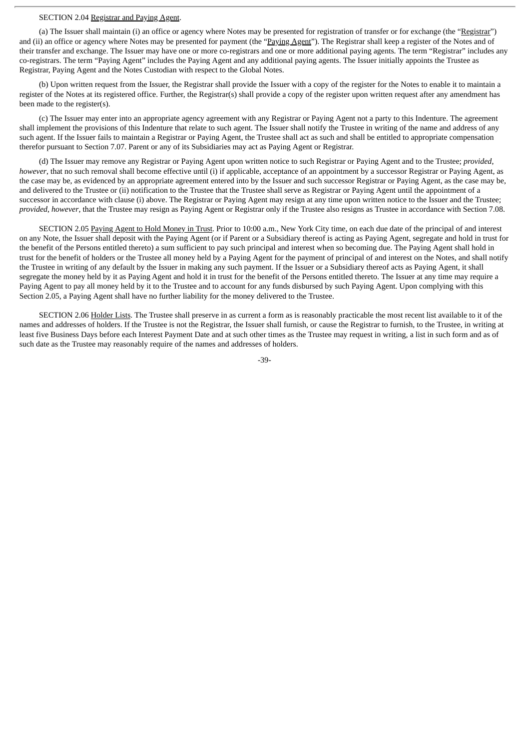# SECTION 2.04 Registrar and Paying Agent.

(a) The Issuer shall maintain (i) an office or agency where Notes may be presented for registration of transfer or for exchange (the "Registrar") and (ii) an office or agency where Notes may be presented for payment (the "Paying Agent"). The Registrar shall keep a register of the Notes and of their transfer and exchange. The Issuer may have one or more co-registrars and one or more additional paying agents. The term "Registrar" includes any co-registrars. The term "Paying Agent" includes the Paying Agent and any additional paying agents. The Issuer initially appoints the Trustee as Registrar, Paying Agent and the Notes Custodian with respect to the Global Notes.

(b) Upon written request from the Issuer, the Registrar shall provide the Issuer with a copy of the register for the Notes to enable it to maintain a register of the Notes at its registered office. Further, the Registrar(s) shall provide a copy of the register upon written request after any amendment has been made to the register(s).

(c) The Issuer may enter into an appropriate agency agreement with any Registrar or Paying Agent not a party to this Indenture. The agreement shall implement the provisions of this Indenture that relate to such agent. The Issuer shall notify the Trustee in writing of the name and address of any such agent. If the Issuer fails to maintain a Registrar or Paying Agent, the Trustee shall act as such and shall be entitled to appropriate compensation therefor pursuant to Section 7.07. Parent or any of its Subsidiaries may act as Paying Agent or Registrar.

(d) The Issuer may remove any Registrar or Paying Agent upon written notice to such Registrar or Paying Agent and to the Trustee; *provided*, *however*, that no such removal shall become effective until (i) if applicable, acceptance of an appointment by a successor Registrar or Paying Agent, as the case may be, as evidenced by an appropriate agreement entered into by the Issuer and such successor Registrar or Paying Agent, as the case may be, and delivered to the Trustee or (ii) notification to the Trustee that the Trustee shall serve as Registrar or Paying Agent until the appointment of a successor in accordance with clause (i) above. The Registrar or Paying Agent may resign at any time upon written notice to the Issuer and the Trustee; *provided*, *however*, that the Trustee may resign as Paying Agent or Registrar only if the Trustee also resigns as Trustee in accordance with Section 7.08.

SECTION 2.05 Paying Agent to Hold Money in Trust. Prior to 10:00 a.m., New York City time, on each due date of the principal of and interest on any Note, the Issuer shall deposit with the Paying Agent (or if Parent or a Subsidiary thereof is acting as Paying Agent, segregate and hold in trust for the benefit of the Persons entitled thereto) a sum sufficient to pay such principal and interest when so becoming due. The Paying Agent shall hold in trust for the benefit of holders or the Trustee all money held by a Paying Agent for the payment of principal of and interest on the Notes, and shall notify the Trustee in writing of any default by the Issuer in making any such payment. If the Issuer or a Subsidiary thereof acts as Paying Agent, it shall segregate the money held by it as Paying Agent and hold it in trust for the benefit of the Persons entitled thereto. The Issuer at any time may require a Paying Agent to pay all money held by it to the Trustee and to account for any funds disbursed by such Paying Agent. Upon complying with this Section 2.05, a Paying Agent shall have no further liability for the money delivered to the Trustee.

SECTION 2.06 Holder Lists. The Trustee shall preserve in as current a form as is reasonably practicable the most recent list available to it of the names and addresses of holders. If the Trustee is not the Registrar, the Issuer shall furnish, or cause the Registrar to furnish, to the Trustee, in writing at least five Business Days before each Interest Payment Date and at such other times as the Trustee may request in writing, a list in such form and as of such date as the Trustee may reasonably require of the names and addresses of holders.

-39-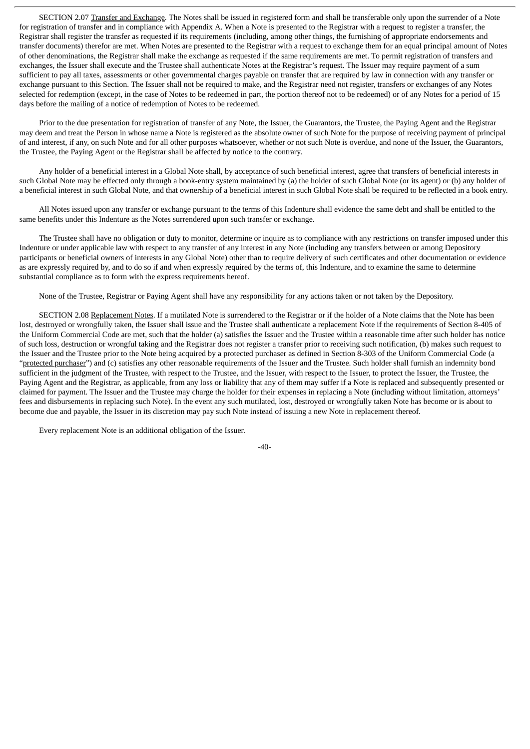SECTION 2.07 Transfer and Exchange. The Notes shall be issued in registered form and shall be transferable only upon the surrender of a Note for registration of transfer and in compliance with Appendix A. When a Note is presented to the Registrar with a request to register a transfer, the Registrar shall register the transfer as requested if its requirements (including, among other things, the furnishing of appropriate endorsements and transfer documents) therefor are met. When Notes are presented to the Registrar with a request to exchange them for an equal principal amount of Notes of other denominations, the Registrar shall make the exchange as requested if the same requirements are met. To permit registration of transfers and exchanges, the Issuer shall execute and the Trustee shall authenticate Notes at the Registrar's request. The Issuer may require payment of a sum sufficient to pay all taxes, assessments or other governmental charges payable on transfer that are required by law in connection with any transfer or exchange pursuant to this Section. The Issuer shall not be required to make, and the Registrar need not register, transfers or exchanges of any Notes selected for redemption (except, in the case of Notes to be redeemed in part, the portion thereof not to be redeemed) or of any Notes for a period of 15 days before the mailing of a notice of redemption of Notes to be redeemed.

Prior to the due presentation for registration of transfer of any Note, the Issuer, the Guarantors, the Trustee, the Paying Agent and the Registrar may deem and treat the Person in whose name a Note is registered as the absolute owner of such Note for the purpose of receiving payment of principal of and interest, if any, on such Note and for all other purposes whatsoever, whether or not such Note is overdue, and none of the Issuer, the Guarantors, the Trustee, the Paying Agent or the Registrar shall be affected by notice to the contrary.

Any holder of a beneficial interest in a Global Note shall, by acceptance of such beneficial interest, agree that transfers of beneficial interests in such Global Note may be effected only through a book-entry system maintained by (a) the holder of such Global Note (or its agent) or (b) any holder of a beneficial interest in such Global Note, and that ownership of a beneficial interest in such Global Note shall be required to be reflected in a book entry.

All Notes issued upon any transfer or exchange pursuant to the terms of this Indenture shall evidence the same debt and shall be entitled to the same benefits under this Indenture as the Notes surrendered upon such transfer or exchange.

The Trustee shall have no obligation or duty to monitor, determine or inquire as to compliance with any restrictions on transfer imposed under this Indenture or under applicable law with respect to any transfer of any interest in any Note (including any transfers between or among Depository participants or beneficial owners of interests in any Global Note) other than to require delivery of such certificates and other documentation or evidence as are expressly required by, and to do so if and when expressly required by the terms of, this Indenture, and to examine the same to determine substantial compliance as to form with the express requirements hereof.

None of the Trustee, Registrar or Paying Agent shall have any responsibility for any actions taken or not taken by the Depository.

SECTION 2.08 Replacement Notes. If a mutilated Note is surrendered to the Registrar or if the holder of a Note claims that the Note has been lost, destroyed or wrongfully taken, the Issuer shall issue and the Trustee shall authenticate a replacement Note if the requirements of Section 8-405 of the Uniform Commercial Code are met, such that the holder (a) satisfies the Issuer and the Trustee within a reasonable time after such holder has notice of such loss, destruction or wrongful taking and the Registrar does not register a transfer prior to receiving such notification, (b) makes such request to the Issuer and the Trustee prior to the Note being acquired by a protected purchaser as defined in Section 8-303 of the Uniform Commercial Code (a "protected purchaser") and (c) satisfies any other reasonable requirements of the Issuer and the Trustee. Such holder shall furnish an indemnity bond sufficient in the judgment of the Trustee, with respect to the Trustee, and the Issuer, with respect to the Issuer, to protect the Issuer, the Trustee, the Paying Agent and the Registrar, as applicable, from any loss or liability that any of them may suffer if a Note is replaced and subsequently presented or claimed for payment. The Issuer and the Trustee may charge the holder for their expenses in replacing a Note (including without limitation, attorneys' fees and disbursements in replacing such Note). In the event any such mutilated, lost, destroyed or wrongfully taken Note has become or is about to become due and payable, the Issuer in its discretion may pay such Note instead of issuing a new Note in replacement thereof.

Every replacement Note is an additional obligation of the Issuer.

-40-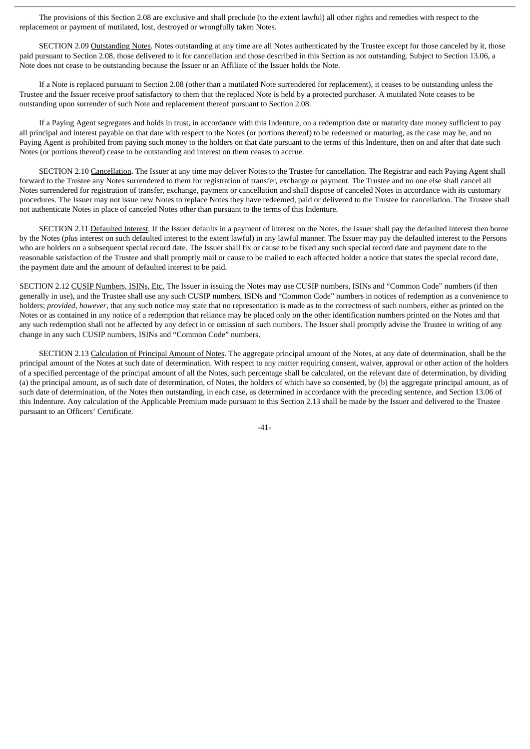The provisions of this Section 2.08 are exclusive and shall preclude (to the extent lawful) all other rights and remedies with respect to the replacement or payment of mutilated, lost, destroyed or wrongfully taken Notes.

SECTION 2.09 Outstanding Notes. Notes outstanding at any time are all Notes authenticated by the Trustee except for those canceled by it, those paid pursuant to Section 2.08, those delivered to it for cancellation and those described in this Section as not outstanding. Subject to Section 13.06, a Note does not cease to be outstanding because the Issuer or an Affiliate of the Issuer holds the Note.

If a Note is replaced pursuant to Section 2.08 (other than a mutilated Note surrendered for replacement), it ceases to be outstanding unless the Trustee and the Issuer receive proof satisfactory to them that the replaced Note is held by a protected purchaser. A mutilated Note ceases to be outstanding upon surrender of such Note and replacement thereof pursuant to Section 2.08.

If a Paying Agent segregates and holds in trust, in accordance with this Indenture, on a redemption date or maturity date money sufficient to pay all principal and interest payable on that date with respect to the Notes (or portions thereof) to be redeemed or maturing, as the case may be, and no Paying Agent is prohibited from paying such money to the holders on that date pursuant to the terms of this Indenture, then on and after that date such Notes (or portions thereof) cease to be outstanding and interest on them ceases to accrue.

SECTION 2.10 Cancellation. The Issuer at any time may deliver Notes to the Trustee for cancellation. The Registrar and each Paying Agent shall forward to the Trustee any Notes surrendered to them for registration of transfer, exchange or payment. The Trustee and no one else shall cancel all Notes surrendered for registration of transfer, exchange, payment or cancellation and shall dispose of canceled Notes in accordance with its customary procedures. The Issuer may not issue new Notes to replace Notes they have redeemed, paid or delivered to the Trustee for cancellation. The Trustee shall not authenticate Notes in place of canceled Notes other than pursuant to the terms of this Indenture.

SECTION 2.11 Defaulted Interest. If the Issuer defaults in a payment of interest on the Notes, the Issuer shall pay the defaulted interest then borne by the Notes (*plus* interest on such defaulted interest to the extent lawful) in any lawful manner. The Issuer may pay the defaulted interest to the Persons who are holders on a subsequent special record date. The Issuer shall fix or cause to be fixed any such special record date and payment date to the reasonable satisfaction of the Trustee and shall promptly mail or cause to be mailed to each affected holder a notice that states the special record date, the payment date and the amount of defaulted interest to be paid.

SECTION 2.12 CUSIP Numbers, ISINs, Etc. The Issuer in issuing the Notes may use CUSIP numbers, ISINs and "Common Code" numbers (if then generally in use), and the Trustee shall use any such CUSIP numbers, ISINs and "Common Code" numbers in notices of redemption as a convenience to holders; *provided*, *however*, that any such notice may state that no representation is made as to the correctness of such numbers, either as printed on the Notes or as contained in any notice of a redemption that reliance may be placed only on the other identification numbers printed on the Notes and that any such redemption shall not be affected by any defect in or omission of such numbers. The Issuer shall promptly advise the Trustee in writing of any change in any such CUSIP numbers, ISINs and "Common Code" numbers.

SECTION 2.13 Calculation of Principal Amount of Notes. The aggregate principal amount of the Notes, at any date of determination, shall be the principal amount of the Notes at such date of determination. With respect to any matter requiring consent, waiver, approval or other action of the holders of a specified percentage of the principal amount of all the Notes, such percentage shall be calculated, on the relevant date of determination, by dividing (a) the principal amount, as of such date of determination, of Notes, the holders of which have so consented, by (b) the aggregate principal amount, as of such date of determination, of the Notes then outstanding, in each case, as determined in accordance with the preceding sentence, and Section 13.06 of this Indenture. Any calculation of the Applicable Premium made pursuant to this Section 2.13 shall be made by the Issuer and delivered to the Trustee pursuant to an Officers' Certificate.

-41-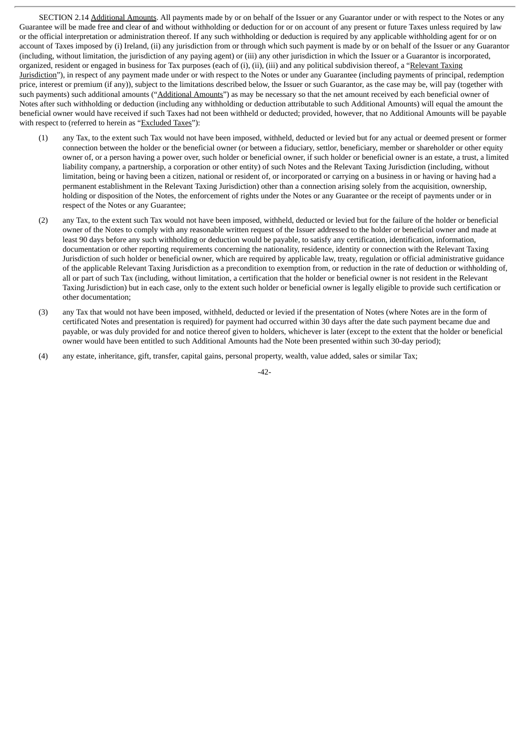SECTION 2.14 Additional Amounts. All payments made by or on behalf of the Issuer or any Guarantor under or with respect to the Notes or any Guarantee will be made free and clear of and without withholding or deduction for or on account of any present or future Taxes unless required by law or the official interpretation or administration thereof. If any such withholding or deduction is required by any applicable withholding agent for or on account of Taxes imposed by (i) Ireland, (ii) any jurisdiction from or through which such payment is made by or on behalf of the Issuer or any Guarantor (including, without limitation, the jurisdiction of any paying agent) or (iii) any other jurisdiction in which the Issuer or a Guarantor is incorporated, organized, resident or engaged in business for Tax purposes (each of (i), (ii), (iii) and any political subdivision thereof, a "Relevant Taxing Jurisdiction"), in respect of any payment made under or with respect to the Notes or under any Guarantee (including payments of principal, redemption price, interest or premium (if any)), subject to the limitations described below, the Issuer or such Guarantor, as the case may be, will pay (together with such payments) such additional amounts ("Additional Amounts") as may be necessary so that the net amount received by each beneficial owner of Notes after such withholding or deduction (including any withholding or deduction attributable to such Additional Amounts) will equal the amount the beneficial owner would have received if such Taxes had not been withheld or deducted; provided, however, that no Additional Amounts will be payable with respect to (referred to herein as "Excluded Taxes"):

- (1) any Tax, to the extent such Tax would not have been imposed, withheld, deducted or levied but for any actual or deemed present or former connection between the holder or the beneficial owner (or between a fiduciary, settlor, beneficiary, member or shareholder or other equity owner of, or a person having a power over, such holder or beneficial owner, if such holder or beneficial owner is an estate, a trust, a limited liability company, a partnership, a corporation or other entity) of such Notes and the Relevant Taxing Jurisdiction (including, without limitation, being or having been a citizen, national or resident of, or incorporated or carrying on a business in or having or having had a permanent establishment in the Relevant Taxing Jurisdiction) other than a connection arising solely from the acquisition, ownership, holding or disposition of the Notes, the enforcement of rights under the Notes or any Guarantee or the receipt of payments under or in respect of the Notes or any Guarantee;
- (2) any Tax, to the extent such Tax would not have been imposed, withheld, deducted or levied but for the failure of the holder or beneficial owner of the Notes to comply with any reasonable written request of the Issuer addressed to the holder or beneficial owner and made at least 90 days before any such withholding or deduction would be payable, to satisfy any certification, identification, information, documentation or other reporting requirements concerning the nationality, residence, identity or connection with the Relevant Taxing Jurisdiction of such holder or beneficial owner, which are required by applicable law, treaty, regulation or official administrative guidance of the applicable Relevant Taxing Jurisdiction as a precondition to exemption from, or reduction in the rate of deduction or withholding of, all or part of such Tax (including, without limitation, a certification that the holder or beneficial owner is not resident in the Relevant Taxing Jurisdiction) but in each case, only to the extent such holder or beneficial owner is legally eligible to provide such certification or other documentation;
- (3) any Tax that would not have been imposed, withheld, deducted or levied if the presentation of Notes (where Notes are in the form of certificated Notes and presentation is required) for payment had occurred within 30 days after the date such payment became due and payable, or was duly provided for and notice thereof given to holders, whichever is later (except to the extent that the holder or beneficial owner would have been entitled to such Additional Amounts had the Note been presented within such 30-day period);
- (4) any estate, inheritance, gift, transfer, capital gains, personal property, wealth, value added, sales or similar Tax;

 $-42-$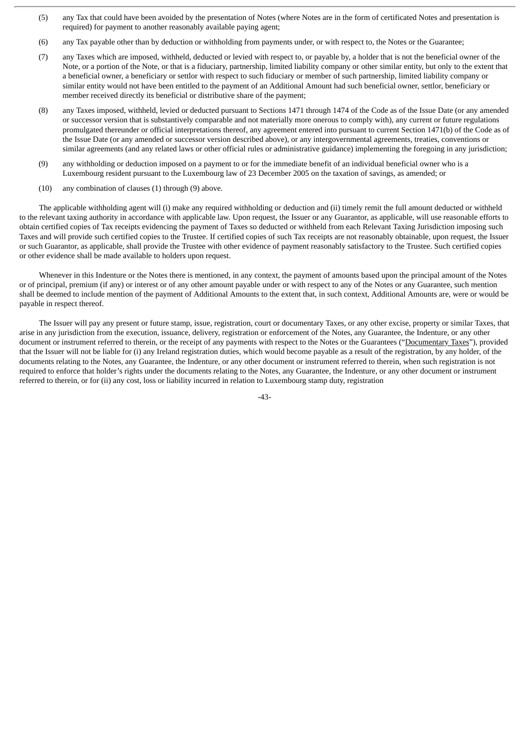- (5) any Tax that could have been avoided by the presentation of Notes (where Notes are in the form of certificated Notes and presentation is required) for payment to another reasonably available paying agent;
- (6) any Tax payable other than by deduction or withholding from payments under, or with respect to, the Notes or the Guarantee;
- (7) any Taxes which are imposed, withheld, deducted or levied with respect to, or payable by, a holder that is not the beneficial owner of the Note, or a portion of the Note, or that is a fiduciary, partnership, limited liability company or other similar entity, but only to the extent that a beneficial owner, a beneficiary or settlor with respect to such fiduciary or member of such partnership, limited liability company or similar entity would not have been entitled to the payment of an Additional Amount had such beneficial owner, settlor, beneficiary or member received directly its beneficial or distributive share of the payment;
- (8) any Taxes imposed, withheld, levied or deducted pursuant to Sections 1471 through 1474 of the Code as of the Issue Date (or any amended or successor version that is substantively comparable and not materially more onerous to comply with), any current or future regulations promulgated thereunder or official interpretations thereof, any agreement entered into pursuant to current Section 1471(b) of the Code as of the Issue Date (or any amended or successor version described above), or any intergovernmental agreements, treaties, conventions or similar agreements (and any related laws or other official rules or administrative guidance) implementing the foregoing in any jurisdiction;
- (9) any withholding or deduction imposed on a payment to or for the immediate benefit of an individual beneficial owner who is a Luxembourg resident pursuant to the Luxembourg law of 23 December 2005 on the taxation of savings, as amended; or
- (10) any combination of clauses (1) through (9) above.

The applicable withholding agent will (i) make any required withholding or deduction and (ii) timely remit the full amount deducted or withheld to the relevant taxing authority in accordance with applicable law. Upon request, the Issuer or any Guarantor, as applicable, will use reasonable efforts to obtain certified copies of Tax receipts evidencing the payment of Taxes so deducted or withheld from each Relevant Taxing Jurisdiction imposing such Taxes and will provide such certified copies to the Trustee. If certified copies of such Tax receipts are not reasonably obtainable, upon request, the Issuer or such Guarantor, as applicable, shall provide the Trustee with other evidence of payment reasonably satisfactory to the Trustee. Such certified copies or other evidence shall be made available to holders upon request.

Whenever in this Indenture or the Notes there is mentioned, in any context, the payment of amounts based upon the principal amount of the Notes or of principal, premium (if any) or interest or of any other amount payable under or with respect to any of the Notes or any Guarantee, such mention shall be deemed to include mention of the payment of Additional Amounts to the extent that, in such context, Additional Amounts are, were or would be payable in respect thereof.

The Issuer will pay any present or future stamp, issue, registration, court or documentary Taxes, or any other excise, property or similar Taxes, that arise in any jurisdiction from the execution, issuance, delivery, registration or enforcement of the Notes, any Guarantee, the Indenture, or any other document or instrument referred to therein, or the receipt of any payments with respect to the Notes or the Guarantees ("Documentary Taxes"), provided that the Issuer will not be liable for (i) any Ireland registration duties, which would become payable as a result of the registration, by any holder, of the documents relating to the Notes, any Guarantee, the Indenture, or any other document or instrument referred to therein, when such registration is not required to enforce that holder's rights under the documents relating to the Notes, any Guarantee, the Indenture, or any other document or instrument referred to therein, or for (ii) any cost, loss or liability incurred in relation to Luxembourg stamp duty, registration

-43-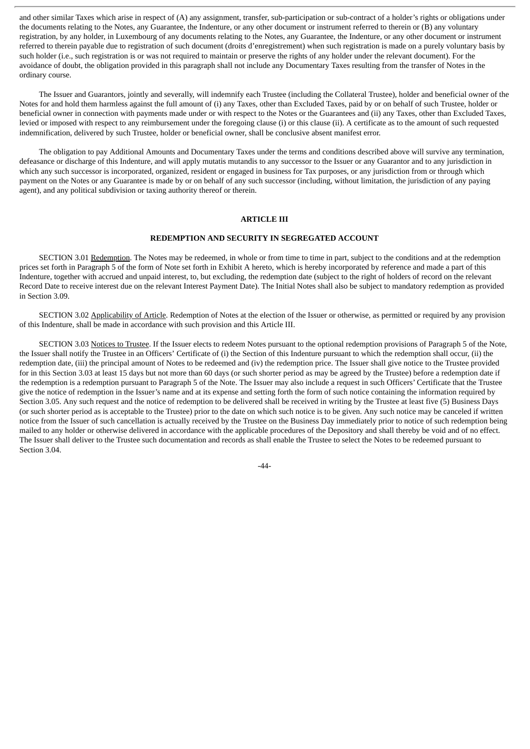and other similar Taxes which arise in respect of (A) any assignment, transfer, sub-participation or sub-contract of a holder's rights or obligations under the documents relating to the Notes, any Guarantee, the Indenture, or any other document or instrument referred to therein or (B) any voluntary registration, by any holder, in Luxembourg of any documents relating to the Notes, any Guarantee, the Indenture, or any other document or instrument referred to therein payable due to registration of such document (droits d'enregistrement) when such registration is made on a purely voluntary basis by such holder (i.e., such registration is or was not required to maintain or preserve the rights of any holder under the relevant document). For the avoidance of doubt, the obligation provided in this paragraph shall not include any Documentary Taxes resulting from the transfer of Notes in the ordinary course.

The Issuer and Guarantors, jointly and severally, will indemnify each Trustee (including the Collateral Trustee), holder and beneficial owner of the Notes for and hold them harmless against the full amount of (i) any Taxes, other than Excluded Taxes, paid by or on behalf of such Trustee, holder or beneficial owner in connection with payments made under or with respect to the Notes or the Guarantees and (ii) any Taxes, other than Excluded Taxes, levied or imposed with respect to any reimbursement under the foregoing clause (i) or this clause (ii). A certificate as to the amount of such requested indemnification, delivered by such Trustee, holder or beneficial owner, shall be conclusive absent manifest error.

The obligation to pay Additional Amounts and Documentary Taxes under the terms and conditions described above will survive any termination, defeasance or discharge of this Indenture, and will apply mutatis mutandis to any successor to the Issuer or any Guarantor and to any jurisdiction in which any such successor is incorporated, organized, resident or engaged in business for Tax purposes, or any jurisdiction from or through which payment on the Notes or any Guarantee is made by or on behalf of any such successor (including, without limitation, the jurisdiction of any paying agent), and any political subdivision or taxing authority thereof or therein.

## **ARTICLE III**

# **REDEMPTION AND SECURITY IN SEGREGATED ACCOUNT**

SECTION 3.01 Redemption. The Notes may be redeemed, in whole or from time to time in part, subject to the conditions and at the redemption prices set forth in Paragraph 5 of the form of Note set forth in Exhibit A hereto, which is hereby incorporated by reference and made a part of this Indenture, together with accrued and unpaid interest, to, but excluding, the redemption date (subject to the right of holders of record on the relevant Record Date to receive interest due on the relevant Interest Payment Date). The Initial Notes shall also be subject to mandatory redemption as provided in Section 3.09.

SECTION 3.02 Applicability of Article. Redemption of Notes at the election of the Issuer or otherwise, as permitted or required by any provision of this Indenture, shall be made in accordance with such provision and this Article III.

SECTION 3.03 Notices to Trustee. If the Issuer elects to redeem Notes pursuant to the optional redemption provisions of Paragraph 5 of the Note, the Issuer shall notify the Trustee in an Officers' Certificate of (i) the Section of this Indenture pursuant to which the redemption shall occur, (ii) the redemption date, (iii) the principal amount of Notes to be redeemed and (iv) the redemption price. The Issuer shall give notice to the Trustee provided for in this Section 3.03 at least 15 days but not more than 60 days (or such shorter period as may be agreed by the Trustee) before a redemption date if the redemption is a redemption pursuant to Paragraph 5 of the Note. The Issuer may also include a request in such Officers' Certificate that the Trustee give the notice of redemption in the Issuer's name and at its expense and setting forth the form of such notice containing the information required by Section 3.05. Any such request and the notice of redemption to be delivered shall be received in writing by the Trustee at least five (5) Business Days (or such shorter period as is acceptable to the Trustee) prior to the date on which such notice is to be given. Any such notice may be canceled if written notice from the Issuer of such cancellation is actually received by the Trustee on the Business Day immediately prior to notice of such redemption being mailed to any holder or otherwise delivered in accordance with the applicable procedures of the Depository and shall thereby be void and of no effect. The Issuer shall deliver to the Trustee such documentation and records as shall enable the Trustee to select the Notes to be redeemed pursuant to Section 3.04.

-44-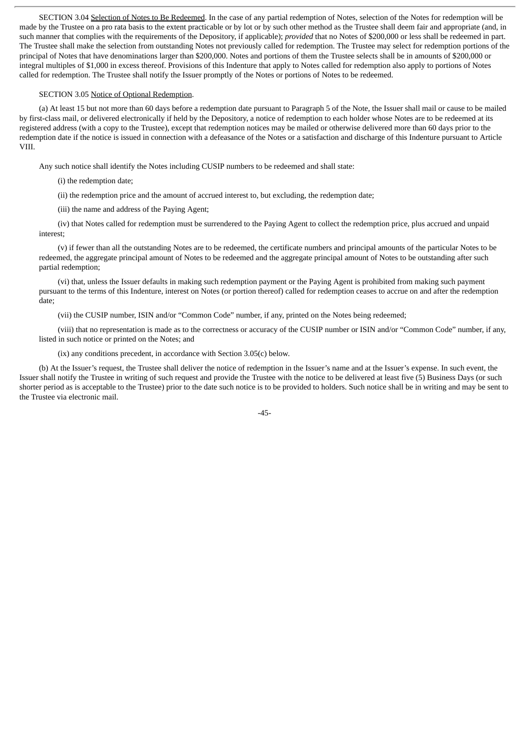SECTION 3.04 Selection of Notes to Be Redeemed. In the case of any partial redemption of Notes, selection of the Notes for redemption will be made by the Trustee on a pro rata basis to the extent practicable or by lot or by such other method as the Trustee shall deem fair and appropriate (and, in such manner that complies with the requirements of the Depository, if applicable); *provided* that no Notes of \$200,000 or less shall be redeemed in part. The Trustee shall make the selection from outstanding Notes not previously called for redemption. The Trustee may select for redemption portions of the principal of Notes that have denominations larger than \$200,000. Notes and portions of them the Trustee selects shall be in amounts of \$200,000 or integral multiples of \$1,000 in excess thereof. Provisions of this Indenture that apply to Notes called for redemption also apply to portions of Notes called for redemption. The Trustee shall notify the Issuer promptly of the Notes or portions of Notes to be redeemed.

#### SECTION 3.05 Notice of Optional Redemption.

(a) At least 15 but not more than 60 days before a redemption date pursuant to Paragraph 5 of the Note, the Issuer shall mail or cause to be mailed by first-class mail, or delivered electronically if held by the Depository, a notice of redemption to each holder whose Notes are to be redeemed at its registered address (with a copy to the Trustee), except that redemption notices may be mailed or otherwise delivered more than 60 days prior to the redemption date if the notice is issued in connection with a defeasance of the Notes or a satisfaction and discharge of this Indenture pursuant to Article VIII.

Any such notice shall identify the Notes including CUSIP numbers to be redeemed and shall state:

(i) the redemption date;

(ii) the redemption price and the amount of accrued interest to, but excluding, the redemption date;

(iii) the name and address of the Paying Agent;

(iv) that Notes called for redemption must be surrendered to the Paying Agent to collect the redemption price, plus accrued and unpaid interest;

(v) if fewer than all the outstanding Notes are to be redeemed, the certificate numbers and principal amounts of the particular Notes to be redeemed, the aggregate principal amount of Notes to be redeemed and the aggregate principal amount of Notes to be outstanding after such partial redemption;

(vi) that, unless the Issuer defaults in making such redemption payment or the Paying Agent is prohibited from making such payment pursuant to the terms of this Indenture, interest on Notes (or portion thereof) called for redemption ceases to accrue on and after the redemption date;

(vii) the CUSIP number, ISIN and/or "Common Code" number, if any, printed on the Notes being redeemed;

(viii) that no representation is made as to the correctness or accuracy of the CUSIP number or ISIN and/or "Common Code" number, if any, listed in such notice or printed on the Notes; and

(ix) any conditions precedent, in accordance with Section 3.05(c) below.

(b) At the Issuer's request, the Trustee shall deliver the notice of redemption in the Issuer's name and at the Issuer's expense. In such event, the Issuer shall notify the Trustee in writing of such request and provide the Trustee with the notice to be delivered at least five (5) Business Days (or such shorter period as is acceptable to the Trustee) prior to the date such notice is to be provided to holders. Such notice shall be in writing and may be sent to the Trustee via electronic mail.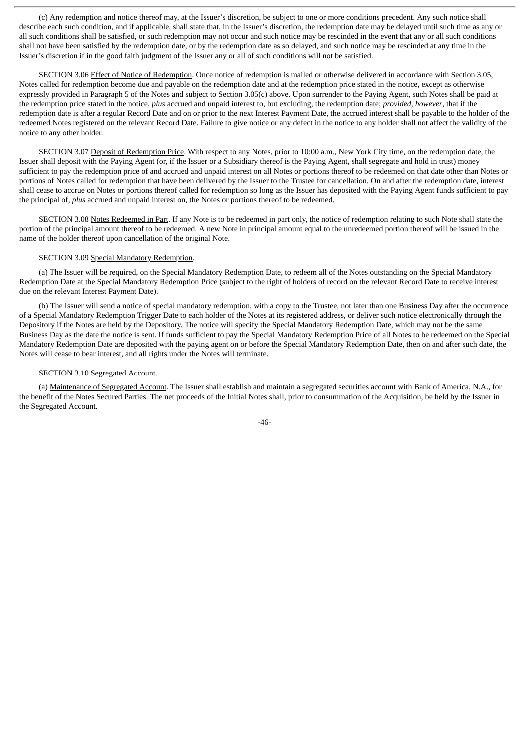(c) Any redemption and notice thereof may, at the Issuer's discretion, be subject to one or more conditions precedent. Any such notice shall describe each such condition, and if applicable, shall state that, in the Issuer's discretion, the redemption date may be delayed until such time as any or all such conditions shall be satisfied, or such redemption may not occur and such notice may be rescinded in the event that any or all such conditions shall not have been satisfied by the redemption date, or by the redemption date as so delayed, and such notice may be rescinded at any time in the Issuer's discretion if in the good faith judgment of the Issuer any or all of such conditions will not be satisfied.

SECTION 3.06 Effect of Notice of Redemption. Once notice of redemption is mailed or otherwise delivered in accordance with Section 3.05, Notes called for redemption become due and payable on the redemption date and at the redemption price stated in the notice, except as otherwise expressly provided in Paragraph 5 of the Notes and subject to Section 3.05(c) above. Upon surrender to the Paying Agent, such Notes shall be paid at the redemption price stated in the notice, *plus* accrued and unpaid interest to, but excluding, the redemption date; *provided*, *however*, that if the redemption date is after a regular Record Date and on or prior to the next Interest Payment Date, the accrued interest shall be payable to the holder of the redeemed Notes registered on the relevant Record Date. Failure to give notice or any defect in the notice to any holder shall not affect the validity of the notice to any other holder.

SECTION 3.07 Deposit of Redemption Price. With respect to any Notes, prior to 10:00 a.m., New York City time, on the redemption date, the Issuer shall deposit with the Paying Agent (or, if the Issuer or a Subsidiary thereof is the Paying Agent, shall segregate and hold in trust) money sufficient to pay the redemption price of and accrued and unpaid interest on all Notes or portions thereof to be redeemed on that date other than Notes or portions of Notes called for redemption that have been delivered by the Issuer to the Trustee for cancellation. On and after the redemption date, interest shall cease to accrue on Notes or portions thereof called for redemption so long as the Issuer has deposited with the Paying Agent funds sufficient to pay the principal of, *plus* accrued and unpaid interest on, the Notes or portions thereof to be redeemed.

SECTION 3.08 Notes Redeemed in Part. If any Note is to be redeemed in part only, the notice of redemption relating to such Note shall state the portion of the principal amount thereof to be redeemed. A new Note in principal amount equal to the unredeemed portion thereof will be issued in the name of the holder thereof upon cancellation of the original Note.

## SECTION 3.09 Special Mandatory Redemption.

(a) The Issuer will be required, on the Special Mandatory Redemption Date, to redeem all of the Notes outstanding on the Special Mandatory Redemption Date at the Special Mandatory Redemption Price (subject to the right of holders of record on the relevant Record Date to receive interest due on the relevant Interest Payment Date).

(b) The Issuer will send a notice of special mandatory redemption, with a copy to the Trustee, not later than one Business Day after the occurrence of a Special Mandatory Redemption Trigger Date to each holder of the Notes at its registered address, or deliver such notice electronically through the Depository if the Notes are held by the Depository. The notice will specify the Special Mandatory Redemption Date, which may not be the same Business Day as the date the notice is sent. If funds sufficient to pay the Special Mandatory Redemption Price of all Notes to be redeemed on the Special Mandatory Redemption Date are deposited with the paying agent on or before the Special Mandatory Redemption Date, then on and after such date, the Notes will cease to bear interest, and all rights under the Notes will terminate.

#### SECTION 3.10 Segregated Account.

(a) Maintenance of Segregated Account. The Issuer shall establish and maintain a segregated securities account with Bank of America, N.A., for the benefit of the Notes Secured Parties. The net proceeds of the Initial Notes shall, prior to consummation of the Acquisition, be held by the Issuer in the Segregated Account.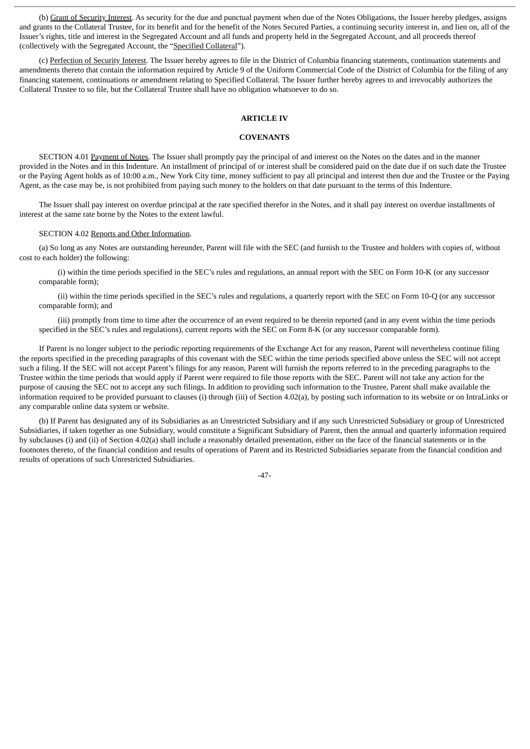(b) Grant of Security Interest. As security for the due and punctual payment when due of the Notes Obligations, the Issuer hereby pledges, assigns and grants to the Collateral Trustee, for its benefit and for the benefit of the Notes Secured Parties, a continuing security interest in, and lien on, all of the Issuer's rights, title and interest in the Segregated Account and all funds and property held in the Segregated Account, and all proceeds thereof (collectively with the Segregated Account, the "Specified Collateral").

(c) Perfection of Security Interest. The Issuer hereby agrees to file in the District of Columbia financing statements, continuation statements and amendments thereto that contain the information required by Article 9 of the Uniform Commercial Code of the District of Columbia for the filing of any financing statement, continuations or amendment relating to Specified Collateral. The Issuer further hereby agrees to and irrevocably authorizes the Collateral Trustee to so file, but the Collateral Trustee shall have no obligation whatsoever to do so.

### **ARTICLE IV**

#### **COVENANTS**

SECTION 4.01 Payment of Notes. The Issuer shall promptly pay the principal of and interest on the Notes on the dates and in the manner provided in the Notes and in this Indenture. An installment of principal of or interest shall be considered paid on the date due if on such date the Trustee or the Paying Agent holds as of 10:00 a.m., New York City time, money sufficient to pay all principal and interest then due and the Trustee or the Paying Agent, as the case may be, is not prohibited from paying such money to the holders on that date pursuant to the terms of this Indenture.

The Issuer shall pay interest on overdue principal at the rate specified therefor in the Notes, and it shall pay interest on overdue installments of interest at the same rate borne by the Notes to the extent lawful.

### SECTION 4.02 Reports and Other Information.

(a) So long as any Notes are outstanding hereunder, Parent will file with the SEC (and furnish to the Trustee and holders with copies of, without cost to each holder) the following:

(i) within the time periods specified in the SEC's rules and regulations, an annual report with the SEC on Form 10-K (or any successor comparable form);

(ii) within the time periods specified in the SEC's rules and regulations, a quarterly report with the SEC on Form 10-Q (or any successor comparable form); and

(iii) promptly from time to time after the occurrence of an event required to be therein reported (and in any event within the time periods specified in the SEC's rules and regulations), current reports with the SEC on Form 8-K (or any successor comparable form).

If Parent is no longer subject to the periodic reporting requirements of the Exchange Act for any reason, Parent will nevertheless continue filing the reports specified in the preceding paragraphs of this covenant with the SEC within the time periods specified above unless the SEC will not accept such a filing. If the SEC will not accept Parent's filings for any reason, Parent will furnish the reports referred to in the preceding paragraphs to the Trustee within the time periods that would apply if Parent were required to file those reports with the SEC. Parent will not take any action for the purpose of causing the SEC not to accept any such filings. In addition to providing such information to the Trustee, Parent shall make available the information required to be provided pursuant to clauses (i) through (iii) of Section 4.02(a), by posting such information to its website or on IntraLinks or any comparable online data system or website.

(b) If Parent has designated any of its Subsidiaries as an Unrestricted Subsidiary and if any such Unrestricted Subsidiary or group of Unrestricted Subsidiaries, if taken together as one Subsidiary, would constitute a Significant Subsidiary of Parent, then the annual and quarterly information required by subclauses (i) and (ii) of Section 4.02(a) shall include a reasonably detailed presentation, either on the face of the financial statements or in the footnotes thereto, of the financial condition and results of operations of Parent and its Restricted Subsidiaries separate from the financial condition and results of operations of such Unrestricted Subsidiaries.

 $-47-$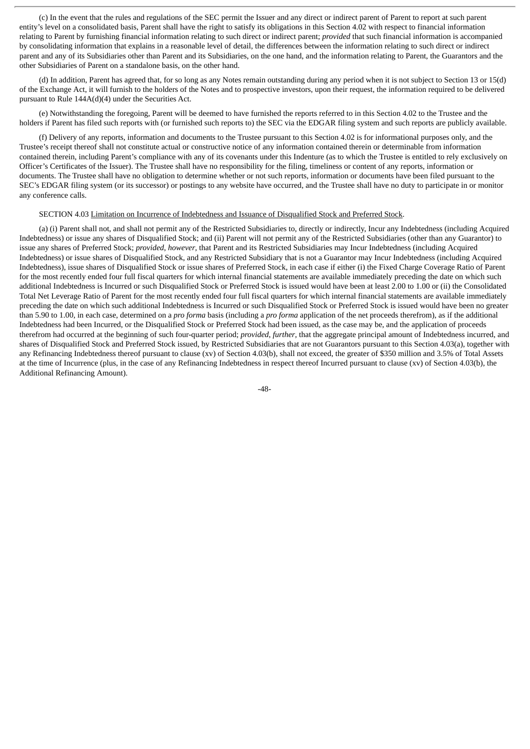(c) In the event that the rules and regulations of the SEC permit the Issuer and any direct or indirect parent of Parent to report at such parent entity's level on a consolidated basis, Parent shall have the right to satisfy its obligations in this Section 4.02 with respect to financial information relating to Parent by furnishing financial information relating to such direct or indirect parent; *provided* that such financial information is accompanied by consolidating information that explains in a reasonable level of detail, the differences between the information relating to such direct or indirect parent and any of its Subsidiaries other than Parent and its Subsidiaries, on the one hand, and the information relating to Parent, the Guarantors and the other Subsidiaries of Parent on a standalone basis, on the other hand.

(d) In addition, Parent has agreed that, for so long as any Notes remain outstanding during any period when it is not subject to Section 13 or 15(d) of the Exchange Act, it will furnish to the holders of the Notes and to prospective investors, upon their request, the information required to be delivered pursuant to Rule 144A(d)(4) under the Securities Act.

(e) Notwithstanding the foregoing, Parent will be deemed to have furnished the reports referred to in this Section 4.02 to the Trustee and the holders if Parent has filed such reports with (or furnished such reports to) the SEC via the EDGAR filing system and such reports are publicly available.

(f) Delivery of any reports, information and documents to the Trustee pursuant to this Section 4.02 is for informational purposes only, and the Trustee's receipt thereof shall not constitute actual or constructive notice of any information contained therein or determinable from information contained therein, including Parent's compliance with any of its covenants under this Indenture (as to which the Trustee is entitled to rely exclusively on Officer's Certificates of the Issuer). The Trustee shall have no responsibility for the filing, timeliness or content of any reports, information or documents. The Trustee shall have no obligation to determine whether or not such reports, information or documents have been filed pursuant to the SEC's EDGAR filing system (or its successor) or postings to any website have occurred, and the Trustee shall have no duty to participate in or monitor any conference calls.

## SECTION 4.03 Limitation on Incurrence of Indebtedness and Issuance of Disqualified Stock and Preferred Stock.

(a) (i) Parent shall not, and shall not permit any of the Restricted Subsidiaries to, directly or indirectly, Incur any Indebtedness (including Acquired Indebtedness) or issue any shares of Disqualified Stock; and (ii) Parent will not permit any of the Restricted Subsidiaries (other than any Guarantor) to issue any shares of Preferred Stock; *provided*, *however*, that Parent and its Restricted Subsidiaries may Incur Indebtedness (including Acquired Indebtedness) or issue shares of Disqualified Stock, and any Restricted Subsidiary that is not a Guarantor may Incur Indebtedness (including Acquired Indebtedness), issue shares of Disqualified Stock or issue shares of Preferred Stock, in each case if either (i) the Fixed Charge Coverage Ratio of Parent for the most recently ended four full fiscal quarters for which internal financial statements are available immediately preceding the date on which such additional Indebtedness is Incurred or such Disqualified Stock or Preferred Stock is issued would have been at least 2.00 to 1.00 or (ii) the Consolidated Total Net Leverage Ratio of Parent for the most recently ended four full fiscal quarters for which internal financial statements are available immediately preceding the date on which such additional Indebtedness is Incurred or such Disqualified Stock or Preferred Stock is issued would have been no greater than 5.90 to 1.00, in each case, determined on a *pro forma* basis (including a *pro forma* application of the net proceeds therefrom), as if the additional Indebtedness had been Incurred, or the Disqualified Stock or Preferred Stock had been issued, as the case may be, and the application of proceeds therefrom had occurred at the beginning of such four-quarter period; *provided*, *further*, that the aggregate principal amount of Indebtedness incurred, and shares of Disqualified Stock and Preferred Stock issued, by Restricted Subsidiaries that are not Guarantors pursuant to this Section 4.03(a), together with any Refinancing Indebtedness thereof pursuant to clause (xv) of Section 4.03(b), shall not exceed, the greater of \$350 million and 3.5% of Total Assets at the time of Incurrence (plus, in the case of any Refinancing Indebtedness in respect thereof Incurred pursuant to clause (xv) of Section 4.03(b), the Additional Refinancing Amount).

-48-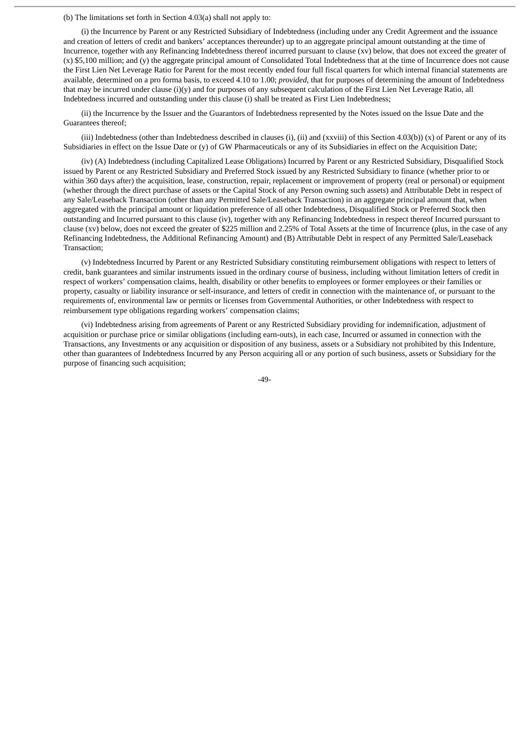# (b) The limitations set forth in Section 4.03(a) shall not apply to:

(i) the Incurrence by Parent or any Restricted Subsidiary of Indebtedness (including under any Credit Agreement and the issuance and creation of letters of credit and bankers' acceptances thereunder) up to an aggregate principal amount outstanding at the time of Incurrence, together with any Refinancing Indebtedness thereof incurred pursuant to clause (xv) below, that does not exceed the greater of (x) \$5,100 million; and (y) the aggregate principal amount of Consolidated Total Indebtedness that at the time of Incurrence does not cause the First Lien Net Leverage Ratio for Parent for the most recently ended four full fiscal quarters for which internal financial statements are available, determined on a pro forma basis, to exceed 4.10 to 1.00; *provided*, that for purposes of determining the amount of Indebtedness that may be incurred under clause (i)(y) and for purposes of any subsequent calculation of the First Lien Net Leverage Ratio, all Indebtedness incurred and outstanding under this clause (i) shall be treated as First Lien Indebtedness;

(ii) the Incurrence by the Issuer and the Guarantors of Indebtedness represented by the Notes issued on the Issue Date and the Guarantees thereof;

(iii) Indebtedness (other than Indebtedness described in clauses (i), (ii) and (xxviii) of this Section 4.03(b)) (x) of Parent or any of its Subsidiaries in effect on the Issue Date or (y) of GW Pharmaceuticals or any of its Subsidiaries in effect on the Acquisition Date;

(iv) (A) Indebtedness (including Capitalized Lease Obligations) Incurred by Parent or any Restricted Subsidiary, Disqualified Stock issued by Parent or any Restricted Subsidiary and Preferred Stock issued by any Restricted Subsidiary to finance (whether prior to or within 360 days after) the acquisition, lease, construction, repair, replacement or improvement of property (real or personal) or equipment (whether through the direct purchase of assets or the Capital Stock of any Person owning such assets) and Attributable Debt in respect of any Sale/Leaseback Transaction (other than any Permitted Sale/Leaseback Transaction) in an aggregate principal amount that, when aggregated with the principal amount or liquidation preference of all other Indebtedness, Disqualified Stock or Preferred Stock then outstanding and Incurred pursuant to this clause (iv), together with any Refinancing Indebtedness in respect thereof Incurred pursuant to clause (xv) below, does not exceed the greater of \$225 million and 2.25% of Total Assets at the time of Incurrence (plus, in the case of any Refinancing Indebtedness, the Additional Refinancing Amount) and (B) Attributable Debt in respect of any Permitted Sale/Leaseback Transaction;

(v) Indebtedness Incurred by Parent or any Restricted Subsidiary constituting reimbursement obligations with respect to letters of credit, bank guarantees and similar instruments issued in the ordinary course of business, including without limitation letters of credit in respect of workers' compensation claims, health, disability or other benefits to employees or former employees or their families or property, casualty or liability insurance or self-insurance, and letters of credit in connection with the maintenance of, or pursuant to the requirements of, environmental law or permits or licenses from Governmental Authorities, or other Indebtedness with respect to reimbursement type obligations regarding workers' compensation claims;

(vi) Indebtedness arising from agreements of Parent or any Restricted Subsidiary providing for indemnification, adjustment of acquisition or purchase price or similar obligations (including earn-outs), in each case, Incurred or assumed in connection with the Transactions, any Investments or any acquisition or disposition of any business, assets or a Subsidiary not prohibited by this Indenture, other than guarantees of Indebtedness Incurred by any Person acquiring all or any portion of such business, assets or Subsidiary for the purpose of financing such acquisition;

-49-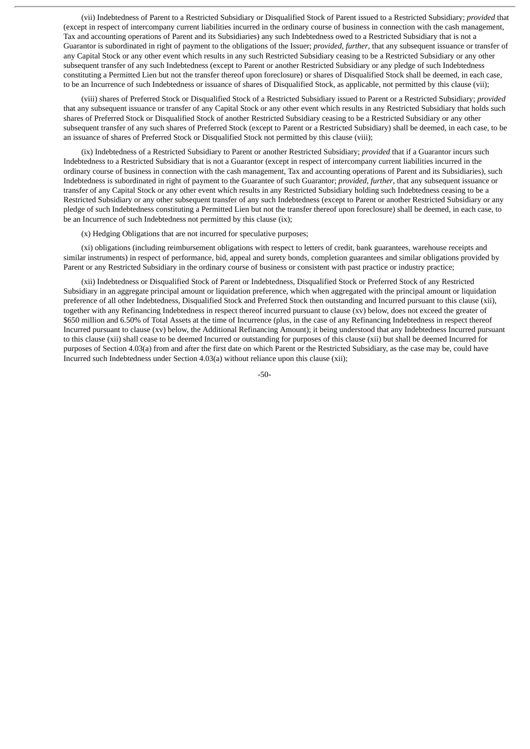(vii) Indebtedness of Parent to a Restricted Subsidiary or Disqualified Stock of Parent issued to a Restricted Subsidiary; *provided* that (except in respect of intercompany current liabilities incurred in the ordinary course of business in connection with the cash management, Tax and accounting operations of Parent and its Subsidiaries) any such Indebtedness owed to a Restricted Subsidiary that is not a Guarantor is subordinated in right of payment to the obligations of the Issuer; *provided*, *further*, that any subsequent issuance or transfer of any Capital Stock or any other event which results in any such Restricted Subsidiary ceasing to be a Restricted Subsidiary or any other subsequent transfer of any such Indebtedness (except to Parent or another Restricted Subsidiary or any pledge of such Indebtedness constituting a Permitted Lien but not the transfer thereof upon foreclosure) or shares of Disqualified Stock shall be deemed, in each case, to be an Incurrence of such Indebtedness or issuance of shares of Disqualified Stock, as applicable, not permitted by this clause (vii);

(viii) shares of Preferred Stock or Disqualified Stock of a Restricted Subsidiary issued to Parent or a Restricted Subsidiary; *provided* that any subsequent issuance or transfer of any Capital Stock or any other event which results in any Restricted Subsidiary that holds such shares of Preferred Stock or Disqualified Stock of another Restricted Subsidiary ceasing to be a Restricted Subsidiary or any other subsequent transfer of any such shares of Preferred Stock (except to Parent or a Restricted Subsidiary) shall be deemed, in each case, to be an issuance of shares of Preferred Stock or Disqualified Stock not permitted by this clause (viii);

(ix) Indebtedness of a Restricted Subsidiary to Parent or another Restricted Subsidiary; *provided* that if a Guarantor incurs such Indebtedness to a Restricted Subsidiary that is not a Guarantor (except in respect of intercompany current liabilities incurred in the ordinary course of business in connection with the cash management, Tax and accounting operations of Parent and its Subsidiaries), such Indebtedness is subordinated in right of payment to the Guarantee of such Guarantor; *provided*, *further*, that any subsequent issuance or transfer of any Capital Stock or any other event which results in any Restricted Subsidiary holding such Indebtedness ceasing to be a Restricted Subsidiary or any other subsequent transfer of any such Indebtedness (except to Parent or another Restricted Subsidiary or any pledge of such Indebtedness constituting a Permitted Lien but not the transfer thereof upon foreclosure) shall be deemed, in each case, to be an Incurrence of such Indebtedness not permitted by this clause (ix);

(x) Hedging Obligations that are not incurred for speculative purposes;

(xi) obligations (including reimbursement obligations with respect to letters of credit, bank guarantees, warehouse receipts and similar instruments) in respect of performance, bid, appeal and surety bonds, completion guarantees and similar obligations provided by Parent or any Restricted Subsidiary in the ordinary course of business or consistent with past practice or industry practice;

(xii) Indebtedness or Disqualified Stock of Parent or Indebtedness, Disqualified Stock or Preferred Stock of any Restricted Subsidiary in an aggregate principal amount or liquidation preference, which when aggregated with the principal amount or liquidation preference of all other Indebtedness, Disqualified Stock and Preferred Stock then outstanding and Incurred pursuant to this clause (xii), together with any Refinancing Indebtedness in respect thereof incurred pursuant to clause (xv) below, does not exceed the greater of \$650 million and 6.50% of Total Assets at the time of Incurrence (plus, in the case of any Refinancing Indebtedness in respect thereof Incurred pursuant to clause (xv) below, the Additional Refinancing Amount); it being understood that any Indebtedness Incurred pursuant to this clause (xii) shall cease to be deemed Incurred or outstanding for purposes of this clause (xii) but shall be deemed Incurred for purposes of Section 4.03(a) from and after the first date on which Parent or the Restricted Subsidiary, as the case may be, could have Incurred such Indebtedness under Section 4.03(a) without reliance upon this clause (xii);

-50-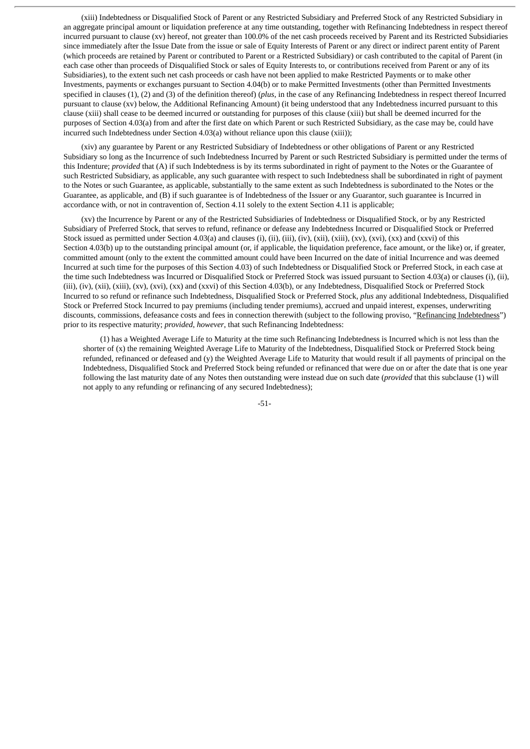(xiii) Indebtedness or Disqualified Stock of Parent or any Restricted Subsidiary and Preferred Stock of any Restricted Subsidiary in an aggregate principal amount or liquidation preference at any time outstanding, together with Refinancing Indebtedness in respect thereof incurred pursuant to clause (xv) hereof, not greater than 100.0% of the net cash proceeds received by Parent and its Restricted Subsidiaries since immediately after the Issue Date from the issue or sale of Equity Interests of Parent or any direct or indirect parent entity of Parent (which proceeds are retained by Parent or contributed to Parent or a Restricted Subsidiary) or cash contributed to the capital of Parent (in each case other than proceeds of Disqualified Stock or sales of Equity Interests to, or contributions received from Parent or any of its Subsidiaries), to the extent such net cash proceeds or cash have not been applied to make Restricted Payments or to make other Investments, payments or exchanges pursuant to Section 4.04(b) or to make Permitted Investments (other than Permitted Investments specified in clauses (1), (2) and (3) of the definition thereof) (*plus*, in the case of any Refinancing Indebtedness in respect thereof Incurred pursuant to clause (xv) below, the Additional Refinancing Amount) (it being understood that any Indebtedness incurred pursuant to this clause (xiii) shall cease to be deemed incurred or outstanding for purposes of this clause (xiii) but shall be deemed incurred for the purposes of Section 4.03(a) from and after the first date on which Parent or such Restricted Subsidiary, as the case may be, could have incurred such Indebtedness under Section 4.03(a) without reliance upon this clause (xiii));

(xiv) any guarantee by Parent or any Restricted Subsidiary of Indebtedness or other obligations of Parent or any Restricted Subsidiary so long as the Incurrence of such Indebtedness Incurred by Parent or such Restricted Subsidiary is permitted under the terms of this Indenture; *provided* that (A) if such Indebtedness is by its terms subordinated in right of payment to the Notes or the Guarantee of such Restricted Subsidiary, as applicable, any such guarantee with respect to such Indebtedness shall be subordinated in right of payment to the Notes or such Guarantee, as applicable, substantially to the same extent as such Indebtedness is subordinated to the Notes or the Guarantee, as applicable, and (B) if such guarantee is of Indebtedness of the Issuer or any Guarantor, such guarantee is Incurred in accordance with, or not in contravention of, Section 4.11 solely to the extent Section 4.11 is applicable;

(xv) the Incurrence by Parent or any of the Restricted Subsidiaries of Indebtedness or Disqualified Stock, or by any Restricted Subsidiary of Preferred Stock, that serves to refund, refinance or defease any Indebtedness Incurred or Disqualified Stock or Preferred Stock issued as permitted under Section 4.03(a) and clauses (i), (ii), (iii), (iv), (xii), (xii), (xv), (xvi), (xx) and (xxvi) of this Section 4.03(b) up to the outstanding principal amount (or, if applicable, the liquidation preference, face amount, or the like) or, if greater, committed amount (only to the extent the committed amount could have been Incurred on the date of initial Incurrence and was deemed Incurred at such time for the purposes of this Section 4.03) of such Indebtedness or Disqualified Stock or Preferred Stock, in each case at the time such Indebtedness was Incurred or Disqualified Stock or Preferred Stock was issued pursuant to Section 4.03(a) or clauses (i), (ii), (iii), (iv), (xii), (xiii), (xv), (xvi), (xx) and (xxvi) of this Section 4.03(b), or any Indebtedness, Disqualified Stock or Preferred Stock Incurred to so refund or refinance such Indebtedness, Disqualified Stock or Preferred Stock, *plus* any additional Indebtedness, Disqualified Stock or Preferred Stock Incurred to pay premiums (including tender premiums), accrued and unpaid interest, expenses, underwriting discounts, commissions, defeasance costs and fees in connection therewith (subject to the following proviso, "Refinancing Indebtedness") prior to its respective maturity; *provided*, *however*, that such Refinancing Indebtedness:

(1) has a Weighted Average Life to Maturity at the time such Refinancing Indebtedness is Incurred which is not less than the shorter of (x) the remaining Weighted Average Life to Maturity of the Indebtedness, Disqualified Stock or Preferred Stock being refunded, refinanced or defeased and (y) the Weighted Average Life to Maturity that would result if all payments of principal on the Indebtedness, Disqualified Stock and Preferred Stock being refunded or refinanced that were due on or after the date that is one year following the last maturity date of any Notes then outstanding were instead due on such date (*provided* that this subclause (1) will not apply to any refunding or refinancing of any secured Indebtedness);

-51-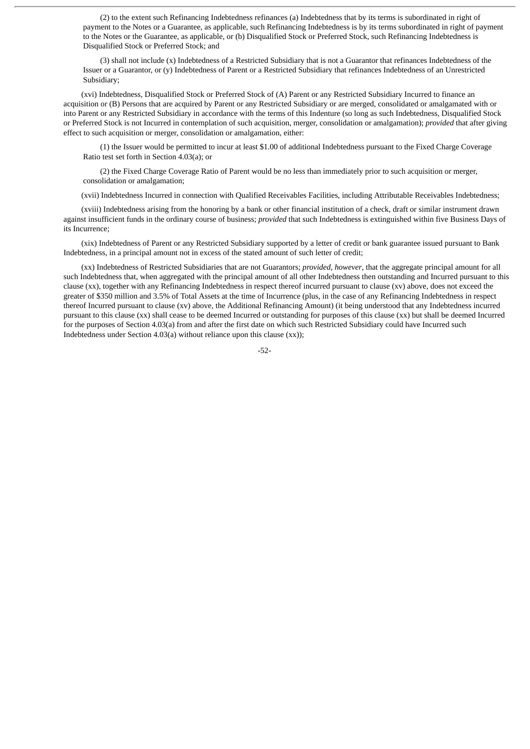(2) to the extent such Refinancing Indebtedness refinances (a) Indebtedness that by its terms is subordinated in right of payment to the Notes or a Guarantee, as applicable, such Refinancing Indebtedness is by its terms subordinated in right of payment to the Notes or the Guarantee, as applicable, or (b) Disqualified Stock or Preferred Stock, such Refinancing Indebtedness is Disqualified Stock or Preferred Stock; and

(3) shall not include (x) Indebtedness of a Restricted Subsidiary that is not a Guarantor that refinances Indebtedness of the Issuer or a Guarantor, or (y) Indebtedness of Parent or a Restricted Subsidiary that refinances Indebtedness of an Unrestricted Subsidiary;

(xvi) Indebtedness, Disqualified Stock or Preferred Stock of (A) Parent or any Restricted Subsidiary Incurred to finance an acquisition or (B) Persons that are acquired by Parent or any Restricted Subsidiary or are merged, consolidated or amalgamated with or into Parent or any Restricted Subsidiary in accordance with the terms of this Indenture (so long as such Indebtedness, Disqualified Stock or Preferred Stock is not Incurred in contemplation of such acquisition, merger, consolidation or amalgamation); *provided* that after giving effect to such acquisition or merger, consolidation or amalgamation, either:

(1) the Issuer would be permitted to incur at least \$1.00 of additional Indebtedness pursuant to the Fixed Charge Coverage Ratio test set forth in Section 4.03(a); or

(2) the Fixed Charge Coverage Ratio of Parent would be no less than immediately prior to such acquisition or merger, consolidation or amalgamation;

(xvii) Indebtedness Incurred in connection with Qualified Receivables Facilities, including Attributable Receivables Indebtedness;

(xviii) Indebtedness arising from the honoring by a bank or other financial institution of a check, draft or similar instrument drawn against insufficient funds in the ordinary course of business; *provided* that such Indebtedness is extinguished within five Business Days of its Incurrence;

(xix) Indebtedness of Parent or any Restricted Subsidiary supported by a letter of credit or bank guarantee issued pursuant to Bank Indebtedness, in a principal amount not in excess of the stated amount of such letter of credit;

(xx) Indebtedness of Restricted Subsidiaries that are not Guarantors; *provided*, *however*, that the aggregate principal amount for all such Indebtedness that, when aggregated with the principal amount of all other Indebtedness then outstanding and Incurred pursuant to this clause (xx), together with any Refinancing Indebtedness in respect thereof incurred pursuant to clause (xv) above, does not exceed the greater of \$350 million and 3.5% of Total Assets at the time of Incurrence (plus, in the case of any Refinancing Indebtedness in respect thereof Incurred pursuant to clause (xv) above, the Additional Refinancing Amount) (it being understood that any Indebtedness incurred pursuant to this clause (xx) shall cease to be deemed Incurred or outstanding for purposes of this clause (xx) but shall be deemed Incurred for the purposes of Section 4.03(a) from and after the first date on which such Restricted Subsidiary could have Incurred such Indebtedness under Section 4.03(a) without reliance upon this clause (xx));

-52-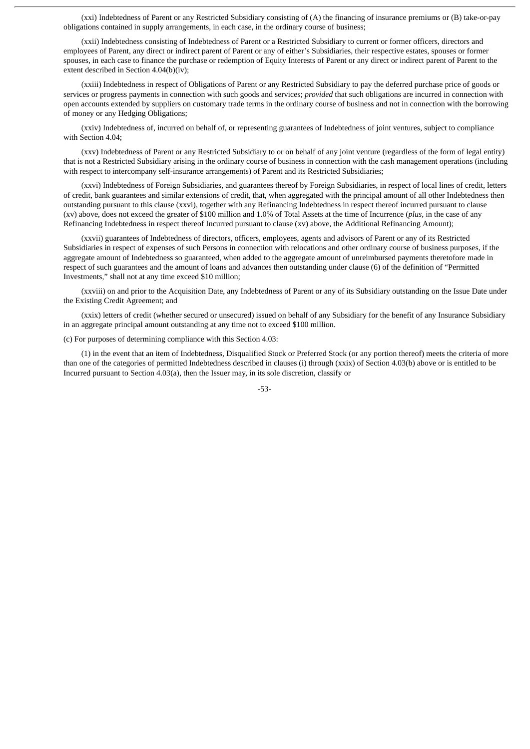(xxi) Indebtedness of Parent or any Restricted Subsidiary consisting of (A) the financing of insurance premiums or (B) take-or-pay obligations contained in supply arrangements, in each case, in the ordinary course of business;

(xxii) Indebtedness consisting of Indebtedness of Parent or a Restricted Subsidiary to current or former officers, directors and employees of Parent, any direct or indirect parent of Parent or any of either's Subsidiaries, their respective estates, spouses or former spouses, in each case to finance the purchase or redemption of Equity Interests of Parent or any direct or indirect parent of Parent to the extent described in Section 4.04(b)(iv);

(xxiii) Indebtedness in respect of Obligations of Parent or any Restricted Subsidiary to pay the deferred purchase price of goods or services or progress payments in connection with such goods and services; *provided* that such obligations are incurred in connection with open accounts extended by suppliers on customary trade terms in the ordinary course of business and not in connection with the borrowing of money or any Hedging Obligations;

(xxiv) Indebtedness of, incurred on behalf of, or representing guarantees of Indebtedness of joint ventures, subject to compliance with Section 4.04;

(xxv) Indebtedness of Parent or any Restricted Subsidiary to or on behalf of any joint venture (regardless of the form of legal entity) that is not a Restricted Subsidiary arising in the ordinary course of business in connection with the cash management operations (including with respect to intercompany self-insurance arrangements) of Parent and its Restricted Subsidiaries;

(xxvi) Indebtedness of Foreign Subsidiaries, and guarantees thereof by Foreign Subsidiaries, in respect of local lines of credit, letters of credit, bank guarantees and similar extensions of credit, that, when aggregated with the principal amount of all other Indebtedness then outstanding pursuant to this clause (xxvi), together with any Refinancing Indebtedness in respect thereof incurred pursuant to clause (xv) above, does not exceed the greater of \$100 million and 1.0% of Total Assets at the time of Incurrence (*plus*, in the case of any Refinancing Indebtedness in respect thereof Incurred pursuant to clause (xv) above, the Additional Refinancing Amount);

(xxvii) guarantees of Indebtedness of directors, officers, employees, agents and advisors of Parent or any of its Restricted Subsidiaries in respect of expenses of such Persons in connection with relocations and other ordinary course of business purposes, if the aggregate amount of Indebtedness so guaranteed, when added to the aggregate amount of unreimbursed payments theretofore made in respect of such guarantees and the amount of loans and advances then outstanding under clause (6) of the definition of "Permitted Investments," shall not at any time exceed \$10 million;

(xxviii) on and prior to the Acquisition Date, any Indebtedness of Parent or any of its Subsidiary outstanding on the Issue Date under the Existing Credit Agreement; and

(xxix) letters of credit (whether secured or unsecured) issued on behalf of any Subsidiary for the benefit of any Insurance Subsidiary in an aggregate principal amount outstanding at any time not to exceed \$100 million.

(c) For purposes of determining compliance with this Section 4.03:

(1) in the event that an item of Indebtedness, Disqualified Stock or Preferred Stock (or any portion thereof) meets the criteria of more than one of the categories of permitted Indebtedness described in clauses (i) through (xxix) of Section 4.03(b) above or is entitled to be Incurred pursuant to Section 4.03(a), then the Issuer may, in its sole discretion, classify or

-53-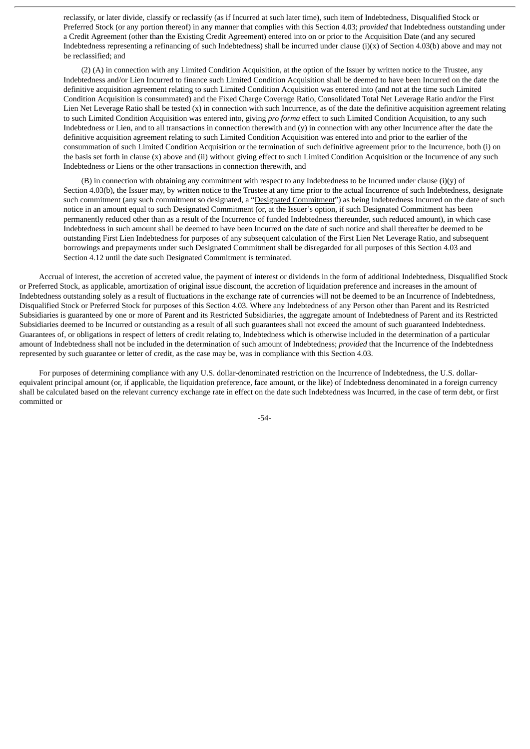reclassify, or later divide, classify or reclassify (as if Incurred at such later time), such item of Indebtedness, Disqualified Stock or Preferred Stock (or any portion thereof) in any manner that complies with this Section 4.03; *provided* that Indebtedness outstanding under a Credit Agreement (other than the Existing Credit Agreement) entered into on or prior to the Acquisition Date (and any secured Indebtedness representing a refinancing of such Indebtedness) shall be incurred under clause (i)(x) of Section 4.03(b) above and may not be reclassified; and

(2) (A) in connection with any Limited Condition Acquisition, at the option of the Issuer by written notice to the Trustee, any Indebtedness and/or Lien Incurred to finance such Limited Condition Acquisition shall be deemed to have been Incurred on the date the definitive acquisition agreement relating to such Limited Condition Acquisition was entered into (and not at the time such Limited Condition Acquisition is consummated) and the Fixed Charge Coverage Ratio, Consolidated Total Net Leverage Ratio and/or the First Lien Net Leverage Ratio shall be tested (x) in connection with such Incurrence, as of the date the definitive acquisition agreement relating to such Limited Condition Acquisition was entered into, giving *pro forma* effect to such Limited Condition Acquisition, to any such Indebtedness or Lien, and to all transactions in connection therewith and (y) in connection with any other Incurrence after the date the definitive acquisition agreement relating to such Limited Condition Acquisition was entered into and prior to the earlier of the consummation of such Limited Condition Acquisition or the termination of such definitive agreement prior to the Incurrence, both (i) on the basis set forth in clause (x) above and (ii) without giving effect to such Limited Condition Acquisition or the Incurrence of any such Indebtedness or Liens or the other transactions in connection therewith, and

(B) in connection with obtaining any commitment with respect to any Indebtedness to be Incurred under clause  $(i)(y)$  of Section 4.03(b), the Issuer may, by written notice to the Trustee at any time prior to the actual Incurrence of such Indebtedness, designate such commitment (any such commitment so designated, a "Designated Commitment") as being Indebtedness Incurred on the date of such notice in an amount equal to such Designated Commitment (or, at the Issuer's option, if such Designated Commitment has been permanently reduced other than as a result of the Incurrence of funded Indebtedness thereunder, such reduced amount), in which case Indebtedness in such amount shall be deemed to have been Incurred on the date of such notice and shall thereafter be deemed to be outstanding First Lien Indebtedness for purposes of any subsequent calculation of the First Lien Net Leverage Ratio, and subsequent borrowings and prepayments under such Designated Commitment shall be disregarded for all purposes of this Section 4.03 and Section 4.12 until the date such Designated Commitment is terminated.

Accrual of interest, the accretion of accreted value, the payment of interest or dividends in the form of additional Indebtedness, Disqualified Stock or Preferred Stock, as applicable, amortization of original issue discount, the accretion of liquidation preference and increases in the amount of Indebtedness outstanding solely as a result of fluctuations in the exchange rate of currencies will not be deemed to be an Incurrence of Indebtedness, Disqualified Stock or Preferred Stock for purposes of this Section 4.03. Where any Indebtedness of any Person other than Parent and its Restricted Subsidiaries is guaranteed by one or more of Parent and its Restricted Subsidiaries, the aggregate amount of Indebtedness of Parent and its Restricted Subsidiaries deemed to be Incurred or outstanding as a result of all such guarantees shall not exceed the amount of such guaranteed Indebtedness. Guarantees of, or obligations in respect of letters of credit relating to, Indebtedness which is otherwise included in the determination of a particular amount of Indebtedness shall not be included in the determination of such amount of Indebtedness; *provided* that the Incurrence of the Indebtedness represented by such guarantee or letter of credit, as the case may be, was in compliance with this Section 4.03.

For purposes of determining compliance with any U.S. dollar-denominated restriction on the Incurrence of Indebtedness, the U.S. dollarequivalent principal amount (or, if applicable, the liquidation preference, face amount, or the like) of Indebtedness denominated in a foreign currency shall be calculated based on the relevant currency exchange rate in effect on the date such Indebtedness was Incurred, in the case of term debt, or first committed or

-54-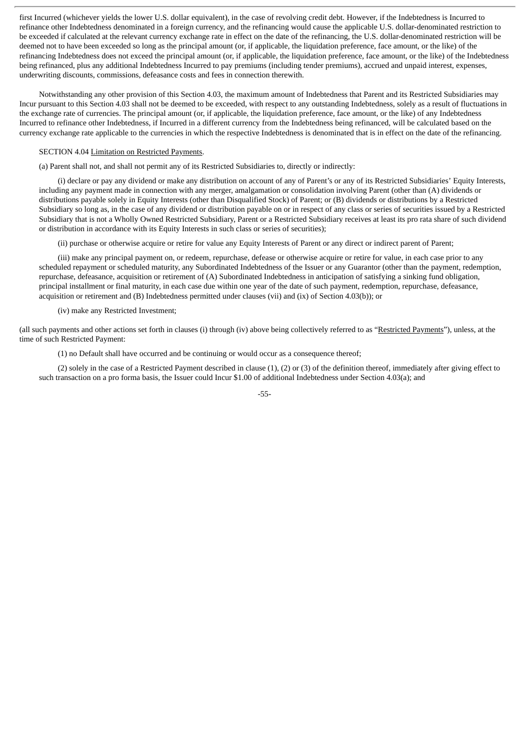first Incurred (whichever yields the lower U.S. dollar equivalent), in the case of revolving credit debt. However, if the Indebtedness is Incurred to refinance other Indebtedness denominated in a foreign currency, and the refinancing would cause the applicable U.S. dollar-denominated restriction to be exceeded if calculated at the relevant currency exchange rate in effect on the date of the refinancing, the U.S. dollar-denominated restriction will be deemed not to have been exceeded so long as the principal amount (or, if applicable, the liquidation preference, face amount, or the like) of the refinancing Indebtedness does not exceed the principal amount (or, if applicable, the liquidation preference, face amount, or the like) of the Indebtedness being refinanced, plus any additional Indebtedness Incurred to pay premiums (including tender premiums), accrued and unpaid interest, expenses, underwriting discounts, commissions, defeasance costs and fees in connection therewith.

Notwithstanding any other provision of this Section 4.03, the maximum amount of Indebtedness that Parent and its Restricted Subsidiaries may Incur pursuant to this Section 4.03 shall not be deemed to be exceeded, with respect to any outstanding Indebtedness, solely as a result of fluctuations in the exchange rate of currencies. The principal amount (or, if applicable, the liquidation preference, face amount, or the like) of any Indebtedness Incurred to refinance other Indebtedness, if Incurred in a different currency from the Indebtedness being refinanced, will be calculated based on the currency exchange rate applicable to the currencies in which the respective Indebtedness is denominated that is in effect on the date of the refinancing.

# SECTION 4.04 Limitation on Restricted Payments.

(a) Parent shall not, and shall not permit any of its Restricted Subsidiaries to, directly or indirectly:

(i) declare or pay any dividend or make any distribution on account of any of Parent's or any of its Restricted Subsidiaries' Equity Interests, including any payment made in connection with any merger, amalgamation or consolidation involving Parent (other than (A) dividends or distributions payable solely in Equity Interests (other than Disqualified Stock) of Parent; or (B) dividends or distributions by a Restricted Subsidiary so long as, in the case of any dividend or distribution payable on or in respect of any class or series of securities issued by a Restricted Subsidiary that is not a Wholly Owned Restricted Subsidiary, Parent or a Restricted Subsidiary receives at least its pro rata share of such dividend or distribution in accordance with its Equity Interests in such class or series of securities);

(ii) purchase or otherwise acquire or retire for value any Equity Interests of Parent or any direct or indirect parent of Parent;

(iii) make any principal payment on, or redeem, repurchase, defease or otherwise acquire or retire for value, in each case prior to any scheduled repayment or scheduled maturity, any Subordinated Indebtedness of the Issuer or any Guarantor (other than the payment, redemption, repurchase, defeasance, acquisition or retirement of (A) Subordinated Indebtedness in anticipation of satisfying a sinking fund obligation, principal installment or final maturity, in each case due within one year of the date of such payment, redemption, repurchase, defeasance, acquisition or retirement and (B) Indebtedness permitted under clauses (vii) and (ix) of Section 4.03(b)); or

(iv) make any Restricted Investment;

(all such payments and other actions set forth in clauses (i) through (iv) above being collectively referred to as "Restricted Payments"), unless, at the time of such Restricted Payment:

(1) no Default shall have occurred and be continuing or would occur as a consequence thereof;

(2) solely in the case of a Restricted Payment described in clause (1), (2) or (3) of the definition thereof, immediately after giving effect to such transaction on a pro forma basis, the Issuer could Incur \$1.00 of additional Indebtedness under Section 4.03(a); and

-55-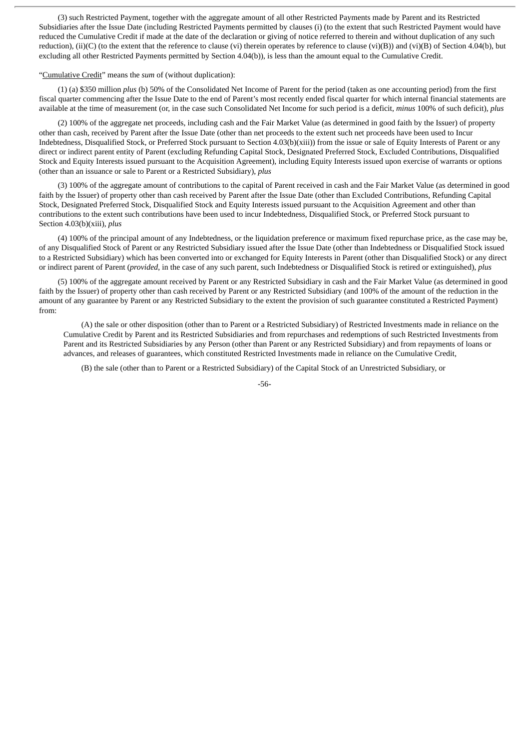(3) such Restricted Payment, together with the aggregate amount of all other Restricted Payments made by Parent and its Restricted Subsidiaries after the Issue Date (including Restricted Payments permitted by clauses (i) (to the extent that such Restricted Payment would have reduced the Cumulative Credit if made at the date of the declaration or giving of notice referred to therein and without duplication of any such reduction), (ii)(C) (to the extent that the reference to clause (vi) therein operates by reference to clause (vi)(B)) and (vi)(B) of Section 4.04(b), but excluding all other Restricted Payments permitted by Section 4.04(b)), is less than the amount equal to the Cumulative Credit.

"Cumulative Credit" means the *sum* of (without duplication):

(1) (a) \$350 million *plus* (b) 50% of the Consolidated Net Income of Parent for the period (taken as one accounting period) from the first fiscal quarter commencing after the Issue Date to the end of Parent's most recently ended fiscal quarter for which internal financial statements are available at the time of measurement (or, in the case such Consolidated Net Income for such period is a deficit, *minus* 100% of such deficit), *plus*

(2) 100% of the aggregate net proceeds, including cash and the Fair Market Value (as determined in good faith by the Issuer) of property other than cash, received by Parent after the Issue Date (other than net proceeds to the extent such net proceeds have been used to Incur Indebtedness, Disqualified Stock, or Preferred Stock pursuant to Section 4.03(b)(xiii)) from the issue or sale of Equity Interests of Parent or any direct or indirect parent entity of Parent (excluding Refunding Capital Stock, Designated Preferred Stock, Excluded Contributions, Disqualified Stock and Equity Interests issued pursuant to the Acquisition Agreement), including Equity Interests issued upon exercise of warrants or options (other than an issuance or sale to Parent or a Restricted Subsidiary), *plus*

(3) 100% of the aggregate amount of contributions to the capital of Parent received in cash and the Fair Market Value (as determined in good faith by the Issuer) of property other than cash received by Parent after the Issue Date (other than Excluded Contributions, Refunding Capital Stock, Designated Preferred Stock, Disqualified Stock and Equity Interests issued pursuant to the Acquisition Agreement and other than contributions to the extent such contributions have been used to incur Indebtedness, Disqualified Stock, or Preferred Stock pursuant to Section 4.03(b)(xiii), *plus*

(4) 100% of the principal amount of any Indebtedness, or the liquidation preference or maximum fixed repurchase price, as the case may be, of any Disqualified Stock of Parent or any Restricted Subsidiary issued after the Issue Date (other than Indebtedness or Disqualified Stock issued to a Restricted Subsidiary) which has been converted into or exchanged for Equity Interests in Parent (other than Disqualified Stock) or any direct or indirect parent of Parent (*provided*, in the case of any such parent, such Indebtedness or Disqualified Stock is retired or extinguished), *plus*

(5) 100% of the aggregate amount received by Parent or any Restricted Subsidiary in cash and the Fair Market Value (as determined in good faith by the Issuer) of property other than cash received by Parent or any Restricted Subsidiary (and 100% of the amount of the reduction in the amount of any guarantee by Parent or any Restricted Subsidiary to the extent the provision of such guarantee constituted a Restricted Payment) from:

(A) the sale or other disposition (other than to Parent or a Restricted Subsidiary) of Restricted Investments made in reliance on the Cumulative Credit by Parent and its Restricted Subsidiaries and from repurchases and redemptions of such Restricted Investments from Parent and its Restricted Subsidiaries by any Person (other than Parent or any Restricted Subsidiary) and from repayments of loans or advances, and releases of guarantees, which constituted Restricted Investments made in reliance on the Cumulative Credit,

(B) the sale (other than to Parent or a Restricted Subsidiary) of the Capital Stock of an Unrestricted Subsidiary, or

-56-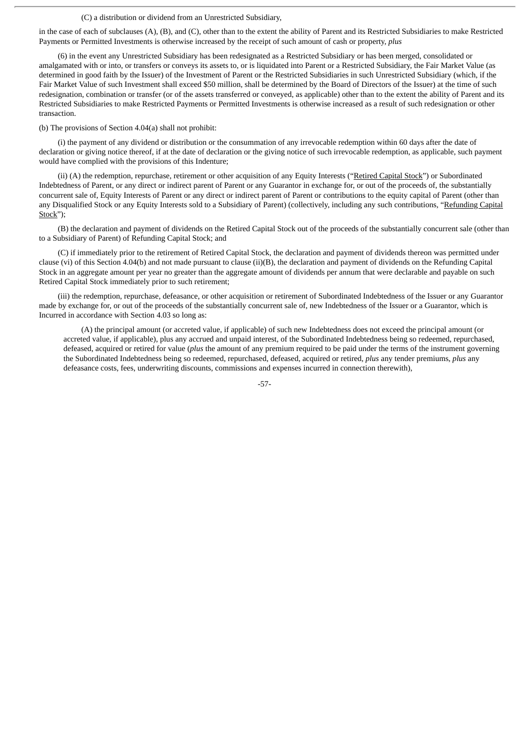# (C) a distribution or dividend from an Unrestricted Subsidiary,

in the case of each of subclauses (A), (B), and (C), other than to the extent the ability of Parent and its Restricted Subsidiaries to make Restricted Payments or Permitted Investments is otherwise increased by the receipt of such amount of cash or property, *plus*

(6) in the event any Unrestricted Subsidiary has been redesignated as a Restricted Subsidiary or has been merged, consolidated or amalgamated with or into, or transfers or conveys its assets to, or is liquidated into Parent or a Restricted Subsidiary, the Fair Market Value (as determined in good faith by the Issuer) of the Investment of Parent or the Restricted Subsidiaries in such Unrestricted Subsidiary (which, if the Fair Market Value of such Investment shall exceed \$50 million, shall be determined by the Board of Directors of the Issuer) at the time of such redesignation, combination or transfer (or of the assets transferred or conveyed, as applicable) other than to the extent the ability of Parent and its Restricted Subsidiaries to make Restricted Payments or Permitted Investments is otherwise increased as a result of such redesignation or other transaction.

(b) The provisions of Section 4.04(a) shall not prohibit:

(i) the payment of any dividend or distribution or the consummation of any irrevocable redemption within 60 days after the date of declaration or giving notice thereof, if at the date of declaration or the giving notice of such irrevocable redemption, as applicable, such payment would have complied with the provisions of this Indenture;

(ii) (A) the redemption, repurchase, retirement or other acquisition of any Equity Interests ("Retired Capital Stock") or Subordinated Indebtedness of Parent, or any direct or indirect parent of Parent or any Guarantor in exchange for, or out of the proceeds of, the substantially concurrent sale of, Equity Interests of Parent or any direct or indirect parent of Parent or contributions to the equity capital of Parent (other than any Disqualified Stock or any Equity Interests sold to a Subsidiary of Parent) (collectively, including any such contributions, "Refunding Capital Stock");

(B) the declaration and payment of dividends on the Retired Capital Stock out of the proceeds of the substantially concurrent sale (other than to a Subsidiary of Parent) of Refunding Capital Stock; and

(C) if immediately prior to the retirement of Retired Capital Stock, the declaration and payment of dividends thereon was permitted under clause (vi) of this Section 4.04(b) and not made pursuant to clause (ii)(B), the declaration and payment of dividends on the Refunding Capital Stock in an aggregate amount per year no greater than the aggregate amount of dividends per annum that were declarable and payable on such Retired Capital Stock immediately prior to such retirement;

(iii) the redemption, repurchase, defeasance, or other acquisition or retirement of Subordinated Indebtedness of the Issuer or any Guarantor made by exchange for, or out of the proceeds of the substantially concurrent sale of, new Indebtedness of the Issuer or a Guarantor, which is Incurred in accordance with Section 4.03 so long as:

(A) the principal amount (or accreted value, if applicable) of such new Indebtedness does not exceed the principal amount (or accreted value, if applicable), plus any accrued and unpaid interest, of the Subordinated Indebtedness being so redeemed, repurchased, defeased, acquired or retired for value (*plus* the amount of any premium required to be paid under the terms of the instrument governing the Subordinated Indebtedness being so redeemed, repurchased, defeased, acquired or retired, *plus* any tender premiums, *plus* any defeasance costs, fees, underwriting discounts, commissions and expenses incurred in connection therewith),

-57-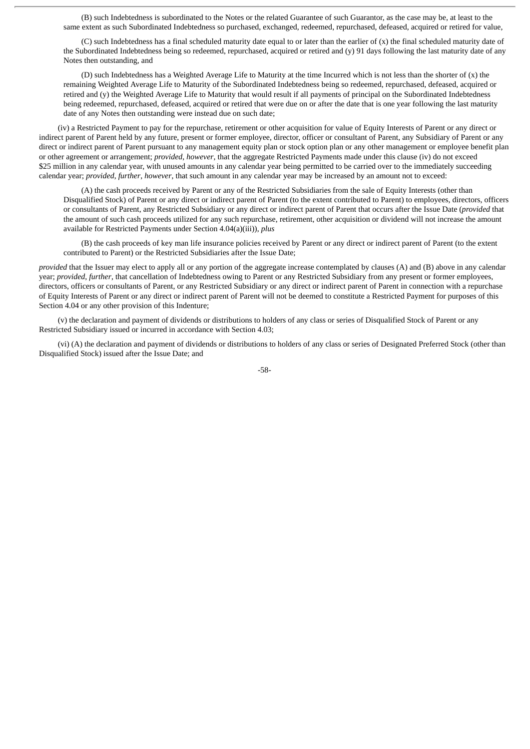(B) such Indebtedness is subordinated to the Notes or the related Guarantee of such Guarantor, as the case may be, at least to the same extent as such Subordinated Indebtedness so purchased, exchanged, redeemed, repurchased, defeased, acquired or retired for value,

(C) such Indebtedness has a final scheduled maturity date equal to or later than the earlier of (x) the final scheduled maturity date of the Subordinated Indebtedness being so redeemed, repurchased, acquired or retired and (y) 91 days following the last maturity date of any Notes then outstanding, and

(D) such Indebtedness has a Weighted Average Life to Maturity at the time Incurred which is not less than the shorter of (x) the remaining Weighted Average Life to Maturity of the Subordinated Indebtedness being so redeemed, repurchased, defeased, acquired or retired and (y) the Weighted Average Life to Maturity that would result if all payments of principal on the Subordinated Indebtedness being redeemed, repurchased, defeased, acquired or retired that were due on or after the date that is one year following the last maturity date of any Notes then outstanding were instead due on such date;

(iv) a Restricted Payment to pay for the repurchase, retirement or other acquisition for value of Equity Interests of Parent or any direct or indirect parent of Parent held by any future, present or former employee, director, officer or consultant of Parent, any Subsidiary of Parent or any direct or indirect parent of Parent pursuant to any management equity plan or stock option plan or any other management or employee benefit plan or other agreement or arrangement; *provided*, *however*, that the aggregate Restricted Payments made under this clause (iv) do not exceed \$25 million in any calendar year, with unused amounts in any calendar year being permitted to be carried over to the immediately succeeding calendar year; *provided*, *further*, *however*, that such amount in any calendar year may be increased by an amount not to exceed:

(A) the cash proceeds received by Parent or any of the Restricted Subsidiaries from the sale of Equity Interests (other than Disqualified Stock) of Parent or any direct or indirect parent of Parent (to the extent contributed to Parent) to employees, directors, officers or consultants of Parent, any Restricted Subsidiary or any direct or indirect parent of Parent that occurs after the Issue Date (*provided* that the amount of such cash proceeds utilized for any such repurchase, retirement, other acquisition or dividend will not increase the amount available for Restricted Payments under Section 4.04(a)(iii)), *plus*

(B) the cash proceeds of key man life insurance policies received by Parent or any direct or indirect parent of Parent (to the extent contributed to Parent) or the Restricted Subsidiaries after the Issue Date;

*provided* that the Issuer may elect to apply all or any portion of the aggregate increase contemplated by clauses (A) and (B) above in any calendar year; *provided*, *further*, that cancellation of Indebtedness owing to Parent or any Restricted Subsidiary from any present or former employees, directors, officers or consultants of Parent, or any Restricted Subsidiary or any direct or indirect parent of Parent in connection with a repurchase of Equity Interests of Parent or any direct or indirect parent of Parent will not be deemed to constitute a Restricted Payment for purposes of this Section 4.04 or any other provision of this Indenture;

(v) the declaration and payment of dividends or distributions to holders of any class or series of Disqualified Stock of Parent or any Restricted Subsidiary issued or incurred in accordance with Section 4.03;

(vi) (A) the declaration and payment of dividends or distributions to holders of any class or series of Designated Preferred Stock (other than Disqualified Stock) issued after the Issue Date; and

-58-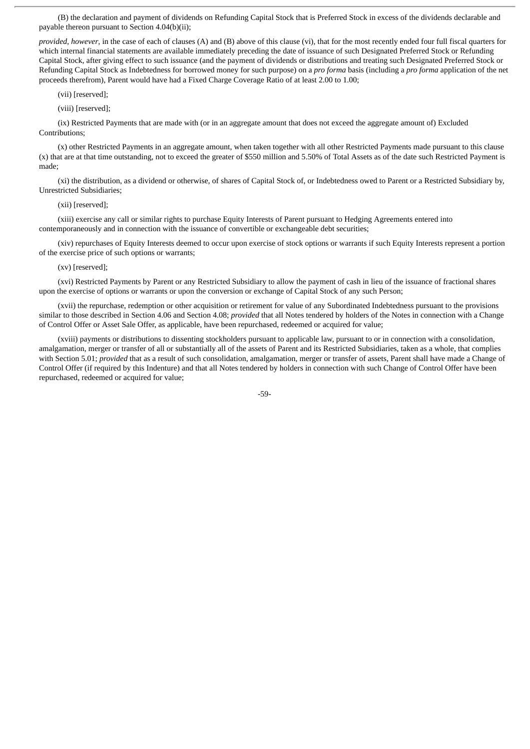(B) the declaration and payment of dividends on Refunding Capital Stock that is Preferred Stock in excess of the dividends declarable and payable thereon pursuant to Section 4.04(b)(ii);

*provided*, *however*, in the case of each of clauses (A) and (B) above of this clause (vi), that for the most recently ended four full fiscal quarters for which internal financial statements are available immediately preceding the date of issuance of such Designated Preferred Stock or Refunding Capital Stock, after giving effect to such issuance (and the payment of dividends or distributions and treating such Designated Preferred Stock or Refunding Capital Stock as Indebtedness for borrowed money for such purpose) on a *pro forma* basis (including a *pro forma* application of the net proceeds therefrom), Parent would have had a Fixed Charge Coverage Ratio of at least 2.00 to 1.00;

(vii) [reserved];

(viii) [reserved];

(ix) Restricted Payments that are made with (or in an aggregate amount that does not exceed the aggregate amount of) Excluded Contributions;

(x) other Restricted Payments in an aggregate amount, when taken together with all other Restricted Payments made pursuant to this clause (x) that are at that time outstanding, not to exceed the greater of \$550 million and 5.50% of Total Assets as of the date such Restricted Payment is made;

(xi) the distribution, as a dividend or otherwise, of shares of Capital Stock of, or Indebtedness owed to Parent or a Restricted Subsidiary by, Unrestricted Subsidiaries;

(xii) [reserved];

(xiii) exercise any call or similar rights to purchase Equity Interests of Parent pursuant to Hedging Agreements entered into contemporaneously and in connection with the issuance of convertible or exchangeable debt securities;

(xiv) repurchases of Equity Interests deemed to occur upon exercise of stock options or warrants if such Equity Interests represent a portion of the exercise price of such options or warrants;

(xv) [reserved];

(xvi) Restricted Payments by Parent or any Restricted Subsidiary to allow the payment of cash in lieu of the issuance of fractional shares upon the exercise of options or warrants or upon the conversion or exchange of Capital Stock of any such Person;

(xvii) the repurchase, redemption or other acquisition or retirement for value of any Subordinated Indebtedness pursuant to the provisions similar to those described in Section 4.06 and Section 4.08; *provided* that all Notes tendered by holders of the Notes in connection with a Change of Control Offer or Asset Sale Offer, as applicable, have been repurchased, redeemed or acquired for value;

(xviii) payments or distributions to dissenting stockholders pursuant to applicable law, pursuant to or in connection with a consolidation, amalgamation, merger or transfer of all or substantially all of the assets of Parent and its Restricted Subsidiaries, taken as a whole, that complies with Section 5.01; *provided* that as a result of such consolidation, amalgamation, merger or transfer of assets, Parent shall have made a Change of Control Offer (if required by this Indenture) and that all Notes tendered by holders in connection with such Change of Control Offer have been repurchased, redeemed or acquired for value;

-59-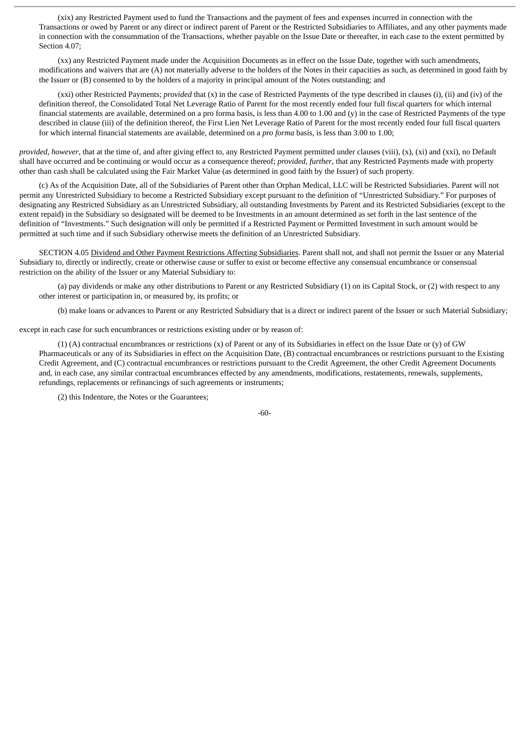(xix) any Restricted Payment used to fund the Transactions and the payment of fees and expenses incurred in connection with the Transactions or owed by Parent or any direct or indirect parent of Parent or the Restricted Subsidiaries to Affiliates, and any other payments made in connection with the consummation of the Transactions, whether payable on the Issue Date or thereafter, in each case to the extent permitted by Section 4.07;

(xx) any Restricted Payment made under the Acquisition Documents as in effect on the Issue Date, together with such amendments, modifications and waivers that are (A) not materially adverse to the holders of the Notes in their capacities as such, as determined in good faith by the Issuer or (B) consented to by the holders of a majority in principal amount of the Notes outstanding; and

(xxi) other Restricted Payments; *provided* that (x) in the case of Restricted Payments of the type described in clauses (i), (ii) and (iv) of the definition thereof, the Consolidated Total Net Leverage Ratio of Parent for the most recently ended four full fiscal quarters for which internal financial statements are available, determined on a pro forma basis, is less than 4.00 to 1.00 and (y) in the case of Restricted Payments of the type described in clause (iii) of the definition thereof, the First Lien Net Leverage Ratio of Parent for the most recently ended four full fiscal quarters for which internal financial statements are available, determined on a *pro forma* basis, is less than 3.00 to 1.00;

*provided*, *however*, that at the time of, and after giving effect to, any Restricted Payment permitted under clauses (viii), (x), (xi) and (xxi), no Default shall have occurred and be continuing or would occur as a consequence thereof; *provided*, *further*, that any Restricted Payments made with property other than cash shall be calculated using the Fair Market Value (as determined in good faith by the Issuer) of such property.

(c) As of the Acquisition Date, all of the Subsidiaries of Parent other than Orphan Medical, LLC will be Restricted Subsidiaries. Parent will not permit any Unrestricted Subsidiary to become a Restricted Subsidiary except pursuant to the definition of "Unrestricted Subsidiary." For purposes of designating any Restricted Subsidiary as an Unrestricted Subsidiary, all outstanding Investments by Parent and its Restricted Subsidiaries (except to the extent repaid) in the Subsidiary so designated will be deemed to be Investments in an amount determined as set forth in the last sentence of the definition of "Investments." Such designation will only be permitted if a Restricted Payment or Permitted Investment in such amount would be permitted at such time and if such Subsidiary otherwise meets the definition of an Unrestricted Subsidiary.

SECTION 4.05 Dividend and Other Payment Restrictions Affecting Subsidiaries. Parent shall not, and shall not permit the Issuer or any Material Subsidiary to, directly or indirectly, create or otherwise cause or suffer to exist or become effective any consensual encumbrance or consensual restriction on the ability of the Issuer or any Material Subsidiary to:

(a) pay dividends or make any other distributions to Parent or any Restricted Subsidiary (1) on its Capital Stock, or (2) with respect to any other interest or participation in, or measured by, its profits; or

(b) make loans or advances to Parent or any Restricted Subsidiary that is a direct or indirect parent of the Issuer or such Material Subsidiary;

except in each case for such encumbrances or restrictions existing under or by reason of:

(1) (A) contractual encumbrances or restrictions (x) of Parent or any of its Subsidiaries in effect on the Issue Date or (y) of GW Pharmaceuticals or any of its Subsidiaries in effect on the Acquisition Date, (B) contractual encumbrances or restrictions pursuant to the Existing Credit Agreement, and (C) contractual encumbrances or restrictions pursuant to the Credit Agreement, the other Credit Agreement Documents and, in each case, any similar contractual encumbrances effected by any amendments, modifications, restatements, renewals, supplements, refundings, replacements or refinancings of such agreements or instruments;

(2) this Indenture, the Notes or the Guarantees;

-60-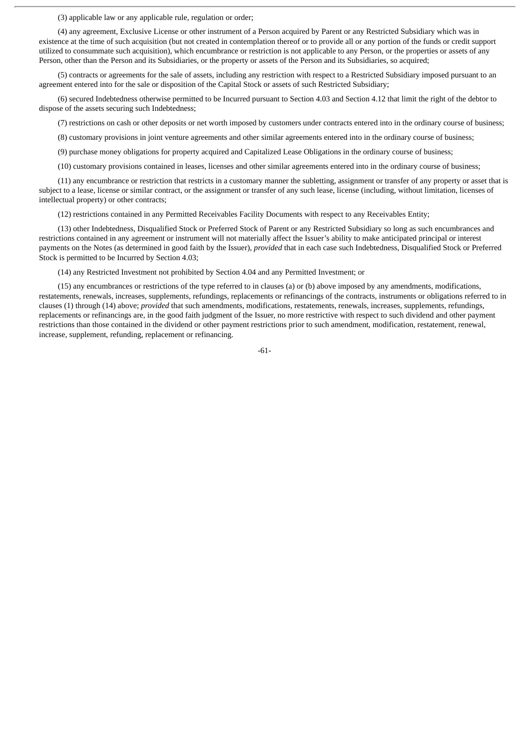(3) applicable law or any applicable rule, regulation or order;

(4) any agreement, Exclusive License or other instrument of a Person acquired by Parent or any Restricted Subsidiary which was in existence at the time of such acquisition (but not created in contemplation thereof or to provide all or any portion of the funds or credit support utilized to consummate such acquisition), which encumbrance or restriction is not applicable to any Person, or the properties or assets of any Person, other than the Person and its Subsidiaries, or the property or assets of the Person and its Subsidiaries, so acquired;

(5) contracts or agreements for the sale of assets, including any restriction with respect to a Restricted Subsidiary imposed pursuant to an agreement entered into for the sale or disposition of the Capital Stock or assets of such Restricted Subsidiary;

(6) secured Indebtedness otherwise permitted to be Incurred pursuant to Section 4.03 and Section 4.12 that limit the right of the debtor to dispose of the assets securing such Indebtedness;

(7) restrictions on cash or other deposits or net worth imposed by customers under contracts entered into in the ordinary course of business;

(8) customary provisions in joint venture agreements and other similar agreements entered into in the ordinary course of business;

(9) purchase money obligations for property acquired and Capitalized Lease Obligations in the ordinary course of business;

(10) customary provisions contained in leases, licenses and other similar agreements entered into in the ordinary course of business;

(11) any encumbrance or restriction that restricts in a customary manner the subletting, assignment or transfer of any property or asset that is subject to a lease, license or similar contract, or the assignment or transfer of any such lease, license (including, without limitation, licenses of intellectual property) or other contracts;

(12) restrictions contained in any Permitted Receivables Facility Documents with respect to any Receivables Entity;

(13) other Indebtedness, Disqualified Stock or Preferred Stock of Parent or any Restricted Subsidiary so long as such encumbrances and restrictions contained in any agreement or instrument will not materially affect the Issuer's ability to make anticipated principal or interest payments on the Notes (as determined in good faith by the Issuer), *provided* that in each case such Indebtedness, Disqualified Stock or Preferred Stock is permitted to be Incurred by Section 4.03;

(14) any Restricted Investment not prohibited by Section 4.04 and any Permitted Investment; or

(15) any encumbrances or restrictions of the type referred to in clauses (a) or (b) above imposed by any amendments, modifications, restatements, renewals, increases, supplements, refundings, replacements or refinancings of the contracts, instruments or obligations referred to in clauses (1) through (14) above; *provided* that such amendments, modifications, restatements, renewals, increases, supplements, refundings, replacements or refinancings are, in the good faith judgment of the Issuer, no more restrictive with respect to such dividend and other payment restrictions than those contained in the dividend or other payment restrictions prior to such amendment, modification, restatement, renewal, increase, supplement, refunding, replacement or refinancing.

-61-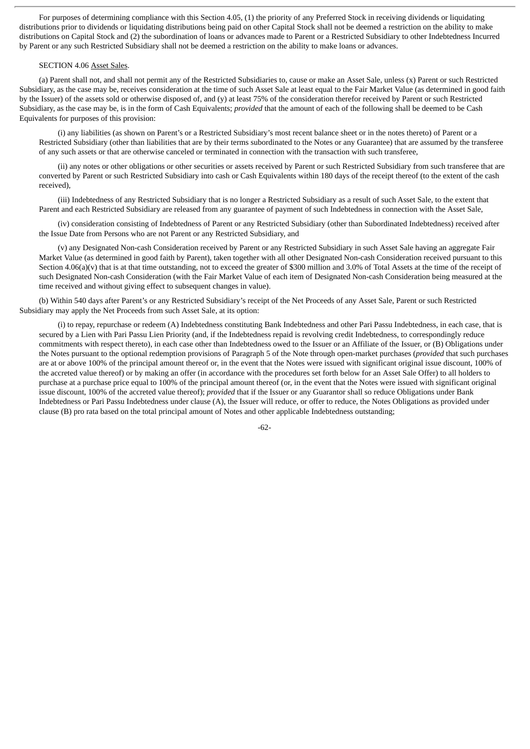For purposes of determining compliance with this Section 4.05, (1) the priority of any Preferred Stock in receiving dividends or liquidating distributions prior to dividends or liquidating distributions being paid on other Capital Stock shall not be deemed a restriction on the ability to make distributions on Capital Stock and (2) the subordination of loans or advances made to Parent or a Restricted Subsidiary to other Indebtedness Incurred by Parent or any such Restricted Subsidiary shall not be deemed a restriction on the ability to make loans or advances.

## SECTION 4.06 Asset Sales.

(a) Parent shall not, and shall not permit any of the Restricted Subsidiaries to, cause or make an Asset Sale, unless (x) Parent or such Restricted Subsidiary, as the case may be, receives consideration at the time of such Asset Sale at least equal to the Fair Market Value (as determined in good faith by the Issuer) of the assets sold or otherwise disposed of, and (y) at least 75% of the consideration therefor received by Parent or such Restricted Subsidiary, as the case may be, is in the form of Cash Equivalents; *provided* that the amount of each of the following shall be deemed to be Cash Equivalents for purposes of this provision:

(i) any liabilities (as shown on Parent's or a Restricted Subsidiary's most recent balance sheet or in the notes thereto) of Parent or a Restricted Subsidiary (other than liabilities that are by their terms subordinated to the Notes or any Guarantee) that are assumed by the transferee of any such assets or that are otherwise canceled or terminated in connection with the transaction with such transferee,

(ii) any notes or other obligations or other securities or assets received by Parent or such Restricted Subsidiary from such transferee that are converted by Parent or such Restricted Subsidiary into cash or Cash Equivalents within 180 days of the receipt thereof (to the extent of the cash received),

(iii) Indebtedness of any Restricted Subsidiary that is no longer a Restricted Subsidiary as a result of such Asset Sale, to the extent that Parent and each Restricted Subsidiary are released from any guarantee of payment of such Indebtedness in connection with the Asset Sale,

(iv) consideration consisting of Indebtedness of Parent or any Restricted Subsidiary (other than Subordinated Indebtedness) received after the Issue Date from Persons who are not Parent or any Restricted Subsidiary, and

(v) any Designated Non-cash Consideration received by Parent or any Restricted Subsidiary in such Asset Sale having an aggregate Fair Market Value (as determined in good faith by Parent), taken together with all other Designated Non-cash Consideration received pursuant to this Section 4.06(a)(v) that is at that time outstanding, not to exceed the greater of \$300 million and 3.0% of Total Assets at the time of the receipt of such Designated Non-cash Consideration (with the Fair Market Value of each item of Designated Non-cash Consideration being measured at the time received and without giving effect to subsequent changes in value).

(b) Within 540 days after Parent's or any Restricted Subsidiary's receipt of the Net Proceeds of any Asset Sale, Parent or such Restricted Subsidiary may apply the Net Proceeds from such Asset Sale, at its option:

(i) to repay, repurchase or redeem (A) Indebtedness constituting Bank Indebtedness and other Pari Passu Indebtedness, in each case, that is secured by a Lien with Pari Passu Lien Priority (and, if the Indebtedness repaid is revolving credit Indebtedness, to correspondingly reduce commitments with respect thereto), in each case other than Indebtedness owed to the Issuer or an Affiliate of the Issuer, or (B) Obligations under the Notes pursuant to the optional redemption provisions of Paragraph 5 of the Note through open-market purchases (*provided* that such purchases are at or above 100% of the principal amount thereof or, in the event that the Notes were issued with significant original issue discount, 100% of the accreted value thereof) or by making an offer (in accordance with the procedures set forth below for an Asset Sale Offer) to all holders to purchase at a purchase price equal to 100% of the principal amount thereof (or, in the event that the Notes were issued with significant original issue discount, 100% of the accreted value thereof); *provided* that if the Issuer or any Guarantor shall so reduce Obligations under Bank Indebtedness or Pari Passu Indebtedness under clause (A), the Issuer will reduce, or offer to reduce, the Notes Obligations as provided under clause (B) pro rata based on the total principal amount of Notes and other applicable Indebtedness outstanding;

-62-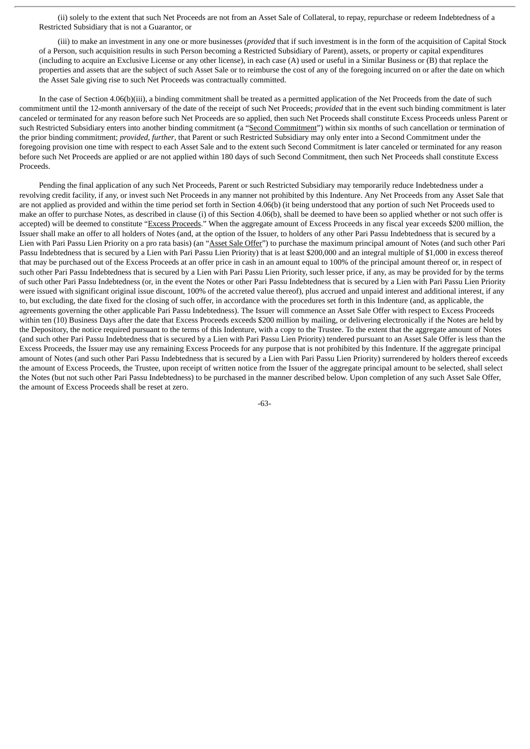(ii) solely to the extent that such Net Proceeds are not from an Asset Sale of Collateral, to repay, repurchase or redeem Indebtedness of a Restricted Subsidiary that is not a Guarantor, or

(iii) to make an investment in any one or more businesses (*provided* that if such investment is in the form of the acquisition of Capital Stock of a Person, such acquisition results in such Person becoming a Restricted Subsidiary of Parent), assets, or property or capital expenditures (including to acquire an Exclusive License or any other license), in each case (A) used or useful in a Similar Business or (B) that replace the properties and assets that are the subject of such Asset Sale or to reimburse the cost of any of the foregoing incurred on or after the date on which the Asset Sale giving rise to such Net Proceeds was contractually committed.

In the case of Section 4.06(b)(iii), a binding commitment shall be treated as a permitted application of the Net Proceeds from the date of such commitment until the 12-month anniversary of the date of the receipt of such Net Proceeds; *provided* that in the event such binding commitment is later canceled or terminated for any reason before such Net Proceeds are so applied, then such Net Proceeds shall constitute Excess Proceeds unless Parent or such Restricted Subsidiary enters into another binding commitment (a "Second Commitment") within six months of such cancellation or termination of the prior binding commitment; *provided*, *further*, that Parent or such Restricted Subsidiary may only enter into a Second Commitment under the foregoing provision one time with respect to each Asset Sale and to the extent such Second Commitment is later canceled or terminated for any reason before such Net Proceeds are applied or are not applied within 180 days of such Second Commitment, then such Net Proceeds shall constitute Excess **Proceeds** 

Pending the final application of any such Net Proceeds, Parent or such Restricted Subsidiary may temporarily reduce Indebtedness under a revolving credit facility, if any, or invest such Net Proceeds in any manner not prohibited by this Indenture. Any Net Proceeds from any Asset Sale that are not applied as provided and within the time period set forth in Section 4.06(b) (it being understood that any portion of such Net Proceeds used to make an offer to purchase Notes, as described in clause (i) of this Section 4.06(b), shall be deemed to have been so applied whether or not such offer is accepted) will be deemed to constitute "Excess Proceeds." When the aggregate amount of Excess Proceeds in any fiscal year exceeds \$200 million, the Issuer shall make an offer to all holders of Notes (and, at the option of the Issuer, to holders of any other Pari Passu Indebtedness that is secured by a Lien with Pari Passu Lien Priority on a pro rata basis) (an "Asset Sale Offer") to purchase the maximum principal amount of Notes (and such other Pari Passu Indebtedness that is secured by a Lien with Pari Passu Lien Priority) that is at least \$200,000 and an integral multiple of \$1,000 in excess thereof that may be purchased out of the Excess Proceeds at an offer price in cash in an amount equal to 100% of the principal amount thereof or, in respect of such other Pari Passu Indebtedness that is secured by a Lien with Pari Passu Lien Priority, such lesser price, if any, as may be provided for by the terms of such other Pari Passu Indebtedness (or, in the event the Notes or other Pari Passu Indebtedness that is secured by a Lien with Pari Passu Lien Priority were issued with significant original issue discount, 100% of the accreted value thereof), plus accrued and unpaid interest and additional interest, if any to, but excluding, the date fixed for the closing of such offer, in accordance with the procedures set forth in this Indenture (and, as applicable, the agreements governing the other applicable Pari Passu Indebtedness). The Issuer will commence an Asset Sale Offer with respect to Excess Proceeds within ten (10) Business Days after the date that Excess Proceeds exceeds \$200 million by mailing, or delivering electronically if the Notes are held by the Depository, the notice required pursuant to the terms of this Indenture, with a copy to the Trustee. To the extent that the aggregate amount of Notes (and such other Pari Passu Indebtedness that is secured by a Lien with Pari Passu Lien Priority) tendered pursuant to an Asset Sale Offer is less than the Excess Proceeds, the Issuer may use any remaining Excess Proceeds for any purpose that is not prohibited by this Indenture. If the aggregate principal amount of Notes (and such other Pari Passu Indebtedness that is secured by a Lien with Pari Passu Lien Priority) surrendered by holders thereof exceeds the amount of Excess Proceeds, the Trustee, upon receipt of written notice from the Issuer of the aggregate principal amount to be selected, shall select the Notes (but not such other Pari Passu Indebtedness) to be purchased in the manner described below. Upon completion of any such Asset Sale Offer, the amount of Excess Proceeds shall be reset at zero.

-63-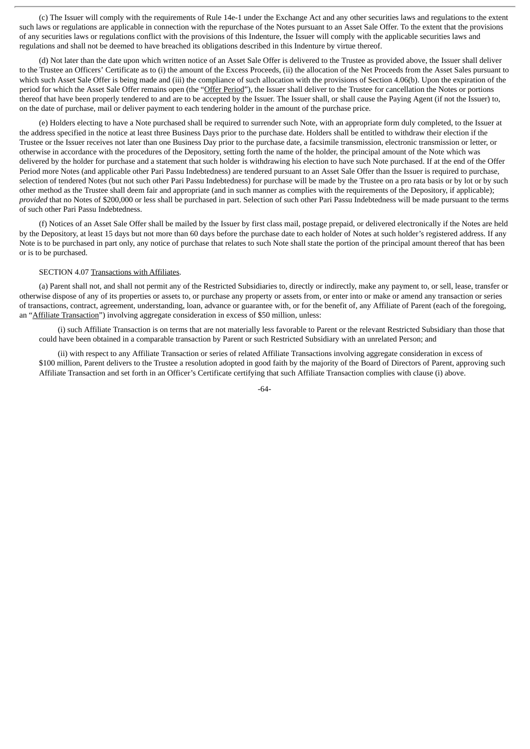(c) The Issuer will comply with the requirements of Rule 14e-1 under the Exchange Act and any other securities laws and regulations to the extent such laws or regulations are applicable in connection with the repurchase of the Notes pursuant to an Asset Sale Offer. To the extent that the provisions of any securities laws or regulations conflict with the provisions of this Indenture, the Issuer will comply with the applicable securities laws and regulations and shall not be deemed to have breached its obligations described in this Indenture by virtue thereof.

(d) Not later than the date upon which written notice of an Asset Sale Offer is delivered to the Trustee as provided above, the Issuer shall deliver to the Trustee an Officers' Certificate as to (i) the amount of the Excess Proceeds, (ii) the allocation of the Net Proceeds from the Asset Sales pursuant to which such Asset Sale Offer is being made and (iii) the compliance of such allocation with the provisions of Section 4.06(b). Upon the expiration of the period for which the Asset Sale Offer remains open (the "Offer Period"), the Issuer shall deliver to the Trustee for cancellation the Notes or portions thereof that have been properly tendered to and are to be accepted by the Issuer. The Issuer shall, or shall cause the Paying Agent (if not the Issuer) to, on the date of purchase, mail or deliver payment to each tendering holder in the amount of the purchase price.

(e) Holders electing to have a Note purchased shall be required to surrender such Note, with an appropriate form duly completed, to the Issuer at the address specified in the notice at least three Business Days prior to the purchase date. Holders shall be entitled to withdraw their election if the Trustee or the Issuer receives not later than one Business Day prior to the purchase date, a facsimile transmission, electronic transmission or letter, or otherwise in accordance with the procedures of the Depository, setting forth the name of the holder, the principal amount of the Note which was delivered by the holder for purchase and a statement that such holder is withdrawing his election to have such Note purchased. If at the end of the Offer Period more Notes (and applicable other Pari Passu Indebtedness) are tendered pursuant to an Asset Sale Offer than the Issuer is required to purchase, selection of tendered Notes (but not such other Pari Passu Indebtedness) for purchase will be made by the Trustee on a pro rata basis or by lot or by such other method as the Trustee shall deem fair and appropriate (and in such manner as complies with the requirements of the Depository, if applicable); *provided* that no Notes of \$200,000 or less shall be purchased in part. Selection of such other Pari Passu Indebtedness will be made pursuant to the terms of such other Pari Passu Indebtedness.

(f) Notices of an Asset Sale Offer shall be mailed by the Issuer by first class mail, postage prepaid, or delivered electronically if the Notes are held by the Depository, at least 15 days but not more than 60 days before the purchase date to each holder of Notes at such holder's registered address. If any Note is to be purchased in part only, any notice of purchase that relates to such Note shall state the portion of the principal amount thereof that has been or is to be purchased.

## SECTION 4.07 Transactions with Affiliates.

(a) Parent shall not, and shall not permit any of the Restricted Subsidiaries to, directly or indirectly, make any payment to, or sell, lease, transfer or otherwise dispose of any of its properties or assets to, or purchase any property or assets from, or enter into or make or amend any transaction or series of transactions, contract, agreement, understanding, loan, advance or guarantee with, or for the benefit of, any Affiliate of Parent (each of the foregoing, an "Affiliate Transaction") involving aggregate consideration in excess of \$50 million, unless:

(i) such Affiliate Transaction is on terms that are not materially less favorable to Parent or the relevant Restricted Subsidiary than those that could have been obtained in a comparable transaction by Parent or such Restricted Subsidiary with an unrelated Person; and

(ii) with respect to any Affiliate Transaction or series of related Affiliate Transactions involving aggregate consideration in excess of \$100 million, Parent delivers to the Trustee a resolution adopted in good faith by the majority of the Board of Directors of Parent, approving such Affiliate Transaction and set forth in an Officer's Certificate certifying that such Affiliate Transaction complies with clause (i) above.

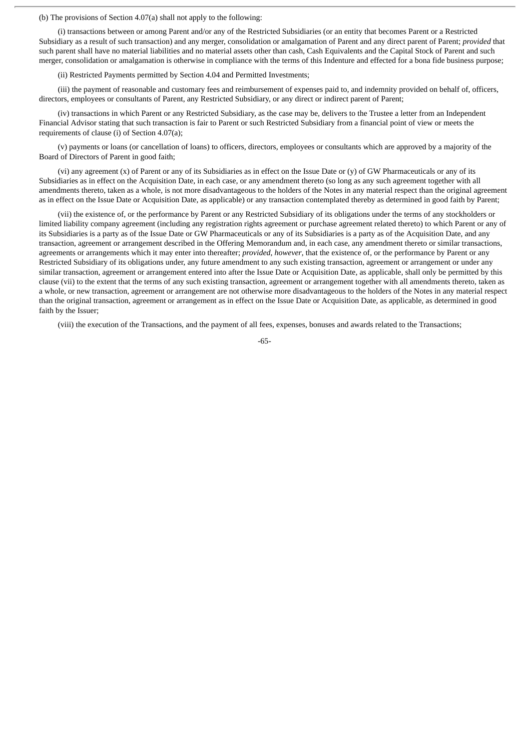(b) The provisions of Section 4.07(a) shall not apply to the following:

(i) transactions between or among Parent and/or any of the Restricted Subsidiaries (or an entity that becomes Parent or a Restricted Subsidiary as a result of such transaction) and any merger, consolidation or amalgamation of Parent and any direct parent of Parent; *provided* that such parent shall have no material liabilities and no material assets other than cash, Cash Equivalents and the Capital Stock of Parent and such merger, consolidation or amalgamation is otherwise in compliance with the terms of this Indenture and effected for a bona fide business purpose;

(ii) Restricted Payments permitted by Section 4.04 and Permitted Investments;

(iii) the payment of reasonable and customary fees and reimbursement of expenses paid to, and indemnity provided on behalf of, officers, directors, employees or consultants of Parent, any Restricted Subsidiary, or any direct or indirect parent of Parent;

(iv) transactions in which Parent or any Restricted Subsidiary, as the case may be, delivers to the Trustee a letter from an Independent Financial Advisor stating that such transaction is fair to Parent or such Restricted Subsidiary from a financial point of view or meets the requirements of clause (i) of Section 4.07(a);

(v) payments or loans (or cancellation of loans) to officers, directors, employees or consultants which are approved by a majority of the Board of Directors of Parent in good faith;

(vi) any agreement (x) of Parent or any of its Subsidiaries as in effect on the Issue Date or (y) of GW Pharmaceuticals or any of its Subsidiaries as in effect on the Acquisition Date, in each case, or any amendment thereto (so long as any such agreement together with all amendments thereto, taken as a whole, is not more disadvantageous to the holders of the Notes in any material respect than the original agreement as in effect on the Issue Date or Acquisition Date, as applicable) or any transaction contemplated thereby as determined in good faith by Parent;

(vii) the existence of, or the performance by Parent or any Restricted Subsidiary of its obligations under the terms of any stockholders or limited liability company agreement (including any registration rights agreement or purchase agreement related thereto) to which Parent or any of its Subsidiaries is a party as of the Issue Date or GW Pharmaceuticals or any of its Subsidiaries is a party as of the Acquisition Date, and any transaction, agreement or arrangement described in the Offering Memorandum and, in each case, any amendment thereto or similar transactions, agreements or arrangements which it may enter into thereafter; *provided*, *however*, that the existence of, or the performance by Parent or any Restricted Subsidiary of its obligations under, any future amendment to any such existing transaction, agreement or arrangement or under any similar transaction, agreement or arrangement entered into after the Issue Date or Acquisition Date, as applicable, shall only be permitted by this clause (vii) to the extent that the terms of any such existing transaction, agreement or arrangement together with all amendments thereto, taken as a whole, or new transaction, agreement or arrangement are not otherwise more disadvantageous to the holders of the Notes in any material respect than the original transaction, agreement or arrangement as in effect on the Issue Date or Acquisition Date, as applicable, as determined in good faith by the Issuer;

(viii) the execution of the Transactions, and the payment of all fees, expenses, bonuses and awards related to the Transactions;

-65-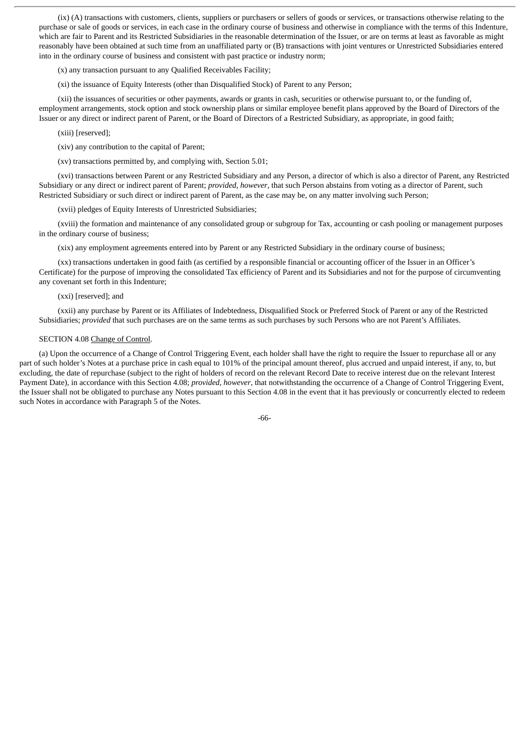(ix) (A) transactions with customers, clients, suppliers or purchasers or sellers of goods or services, or transactions otherwise relating to the purchase or sale of goods or services, in each case in the ordinary course of business and otherwise in compliance with the terms of this Indenture, which are fair to Parent and its Restricted Subsidiaries in the reasonable determination of the Issuer, or are on terms at least as favorable as might reasonably have been obtained at such time from an unaffiliated party or (B) transactions with joint ventures or Unrestricted Subsidiaries entered into in the ordinary course of business and consistent with past practice or industry norm;

(x) any transaction pursuant to any Qualified Receivables Facility;

(xi) the issuance of Equity Interests (other than Disqualified Stock) of Parent to any Person;

(xii) the issuances of securities or other payments, awards or grants in cash, securities or otherwise pursuant to, or the funding of, employment arrangements, stock option and stock ownership plans or similar employee benefit plans approved by the Board of Directors of the Issuer or any direct or indirect parent of Parent, or the Board of Directors of a Restricted Subsidiary, as appropriate, in good faith;

(xiii) [reserved];

(xiv) any contribution to the capital of Parent;

(xv) transactions permitted by, and complying with, Section 5.01;

(xvi) transactions between Parent or any Restricted Subsidiary and any Person, a director of which is also a director of Parent, any Restricted Subsidiary or any direct or indirect parent of Parent; *provided*, *however*, that such Person abstains from voting as a director of Parent, such Restricted Subsidiary or such direct or indirect parent of Parent, as the case may be, on any matter involving such Person;

(xvii) pledges of Equity Interests of Unrestricted Subsidiaries;

(xviii) the formation and maintenance of any consolidated group or subgroup for Tax, accounting or cash pooling or management purposes in the ordinary course of business;

(xix) any employment agreements entered into by Parent or any Restricted Subsidiary in the ordinary course of business;

(xx) transactions undertaken in good faith (as certified by a responsible financial or accounting officer of the Issuer in an Officer's Certificate) for the purpose of improving the consolidated Tax efficiency of Parent and its Subsidiaries and not for the purpose of circumventing any covenant set forth in this Indenture;

### (xxi) [reserved]; and

(xxii) any purchase by Parent or its Affiliates of Indebtedness, Disqualified Stock or Preferred Stock of Parent or any of the Restricted Subsidiaries; *provided* that such purchases are on the same terms as such purchases by such Persons who are not Parent's Affiliates.

# SECTION 4.08 Change of Control.

(a) Upon the occurrence of a Change of Control Triggering Event, each holder shall have the right to require the Issuer to repurchase all or any part of such holder's Notes at a purchase price in cash equal to 101% of the principal amount thereof, plus accrued and unpaid interest, if any, to, but excluding, the date of repurchase (subject to the right of holders of record on the relevant Record Date to receive interest due on the relevant Interest Payment Date), in accordance with this Section 4.08; *provided*, *however*, that notwithstanding the occurrence of a Change of Control Triggering Event, the Issuer shall not be obligated to purchase any Notes pursuant to this Section 4.08 in the event that it has previously or concurrently elected to redeem such Notes in accordance with Paragraph 5 of the Notes.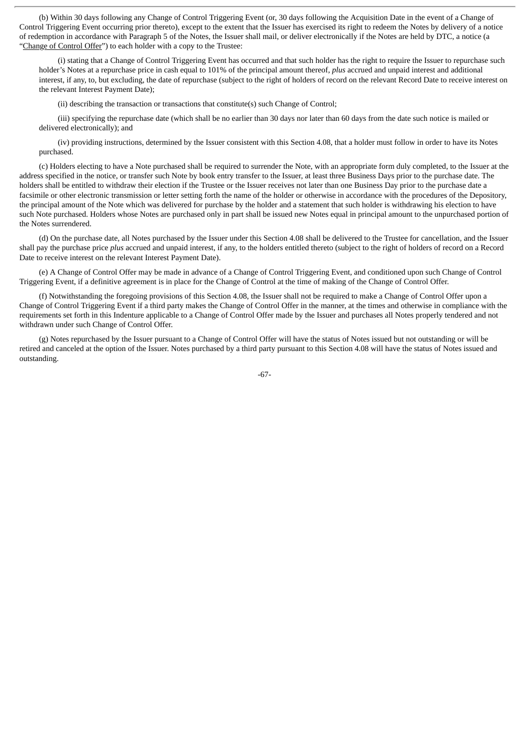(b) Within 30 days following any Change of Control Triggering Event (or, 30 days following the Acquisition Date in the event of a Change of Control Triggering Event occurring prior thereto), except to the extent that the Issuer has exercised its right to redeem the Notes by delivery of a notice of redemption in accordance with Paragraph 5 of the Notes, the Issuer shall mail, or deliver electronically if the Notes are held by DTC, a notice (a "Change of Control Offer") to each holder with a copy to the Trustee:

(i) stating that a Change of Control Triggering Event has occurred and that such holder has the right to require the Issuer to repurchase such holder's Notes at a repurchase price in cash equal to 101% of the principal amount thereof, *plus* accrued and unpaid interest and additional interest, if any, to, but excluding, the date of repurchase (subject to the right of holders of record on the relevant Record Date to receive interest on the relevant Interest Payment Date);

(ii) describing the transaction or transactions that constitute(s) such Change of Control;

(iii) specifying the repurchase date (which shall be no earlier than 30 days nor later than 60 days from the date such notice is mailed or delivered electronically); and

(iv) providing instructions, determined by the Issuer consistent with this Section 4.08, that a holder must follow in order to have its Notes purchased.

(c) Holders electing to have a Note purchased shall be required to surrender the Note, with an appropriate form duly completed, to the Issuer at the address specified in the notice, or transfer such Note by book entry transfer to the Issuer, at least three Business Days prior to the purchase date. The holders shall be entitled to withdraw their election if the Trustee or the Issuer receives not later than one Business Day prior to the purchase date a facsimile or other electronic transmission or letter setting forth the name of the holder or otherwise in accordance with the procedures of the Depository, the principal amount of the Note which was delivered for purchase by the holder and a statement that such holder is withdrawing his election to have such Note purchased. Holders whose Notes are purchased only in part shall be issued new Notes equal in principal amount to the unpurchased portion of the Notes surrendered.

(d) On the purchase date, all Notes purchased by the Issuer under this Section 4.08 shall be delivered to the Trustee for cancellation, and the Issuer shall pay the purchase price *plus* accrued and unpaid interest, if any, to the holders entitled thereto (subject to the right of holders of record on a Record Date to receive interest on the relevant Interest Payment Date).

(e) A Change of Control Offer may be made in advance of a Change of Control Triggering Event, and conditioned upon such Change of Control Triggering Event, if a definitive agreement is in place for the Change of Control at the time of making of the Change of Control Offer.

(f) Notwithstanding the foregoing provisions of this Section 4.08, the Issuer shall not be required to make a Change of Control Offer upon a Change of Control Triggering Event if a third party makes the Change of Control Offer in the manner, at the times and otherwise in compliance with the requirements set forth in this Indenture applicable to a Change of Control Offer made by the Issuer and purchases all Notes properly tendered and not withdrawn under such Change of Control Offer.

(g) Notes repurchased by the Issuer pursuant to a Change of Control Offer will have the status of Notes issued but not outstanding or will be retired and canceled at the option of the Issuer. Notes purchased by a third party pursuant to this Section 4.08 will have the status of Notes issued and outstanding.

-67-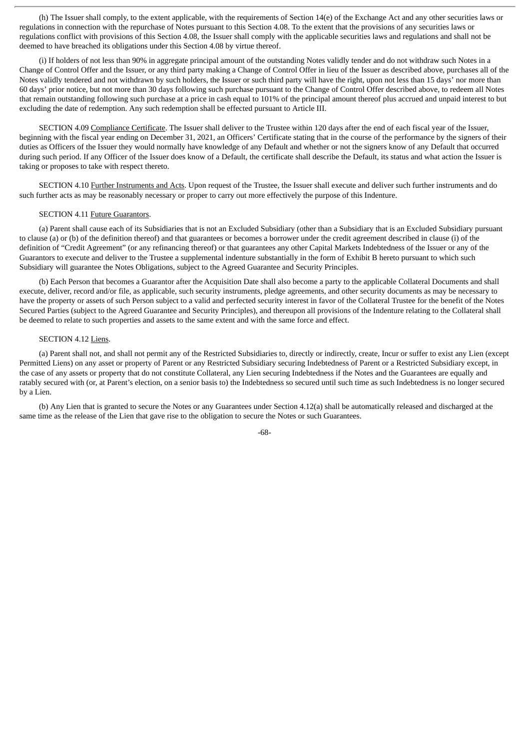(h) The Issuer shall comply, to the extent applicable, with the requirements of Section 14(e) of the Exchange Act and any other securities laws or regulations in connection with the repurchase of Notes pursuant to this Section 4.08. To the extent that the provisions of any securities laws or regulations conflict with provisions of this Section 4.08, the Issuer shall comply with the applicable securities laws and regulations and shall not be deemed to have breached its obligations under this Section 4.08 by virtue thereof.

(i) If holders of not less than 90% in aggregate principal amount of the outstanding Notes validly tender and do not withdraw such Notes in a Change of Control Offer and the Issuer, or any third party making a Change of Control Offer in lieu of the Issuer as described above, purchases all of the Notes validly tendered and not withdrawn by such holders, the Issuer or such third party will have the right, upon not less than 15 days' nor more than 60 days' prior notice, but not more than 30 days following such purchase pursuant to the Change of Control Offer described above, to redeem all Notes that remain outstanding following such purchase at a price in cash equal to 101% of the principal amount thereof plus accrued and unpaid interest to but excluding the date of redemption. Any such redemption shall be effected pursuant to Article III.

SECTION 4.09 Compliance Certificate. The Issuer shall deliver to the Trustee within 120 days after the end of each fiscal year of the Issuer, beginning with the fiscal year ending on December 31, 2021, an Officers' Certificate stating that in the course of the performance by the signers of their duties as Officers of the Issuer they would normally have knowledge of any Default and whether or not the signers know of any Default that occurred during such period. If any Officer of the Issuer does know of a Default, the certificate shall describe the Default, its status and what action the Issuer is taking or proposes to take with respect thereto.

SECTION 4.10 Further Instruments and Acts. Upon request of the Trustee, the Issuer shall execute and deliver such further instruments and do such further acts as may be reasonably necessary or proper to carry out more effectively the purpose of this Indenture.

#### SECTION 4.11 Future Guarantors.

(a) Parent shall cause each of its Subsidiaries that is not an Excluded Subsidiary (other than a Subsidiary that is an Excluded Subsidiary pursuant to clause (a) or (b) of the definition thereof) and that guarantees or becomes a borrower under the credit agreement described in clause (i) of the definition of "Credit Agreement" (or any refinancing thereof) or that guarantees any other Capital Markets Indebtedness of the Issuer or any of the Guarantors to execute and deliver to the Trustee a supplemental indenture substantially in the form of Exhibit B hereto pursuant to which such Subsidiary will guarantee the Notes Obligations, subject to the Agreed Guarantee and Security Principles.

(b) Each Person that becomes a Guarantor after the Acquisition Date shall also become a party to the applicable Collateral Documents and shall execute, deliver, record and/or file, as applicable, such security instruments, pledge agreements, and other security documents as may be necessary to have the property or assets of such Person subject to a valid and perfected security interest in favor of the Collateral Trustee for the benefit of the Notes Secured Parties (subject to the Agreed Guarantee and Security Principles), and thereupon all provisions of the Indenture relating to the Collateral shall be deemed to relate to such properties and assets to the same extent and with the same force and effect.

### SECTION 4.12 Liens.

(a) Parent shall not, and shall not permit any of the Restricted Subsidiaries to, directly or indirectly, create, Incur or suffer to exist any Lien (except Permitted Liens) on any asset or property of Parent or any Restricted Subsidiary securing Indebtedness of Parent or a Restricted Subsidiary except, in the case of any assets or property that do not constitute Collateral, any Lien securing Indebtedness if the Notes and the Guarantees are equally and ratably secured with (or, at Parent's election, on a senior basis to) the Indebtedness so secured until such time as such Indebtedness is no longer secured by a Lien.

(b) Any Lien that is granted to secure the Notes or any Guarantees under Section 4.12(a) shall be automatically released and discharged at the same time as the release of the Lien that gave rise to the obligation to secure the Notes or such Guarantees.

-68-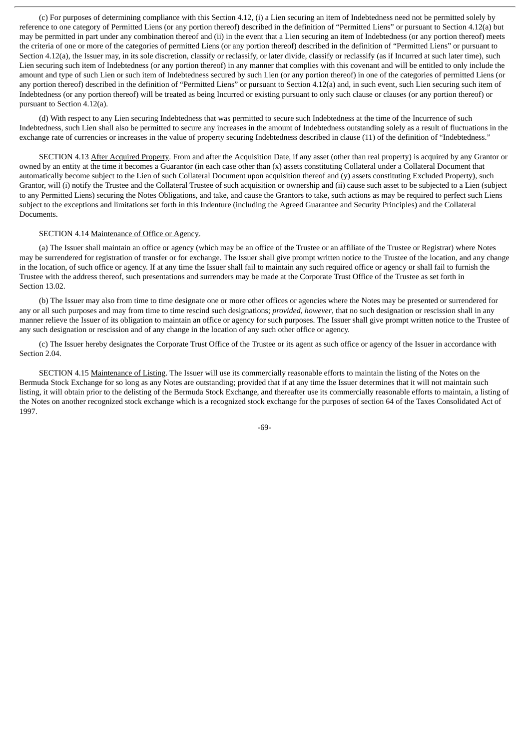(c) For purposes of determining compliance with this Section 4.12, (i) a Lien securing an item of Indebtedness need not be permitted solely by reference to one category of Permitted Liens (or any portion thereof) described in the definition of "Permitted Liens" or pursuant to Section 4.12(a) but may be permitted in part under any combination thereof and (ii) in the event that a Lien securing an item of Indebtedness (or any portion thereof) meets the criteria of one or more of the categories of permitted Liens (or any portion thereof) described in the definition of "Permitted Liens" or pursuant to Section 4.12(a), the Issuer may, in its sole discretion, classify or reclassify, or later divide, classify or reclassify (as if Incurred at such later time), such Lien securing such item of Indebtedness (or any portion thereof) in any manner that complies with this covenant and will be entitled to only include the amount and type of such Lien or such item of Indebtedness secured by such Lien (or any portion thereof) in one of the categories of permitted Liens (or any portion thereof) described in the definition of "Permitted Liens" or pursuant to Section 4.12(a) and, in such event, such Lien securing such item of Indebtedness (or any portion thereof) will be treated as being Incurred or existing pursuant to only such clause or clauses (or any portion thereof) or pursuant to Section 4.12(a).

(d) With respect to any Lien securing Indebtedness that was permitted to secure such Indebtedness at the time of the Incurrence of such Indebtedness, such Lien shall also be permitted to secure any increases in the amount of Indebtedness outstanding solely as a result of fluctuations in the exchange rate of currencies or increases in the value of property securing Indebtedness described in clause (11) of the definition of "Indebtedness."

SECTION 4.13 After Acquired Property. From and after the Acquisition Date, if any asset (other than real property) is acquired by any Grantor or owned by an entity at the time it becomes a Guarantor (in each case other than (x) assets constituting Collateral under a Collateral Document that automatically become subject to the Lien of such Collateral Document upon acquisition thereof and (y) assets constituting Excluded Property), such Grantor, will (i) notify the Trustee and the Collateral Trustee of such acquisition or ownership and (ii) cause such asset to be subjected to a Lien (subject to any Permitted Liens) securing the Notes Obligations, and take, and cause the Grantors to take, such actions as may be required to perfect such Liens subject to the exceptions and limitations set forth in this Indenture (including the Agreed Guarantee and Security Principles) and the Collateral Documents.

# SECTION 4.14 Maintenance of Office or Agency.

(a) The Issuer shall maintain an office or agency (which may be an office of the Trustee or an affiliate of the Trustee or Registrar) where Notes may be surrendered for registration of transfer or for exchange. The Issuer shall give prompt written notice to the Trustee of the location, and any change in the location, of such office or agency. If at any time the Issuer shall fail to maintain any such required office or agency or shall fail to furnish the Trustee with the address thereof, such presentations and surrenders may be made at the Corporate Trust Office of the Trustee as set forth in Section 13.02.

(b) The Issuer may also from time to time designate one or more other offices or agencies where the Notes may be presented or surrendered for any or all such purposes and may from time to time rescind such designations; *provided*, *however*, that no such designation or rescission shall in any manner relieve the Issuer of its obligation to maintain an office or agency for such purposes. The Issuer shall give prompt written notice to the Trustee of any such designation or rescission and of any change in the location of any such other office or agency.

(c) The Issuer hereby designates the Corporate Trust Office of the Trustee or its agent as such office or agency of the Issuer in accordance with Section 2.04.

SECTION 4.15 Maintenance of Listing. The Issuer will use its commercially reasonable efforts to maintain the listing of the Notes on the Bermuda Stock Exchange for so long as any Notes are outstanding; provided that if at any time the Issuer determines that it will not maintain such listing, it will obtain prior to the delisting of the Bermuda Stock Exchange, and thereafter use its commercially reasonable efforts to maintain, a listing of the Notes on another recognized stock exchange which is a recognized stock exchange for the purposes of section 64 of the Taxes Consolidated Act of 1997.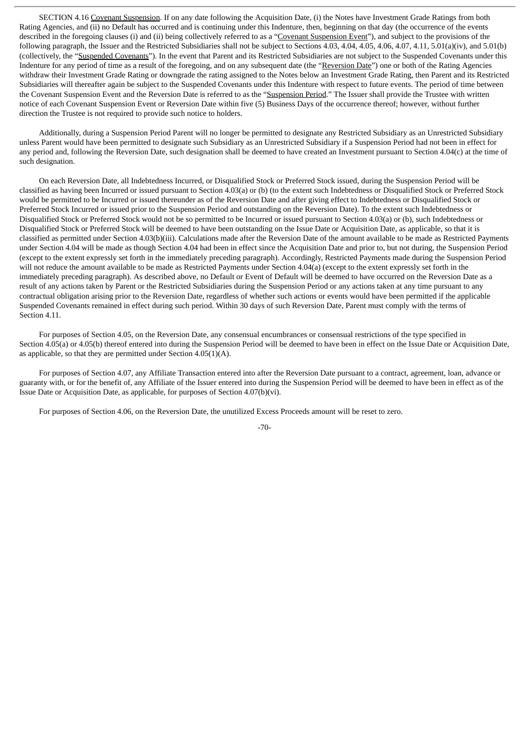SECTION 4.16 Covenant Suspension. If on any date following the Acquisition Date, (i) the Notes have Investment Grade Ratings from both Rating Agencies, and (ii) no Default has occurred and is continuing under this Indenture, then, beginning on that day (the occurrence of the events described in the foregoing clauses (i) and (ii) being collectively referred to as a "Covenant Suspension Event"), and subject to the provisions of the following paragraph, the Issuer and the Restricted Subsidiaries shall not be subject to Sections 4.03, 4.04, 4.05, 4.06, 4.07, 4.11, 5.01(a)(iv), and 5.01(b) (collectively, the "Suspended Covenants"). In the event that Parent and its Restricted Subsidiaries are not subject to the Suspended Covenants under this Indenture for any period of time as a result of the foregoing, and on any subsequent date (the "Reversion Date") one or both of the Rating Agencies withdraw their Investment Grade Rating or downgrade the rating assigned to the Notes below an Investment Grade Rating, then Parent and its Restricted Subsidiaries will thereafter again be subject to the Suspended Covenants under this Indenture with respect to future events. The period of time between the Covenant Suspension Event and the Reversion Date is referred to as the "Suspension Period." The Issuer shall provide the Trustee with written notice of each Covenant Suspension Event or Reversion Date within five (5) Business Days of the occurrence thereof; however, without further direction the Trustee is not required to provide such notice to holders.

Additionally, during a Suspension Period Parent will no longer be permitted to designate any Restricted Subsidiary as an Unrestricted Subsidiary unless Parent would have been permitted to designate such Subsidiary as an Unrestricted Subsidiary if a Suspension Period had not been in effect for any period and, following the Reversion Date, such designation shall be deemed to have created an Investment pursuant to Section 4.04(c) at the time of such designation.

On each Reversion Date, all Indebtedness Incurred, or Disqualified Stock or Preferred Stock issued, during the Suspension Period will be classified as having been Incurred or issued pursuant to Section 4.03(a) or (b) (to the extent such Indebtedness or Disqualified Stock or Preferred Stock would be permitted to be Incurred or issued thereunder as of the Reversion Date and after giving effect to Indebtedness or Disqualified Stock or Preferred Stock Incurred or issued prior to the Suspension Period and outstanding on the Reversion Date). To the extent such Indebtedness or Disqualified Stock or Preferred Stock would not be so permitted to be Incurred or issued pursuant to Section 4.03(a) or (b), such Indebtedness or Disqualified Stock or Preferred Stock will be deemed to have been outstanding on the Issue Date or Acquisition Date, as applicable, so that it is classified as permitted under Section 4.03(b)(iii)*.* Calculations made after the Reversion Date of the amount available to be made as Restricted Payments under Section 4.04 will be made as though Section 4.04 had been in effect since the Acquisition Date and prior to, but not during, the Suspension Period (except to the extent expressly set forth in the immediately preceding paragraph). Accordingly, Restricted Payments made during the Suspension Period will not reduce the amount available to be made as Restricted Payments under Section 4.04(a) (except to the extent expressly set forth in the immediately preceding paragraph). As described above, no Default or Event of Default will be deemed to have occurred on the Reversion Date as a result of any actions taken by Parent or the Restricted Subsidiaries during the Suspension Period or any actions taken at any time pursuant to any contractual obligation arising prior to the Reversion Date, regardless of whether such actions or events would have been permitted if the applicable Suspended Covenants remained in effect during such period. Within 30 days of such Reversion Date, Parent must comply with the terms of Section 4.11.

For purposes of Section 4.05, on the Reversion Date, any consensual encumbrances or consensual restrictions of the type specified in Section 4.05(a) or 4.05(b) thereof entered into during the Suspension Period will be deemed to have been in effect on the Issue Date or Acquisition Date, as applicable, so that they are permitted under Section 4.05(1)(A).

For purposes of Section 4.07, any Affiliate Transaction entered into after the Reversion Date pursuant to a contract, agreement, loan, advance or guaranty with, or for the benefit of, any Affiliate of the Issuer entered into during the Suspension Period will be deemed to have been in effect as of the Issue Date or Acquisition Date, as applicable, for purposes of Section 4.07(b)(vi).

For purposes of Section 4.06, on the Reversion Date, the unutilized Excess Proceeds amount will be reset to zero.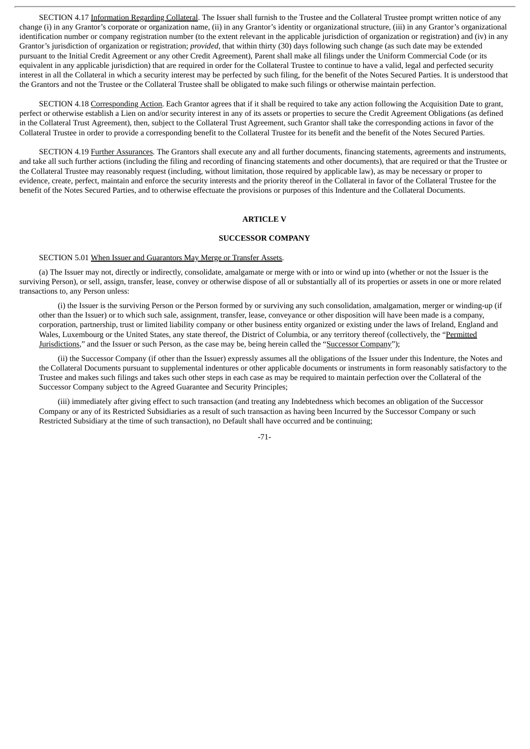SECTION 4.17 Information Regarding Collateral. The Issuer shall furnish to the Trustee and the Collateral Trustee prompt written notice of any change (i) in any Grantor's corporate or organization name, (ii) in any Grantor's identity or organizational structure, (iii) in any Grantor's organizational identification number or company registration number (to the extent relevant in the applicable jurisdiction of organization or registration) and (iv) in any Grantor's jurisdiction of organization or registration; *provided*, that within thirty (30) days following such change (as such date may be extended pursuant to the Initial Credit Agreement or any other Credit Agreement), Parent shall make all filings under the Uniform Commercial Code (or its equivalent in any applicable jurisdiction) that are required in order for the Collateral Trustee to continue to have a valid, legal and perfected security interest in all the Collateral in which a security interest may be perfected by such filing, for the benefit of the Notes Secured Parties. It is understood that the Grantors and not the Trustee or the Collateral Trustee shall be obligated to make such filings or otherwise maintain perfection.

SECTION 4.18 Corresponding Action. Each Grantor agrees that if it shall be required to take any action following the Acquisition Date to grant, perfect or otherwise establish a Lien on and/or security interest in any of its assets or properties to secure the Credit Agreement Obligations (as defined in the Collateral Trust Agreement), then, subject to the Collateral Trust Agreement, such Grantor shall take the corresponding actions in favor of the Collateral Trustee in order to provide a corresponding benefit to the Collateral Trustee for its benefit and the benefit of the Notes Secured Parties.

SECTION 4.19 Further Assurances. The Grantors shall execute any and all further documents, financing statements, agreements and instruments, and take all such further actions (including the filing and recording of financing statements and other documents), that are required or that the Trustee or the Collateral Trustee may reasonably request (including, without limitation, those required by applicable law), as may be necessary or proper to evidence, create, perfect, maintain and enforce the security interests and the priority thereof in the Collateral in favor of the Collateral Trustee for the benefit of the Notes Secured Parties, and to otherwise effectuate the provisions or purposes of this Indenture and the Collateral Documents.

# **ARTICLE V**

# **SUCCESSOR COMPANY**

# SECTION 5.01 When Issuer and Guarantors May Merge or Transfer Assets.

(a) The Issuer may not, directly or indirectly, consolidate, amalgamate or merge with or into or wind up into (whether or not the Issuer is the surviving Person), or sell, assign, transfer, lease, convey or otherwise dispose of all or substantially all of its properties or assets in one or more related transactions to, any Person unless:

(i) the Issuer is the surviving Person or the Person formed by or surviving any such consolidation, amalgamation, merger or winding-up (if other than the Issuer) or to which such sale, assignment, transfer, lease, conveyance or other disposition will have been made is a company, corporation, partnership, trust or limited liability company or other business entity organized or existing under the laws of Ireland, England and Wales, Luxembourg or the United States, any state thereof, the District of Columbia, or any territory thereof (collectively, the "Permitted Jurisdictions," and the Issuer or such Person, as the case may be, being herein called the "Successor Company");

(ii) the Successor Company (if other than the Issuer) expressly assumes all the obligations of the Issuer under this Indenture, the Notes and the Collateral Documents pursuant to supplemental indentures or other applicable documents or instruments in form reasonably satisfactory to the Trustee and makes such filings and takes such other steps in each case as may be required to maintain perfection over the Collateral of the Successor Company subject to the Agreed Guarantee and Security Principles;

(iii) immediately after giving effect to such transaction (and treating any Indebtedness which becomes an obligation of the Successor Company or any of its Restricted Subsidiaries as a result of such transaction as having been Incurred by the Successor Company or such Restricted Subsidiary at the time of such transaction), no Default shall have occurred and be continuing;

-71-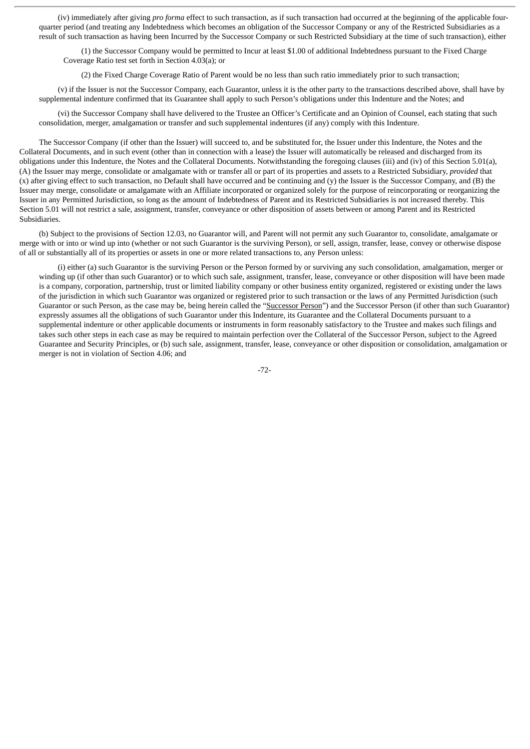(iv) immediately after giving *pro forma* effect to such transaction, as if such transaction had occurred at the beginning of the applicable fourquarter period (and treating any Indebtedness which becomes an obligation of the Successor Company or any of the Restricted Subsidiaries as a result of such transaction as having been Incurred by the Successor Company or such Restricted Subsidiary at the time of such transaction), either

(1) the Successor Company would be permitted to Incur at least \$1.00 of additional Indebtedness pursuant to the Fixed Charge Coverage Ratio test set forth in Section 4.03(a); or

(2) the Fixed Charge Coverage Ratio of Parent would be no less than such ratio immediately prior to such transaction;

(v) if the Issuer is not the Successor Company, each Guarantor, unless it is the other party to the transactions described above, shall have by supplemental indenture confirmed that its Guarantee shall apply to such Person's obligations under this Indenture and the Notes; and

(vi) the Successor Company shall have delivered to the Trustee an Officer's Certificate and an Opinion of Counsel, each stating that such consolidation, merger, amalgamation or transfer and such supplemental indentures (if any) comply with this Indenture.

The Successor Company (if other than the Issuer) will succeed to, and be substituted for, the Issuer under this Indenture, the Notes and the Collateral Documents, and in such event (other than in connection with a lease) the Issuer will automatically be released and discharged from its obligations under this Indenture, the Notes and the Collateral Documents. Notwithstanding the foregoing clauses (iii) and (iv) of this Section 5.01(a), (A) the Issuer may merge, consolidate or amalgamate with or transfer all or part of its properties and assets to a Restricted Subsidiary, *provided* that (x) after giving effect to such transaction, no Default shall have occurred and be continuing and (y) the Issuer is the Successor Company, and (B) the Issuer may merge, consolidate or amalgamate with an Affiliate incorporated or organized solely for the purpose of reincorporating or reorganizing the Issuer in any Permitted Jurisdiction, so long as the amount of Indebtedness of Parent and its Restricted Subsidiaries is not increased thereby. This Section 5.01 will not restrict a sale, assignment, transfer, conveyance or other disposition of assets between or among Parent and its Restricted Subsidiaries.

(b) Subject to the provisions of Section 12.03, no Guarantor will, and Parent will not permit any such Guarantor to, consolidate, amalgamate or merge with or into or wind up into (whether or not such Guarantor is the surviving Person), or sell, assign, transfer, lease, convey or otherwise dispose of all or substantially all of its properties or assets in one or more related transactions to, any Person unless:

(i) either (a) such Guarantor is the surviving Person or the Person formed by or surviving any such consolidation, amalgamation, merger or winding up (if other than such Guarantor) or to which such sale, assignment, transfer, lease, conveyance or other disposition will have been made is a company, corporation, partnership, trust or limited liability company or other business entity organized, registered or existing under the laws of the jurisdiction in which such Guarantor was organized or registered prior to such transaction or the laws of any Permitted Jurisdiction (such Guarantor or such Person, as the case may be, being herein called the "Successor Person") and the Successor Person (if other than such Guarantor) expressly assumes all the obligations of such Guarantor under this Indenture, its Guarantee and the Collateral Documents pursuant to a supplemental indenture or other applicable documents or instruments in form reasonably satisfactory to the Trustee and makes such filings and takes such other steps in each case as may be required to maintain perfection over the Collateral of the Successor Person, subject to the Agreed Guarantee and Security Principles, or (b) such sale, assignment, transfer, lease, conveyance or other disposition or consolidation, amalgamation or merger is not in violation of Section 4.06; and

-72-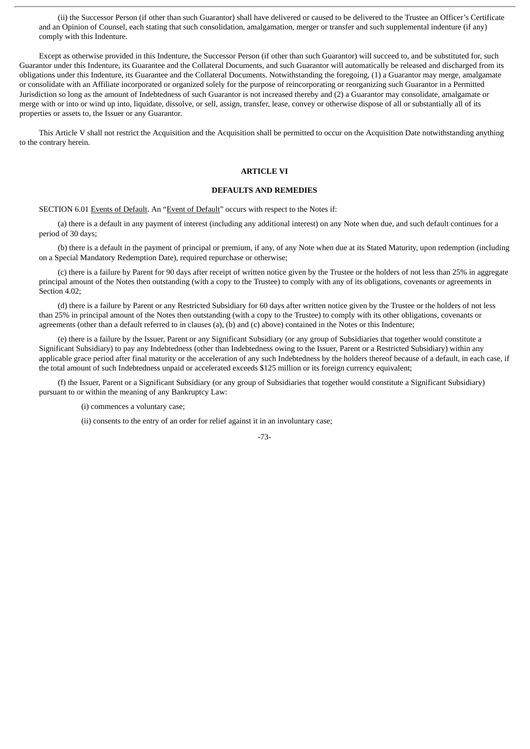(ii) the Successor Person (if other than such Guarantor) shall have delivered or caused to be delivered to the Trustee an Officer's Certificate and an Opinion of Counsel, each stating that such consolidation, amalgamation, merger or transfer and such supplemental indenture (if any) comply with this Indenture.

Except as otherwise provided in this Indenture, the Successor Person (if other than such Guarantor) will succeed to, and be substituted for, such Guarantor under this Indenture, its Guarantee and the Collateral Documents, and such Guarantor will automatically be released and discharged from its obligations under this Indenture, its Guarantee and the Collateral Documents. Notwithstanding the foregoing, (1) a Guarantor may merge, amalgamate or consolidate with an Affiliate incorporated or organized solely for the purpose of reincorporating or reorganizing such Guarantor in a Permitted Jurisdiction so long as the amount of Indebtedness of such Guarantor is not increased thereby and (2) a Guarantor may consolidate, amalgamate or merge with or into or wind up into, liquidate, dissolve, or sell, assign, transfer, lease, convey or otherwise dispose of all or substantially all of its properties or assets to, the Issuer or any Guarantor.

This Article V shall not restrict the Acquisition and the Acquisition shall be permitted to occur on the Acquisition Date notwithstanding anything to the contrary herein.

### **ARTICLE VI**

# **DEFAULTS AND REMEDIES**

SECTION 6.01 Events of Default. An "Event of Default" occurs with respect to the Notes if:

(a) there is a default in any payment of interest (including any additional interest) on any Note when due, and such default continues for a period of 30 days;

(b) there is a default in the payment of principal or premium, if any, of any Note when due at its Stated Maturity, upon redemption (including on a Special Mandatory Redemption Date), required repurchase or otherwise;

(c) there is a failure by Parent for 90 days after receipt of written notice given by the Trustee or the holders of not less than 25% in aggregate principal amount of the Notes then outstanding (with a copy to the Trustee) to comply with any of its obligations, covenants or agreements in Section 4.02;

(d) there is a failure by Parent or any Restricted Subsidiary for 60 days after written notice given by the Trustee or the holders of not less than 25% in principal amount of the Notes then outstanding (with a copy to the Trustee) to comply with its other obligations, covenants or agreements (other than a default referred to in clauses (a), (b) and (c) above) contained in the Notes or this Indenture;

(e) there is a failure by the Issuer, Parent or any Significant Subsidiary (or any group of Subsidiaries that together would constitute a Significant Subsidiary) to pay any Indebtedness (other than Indebtedness owing to the Issuer, Parent or a Restricted Subsidiary) within any applicable grace period after final maturity or the acceleration of any such Indebtedness by the holders thereof because of a default, in each case, if the total amount of such Indebtedness unpaid or accelerated exceeds \$125 million or its foreign currency equivalent;

(f) the Issuer, Parent or a Significant Subsidiary (or any group of Subsidiaries that together would constitute a Significant Subsidiary) pursuant to or within the meaning of any Bankruptcy Law:

(i) commences a voluntary case;

(ii) consents to the entry of an order for relief against it in an involuntary case;

-73-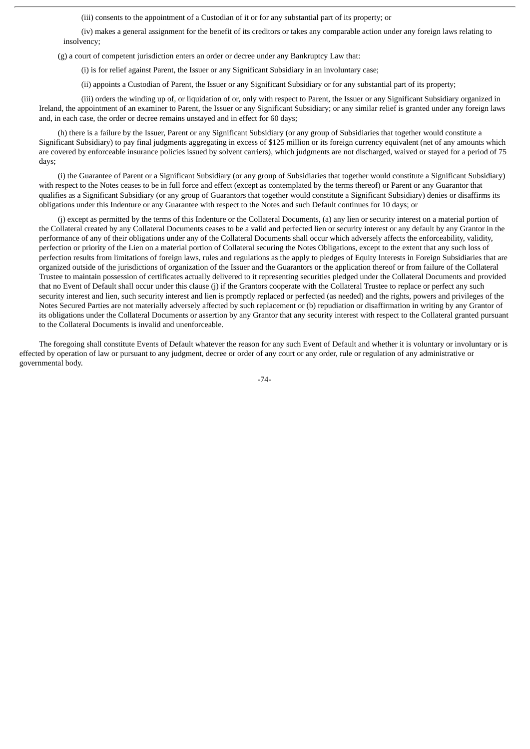(iii) consents to the appointment of a Custodian of it or for any substantial part of its property; or

(iv) makes a general assignment for the benefit of its creditors or takes any comparable action under any foreign laws relating to insolvency;

(g) a court of competent jurisdiction enters an order or decree under any Bankruptcy Law that:

(i) is for relief against Parent, the Issuer or any Significant Subsidiary in an involuntary case;

(ii) appoints a Custodian of Parent, the Issuer or any Significant Subsidiary or for any substantial part of its property;

(iii) orders the winding up of, or liquidation of or, only with respect to Parent, the Issuer or any Significant Subsidiary organized in Ireland, the appointment of an examiner to Parent, the Issuer or any Significant Subsidiary; or any similar relief is granted under any foreign laws and, in each case, the order or decree remains unstayed and in effect for 60 days;

(h) there is a failure by the Issuer, Parent or any Significant Subsidiary (or any group of Subsidiaries that together would constitute a Significant Subsidiary) to pay final judgments aggregating in excess of \$125 million or its foreign currency equivalent (net of any amounts which are covered by enforceable insurance policies issued by solvent carriers), which judgments are not discharged, waived or stayed for a period of 75 days;

(i) the Guarantee of Parent or a Significant Subsidiary (or any group of Subsidiaries that together would constitute a Significant Subsidiary) with respect to the Notes ceases to be in full force and effect (except as contemplated by the terms thereof) or Parent or any Guarantor that qualifies as a Significant Subsidiary (or any group of Guarantors that together would constitute a Significant Subsidiary) denies or disaffirms its obligations under this Indenture or any Guarantee with respect to the Notes and such Default continues for 10 days; or

(j) except as permitted by the terms of this Indenture or the Collateral Documents, (a) any lien or security interest on a material portion of the Collateral created by any Collateral Documents ceases to be a valid and perfected lien or security interest or any default by any Grantor in the performance of any of their obligations under any of the Collateral Documents shall occur which adversely affects the enforceability, validity, perfection or priority of the Lien on a material portion of Collateral securing the Notes Obligations, except to the extent that any such loss of perfection results from limitations of foreign laws, rules and regulations as the apply to pledges of Equity Interests in Foreign Subsidiaries that are organized outside of the jurisdictions of organization of the Issuer and the Guarantors or the application thereof or from failure of the Collateral Trustee to maintain possession of certificates actually delivered to it representing securities pledged under the Collateral Documents and provided that no Event of Default shall occur under this clause (j) if the Grantors cooperate with the Collateral Trustee to replace or perfect any such security interest and lien, such security interest and lien is promptly replaced or perfected (as needed) and the rights, powers and privileges of the Notes Secured Parties are not materially adversely affected by such replacement or (b) repudiation or disaffirmation in writing by any Grantor of its obligations under the Collateral Documents or assertion by any Grantor that any security interest with respect to the Collateral granted pursuant to the Collateral Documents is invalid and unenforceable.

The foregoing shall constitute Events of Default whatever the reason for any such Event of Default and whether it is voluntary or involuntary or is effected by operation of law or pursuant to any judgment, decree or order of any court or any order, rule or regulation of any administrative or governmental body.

-74-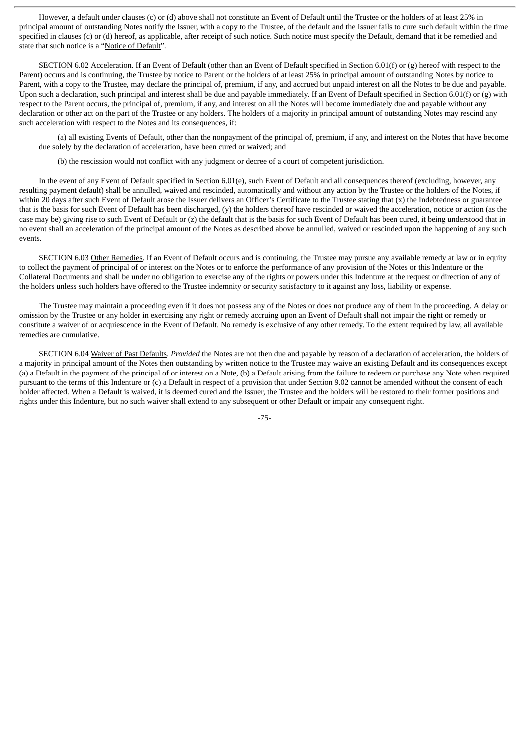However, a default under clauses (c) or (d) above shall not constitute an Event of Default until the Trustee or the holders of at least 25% in principal amount of outstanding Notes notify the Issuer, with a copy to the Trustee, of the default and the Issuer fails to cure such default within the time specified in clauses (c) or (d) hereof, as applicable, after receipt of such notice. Such notice must specify the Default, demand that it be remedied and state that such notice is a "Notice of Default".

SECTION 6.02 Acceleration. If an Event of Default (other than an Event of Default specified in Section 6.01(f) or (g) hereof with respect to the Parent) occurs and is continuing, the Trustee by notice to Parent or the holders of at least 25% in principal amount of outstanding Notes by notice to Parent, with a copy to the Trustee, may declare the principal of, premium, if any, and accrued but unpaid interest on all the Notes to be due and payable. Upon such a declaration, such principal and interest shall be due and payable immediately. If an Event of Default specified in Section 6.01(f) or (g) with respect to the Parent occurs, the principal of, premium, if any, and interest on all the Notes will become immediately due and payable without any declaration or other act on the part of the Trustee or any holders. The holders of a majority in principal amount of outstanding Notes may rescind any such acceleration with respect to the Notes and its consequences, if:

(a) all existing Events of Default, other than the nonpayment of the principal of, premium, if any, and interest on the Notes that have become due solely by the declaration of acceleration, have been cured or waived; and

(b) the rescission would not conflict with any judgment or decree of a court of competent jurisdiction.

In the event of any Event of Default specified in Section 6.01(e), such Event of Default and all consequences thereof (excluding, however, any resulting payment default) shall be annulled, waived and rescinded, automatically and without any action by the Trustee or the holders of the Notes, if within 20 days after such Event of Default arose the Issuer delivers an Officer's Certificate to the Trustee stating that (x) the Indebtedness or guarantee that is the basis for such Event of Default has been discharged, (y) the holders thereof have rescinded or waived the acceleration, notice or action (as the case may be) giving rise to such Event of Default or (z) the default that is the basis for such Event of Default has been cured, it being understood that in no event shall an acceleration of the principal amount of the Notes as described above be annulled, waived or rescinded upon the happening of any such events.

SECTION 6.03 Other Remedies. If an Event of Default occurs and is continuing, the Trustee may pursue any available remedy at law or in equity to collect the payment of principal of or interest on the Notes or to enforce the performance of any provision of the Notes or this Indenture or the Collateral Documents and shall be under no obligation to exercise any of the rights or powers under this Indenture at the request or direction of any of the holders unless such holders have offered to the Trustee indemnity or security satisfactory to it against any loss, liability or expense.

The Trustee may maintain a proceeding even if it does not possess any of the Notes or does not produce any of them in the proceeding. A delay or omission by the Trustee or any holder in exercising any right or remedy accruing upon an Event of Default shall not impair the right or remedy or constitute a waiver of or acquiescence in the Event of Default. No remedy is exclusive of any other remedy. To the extent required by law, all available remedies are cumulative.

SECTION 6.04 Waiver of Past Defaults. *Provided* the Notes are not then due and payable by reason of a declaration of acceleration, the holders of a majority in principal amount of the Notes then outstanding by written notice to the Trustee may waive an existing Default and its consequences except (a) a Default in the payment of the principal of or interest on a Note, (b) a Default arising from the failure to redeem or purchase any Note when required pursuant to the terms of this Indenture or (c) a Default in respect of a provision that under Section 9.02 cannot be amended without the consent of each holder affected. When a Default is waived, it is deemed cured and the Issuer, the Trustee and the holders will be restored to their former positions and rights under this Indenture, but no such waiver shall extend to any subsequent or other Default or impair any consequent right.

-75-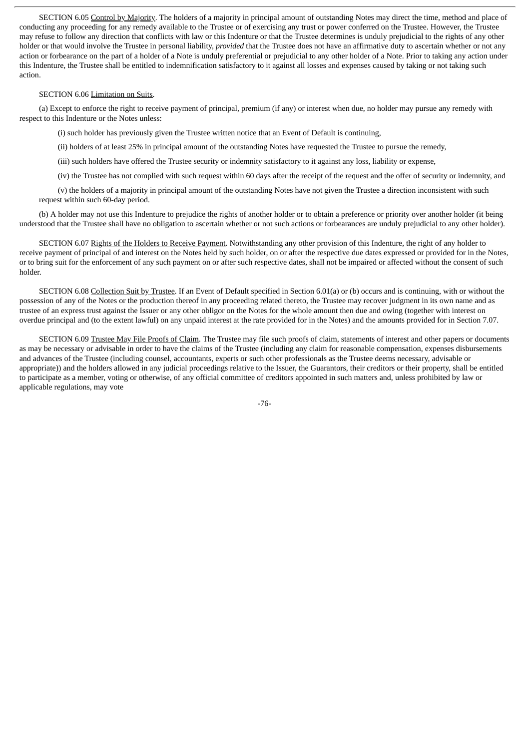SECTION 6.05 Control by Majority. The holders of a majority in principal amount of outstanding Notes may direct the time, method and place of conducting any proceeding for any remedy available to the Trustee or of exercising any trust or power conferred on the Trustee. However, the Trustee may refuse to follow any direction that conflicts with law or this Indenture or that the Trustee determines is unduly prejudicial to the rights of any other holder or that would involve the Trustee in personal liability, *provided* that the Trustee does not have an affirmative duty to ascertain whether or not any action or forbearance on the part of a holder of a Note is unduly preferential or prejudicial to any other holder of a Note. Prior to taking any action under this Indenture, the Trustee shall be entitled to indemnification satisfactory to it against all losses and expenses caused by taking or not taking such action.

#### SECTION 6.06 Limitation on Suits.

(a) Except to enforce the right to receive payment of principal, premium (if any) or interest when due, no holder may pursue any remedy with respect to this Indenture or the Notes unless:

(i) such holder has previously given the Trustee written notice that an Event of Default is continuing,

(ii) holders of at least 25% in principal amount of the outstanding Notes have requested the Trustee to pursue the remedy,

(iii) such holders have offered the Trustee security or indemnity satisfactory to it against any loss, liability or expense,

(iv) the Trustee has not complied with such request within 60 days after the receipt of the request and the offer of security or indemnity, and

(v) the holders of a majority in principal amount of the outstanding Notes have not given the Trustee a direction inconsistent with such request within such 60-day period.

(b) A holder may not use this Indenture to prejudice the rights of another holder or to obtain a preference or priority over another holder (it being understood that the Trustee shall have no obligation to ascertain whether or not such actions or forbearances are unduly prejudicial to any other holder).

SECTION 6.07 Rights of the Holders to Receive Payment. Notwithstanding any other provision of this Indenture, the right of any holder to receive payment of principal of and interest on the Notes held by such holder, on or after the respective due dates expressed or provided for in the Notes, or to bring suit for the enforcement of any such payment on or after such respective dates, shall not be impaired or affected without the consent of such holder.

SECTION 6.08 Collection Suit by Trustee. If an Event of Default specified in Section 6.01(a) or (b) occurs and is continuing, with or without the possession of any of the Notes or the production thereof in any proceeding related thereto, the Trustee may recover judgment in its own name and as trustee of an express trust against the Issuer or any other obligor on the Notes for the whole amount then due and owing (together with interest on overdue principal and (to the extent lawful) on any unpaid interest at the rate provided for in the Notes) and the amounts provided for in Section 7.07.

SECTION 6.09 Trustee May File Proofs of Claim. The Trustee may file such proofs of claim, statements of interest and other papers or documents as may be necessary or advisable in order to have the claims of the Trustee (including any claim for reasonable compensation, expenses disbursements and advances of the Trustee (including counsel, accountants, experts or such other professionals as the Trustee deems necessary, advisable or appropriate)) and the holders allowed in any judicial proceedings relative to the Issuer, the Guarantors, their creditors or their property, shall be entitled to participate as a member, voting or otherwise, of any official committee of creditors appointed in such matters and, unless prohibited by law or applicable regulations, may vote

-76-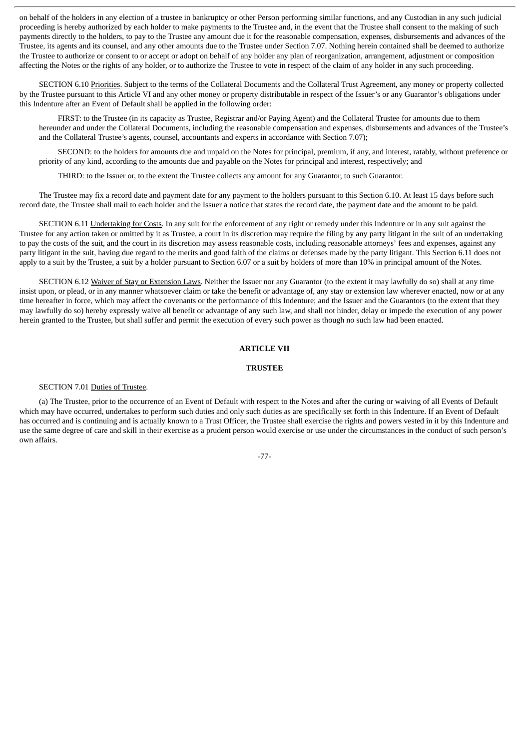on behalf of the holders in any election of a trustee in bankruptcy or other Person performing similar functions, and any Custodian in any such judicial proceeding is hereby authorized by each holder to make payments to the Trustee and, in the event that the Trustee shall consent to the making of such payments directly to the holders, to pay to the Trustee any amount due it for the reasonable compensation, expenses, disbursements and advances of the Trustee, its agents and its counsel, and any other amounts due to the Trustee under Section 7.07. Nothing herein contained shall be deemed to authorize the Trustee to authorize or consent to or accept or adopt on behalf of any holder any plan of reorganization, arrangement, adjustment or composition affecting the Notes or the rights of any holder, or to authorize the Trustee to vote in respect of the claim of any holder in any such proceeding.

SECTION 6.10 Priorities. Subject to the terms of the Collateral Documents and the Collateral Trust Agreement, any money or property collected by the Trustee pursuant to this Article VI and any other money or property distributable in respect of the Issuer's or any Guarantor's obligations under this Indenture after an Event of Default shall be applied in the following order:

FIRST: to the Trustee (in its capacity as Trustee, Registrar and/or Paying Agent) and the Collateral Trustee for amounts due to them hereunder and under the Collateral Documents, including the reasonable compensation and expenses, disbursements and advances of the Trustee's and the Collateral Trustee's agents, counsel, accountants and experts in accordance with Section 7.07);

SECOND: to the holders for amounts due and unpaid on the Notes for principal, premium, if any, and interest, ratably, without preference or priority of any kind, according to the amounts due and payable on the Notes for principal and interest, respectively; and

THIRD: to the Issuer or, to the extent the Trustee collects any amount for any Guarantor, to such Guarantor.

The Trustee may fix a record date and payment date for any payment to the holders pursuant to this Section 6.10. At least 15 days before such record date, the Trustee shall mail to each holder and the Issuer a notice that states the record date, the payment date and the amount to be paid.

SECTION 6.11 Undertaking for Costs. In any suit for the enforcement of any right or remedy under this Indenture or in any suit against the Trustee for any action taken or omitted by it as Trustee, a court in its discretion may require the filing by any party litigant in the suit of an undertaking to pay the costs of the suit, and the court in its discretion may assess reasonable costs, including reasonable attorneys' fees and expenses, against any party litigant in the suit, having due regard to the merits and good faith of the claims or defenses made by the party litigant. This Section 6.11 does not apply to a suit by the Trustee, a suit by a holder pursuant to Section 6.07 or a suit by holders of more than 10% in principal amount of the Notes.

SECTION 6.12 Waiver of Stay or Extension Laws. Neither the Issuer nor any Guarantor (to the extent it may lawfully do so) shall at any time insist upon, or plead, or in any manner whatsoever claim or take the benefit or advantage of, any stay or extension law wherever enacted, now or at any time hereafter in force, which may affect the covenants or the performance of this Indenture; and the Issuer and the Guarantors (to the extent that they may lawfully do so) hereby expressly waive all benefit or advantage of any such law, and shall not hinder, delay or impede the execution of any power herein granted to the Trustee, but shall suffer and permit the execution of every such power as though no such law had been enacted.

### **ARTICLE VII**

### **TRUSTEE**

#### SECTION 7.01 Duties of Trustee.

(a) The Trustee, prior to the occurrence of an Event of Default with respect to the Notes and after the curing or waiving of all Events of Default which may have occurred, undertakes to perform such duties and only such duties as are specifically set forth in this Indenture. If an Event of Default has occurred and is continuing and is actually known to a Trust Officer, the Trustee shall exercise the rights and powers vested in it by this Indenture and use the same degree of care and skill in their exercise as a prudent person would exercise or use under the circumstances in the conduct of such person's own affairs.

-77-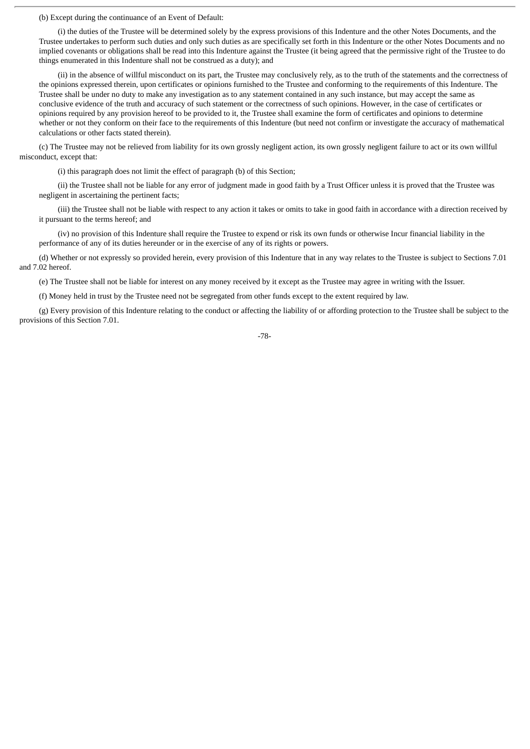(b) Except during the continuance of an Event of Default:

(i) the duties of the Trustee will be determined solely by the express provisions of this Indenture and the other Notes Documents, and the Trustee undertakes to perform such duties and only such duties as are specifically set forth in this Indenture or the other Notes Documents and no implied covenants or obligations shall be read into this Indenture against the Trustee (it being agreed that the permissive right of the Trustee to do things enumerated in this Indenture shall not be construed as a duty); and

(ii) in the absence of willful misconduct on its part, the Trustee may conclusively rely, as to the truth of the statements and the correctness of the opinions expressed therein, upon certificates or opinions furnished to the Trustee and conforming to the requirements of this Indenture. The Trustee shall be under no duty to make any investigation as to any statement contained in any such instance, but may accept the same as conclusive evidence of the truth and accuracy of such statement or the correctness of such opinions. However, in the case of certificates or opinions required by any provision hereof to be provided to it, the Trustee shall examine the form of certificates and opinions to determine whether or not they conform on their face to the requirements of this Indenture (but need not confirm or investigate the accuracy of mathematical calculations or other facts stated therein).

(c) The Trustee may not be relieved from liability for its own grossly negligent action, its own grossly negligent failure to act or its own willful misconduct, except that:

(i) this paragraph does not limit the effect of paragraph (b) of this Section;

(ii) the Trustee shall not be liable for any error of judgment made in good faith by a Trust Officer unless it is proved that the Trustee was negligent in ascertaining the pertinent facts;

(iii) the Trustee shall not be liable with respect to any action it takes or omits to take in good faith in accordance with a direction received by it pursuant to the terms hereof; and

(iv) no provision of this Indenture shall require the Trustee to expend or risk its own funds or otherwise Incur financial liability in the performance of any of its duties hereunder or in the exercise of any of its rights or powers.

(d) Whether or not expressly so provided herein, every provision of this Indenture that in any way relates to the Trustee is subject to Sections 7.01 and 7.02 hereof.

(e) The Trustee shall not be liable for interest on any money received by it except as the Trustee may agree in writing with the Issuer.

(f) Money held in trust by the Trustee need not be segregated from other funds except to the extent required by law.

(g) Every provision of this Indenture relating to the conduct or affecting the liability of or affording protection to the Trustee shall be subject to the provisions of this Section 7.01.

-78-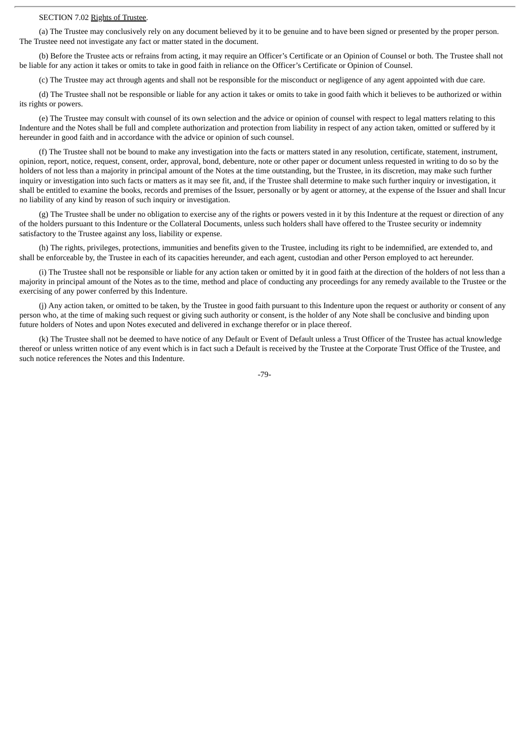# SECTION 7.02 Rights of Trustee.

(a) The Trustee may conclusively rely on any document believed by it to be genuine and to have been signed or presented by the proper person. The Trustee need not investigate any fact or matter stated in the document.

(b) Before the Trustee acts or refrains from acting, it may require an Officer's Certificate or an Opinion of Counsel or both. The Trustee shall not be liable for any action it takes or omits to take in good faith in reliance on the Officer's Certificate or Opinion of Counsel.

(c) The Trustee may act through agents and shall not be responsible for the misconduct or negligence of any agent appointed with due care.

(d) The Trustee shall not be responsible or liable for any action it takes or omits to take in good faith which it believes to be authorized or within its rights or powers.

(e) The Trustee may consult with counsel of its own selection and the advice or opinion of counsel with respect to legal matters relating to this Indenture and the Notes shall be full and complete authorization and protection from liability in respect of any action taken, omitted or suffered by it hereunder in good faith and in accordance with the advice or opinion of such counsel.

(f) The Trustee shall not be bound to make any investigation into the facts or matters stated in any resolution, certificate, statement, instrument, opinion, report, notice, request, consent, order, approval, bond, debenture, note or other paper or document unless requested in writing to do so by the holders of not less than a majority in principal amount of the Notes at the time outstanding, but the Trustee, in its discretion, may make such further inquiry or investigation into such facts or matters as it may see fit, and, if the Trustee shall determine to make such further inquiry or investigation, it shall be entitled to examine the books, records and premises of the Issuer, personally or by agent or attorney, at the expense of the Issuer and shall Incur no liability of any kind by reason of such inquiry or investigation.

(g) The Trustee shall be under no obligation to exercise any of the rights or powers vested in it by this Indenture at the request or direction of any of the holders pursuant to this Indenture or the Collateral Documents, unless such holders shall have offered to the Trustee security or indemnity satisfactory to the Trustee against any loss, liability or expense.

(h) The rights, privileges, protections, immunities and benefits given to the Trustee, including its right to be indemnified, are extended to, and shall be enforceable by, the Trustee in each of its capacities hereunder, and each agent, custodian and other Person employed to act hereunder.

(i) The Trustee shall not be responsible or liable for any action taken or omitted by it in good faith at the direction of the holders of not less than a majority in principal amount of the Notes as to the time, method and place of conducting any proceedings for any remedy available to the Trustee or the exercising of any power conferred by this Indenture.

(j) Any action taken, or omitted to be taken, by the Trustee in good faith pursuant to this Indenture upon the request or authority or consent of any person who, at the time of making such request or giving such authority or consent, is the holder of any Note shall be conclusive and binding upon future holders of Notes and upon Notes executed and delivered in exchange therefor or in place thereof.

(k) The Trustee shall not be deemed to have notice of any Default or Event of Default unless a Trust Officer of the Trustee has actual knowledge thereof or unless written notice of any event which is in fact such a Default is received by the Trustee at the Corporate Trust Office of the Trustee, and such notice references the Notes and this Indenture.

-79-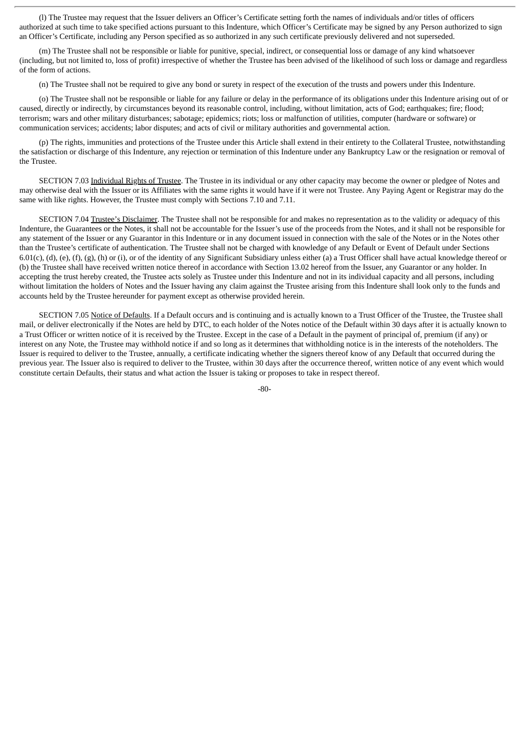(l) The Trustee may request that the Issuer delivers an Officer's Certificate setting forth the names of individuals and/or titles of officers authorized at such time to take specified actions pursuant to this Indenture, which Officer's Certificate may be signed by any Person authorized to sign an Officer's Certificate, including any Person specified as so authorized in any such certificate previously delivered and not superseded.

(m) The Trustee shall not be responsible or liable for punitive, special, indirect, or consequential loss or damage of any kind whatsoever (including, but not limited to, loss of profit) irrespective of whether the Trustee has been advised of the likelihood of such loss or damage and regardless of the form of actions.

(n) The Trustee shall not be required to give any bond or surety in respect of the execution of the trusts and powers under this Indenture.

(o) The Trustee shall not be responsible or liable for any failure or delay in the performance of its obligations under this Indenture arising out of or caused, directly or indirectly, by circumstances beyond its reasonable control, including, without limitation, acts of God; earthquakes; fire; flood; terrorism; wars and other military disturbances; sabotage; epidemics; riots; loss or malfunction of utilities, computer (hardware or software) or communication services; accidents; labor disputes; and acts of civil or military authorities and governmental action.

(p) The rights, immunities and protections of the Trustee under this Article shall extend in their entirety to the Collateral Trustee, notwithstanding the satisfaction or discharge of this Indenture, any rejection or termination of this Indenture under any Bankruptcy Law or the resignation or removal of the Trustee.

SECTION 7.03 Individual Rights of Trustee. The Trustee in its individual or any other capacity may become the owner or pledgee of Notes and may otherwise deal with the Issuer or its Affiliates with the same rights it would have if it were not Trustee. Any Paying Agent or Registrar may do the same with like rights. However, the Trustee must comply with Sections 7.10 and 7.11.

SECTION 7.04 Trustee's Disclaimer. The Trustee shall not be responsible for and makes no representation as to the validity or adequacy of this Indenture, the Guarantees or the Notes, it shall not be accountable for the Issuer's use of the proceeds from the Notes, and it shall not be responsible for any statement of the Issuer or any Guarantor in this Indenture or in any document issued in connection with the sale of the Notes or in the Notes other than the Trustee's certificate of authentication. The Trustee shall not be charged with knowledge of any Default or Event of Default under Sections 6.01(c), (d), (e), (f), (g), (h) or (i), or of the identity of any Significant Subsidiary unless either (a) a Trust Officer shall have actual knowledge thereof or (b) the Trustee shall have received written notice thereof in accordance with Section 13.02 hereof from the Issuer, any Guarantor or any holder. In accepting the trust hereby created, the Trustee acts solely as Trustee under this Indenture and not in its individual capacity and all persons, including without limitation the holders of Notes and the Issuer having any claim against the Trustee arising from this Indenture shall look only to the funds and accounts held by the Trustee hereunder for payment except as otherwise provided herein.

SECTION 7.05 Notice of Defaults. If a Default occurs and is continuing and is actually known to a Trust Officer of the Trustee, the Trustee shall mail, or deliver electronically if the Notes are held by DTC, to each holder of the Notes notice of the Default within 30 days after it is actually known to a Trust Officer or written notice of it is received by the Trustee. Except in the case of a Default in the payment of principal of, premium (if any) or interest on any Note, the Trustee may withhold notice if and so long as it determines that withholding notice is in the interests of the noteholders. The Issuer is required to deliver to the Trustee, annually, a certificate indicating whether the signers thereof know of any Default that occurred during the previous year. The Issuer also is required to deliver to the Trustee, within 30 days after the occurrence thereof, written notice of any event which would constitute certain Defaults, their status and what action the Issuer is taking or proposes to take in respect thereof.

 $-80-$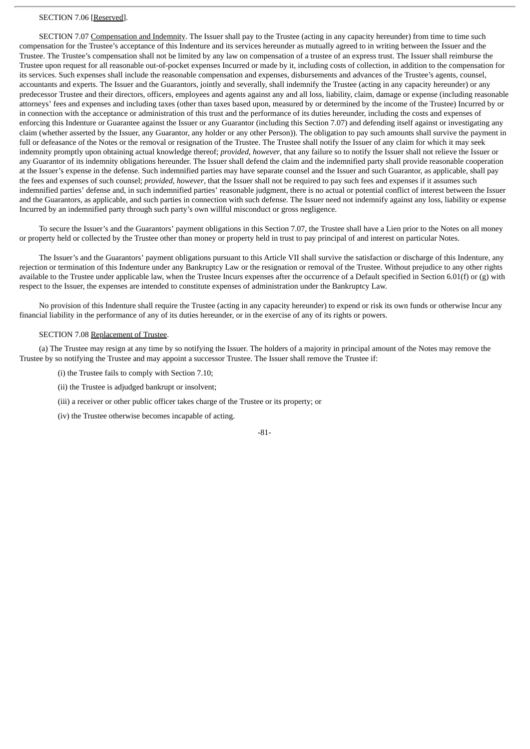# SECTION 7.06 [Reserved].

SECTION 7.07 Compensation and Indemnity. The Issuer shall pay to the Trustee (acting in any capacity hereunder) from time to time such compensation for the Trustee's acceptance of this Indenture and its services hereunder as mutually agreed to in writing between the Issuer and the Trustee. The Trustee's compensation shall not be limited by any law on compensation of a trustee of an express trust. The Issuer shall reimburse the Trustee upon request for all reasonable out-of-pocket expenses Incurred or made by it, including costs of collection, in addition to the compensation for its services. Such expenses shall include the reasonable compensation and expenses, disbursements and advances of the Trustee's agents, counsel, accountants and experts. The Issuer and the Guarantors, jointly and severally, shall indemnify the Trustee (acting in any capacity hereunder) or any predecessor Trustee and their directors, officers, employees and agents against any and all loss, liability, claim, damage or expense (including reasonable attorneys' fees and expenses and including taxes (other than taxes based upon, measured by or determined by the income of the Trustee) Incurred by or in connection with the acceptance or administration of this trust and the performance of its duties hereunder, including the costs and expenses of enforcing this Indenture or Guarantee against the Issuer or any Guarantor (including this Section 7.07) and defending itself against or investigating any claim (whether asserted by the Issuer, any Guarantor, any holder or any other Person)). The obligation to pay such amounts shall survive the payment in full or defeasance of the Notes or the removal or resignation of the Trustee. The Trustee shall notify the Issuer of any claim for which it may seek indemnity promptly upon obtaining actual knowledge thereof; *provided*, *however*, that any failure so to notify the Issuer shall not relieve the Issuer or any Guarantor of its indemnity obligations hereunder. The Issuer shall defend the claim and the indemnified party shall provide reasonable cooperation at the Issuer's expense in the defense. Such indemnified parties may have separate counsel and the Issuer and such Guarantor, as applicable, shall pay the fees and expenses of such counsel; *provided*, *however*, that the Issuer shall not be required to pay such fees and expenses if it assumes such indemnified parties' defense and, in such indemnified parties' reasonable judgment, there is no actual or potential conflict of interest between the Issuer and the Guarantors, as applicable, and such parties in connection with such defense. The Issuer need not indemnify against any loss, liability or expense Incurred by an indemnified party through such party's own willful misconduct or gross negligence.

To secure the Issuer's and the Guarantors' payment obligations in this Section 7.07, the Trustee shall have a Lien prior to the Notes on all money or property held or collected by the Trustee other than money or property held in trust to pay principal of and interest on particular Notes.

The Issuer's and the Guarantors' payment obligations pursuant to this Article VII shall survive the satisfaction or discharge of this Indenture, any rejection or termination of this Indenture under any Bankruptcy Law or the resignation or removal of the Trustee. Without prejudice to any other rights available to the Trustee under applicable law, when the Trustee Incurs expenses after the occurrence of a Default specified in Section 6.01(f) or (g) with respect to the Issuer, the expenses are intended to constitute expenses of administration under the Bankruptcy Law.

No provision of this Indenture shall require the Trustee (acting in any capacity hereunder) to expend or risk its own funds or otherwise Incur any financial liability in the performance of any of its duties hereunder, or in the exercise of any of its rights or powers.

## SECTION 7.08 Replacement of Trustee.

(a) The Trustee may resign at any time by so notifying the Issuer. The holders of a majority in principal amount of the Notes may remove the Trustee by so notifying the Trustee and may appoint a successor Trustee. The Issuer shall remove the Trustee if:

(i) the Trustee fails to comply with Section 7.10;

(ii) the Trustee is adjudged bankrupt or insolvent;

(iii) a receiver or other public officer takes charge of the Trustee or its property; or

(iv) the Trustee otherwise becomes incapable of acting.

-81-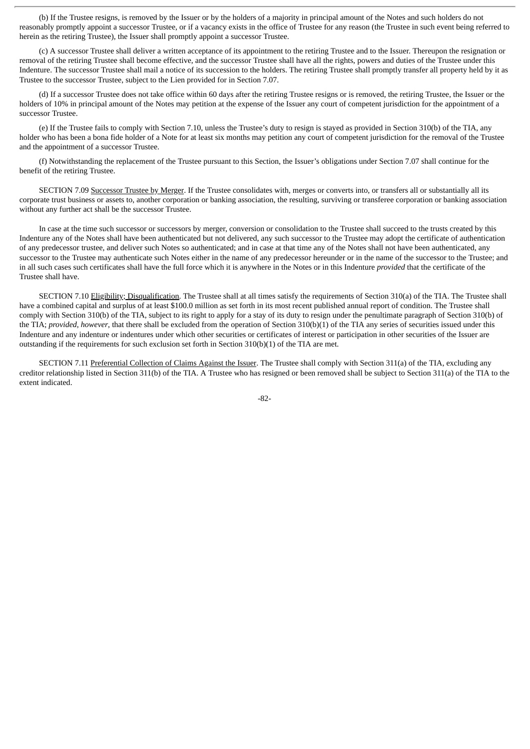(b) If the Trustee resigns, is removed by the Issuer or by the holders of a majority in principal amount of the Notes and such holders do not reasonably promptly appoint a successor Trustee, or if a vacancy exists in the office of Trustee for any reason (the Trustee in such event being referred to herein as the retiring Trustee), the Issuer shall promptly appoint a successor Trustee.

(c) A successor Trustee shall deliver a written acceptance of its appointment to the retiring Trustee and to the Issuer. Thereupon the resignation or removal of the retiring Trustee shall become effective, and the successor Trustee shall have all the rights, powers and duties of the Trustee under this Indenture. The successor Trustee shall mail a notice of its succession to the holders. The retiring Trustee shall promptly transfer all property held by it as Trustee to the successor Trustee, subject to the Lien provided for in Section 7.07.

(d) If a successor Trustee does not take office within 60 days after the retiring Trustee resigns or is removed, the retiring Trustee, the Issuer or the holders of 10% in principal amount of the Notes may petition at the expense of the Issuer any court of competent jurisdiction for the appointment of a successor Trustee.

(e) If the Trustee fails to comply with Section 7.10, unless the Trustee's duty to resign is stayed as provided in Section 310(b) of the TIA, any holder who has been a bona fide holder of a Note for at least six months may petition any court of competent jurisdiction for the removal of the Trustee and the appointment of a successor Trustee.

(f) Notwithstanding the replacement of the Trustee pursuant to this Section, the Issuer's obligations under Section 7.07 shall continue for the benefit of the retiring Trustee.

SECTION 7.09 Successor Trustee by Merger. If the Trustee consolidates with, merges or converts into, or transfers all or substantially all its corporate trust business or assets to, another corporation or banking association, the resulting, surviving or transferee corporation or banking association without any further act shall be the successor Trustee.

In case at the time such successor or successors by merger, conversion or consolidation to the Trustee shall succeed to the trusts created by this Indenture any of the Notes shall have been authenticated but not delivered, any such successor to the Trustee may adopt the certificate of authentication of any predecessor trustee, and deliver such Notes so authenticated; and in case at that time any of the Notes shall not have been authenticated, any successor to the Trustee may authenticate such Notes either in the name of any predecessor hereunder or in the name of the successor to the Trustee; and in all such cases such certificates shall have the full force which it is anywhere in the Notes or in this Indenture *provided* that the certificate of the Trustee shall have.

SECTION 7.10 Eligibility; Disqualification. The Trustee shall at all times satisfy the requirements of Section 310(a) of the TIA. The Trustee shall have a combined capital and surplus of at least \$100.0 million as set forth in its most recent published annual report of condition. The Trustee shall comply with Section 310(b) of the TIA, subject to its right to apply for a stay of its duty to resign under the penultimate paragraph of Section 310(b) of the TIA; *provided*, *however*, that there shall be excluded from the operation of Section 310(b)(1) of the TIA any series of securities issued under this Indenture and any indenture or indentures under which other securities or certificates of interest or participation in other securities of the Issuer are outstanding if the requirements for such exclusion set forth in Section 310(b)(1) of the TIA are met.

SECTION 7.11 Preferential Collection of Claims Against the Issuer. The Trustee shall comply with Section 311(a) of the TIA, excluding any creditor relationship listed in Section 311(b) of the TIA. A Trustee who has resigned or been removed shall be subject to Section 311(a) of the TIA to the extent indicated.

-82-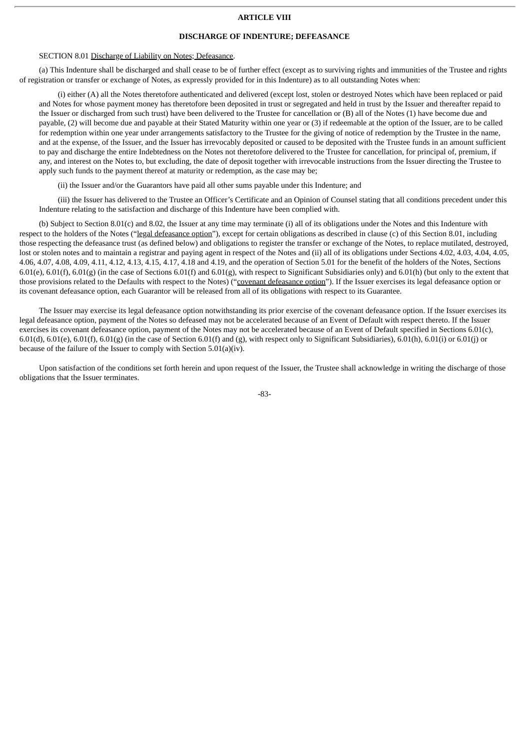### **ARTICLE VIII**

### **DISCHARGE OF INDENTURE; DEFEASANCE**

# SECTION 8.01 Discharge of Liability on Notes; Defeasance.

(a) This Indenture shall be discharged and shall cease to be of further effect (except as to surviving rights and immunities of the Trustee and rights of registration or transfer or exchange of Notes, as expressly provided for in this Indenture) as to all outstanding Notes when:

(i) either (A) all the Notes theretofore authenticated and delivered (except lost, stolen or destroyed Notes which have been replaced or paid and Notes for whose payment money has theretofore been deposited in trust or segregated and held in trust by the Issuer and thereafter repaid to the Issuer or discharged from such trust) have been delivered to the Trustee for cancellation or (B) all of the Notes (1) have become due and payable, (2) will become due and payable at their Stated Maturity within one year or (3) if redeemable at the option of the Issuer, are to be called for redemption within one year under arrangements satisfactory to the Trustee for the giving of notice of redemption by the Trustee in the name, and at the expense, of the Issuer, and the Issuer has irrevocably deposited or caused to be deposited with the Trustee funds in an amount sufficient to pay and discharge the entire Indebtedness on the Notes not theretofore delivered to the Trustee for cancellation, for principal of, premium, if any, and interest on the Notes to, but excluding, the date of deposit together with irrevocable instructions from the Issuer directing the Trustee to apply such funds to the payment thereof at maturity or redemption, as the case may be;

(ii) the Issuer and/or the Guarantors have paid all other sums payable under this Indenture; and

(iii) the Issuer has delivered to the Trustee an Officer's Certificate and an Opinion of Counsel stating that all conditions precedent under this Indenture relating to the satisfaction and discharge of this Indenture have been complied with.

(b) Subject to Section 8.01(c) and 8.02, the Issuer at any time may terminate (i) all of its obligations under the Notes and this Indenture with respect to the holders of the Notes ("legal defeasance option"), except for certain obligations as described in clause (c) of this Section 8.01, including those respecting the defeasance trust (as defined below) and obligations to register the transfer or exchange of the Notes, to replace mutilated, destroyed, lost or stolen notes and to maintain a registrar and paying agent in respect of the Notes and (ii) all of its obligations under Sections 4.02, 4.03, 4.04, 4.05, 4.06, 4.07, 4.08, 4.09, 4.11, 4.12, 4.13, 4.15, 4.17, 4.18 and 4.19, and the operation of Section 5.01 for the benefit of the holders of the Notes, Sections  $6.01(e)$ ,  $6.01(f)$ ,  $6.01(g)$  (in the case of Sections  $6.01(f)$  and  $6.01(g)$ , with respect to Significant Subsidiaries only) and  $6.01(h)$  (but only to the extent that those provisions related to the Defaults with respect to the Notes) ("covenant defeasance option"). If the Issuer exercises its legal defeasance option or its covenant defeasance option, each Guarantor will be released from all of its obligations with respect to its Guarantee.

The Issuer may exercise its legal defeasance option notwithstanding its prior exercise of the covenant defeasance option. If the Issuer exercises its legal defeasance option, payment of the Notes so defeased may not be accelerated because of an Event of Default with respect thereto. If the Issuer exercises its covenant defeasance option, payment of the Notes may not be accelerated because of an Event of Default specified in Sections 6.01(c), 6.01(d), 6.01(e), 6.01(f), 6.01(g) (in the case of Section 6.01(f) and (g), with respect only to Significant Subsidiaries), 6.01(h), 6.01(i) or 6.01(j) or because of the failure of the Issuer to comply with Section 5.01(a)(iv).

Upon satisfaction of the conditions set forth herein and upon request of the Issuer, the Trustee shall acknowledge in writing the discharge of those obligations that the Issuer terminates.

-83-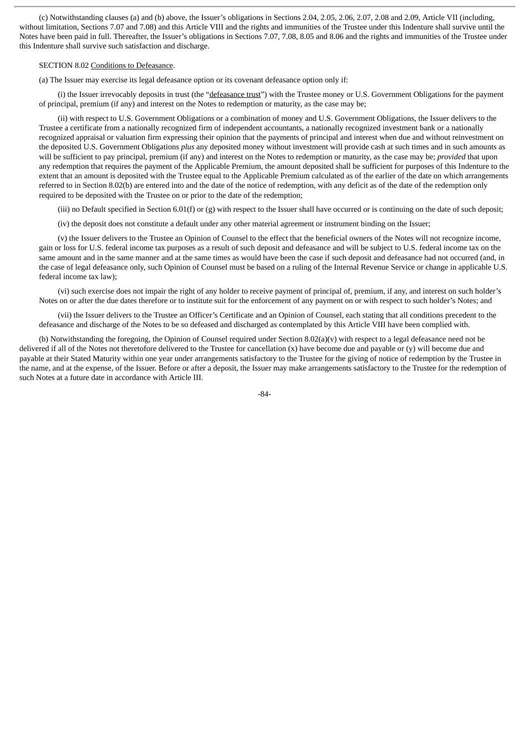(c) Notwithstanding clauses (a) and (b) above, the Issuer's obligations in Sections 2.04, 2.05, 2.06, 2.07, 2.08 and 2.09, Article VII (including, without limitation, Sections 7.07 and 7.08) and this Article VIII and the rights and immunities of the Trustee under this Indenture shall survive until the Notes have been paid in full. Thereafter, the Issuer's obligations in Sections 7.07, 7.08, 8.05 and 8.06 and the rights and immunities of the Trustee under this Indenture shall survive such satisfaction and discharge.

# SECTION 8.02 Conditions to Defeasance.

(a) The Issuer may exercise its legal defeasance option or its covenant defeasance option only if:

(i) the Issuer irrevocably deposits in trust (the "defeasance trust") with the Trustee money or U.S. Government Obligations for the payment of principal, premium (if any) and interest on the Notes to redemption or maturity, as the case may be;

(ii) with respect to U.S. Government Obligations or a combination of money and U.S. Government Obligations, the Issuer delivers to the Trustee a certificate from a nationally recognized firm of independent accountants, a nationally recognized investment bank or a nationally recognized appraisal or valuation firm expressing their opinion that the payments of principal and interest when due and without reinvestment on the deposited U.S. Government Obligations *plus* any deposited money without investment will provide cash at such times and in such amounts as will be sufficient to pay principal, premium (if any) and interest on the Notes to redemption or maturity, as the case may be; *provided* that upon any redemption that requires the payment of the Applicable Premium, the amount deposited shall be sufficient for purposes of this Indenture to the extent that an amount is deposited with the Trustee equal to the Applicable Premium calculated as of the earlier of the date on which arrangements referred to in Section 8.02(b) are entered into and the date of the notice of redemption, with any deficit as of the date of the redemption only required to be deposited with the Trustee on or prior to the date of the redemption;

(iii) no Default specified in Section  $6.01(f)$  or (g) with respect to the Issuer shall have occurred or is continuing on the date of such deposit;

(iv) the deposit does not constitute a default under any other material agreement or instrument binding on the Issuer;

(v) the Issuer delivers to the Trustee an Opinion of Counsel to the effect that the beneficial owners of the Notes will not recognize income, gain or loss for U.S. federal income tax purposes as a result of such deposit and defeasance and will be subject to U.S. federal income tax on the same amount and in the same manner and at the same times as would have been the case if such deposit and defeasance had not occurred (and, in the case of legal defeasance only, such Opinion of Counsel must be based on a ruling of the Internal Revenue Service or change in applicable U.S. federal income tax law);

(vi) such exercise does not impair the right of any holder to receive payment of principal of, premium, if any, and interest on such holder's Notes on or after the due dates therefore or to institute suit for the enforcement of any payment on or with respect to such holder's Notes; and

(vii) the Issuer delivers to the Trustee an Officer's Certificate and an Opinion of Counsel, each stating that all conditions precedent to the defeasance and discharge of the Notes to be so defeased and discharged as contemplated by this Article VIII have been complied with.

(b) Notwithstanding the foregoing, the Opinion of Counsel required under Section 8.02(a)(v) with respect to a legal defeasance need not be delivered if all of the Notes not theretofore delivered to the Trustee for cancellation  $(x)$  have become due and payable or  $(y)$  will become due and payable at their Stated Maturity within one year under arrangements satisfactory to the Trustee for the giving of notice of redemption by the Trustee in the name, and at the expense, of the Issuer. Before or after a deposit, the Issuer may make arrangements satisfactory to the Trustee for the redemption of such Notes at a future date in accordance with Article III.

-84-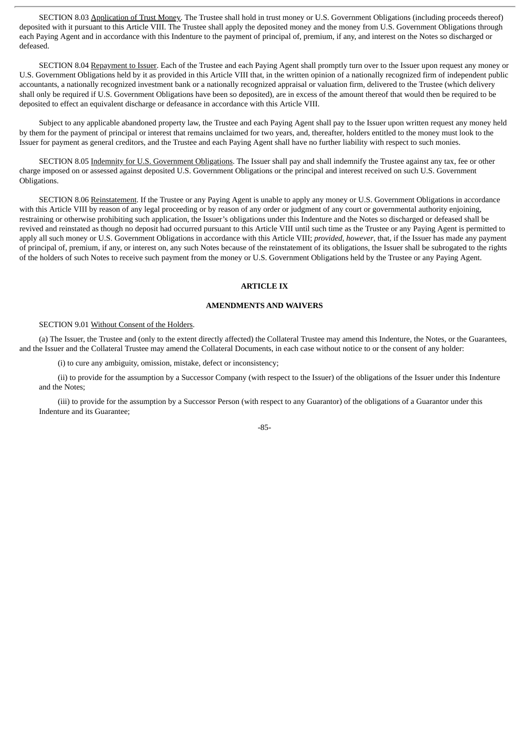SECTION 8.03 Application of Trust Money. The Trustee shall hold in trust money or U.S. Government Obligations (including proceeds thereof) deposited with it pursuant to this Article VIII. The Trustee shall apply the deposited money and the money from U.S. Government Obligations through each Paying Agent and in accordance with this Indenture to the payment of principal of, premium, if any, and interest on the Notes so discharged or defeased.

SECTION 8.04 Repayment to Issuer. Each of the Trustee and each Paying Agent shall promptly turn over to the Issuer upon request any money or U.S. Government Obligations held by it as provided in this Article VIII that, in the written opinion of a nationally recognized firm of independent public accountants, a nationally recognized investment bank or a nationally recognized appraisal or valuation firm, delivered to the Trustee (which delivery shall only be required if U.S. Government Obligations have been so deposited), are in excess of the amount thereof that would then be required to be deposited to effect an equivalent discharge or defeasance in accordance with this Article VIII.

Subject to any applicable abandoned property law, the Trustee and each Paying Agent shall pay to the Issuer upon written request any money held by them for the payment of principal or interest that remains unclaimed for two years, and, thereafter, holders entitled to the money must look to the Issuer for payment as general creditors, and the Trustee and each Paying Agent shall have no further liability with respect to such monies.

SECTION 8.05 Indemnity for U.S. Government Obligations. The Issuer shall pay and shall indemnify the Trustee against any tax, fee or other charge imposed on or assessed against deposited U.S. Government Obligations or the principal and interest received on such U.S. Government Obligations.

SECTION 8.06 Reinstatement. If the Trustee or any Paying Agent is unable to apply any money or U.S. Government Obligations in accordance with this Article VIII by reason of any legal proceeding or by reason of any order or judgment of any court or governmental authority enjoining, restraining or otherwise prohibiting such application, the Issuer's obligations under this Indenture and the Notes so discharged or defeased shall be revived and reinstated as though no deposit had occurred pursuant to this Article VIII until such time as the Trustee or any Paying Agent is permitted to apply all such money or U.S. Government Obligations in accordance with this Article VIII; *provided*, *however*, that, if the Issuer has made any payment of principal of, premium, if any, or interest on, any such Notes because of the reinstatement of its obligations, the Issuer shall be subrogated to the rights of the holders of such Notes to receive such payment from the money or U.S. Government Obligations held by the Trustee or any Paying Agent.

### **ARTICLE IX**

### **AMENDMENTS AND WAIVERS**

### SECTION 9.01 Without Consent of the Holders.

(a) The Issuer, the Trustee and (only to the extent directly affected) the Collateral Trustee may amend this Indenture, the Notes, or the Guarantees, and the Issuer and the Collateral Trustee may amend the Collateral Documents, in each case without notice to or the consent of any holder:

(i) to cure any ambiguity, omission, mistake, defect or inconsistency;

(ii) to provide for the assumption by a Successor Company (with respect to the Issuer) of the obligations of the Issuer under this Indenture and the Notes;

(iii) to provide for the assumption by a Successor Person (with respect to any Guarantor) of the obligations of a Guarantor under this Indenture and its Guarantee;

#### -85-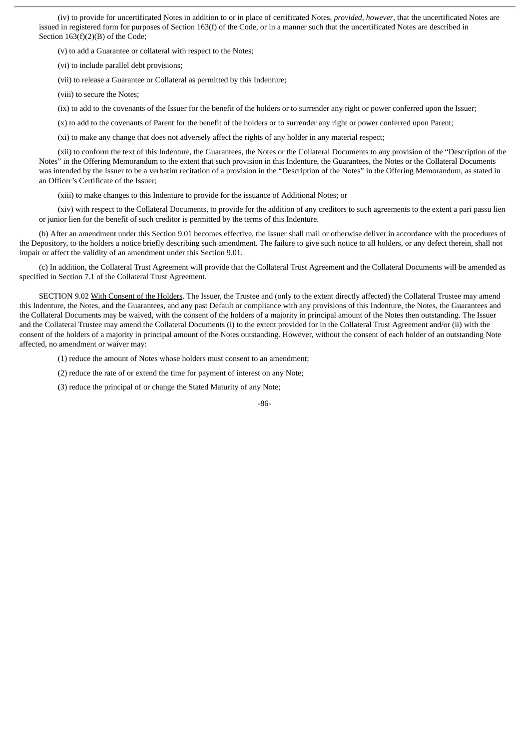(iv) to provide for uncertificated Notes in addition to or in place of certificated Notes, *provided*, *however*, that the uncertificated Notes are issued in registered form for purposes of Section 163(f) of the Code, or in a manner such that the uncertificated Notes are described in Section 163(f)(2)(B) of the Code;

(v) to add a Guarantee or collateral with respect to the Notes;

(vi) to include parallel debt provisions;

(vii) to release a Guarantee or Collateral as permitted by this Indenture;

(viii) to secure the Notes;

(ix) to add to the covenants of the Issuer for the benefit of the holders or to surrender any right or power conferred upon the Issuer;

(x) to add to the covenants of Parent for the benefit of the holders or to surrender any right or power conferred upon Parent;

(xi) to make any change that does not adversely affect the rights of any holder in any material respect;

(xii) to conform the text of this Indenture, the Guarantees, the Notes or the Collateral Documents to any provision of the "Description of the Notes" in the Offering Memorandum to the extent that such provision in this Indenture, the Guarantees, the Notes or the Collateral Documents was intended by the Issuer to be a verbatim recitation of a provision in the "Description of the Notes" in the Offering Memorandum, as stated in an Officer's Certificate of the Issuer;

(xiii) to make changes to this Indenture to provide for the issuance of Additional Notes; or

(xiv) with respect to the Collateral Documents, to provide for the addition of any creditors to such agreements to the extent a pari passu lien or junior lien for the benefit of such creditor is permitted by the terms of this Indenture.

(b) After an amendment under this Section 9.01 becomes effective, the Issuer shall mail or otherwise deliver in accordance with the procedures of the Depository, to the holders a notice briefly describing such amendment. The failure to give such notice to all holders, or any defect therein, shall not impair or affect the validity of an amendment under this Section 9.01.

(c) In addition, the Collateral Trust Agreement will provide that the Collateral Trust Agreement and the Collateral Documents will be amended as specified in Section 7.1 of the Collateral Trust Agreement.

SECTION 9.02 With Consent of the Holders. The Issuer, the Trustee and (only to the extent directly affected) the Collateral Trustee may amend this Indenture, the Notes, and the Guarantees, and any past Default or compliance with any provisions of this Indenture, the Notes, the Guarantees and the Collateral Documents may be waived, with the consent of the holders of a majority in principal amount of the Notes then outstanding. The Issuer and the Collateral Trustee may amend the Collateral Documents (i) to the extent provided for in the Collateral Trust Agreement and/or (ii) with the consent of the holders of a majority in principal amount of the Notes outstanding. However, without the consent of each holder of an outstanding Note affected, no amendment or waiver may:

(1) reduce the amount of Notes whose holders must consent to an amendment;

(2) reduce the rate of or extend the time for payment of interest on any Note;

(3) reduce the principal of or change the Stated Maturity of any Note;

-86-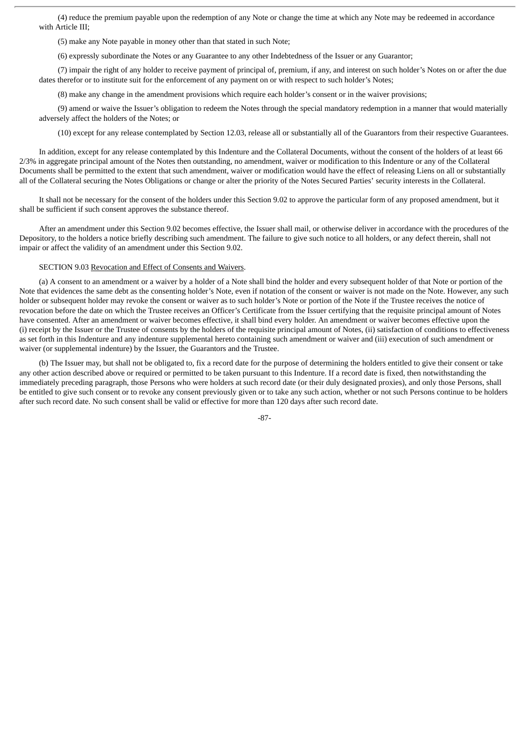(4) reduce the premium payable upon the redemption of any Note or change the time at which any Note may be redeemed in accordance with Article III;

(5) make any Note payable in money other than that stated in such Note;

(6) expressly subordinate the Notes or any Guarantee to any other Indebtedness of the Issuer or any Guarantor;

(7) impair the right of any holder to receive payment of principal of, premium, if any, and interest on such holder's Notes on or after the due dates therefor or to institute suit for the enforcement of any payment on or with respect to such holder's Notes;

(8) make any change in the amendment provisions which require each holder's consent or in the waiver provisions;

(9) amend or waive the Issuer's obligation to redeem the Notes through the special mandatory redemption in a manner that would materially adversely affect the holders of the Notes; or

(10) except for any release contemplated by Section 12.03, release all or substantially all of the Guarantors from their respective Guarantees.

In addition, except for any release contemplated by this Indenture and the Collateral Documents, without the consent of the holders of at least 66 2/3% in aggregate principal amount of the Notes then outstanding, no amendment, waiver or modification to this Indenture or any of the Collateral Documents shall be permitted to the extent that such amendment, waiver or modification would have the effect of releasing Liens on all or substantially all of the Collateral securing the Notes Obligations or change or alter the priority of the Notes Secured Parties' security interests in the Collateral.

It shall not be necessary for the consent of the holders under this Section 9.02 to approve the particular form of any proposed amendment, but it shall be sufficient if such consent approves the substance thereof.

After an amendment under this Section 9.02 becomes effective, the Issuer shall mail, or otherwise deliver in accordance with the procedures of the Depository, to the holders a notice briefly describing such amendment. The failure to give such notice to all holders, or any defect therein, shall not impair or affect the validity of an amendment under this Section 9.02.

# SECTION 9.03 Revocation and Effect of Consents and Waivers.

(a) A consent to an amendment or a waiver by a holder of a Note shall bind the holder and every subsequent holder of that Note or portion of the Note that evidences the same debt as the consenting holder's Note, even if notation of the consent or waiver is not made on the Note. However, any such holder or subsequent holder may revoke the consent or waiver as to such holder's Note or portion of the Note if the Trustee receives the notice of revocation before the date on which the Trustee receives an Officer's Certificate from the Issuer certifying that the requisite principal amount of Notes have consented. After an amendment or waiver becomes effective, it shall bind every holder. An amendment or waiver becomes effective upon the (i) receipt by the Issuer or the Trustee of consents by the holders of the requisite principal amount of Notes, (ii) satisfaction of conditions to effectiveness as set forth in this Indenture and any indenture supplemental hereto containing such amendment or waiver and (iii) execution of such amendment or waiver (or supplemental indenture) by the Issuer, the Guarantors and the Trustee.

(b) The Issuer may, but shall not be obligated to, fix a record date for the purpose of determining the holders entitled to give their consent or take any other action described above or required or permitted to be taken pursuant to this Indenture. If a record date is fixed, then notwithstanding the immediately preceding paragraph, those Persons who were holders at such record date (or their duly designated proxies), and only those Persons, shall be entitled to give such consent or to revoke any consent previously given or to take any such action, whether or not such Persons continue to be holders after such record date. No such consent shall be valid or effective for more than 120 days after such record date.

-87-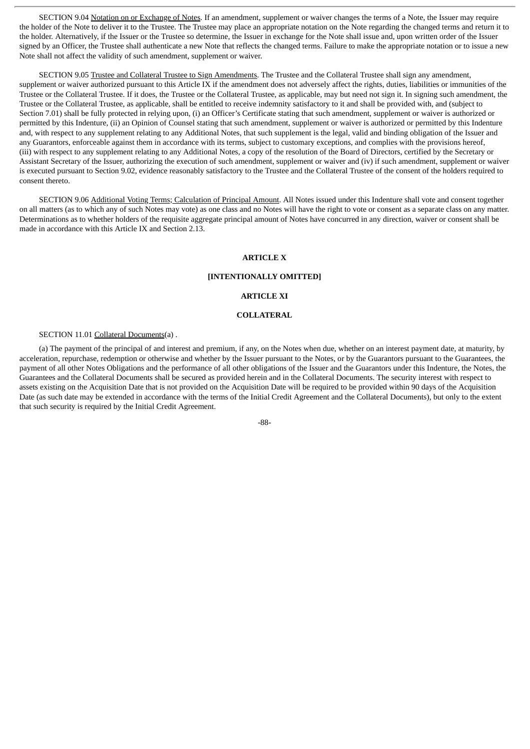SECTION 9.04 Notation on or Exchange of Notes. If an amendment, supplement or waiver changes the terms of a Note, the Issuer may require the holder of the Note to deliver it to the Trustee. The Trustee may place an appropriate notation on the Note regarding the changed terms and return it to the holder. Alternatively, if the Issuer or the Trustee so determine, the Issuer in exchange for the Note shall issue and, upon written order of the Issuer signed by an Officer, the Trustee shall authenticate a new Note that reflects the changed terms. Failure to make the appropriate notation or to issue a new Note shall not affect the validity of such amendment, supplement or waiver.

SECTION 9.05 Trustee and Collateral Trustee to Sign Amendments. The Trustee and the Collateral Trustee shall sign any amendment, supplement or waiver authorized pursuant to this Article IX if the amendment does not adversely affect the rights, duties, liabilities or immunities of the Trustee or the Collateral Trustee. If it does, the Trustee or the Collateral Trustee, as applicable, may but need not sign it. In signing such amendment, the Trustee or the Collateral Trustee, as applicable, shall be entitled to receive indemnity satisfactory to it and shall be provided with, and (subject to Section 7.01) shall be fully protected in relying upon, (i) an Officer's Certificate stating that such amendment, supplement or waiver is authorized or permitted by this Indenture, (ii) an Opinion of Counsel stating that such amendment, supplement or waiver is authorized or permitted by this Indenture and, with respect to any supplement relating to any Additional Notes, that such supplement is the legal, valid and binding obligation of the Issuer and any Guarantors, enforceable against them in accordance with its terms, subject to customary exceptions, and complies with the provisions hereof, (iii) with respect to any supplement relating to any Additional Notes, a copy of the resolution of the Board of Directors, certified by the Secretary or Assistant Secretary of the Issuer, authorizing the execution of such amendment, supplement or waiver and (iv) if such amendment, supplement or waiver is executed pursuant to Section 9.02, evidence reasonably satisfactory to the Trustee and the Collateral Trustee of the consent of the holders required to consent thereto.

SECTION 9.06 Additional Voting Terms; Calculation of Principal Amount. All Notes issued under this Indenture shall vote and consent together on all matters (as to which any of such Notes may vote) as one class and no Notes will have the right to vote or consent as a separate class on any matter. Determinations as to whether holders of the requisite aggregate principal amount of Notes have concurred in any direction, waiver or consent shall be made in accordance with this Article IX and Section 2.13.

# **ARTICLE X**

### **[INTENTIONALLY OMITTED]**

#### **ARTICLE XI**

### **COLLATERAL**

# SECTION 11.01 Collateral Documents(a) .

(a) The payment of the principal of and interest and premium, if any, on the Notes when due, whether on an interest payment date, at maturity, by acceleration, repurchase, redemption or otherwise and whether by the Issuer pursuant to the Notes, or by the Guarantors pursuant to the Guarantees, the payment of all other Notes Obligations and the performance of all other obligations of the Issuer and the Guarantors under this Indenture, the Notes, the Guarantees and the Collateral Documents shall be secured as provided herein and in the Collateral Documents. The security interest with respect to assets existing on the Acquisition Date that is not provided on the Acquisition Date will be required to be provided within 90 days of the Acquisition Date (as such date may be extended in accordance with the terms of the Initial Credit Agreement and the Collateral Documents), but only to the extent that such security is required by the Initial Credit Agreement.

# -88-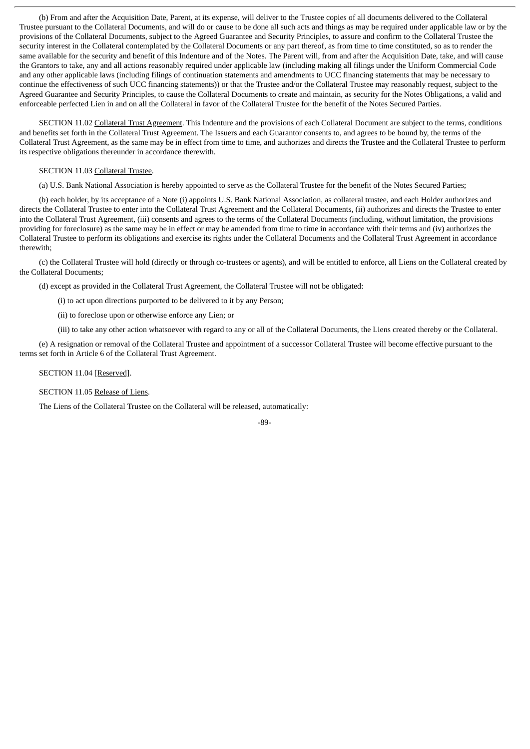(b) From and after the Acquisition Date, Parent, at its expense, will deliver to the Trustee copies of all documents delivered to the Collateral Trustee pursuant to the Collateral Documents, and will do or cause to be done all such acts and things as may be required under applicable law or by the provisions of the Collateral Documents, subject to the Agreed Guarantee and Security Principles, to assure and confirm to the Collateral Trustee the security interest in the Collateral contemplated by the Collateral Documents or any part thereof, as from time to time constituted, so as to render the same available for the security and benefit of this Indenture and of the Notes. The Parent will, from and after the Acquisition Date, take, and will cause the Grantors to take, any and all actions reasonably required under applicable law (including making all filings under the Uniform Commercial Code and any other applicable laws (including filings of continuation statements and amendments to UCC financing statements that may be necessary to continue the effectiveness of such UCC financing statements)) or that the Trustee and/or the Collateral Trustee may reasonably request, subject to the Agreed Guarantee and Security Principles, to cause the Collateral Documents to create and maintain, as security for the Notes Obligations, a valid and enforceable perfected Lien in and on all the Collateral in favor of the Collateral Trustee for the benefit of the Notes Secured Parties.

SECTION 11.02 Collateral Trust Agreement. This Indenture and the provisions of each Collateral Document are subject to the terms, conditions and benefits set forth in the Collateral Trust Agreement. The Issuers and each Guarantor consents to, and agrees to be bound by, the terms of the Collateral Trust Agreement, as the same may be in effect from time to time, and authorizes and directs the Trustee and the Collateral Trustee to perform its respective obligations thereunder in accordance therewith.

# SECTION 11.03 Collateral Trustee.

(a) U.S. Bank National Association is hereby appointed to serve as the Collateral Trustee for the benefit of the Notes Secured Parties;

(b) each holder, by its acceptance of a Note (i) appoints U.S. Bank National Association, as collateral trustee, and each Holder authorizes and directs the Collateral Trustee to enter into the Collateral Trust Agreement and the Collateral Documents, (ii) authorizes and directs the Trustee to enter into the Collateral Trust Agreement, (iii) consents and agrees to the terms of the Collateral Documents (including, without limitation, the provisions providing for foreclosure) as the same may be in effect or may be amended from time to time in accordance with their terms and (iv) authorizes the Collateral Trustee to perform its obligations and exercise its rights under the Collateral Documents and the Collateral Trust Agreement in accordance therewith;

(c) the Collateral Trustee will hold (directly or through co-trustees or agents), and will be entitled to enforce, all Liens on the Collateral created by the Collateral Documents;

(d) except as provided in the Collateral Trust Agreement, the Collateral Trustee will not be obligated:

(i) to act upon directions purported to be delivered to it by any Person;

(ii) to foreclose upon or otherwise enforce any Lien; or

(iii) to take any other action whatsoever with regard to any or all of the Collateral Documents, the Liens created thereby or the Collateral.

(e) A resignation or removal of the Collateral Trustee and appointment of a successor Collateral Trustee will become effective pursuant to the terms set forth in Article 6 of the Collateral Trust Agreement.

### SECTION 11.04 [Reserved].

SECTION 11.05 Release of Liens.

The Liens of the Collateral Trustee on the Collateral will be released, automatically: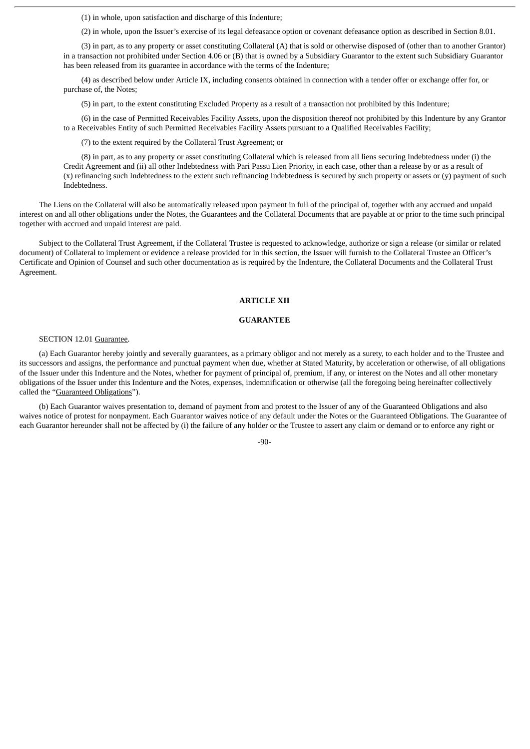(1) in whole, upon satisfaction and discharge of this Indenture;

(2) in whole, upon the Issuer's exercise of its legal defeasance option or covenant defeasance option as described in Section 8.01.

(3) in part, as to any property or asset constituting Collateral (A) that is sold or otherwise disposed of (other than to another Grantor) in a transaction not prohibited under Section 4.06 or (B) that is owned by a Subsidiary Guarantor to the extent such Subsidiary Guarantor has been released from its guarantee in accordance with the terms of the Indenture;

(4) as described below under Article IX, including consents obtained in connection with a tender offer or exchange offer for, or purchase of, the Notes;

(5) in part, to the extent constituting Excluded Property as a result of a transaction not prohibited by this Indenture;

(6) in the case of Permitted Receivables Facility Assets, upon the disposition thereof not prohibited by this Indenture by any Grantor to a Receivables Entity of such Permitted Receivables Facility Assets pursuant to a Qualified Receivables Facility;

(7) to the extent required by the Collateral Trust Agreement; or

(8) in part, as to any property or asset constituting Collateral which is released from all liens securing Indebtedness under (i) the Credit Agreement and (ii) all other Indebtedness with Pari Passu Lien Priority, in each case, other than a release by or as a result of (x) refinancing such Indebtedness to the extent such refinancing Indebtedness is secured by such property or assets or (y) payment of such Indebtedness.

The Liens on the Collateral will also be automatically released upon payment in full of the principal of, together with any accrued and unpaid interest on and all other obligations under the Notes, the Guarantees and the Collateral Documents that are payable at or prior to the time such principal together with accrued and unpaid interest are paid.

Subject to the Collateral Trust Agreement, if the Collateral Trustee is requested to acknowledge, authorize or sign a release (or similar or related document) of Collateral to implement or evidence a release provided for in this section, the Issuer will furnish to the Collateral Trustee an Officer's Certificate and Opinion of Counsel and such other documentation as is required by the Indenture, the Collateral Documents and the Collateral Trust Agreement.

# **ARTICLE XII**

### **GUARANTEE**

# SECTION 12.01 Guarantee.

(a) Each Guarantor hereby jointly and severally guarantees, as a primary obligor and not merely as a surety, to each holder and to the Trustee and its successors and assigns, the performance and punctual payment when due, whether at Stated Maturity, by acceleration or otherwise, of all obligations of the Issuer under this Indenture and the Notes, whether for payment of principal of, premium, if any, or interest on the Notes and all other monetary obligations of the Issuer under this Indenture and the Notes, expenses, indemnification or otherwise (all the foregoing being hereinafter collectively called the "Guaranteed Obligations").

(b) Each Guarantor waives presentation to, demand of payment from and protest to the Issuer of any of the Guaranteed Obligations and also waives notice of protest for nonpayment. Each Guarantor waives notice of any default under the Notes or the Guaranteed Obligations. The Guarantee of each Guarantor hereunder shall not be affected by (i) the failure of any holder or the Trustee to assert any claim or demand or to enforce any right or

-90-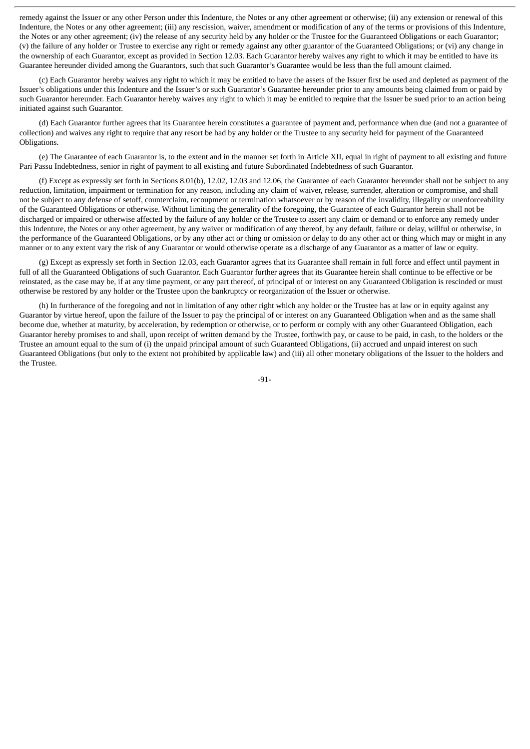remedy against the Issuer or any other Person under this Indenture, the Notes or any other agreement or otherwise; (ii) any extension or renewal of this Indenture, the Notes or any other agreement; (iii) any rescission, waiver, amendment or modification of any of the terms or provisions of this Indenture, the Notes or any other agreement; (iv) the release of any security held by any holder or the Trustee for the Guaranteed Obligations or each Guarantor; (v) the failure of any holder or Trustee to exercise any right or remedy against any other guarantor of the Guaranteed Obligations; or (vi) any change in the ownership of each Guarantor, except as provided in Section 12.03. Each Guarantor hereby waives any right to which it may be entitled to have its Guarantee hereunder divided among the Guarantors, such that such Guarantor's Guarantee would be less than the full amount claimed.

(c) Each Guarantor hereby waives any right to which it may be entitled to have the assets of the Issuer first be used and depleted as payment of the Issuer's obligations under this Indenture and the Issuer's or such Guarantor's Guarantee hereunder prior to any amounts being claimed from or paid by such Guarantor hereunder. Each Guarantor hereby waives any right to which it may be entitled to require that the Issuer be sued prior to an action being initiated against such Guarantor.

(d) Each Guarantor further agrees that its Guarantee herein constitutes a guarantee of payment and, performance when due (and not a guarantee of collection) and waives any right to require that any resort be had by any holder or the Trustee to any security held for payment of the Guaranteed Obligations.

(e) The Guarantee of each Guarantor is, to the extent and in the manner set forth in Article XII, equal in right of payment to all existing and future Pari Passu Indebtedness, senior in right of payment to all existing and future Subordinated Indebtedness of such Guarantor.

(f) Except as expressly set forth in Sections 8.01(b), 12.02, 12.03 and 12.06, the Guarantee of each Guarantor hereunder shall not be subject to any reduction, limitation, impairment or termination for any reason, including any claim of waiver, release, surrender, alteration or compromise, and shall not be subject to any defense of setoff, counterclaim, recoupment or termination whatsoever or by reason of the invalidity, illegality or unenforceability of the Guaranteed Obligations or otherwise. Without limiting the generality of the foregoing, the Guarantee of each Guarantor herein shall not be discharged or impaired or otherwise affected by the failure of any holder or the Trustee to assert any claim or demand or to enforce any remedy under this Indenture, the Notes or any other agreement, by any waiver or modification of any thereof, by any default, failure or delay, willful or otherwise, in the performance of the Guaranteed Obligations, or by any other act or thing or omission or delay to do any other act or thing which may or might in any manner or to any extent vary the risk of any Guarantor or would otherwise operate as a discharge of any Guarantor as a matter of law or equity.

(g) Except as expressly set forth in Section 12.03, each Guarantor agrees that its Guarantee shall remain in full force and effect until payment in full of all the Guaranteed Obligations of such Guarantor. Each Guarantor further agrees that its Guarantee herein shall continue to be effective or be reinstated, as the case may be, if at any time payment, or any part thereof, of principal of or interest on any Guaranteed Obligation is rescinded or must otherwise be restored by any holder or the Trustee upon the bankruptcy or reorganization of the Issuer or otherwise.

(h) In furtherance of the foregoing and not in limitation of any other right which any holder or the Trustee has at law or in equity against any Guarantor by virtue hereof, upon the failure of the Issuer to pay the principal of or interest on any Guaranteed Obligation when and as the same shall become due, whether at maturity, by acceleration, by redemption or otherwise, or to perform or comply with any other Guaranteed Obligation, each Guarantor hereby promises to and shall, upon receipt of written demand by the Trustee, forthwith pay, or cause to be paid, in cash, to the holders or the Trustee an amount equal to the sum of (i) the unpaid principal amount of such Guaranteed Obligations, (ii) accrued and unpaid interest on such Guaranteed Obligations (but only to the extent not prohibited by applicable law) and (iii) all other monetary obligations of the Issuer to the holders and the Trustee.

-91-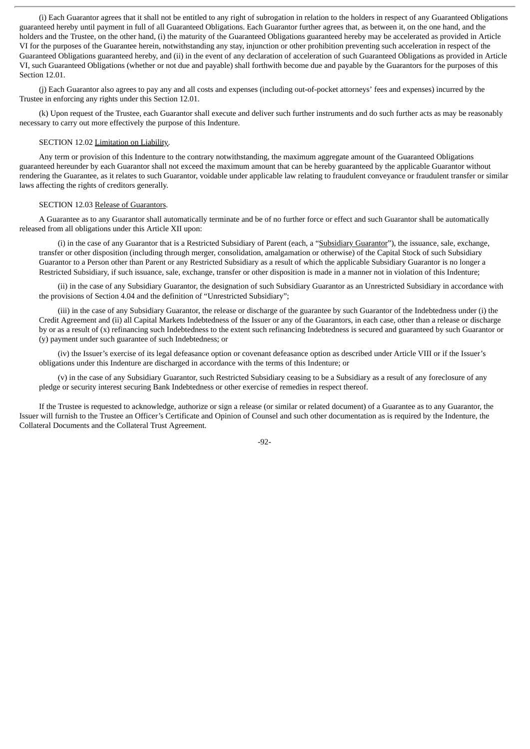(i) Each Guarantor agrees that it shall not be entitled to any right of subrogation in relation to the holders in respect of any Guaranteed Obligations guaranteed hereby until payment in full of all Guaranteed Obligations. Each Guarantor further agrees that, as between it, on the one hand, and the holders and the Trustee, on the other hand, (i) the maturity of the Guaranteed Obligations guaranteed hereby may be accelerated as provided in Article VI for the purposes of the Guarantee herein, notwithstanding any stay, injunction or other prohibition preventing such acceleration in respect of the Guaranteed Obligations guaranteed hereby, and (ii) in the event of any declaration of acceleration of such Guaranteed Obligations as provided in Article VI, such Guaranteed Obligations (whether or not due and payable) shall forthwith become due and payable by the Guarantors for the purposes of this Section 12.01.

(j) Each Guarantor also agrees to pay any and all costs and expenses (including out-of-pocket attorneys' fees and expenses) incurred by the Trustee in enforcing any rights under this Section 12.01.

(k) Upon request of the Trustee, each Guarantor shall execute and deliver such further instruments and do such further acts as may be reasonably necessary to carry out more effectively the purpose of this Indenture.

# SECTION 12.02 Limitation on Liability.

Any term or provision of this Indenture to the contrary notwithstanding, the maximum aggregate amount of the Guaranteed Obligations guaranteed hereunder by each Guarantor shall not exceed the maximum amount that can be hereby guaranteed by the applicable Guarantor without rendering the Guarantee, as it relates to such Guarantor, voidable under applicable law relating to fraudulent conveyance or fraudulent transfer or similar laws affecting the rights of creditors generally.

### SECTION 12.03 Release of Guarantors.

A Guarantee as to any Guarantor shall automatically terminate and be of no further force or effect and such Guarantor shall be automatically released from all obligations under this Article XII upon:

(i) in the case of any Guarantor that is a Restricted Subsidiary of Parent (each, a "Subsidiary Guarantor"), the issuance, sale, exchange, transfer or other disposition (including through merger, consolidation, amalgamation or otherwise) of the Capital Stock of such Subsidiary Guarantor to a Person other than Parent or any Restricted Subsidiary as a result of which the applicable Subsidiary Guarantor is no longer a Restricted Subsidiary, if such issuance, sale, exchange, transfer or other disposition is made in a manner not in violation of this Indenture;

(ii) in the case of any Subsidiary Guarantor, the designation of such Subsidiary Guarantor as an Unrestricted Subsidiary in accordance with the provisions of Section 4.04 and the definition of "Unrestricted Subsidiary";

(iii) in the case of any Subsidiary Guarantor, the release or discharge of the guarantee by such Guarantor of the Indebtedness under (i) the Credit Agreement and (ii) all Capital Markets Indebtedness of the Issuer or any of the Guarantors, in each case, other than a release or discharge by or as a result of (x) refinancing such Indebtedness to the extent such refinancing Indebtedness is secured and guaranteed by such Guarantor or (y) payment under such guarantee of such Indebtedness; or

(iv) the Issuer's exercise of its legal defeasance option or covenant defeasance option as described under Article VIII or if the Issuer's obligations under this Indenture are discharged in accordance with the terms of this Indenture; or

(v) in the case of any Subsidiary Guarantor, such Restricted Subsidiary ceasing to be a Subsidiary as a result of any foreclosure of any pledge or security interest securing Bank Indebtedness or other exercise of remedies in respect thereof.

If the Trustee is requested to acknowledge, authorize or sign a release (or similar or related document) of a Guarantee as to any Guarantor, the Issuer will furnish to the Trustee an Officer's Certificate and Opinion of Counsel and such other documentation as is required by the Indenture, the Collateral Documents and the Collateral Trust Agreement.

-92-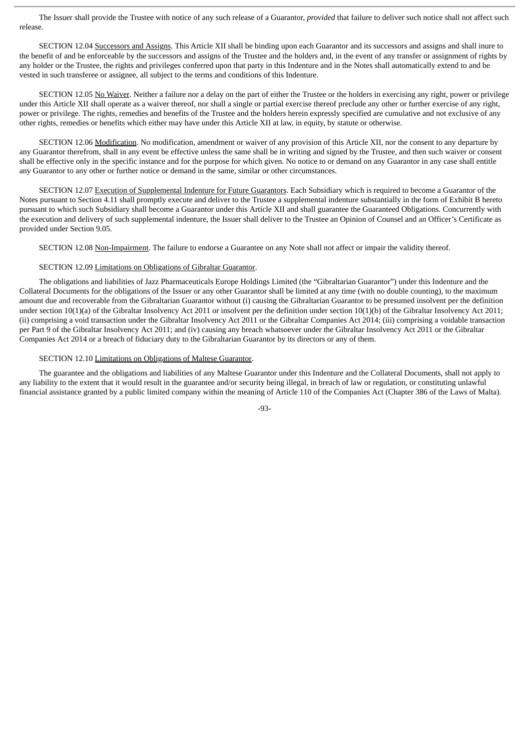The Issuer shall provide the Trustee with notice of any such release of a Guarantor, *provided* that failure to deliver such notice shall not affect such release.

SECTION 12.04 Successors and Assigns. This Article XII shall be binding upon each Guarantor and its successors and assigns and shall inure to the benefit of and be enforceable by the successors and assigns of the Trustee and the holders and, in the event of any transfer or assignment of rights by any holder or the Trustee, the rights and privileges conferred upon that party in this Indenture and in the Notes shall automatically extend to and be vested in such transferee or assignee, all subject to the terms and conditions of this Indenture.

SECTION 12.05 No Waiver. Neither a failure nor a delay on the part of either the Trustee or the holders in exercising any right, power or privilege under this Article XII shall operate as a waiver thereof, nor shall a single or partial exercise thereof preclude any other or further exercise of any right, power or privilege. The rights, remedies and benefits of the Trustee and the holders herein expressly specified are cumulative and not exclusive of any other rights, remedies or benefits which either may have under this Article XII at law, in equity, by statute or otherwise.

SECTION 12.06 Modification. No modification, amendment or waiver of any provision of this Article XII, nor the consent to any departure by any Guarantor therefrom, shall in any event be effective unless the same shall be in writing and signed by the Trustee, and then such waiver or consent shall be effective only in the specific instance and for the purpose for which given. No notice to or demand on any Guarantor in any case shall entitle any Guarantor to any other or further notice or demand in the same, similar or other circumstances.

SECTION 12.07 Execution of Supplemental Indenture for Future Guarantors. Each Subsidiary which is required to become a Guarantor of the Notes pursuant to Section 4.11 shall promptly execute and deliver to the Trustee a supplemental indenture substantially in the form of Exhibit B hereto pursuant to which such Subsidiary shall become a Guarantor under this Article XII and shall guarantee the Guaranteed Obligations. Concurrently with the execution and delivery of such supplemental indenture, the Issuer shall deliver to the Trustee an Opinion of Counsel and an Officer's Certificate as provided under Section 9.05.

SECTION 12.08 Non-Impairment. The failure to endorse a Guarantee on any Note shall not affect or impair the validity thereof.

# SECTION 12.09 Limitations on Obligations of Gibraltar Guarantor.

The obligations and liabilities of Jazz Pharmaceuticals Europe Holdings Limited (the "Gibraltarian Guarantor") under this Indenture and the Collateral Documents for the obligations of the Issuer or any other Guarantor shall be limited at any time (with no double counting), to the maximum amount due and recoverable from the Gibraltarian Guarantor without (i) causing the Gibraltarian Guarantor to be presumed insolvent per the definition under section 10(1)(a) of the Gibraltar Insolvency Act 2011 or insolvent per the definition under section 10(1)(b) of the Gibraltar Insolvency Act 2011; (ii) comprising a void transaction under the Gibraltar Insolvency Act 2011 or the Gibraltar Companies Act 2014; (iii) comprising a voidable transaction per Part 9 of the Gibraltar Insolvency Act 2011; and (iv) causing any breach whatsoever under the Gibraltar Insolvency Act 2011 or the Gibraltar Companies Act 2014 or a breach of fiduciary duty to the Gibraltarian Guarantor by its directors or any of them.

# SECTION 12.10 Limitations on Obligations of Maltese Guarantor.

The guarantee and the obligations and liabilities of any Maltese Guarantor under this Indenture and the Collateral Documents, shall not apply to any liability to the extent that it would result in the guarantee and/or security being illegal, in breach of law or regulation, or constituting unlawful financial assistance granted by a public limited company within the meaning of Article 110 of the Companies Act (Chapter 386 of the Laws of Malta).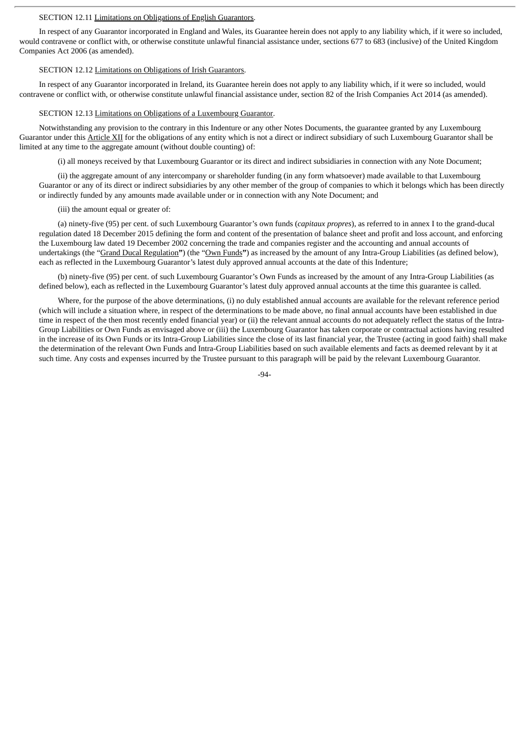### SECTION 12.11 Limitations on Obligations of English Guarantors.

In respect of any Guarantor incorporated in England and Wales, its Guarantee herein does not apply to any liability which, if it were so included, would contravene or conflict with, or otherwise constitute unlawful financial assistance under, sections 677 to 683 (inclusive) of the United Kingdom Companies Act 2006 (as amended).

#### SECTION 12.12 Limitations on Obligations of Irish Guarantors.

In respect of any Guarantor incorporated in Ireland, its Guarantee herein does not apply to any liability which, if it were so included, would contravene or conflict with, or otherwise constitute unlawful financial assistance under, section 82 of the Irish Companies Act 2014 (as amended).

### SECTION 12.13 Limitations on Obligations of a Luxembourg Guarantor.

Notwithstanding any provision to the contrary in this Indenture or any other Notes Documents, the guarantee granted by any Luxembourg Guarantor under this Article XII for the obligations of any entity which is not a direct or indirect subsidiary of such Luxembourg Guarantor shall be limited at any time to the aggregate amount (without double counting) of:

(i) all moneys received by that Luxembourg Guarantor or its direct and indirect subsidiaries in connection with any Note Document;

(ii) the aggregate amount of any intercompany or shareholder funding (in any form whatsoever) made available to that Luxembourg Guarantor or any of its direct or indirect subsidiaries by any other member of the group of companies to which it belongs which has been directly or indirectly funded by any amounts made available under or in connection with any Note Document; and

### (iii) the amount equal or greater of:

(a) ninety-five (95) per cent. of such Luxembourg Guarantor's own funds (*capitaux propres*), as referred to in annex I to the grand-ducal regulation dated 18 December 2015 defining the form and content of the presentation of balance sheet and profit and loss account, and enforcing the Luxembourg law dated 19 December 2002 concerning the trade and companies register and the accounting and annual accounts of undertakings (the "Grand Ducal Regulation**"**) (the "Own Funds**"**) as increased by the amount of any Intra-Group Liabilities (as defined below), each as reflected in the Luxembourg Guarantor's latest duly approved annual accounts at the date of this Indenture;

(b) ninety-five (95) per cent. of such Luxembourg Guarantor's Own Funds as increased by the amount of any Intra-Group Liabilities (as defined below), each as reflected in the Luxembourg Guarantor's latest duly approved annual accounts at the time this guarantee is called.

Where, for the purpose of the above determinations, (i) no duly established annual accounts are available for the relevant reference period (which will include a situation where, in respect of the determinations to be made above, no final annual accounts have been established in due time in respect of the then most recently ended financial year) or (ii) the relevant annual accounts do not adequately reflect the status of the Intra-Group Liabilities or Own Funds as envisaged above or (iii) the Luxembourg Guarantor has taken corporate or contractual actions having resulted in the increase of its Own Funds or its Intra-Group Liabilities since the close of its last financial year, the Trustee (acting in good faith) shall make the determination of the relevant Own Funds and Intra-Group Liabilities based on such available elements and facts as deemed relevant by it at such time. Any costs and expenses incurred by the Trustee pursuant to this paragraph will be paid by the relevant Luxembourg Guarantor.

 $-94-$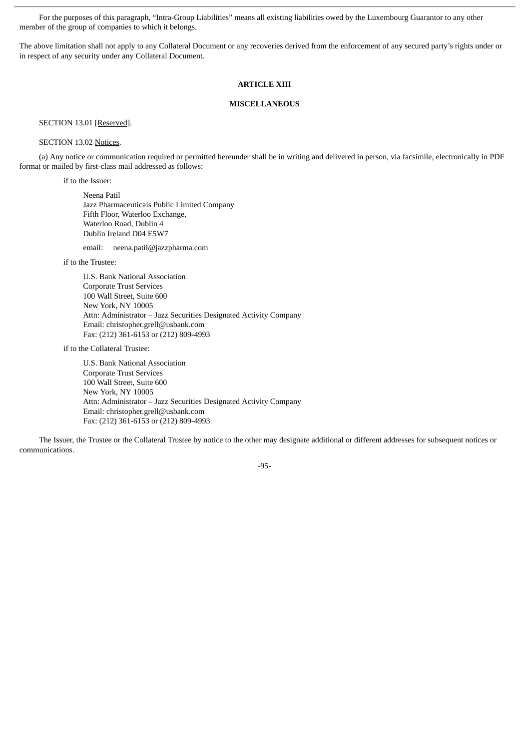For the purposes of this paragraph, "Intra-Group Liabilities" means all existing liabilities owed by the Luxembourg Guarantor to any other member of the group of companies to which it belongs.

The above limitation shall not apply to any Collateral Document or any recoveries derived from the enforcement of any secured party's rights under or in respect of any security under any Collateral Document.

# **ARTICLE XIII**

### **MISCELLANEOUS**

SECTION 13.01 [Reserved].

## SECTION 13.02 Notices.

(a) Any notice or communication required or permitted hereunder shall be in writing and delivered in person, via facsimile, electronically in PDF format or mailed by first-class mail addressed as follows:

if to the Issuer:

Neena Patil Jazz Pharmaceuticals Public Limited Company Fifth Floor, Waterloo Exchange, Waterloo Road, Dublin 4 Dublin Ireland D04 E5W7

email: neena.patil@jazzpharma.com

if to the Trustee:

U.S. Bank National Association Corporate Trust Services 100 Wall Street, Suite 600 New York, NY 10005 Attn: Administrator – Jazz Securities Designated Activity Company Email: christopher.grell@usbank.com Fax: (212) 361-6153 or (212) 809-4993

if to the Collateral Trustee:

U.S. Bank National Association Corporate Trust Services 100 Wall Street, Suite 600 New York, NY 10005 Attn: Administrator – Jazz Securities Designated Activity Company Email: christopher.grell@usbank.com Fax: (212) 361-6153 or (212) 809-4993

The Issuer, the Trustee or the Collateral Trustee by notice to the other may designate additional or different addresses for subsequent notices or communications.

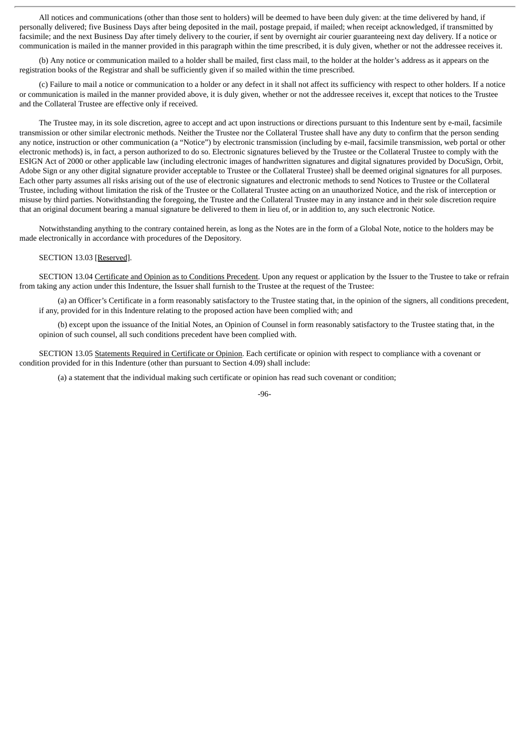All notices and communications (other than those sent to holders) will be deemed to have been duly given: at the time delivered by hand, if personally delivered; five Business Days after being deposited in the mail, postage prepaid, if mailed; when receipt acknowledged, if transmitted by facsimile; and the next Business Day after timely delivery to the courier, if sent by overnight air courier guaranteeing next day delivery. If a notice or communication is mailed in the manner provided in this paragraph within the time prescribed, it is duly given, whether or not the addressee receives it.

(b) Any notice or communication mailed to a holder shall be mailed, first class mail, to the holder at the holder's address as it appears on the registration books of the Registrar and shall be sufficiently given if so mailed within the time prescribed.

(c) Failure to mail a notice or communication to a holder or any defect in it shall not affect its sufficiency with respect to other holders. If a notice or communication is mailed in the manner provided above, it is duly given, whether or not the addressee receives it, except that notices to the Trustee and the Collateral Trustee are effective only if received.

The Trustee may, in its sole discretion, agree to accept and act upon instructions or directions pursuant to this Indenture sent by e-mail, facsimile transmission or other similar electronic methods. Neither the Trustee nor the Collateral Trustee shall have any duty to confirm that the person sending any notice, instruction or other communication (a "Notice") by electronic transmission (including by e-mail, facsimile transmission, web portal or other electronic methods) is, in fact, a person authorized to do so. Electronic signatures believed by the Trustee or the Collateral Trustee to comply with the ESIGN Act of 2000 or other applicable law (including electronic images of handwritten signatures and digital signatures provided by DocuSign, Orbit, Adobe Sign or any other digital signature provider acceptable to Trustee or the Collateral Trustee) shall be deemed original signatures for all purposes. Each other party assumes all risks arising out of the use of electronic signatures and electronic methods to send Notices to Trustee or the Collateral Trustee, including without limitation the risk of the Trustee or the Collateral Trustee acting on an unauthorized Notice, and the risk of interception or misuse by third parties. Notwithstanding the foregoing, the Trustee and the Collateral Trustee may in any instance and in their sole discretion require that an original document bearing a manual signature be delivered to them in lieu of, or in addition to, any such electronic Notice.

Notwithstanding anything to the contrary contained herein, as long as the Notes are in the form of a Global Note, notice to the holders may be made electronically in accordance with procedures of the Depository.

# SECTION 13.03 [Reserved].

SECTION 13.04 Certificate and Opinion as to Conditions Precedent. Upon any request or application by the Issuer to the Trustee to take or refrain from taking any action under this Indenture, the Issuer shall furnish to the Trustee at the request of the Trustee:

(a) an Officer's Certificate in a form reasonably satisfactory to the Trustee stating that, in the opinion of the signers, all conditions precedent, if any, provided for in this Indenture relating to the proposed action have been complied with; and

(b) except upon the issuance of the Initial Notes, an Opinion of Counsel in form reasonably satisfactory to the Trustee stating that, in the opinion of such counsel, all such conditions precedent have been complied with.

SECTION 13.05 Statements Required in Certificate or Opinion. Each certificate or opinion with respect to compliance with a covenant or condition provided for in this Indenture (other than pursuant to Section 4.09) shall include:

(a) a statement that the individual making such certificate or opinion has read such covenant or condition;

#### -96-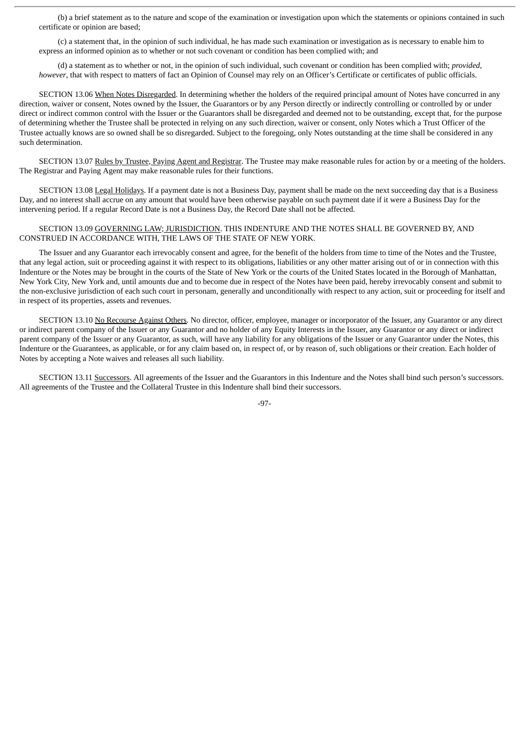(b) a brief statement as to the nature and scope of the examination or investigation upon which the statements or opinions contained in such certificate or opinion are based;

(c) a statement that, in the opinion of such individual, he has made such examination or investigation as is necessary to enable him to express an informed opinion as to whether or not such covenant or condition has been complied with; and

(d) a statement as to whether or not, in the opinion of such individual, such covenant or condition has been complied with; *provided*, *however*, that with respect to matters of fact an Opinion of Counsel may rely on an Officer's Certificate or certificates of public officials.

SECTION 13.06 When Notes Disregarded. In determining whether the holders of the required principal amount of Notes have concurred in any direction, waiver or consent, Notes owned by the Issuer, the Guarantors or by any Person directly or indirectly controlling or controlled by or under direct or indirect common control with the Issuer or the Guarantors shall be disregarded and deemed not to be outstanding, except that, for the purpose of determining whether the Trustee shall be protected in relying on any such direction, waiver or consent, only Notes which a Trust Officer of the Trustee actually knows are so owned shall be so disregarded. Subject to the foregoing, only Notes outstanding at the time shall be considered in any such determination.

SECTION 13.07 Rules by Trustee, Paying Agent and Registrar. The Trustee may make reasonable rules for action by or a meeting of the holders. The Registrar and Paying Agent may make reasonable rules for their functions.

SECTION 13.08 Legal Holidays. If a payment date is not a Business Day, payment shall be made on the next succeeding day that is a Business Day, and no interest shall accrue on any amount that would have been otherwise payable on such payment date if it were a Business Day for the intervening period. If a regular Record Date is not a Business Day, the Record Date shall not be affected.

# SECTION 13.09 GOVERNING LAW; JURISDICTION. THIS INDENTURE AND THE NOTES SHALL BE GOVERNED BY, AND CONSTRUED IN ACCORDANCE WITH, THE LAWS OF THE STATE OF NEW YORK.

The Issuer and any Guarantor each irrevocably consent and agree, for the benefit of the holders from time to time of the Notes and the Trustee, that any legal action, suit or proceeding against it with respect to its obligations, liabilities or any other matter arising out of or in connection with this Indenture or the Notes may be brought in the courts of the State of New York or the courts of the United States located in the Borough of Manhattan, New York City, New York and, until amounts due and to become due in respect of the Notes have been paid, hereby irrevocably consent and submit to the non-exclusive jurisdiction of each such court in personam, generally and unconditionally with respect to any action, suit or proceeding for itself and in respect of its properties, assets and revenues.

SECTION 13.10 No Recourse Against Others. No director, officer, employee, manager or incorporator of the Issuer, any Guarantor or any direct or indirect parent company of the Issuer or any Guarantor and no holder of any Equity Interests in the Issuer, any Guarantor or any direct or indirect parent company of the Issuer or any Guarantor, as such, will have any liability for any obligations of the Issuer or any Guarantor under the Notes, this Indenture or the Guarantees, as applicable, or for any claim based on, in respect of, or by reason of, such obligations or their creation. Each holder of Notes by accepting a Note waives and releases all such liability.

SECTION 13.11 Successors. All agreements of the Issuer and the Guarantors in this Indenture and the Notes shall bind such person's successors. All agreements of the Trustee and the Collateral Trustee in this Indenture shall bind their successors.

-97-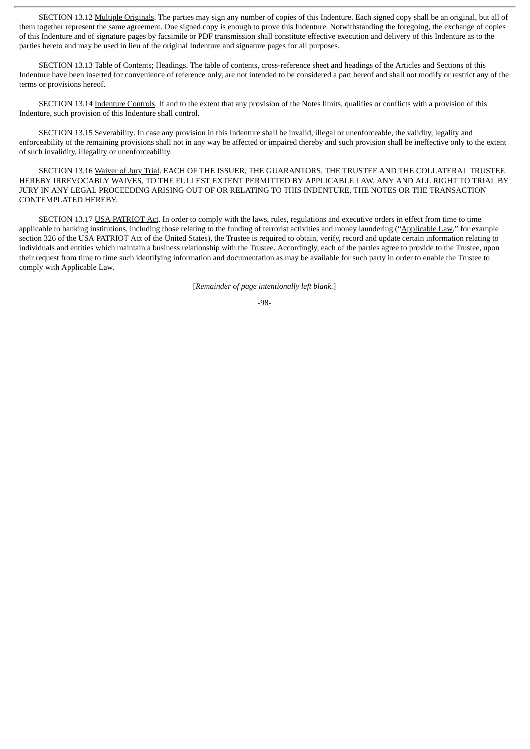SECTION 13.12 Multiple Originals. The parties may sign any number of copies of this Indenture. Each signed copy shall be an original, but all of them together represent the same agreement. One signed copy is enough to prove this Indenture. Notwithstanding the foregoing, the exchange of copies of this Indenture and of signature pages by facsimile or PDF transmission shall constitute effective execution and delivery of this Indenture as to the parties hereto and may be used in lieu of the original Indenture and signature pages for all purposes.

SECTION 13.13 Table of Contents; Headings. The table of contents, cross-reference sheet and headings of the Articles and Sections of this Indenture have been inserted for convenience of reference only, are not intended to be considered a part hereof and shall not modify or restrict any of the terms or provisions hereof.

SECTION 13.14 Indenture Controls. If and to the extent that any provision of the Notes limits, qualifies or conflicts with a provision of this Indenture, such provision of this Indenture shall control.

SECTION 13.15 Severability. In case any provision in this Indenture shall be invalid, illegal or unenforceable, the validity, legality and enforceability of the remaining provisions shall not in any way be affected or impaired thereby and such provision shall be ineffective only to the extent of such invalidity, illegality or unenforceability.

SECTION 13.16 Waiver of Jury Trial. EACH OF THE ISSUER, THE GUARANTORS, THE TRUSTEE AND THE COLLATERAL TRUSTEE HEREBY IRREVOCABLY WAIVES, TO THE FULLEST EXTENT PERMITTED BY APPLICABLE LAW, ANY AND ALL RIGHT TO TRIAL BY JURY IN ANY LEGAL PROCEEDING ARISING OUT OF OR RELATING TO THIS INDENTURE, THE NOTES OR THE TRANSACTION CONTEMPLATED HEREBY.

SECTION 13.17 USA PATRIOT Act. In order to comply with the laws, rules, regulations and executive orders in effect from time to time applicable to banking institutions, including those relating to the funding of terrorist activities and money laundering ("Applicable Law," for example section 326 of the USA PATRIOT Act of the United States), the Trustee is required to obtain, verify, record and update certain information relating to individuals and entities which maintain a business relationship with the Trustee. Accordingly, each of the parties agree to provide to the Trustee, upon their request from time to time such identifying information and documentation as may be available for such party in order to enable the Trustee to comply with Applicable Law.

[*Remainder of page intentionally left blank.*]

#### -98-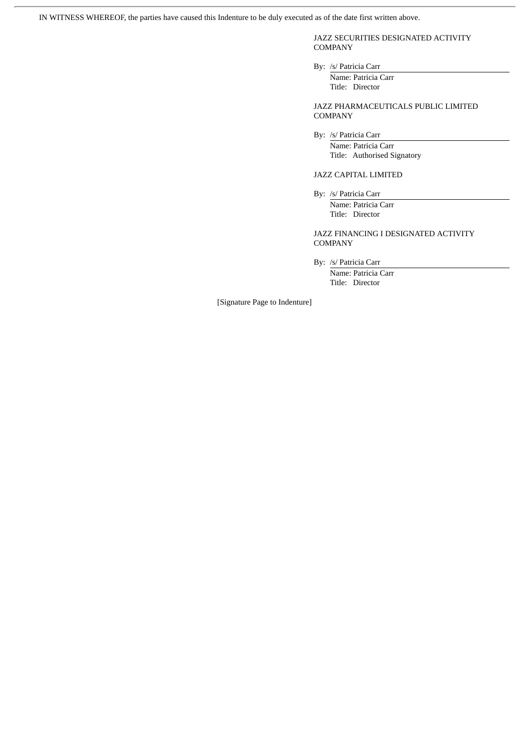IN WITNESS WHEREOF, the parties have caused this Indenture to be duly executed as of the date first written above.

JAZZ SECURITIES DESIGNATED ACTIVITY **COMPANY** 

By: /s/ Patricia Carr

Name: Patricia Carr Title: Director

JAZZ PHARMACEUTICALS PUBLIC LIMITED COMPANY

By: /s/ Patricia Carr

Name: Patricia Carr Title: Authorised Signatory

JAZZ CAPITAL LIMITED

By: /s/ Patricia Carr Name: Patricia Carr Title: Director

JAZZ FINANCING I DESIGNATED ACTIVITY COMPANY

By: /s/ Patricia Carr

Name: Patricia Carr Title: Director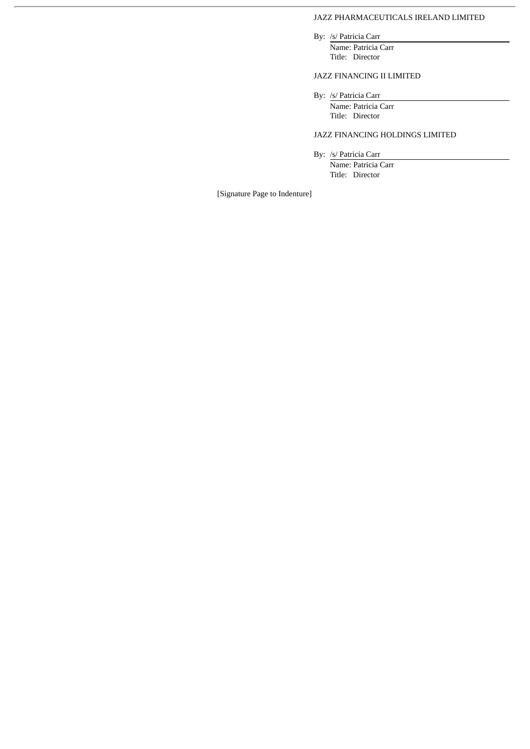## JAZZ PHARMACEUTICALS IRELAND LIMITED

By: /s/ Patricia Carr

Name: Patricia Carr Title: Director

## JAZZ FINANCING II LIMITED

By: /s/ Patricia Carr

Name: Patricia Carr Title: Director

## JAZZ FINANCING HOLDINGS LIMITED

By: /s/ Patricia Carr

Name: Patricia Carr Title: Director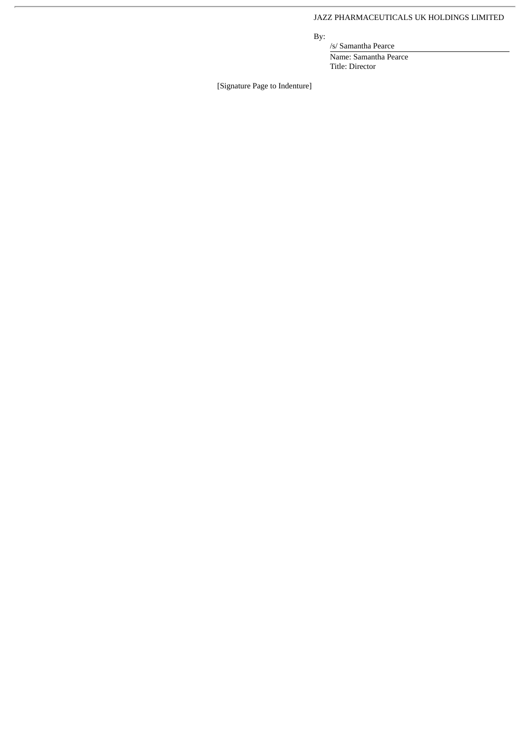## JAZZ PHARMACEUTICALS UK HOLDINGS LIMITED

By:

/s/ Samantha Pearce Name: Samantha Pearce Title: Director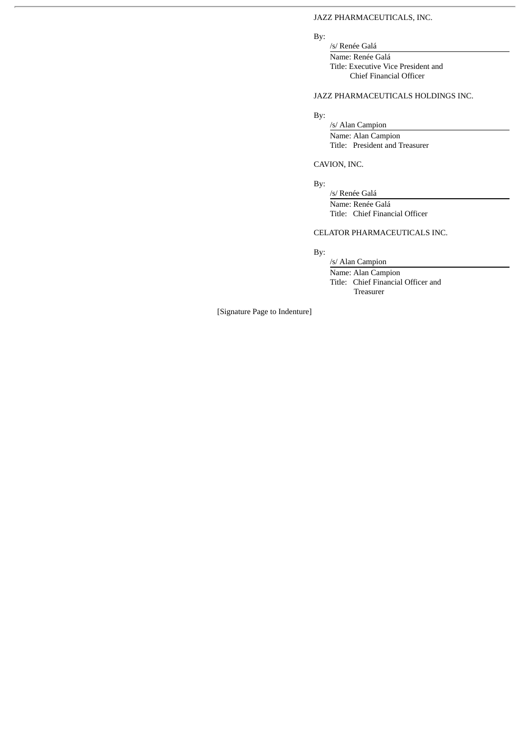## JAZZ PHARMACEUTICALS, INC.

## By:

/s/ Renée Galá Name: Renée Galá Title: Executive Vice President and Chief Financial Officer

## JAZZ PHARMACEUTICALS HOLDINGS INC.

By:

/s/ Alan Campion Name: Alan Campion Title: President and Treasurer

### CAVION, INC.

By:

/s/ Renée Galá Name: Renée Galá Title: Chief Financial Officer

## CELATOR PHARMACEUTICALS INC.

# By:

/s/ Alan Campion Name: Alan Campion Title: Chief Financial Officer and Treasurer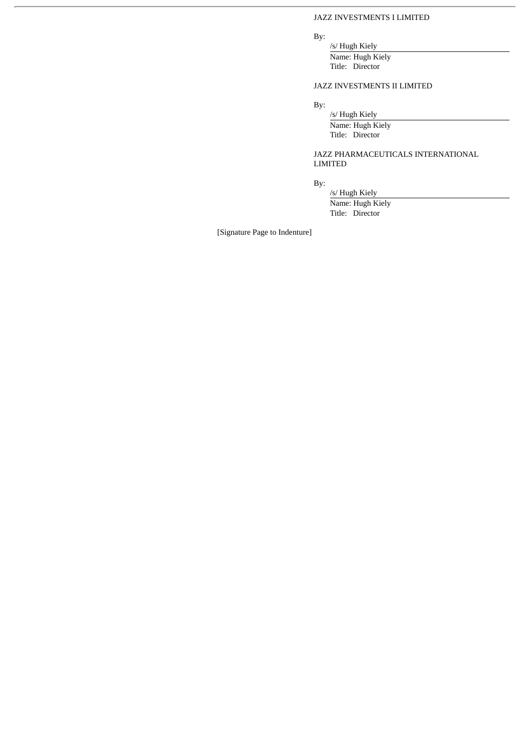### JAZZ INVESTMENTS I LIMITED

## By:

/s/ Hugh Kiely Name: Hugh Kiely Title: Director

## JAZZ INVESTMENTS II LIMITED

By:

/s/ Hugh Kiely Name: Hugh Kiely Title: Director

## JAZZ PHARMACEUTICALS INTERNATIONAL LIMITED

By:

/s/ Hugh Kiely Name: Hugh Kiely Title: Director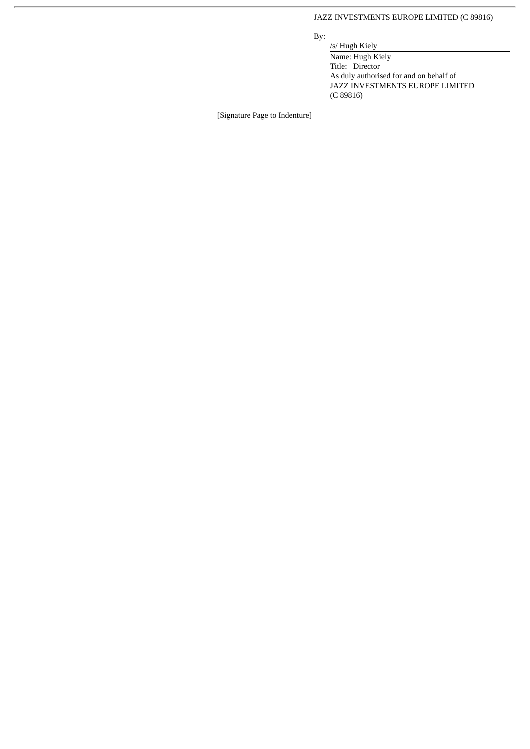## JAZZ INVESTMENTS EUROPE LIMITED (C 89816)

By:

/s/ Hugh Kiely Name: Hugh Kiely Title: Director As duly authorised for and on behalf of JAZZ INVESTMENTS EUROPE LIMITED (C 89816)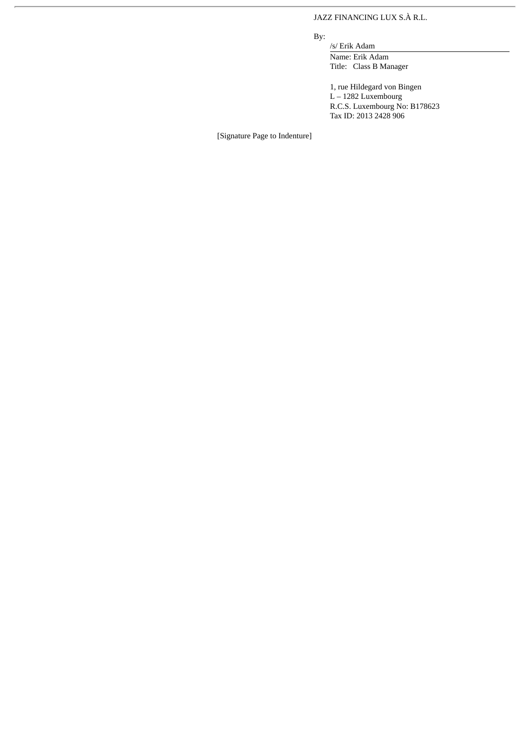## JAZZ FINANCING LUX S.À R.L.

By:

/s/ Erik Adam Name: Erik Adam Title: Class B Manager

1, rue Hildegard von Bingen L – 1282 Luxembourg R.C.S. Luxembourg No: B178623 Tax ID: 2013 2428 906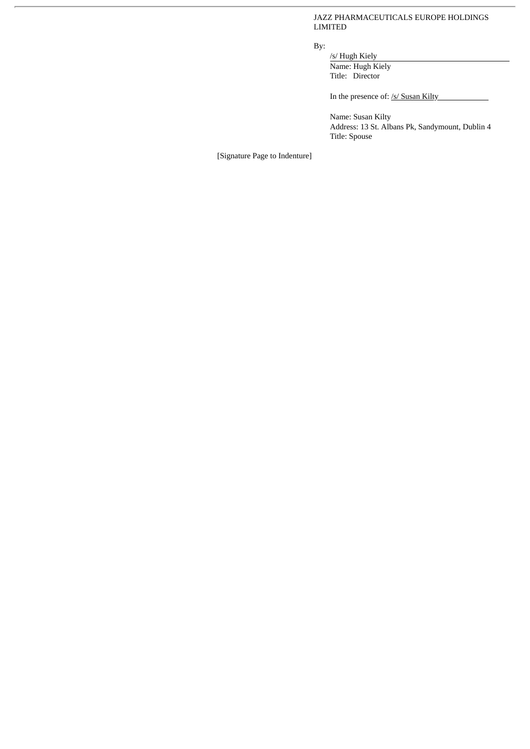JAZZ PHARMACEUTICALS EUROPE HOLDINGS LIMITED

By:

/s/ Hugh Kiely Name: Hugh Kiely Title: Director

In the presence of: /s/ Susan Kilty

Name: Susan Kilty Address: 13 St. Albans Pk, Sandymount, Dublin 4 Title: Spouse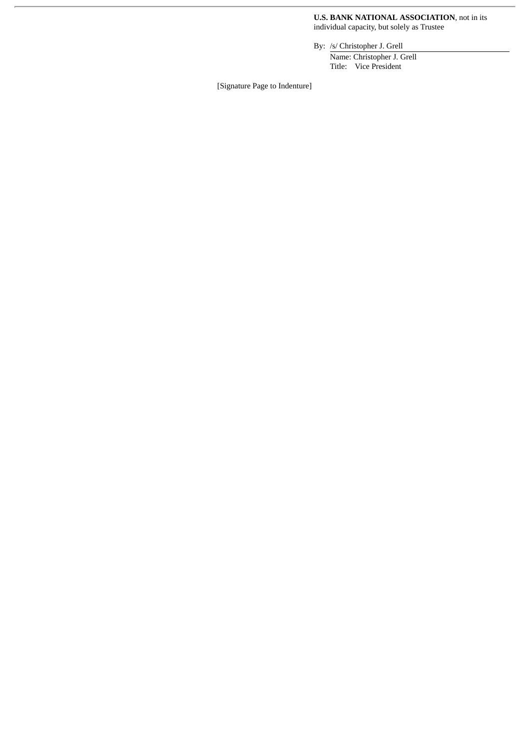#### **U.S. BANK NATIONAL ASSOCIATION**, not in its individual capacity, but solely as Trustee

By: /s/ Christopher J. Grell

Name: Christopher J. Grell Title: Vice President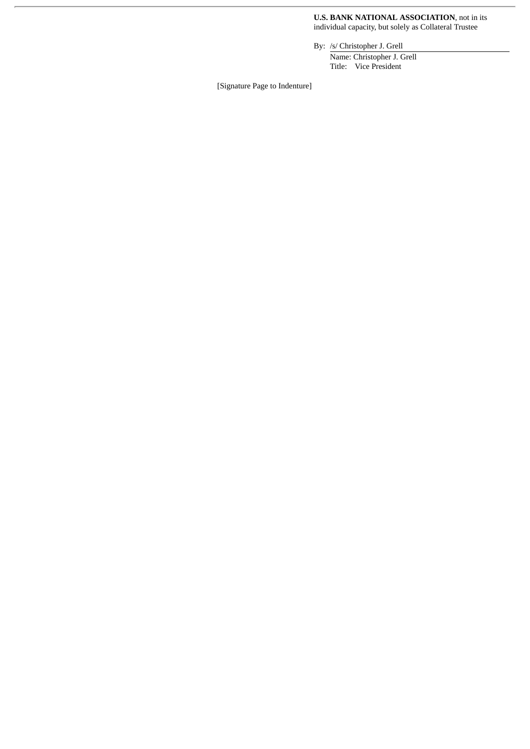**U.S. BANK NATIONAL ASSOCIATION**, not in its individual capacity, but solely as Collateral Trustee

By: /s/ Christopher J. Grell

Name: Christopher J. Grell Title: Vice President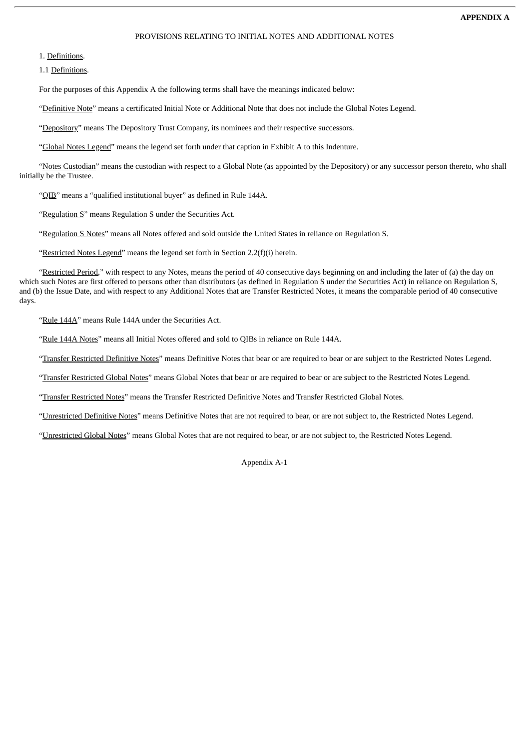#### PROVISIONS RELATING TO INITIAL NOTES AND ADDITIONAL NOTES

1. Definitions.

1.1 Definitions.

For the purposes of this Appendix A the following terms shall have the meanings indicated below:

"Definitive Note" means a certificated Initial Note or Additional Note that does not include the Global Notes Legend.

"Depository" means The Depository Trust Company, its nominees and their respective successors.

"Global Notes Legend" means the legend set forth under that caption in Exhibit A to this Indenture.

"Notes Custodian" means the custodian with respect to a Global Note (as appointed by the Depository) or any successor person thereto, who shall initially be the Trustee.

"QIB" means a "qualified institutional buyer" as defined in Rule 144A.

"Regulation S" means Regulation S under the Securities Act.

"Regulation S Notes" means all Notes offered and sold outside the United States in reliance on Regulation S.

"Restricted Notes Legend" means the legend set forth in Section  $2.2(f)(i)$  herein.

"Restricted Period," with respect to any Notes, means the period of 40 consecutive days beginning on and including the later of (a) the day on which such Notes are first offered to persons other than distributors (as defined in Regulation S under the Securities Act) in reliance on Regulation S, and (b) the Issue Date, and with respect to any Additional Notes that are Transfer Restricted Notes, it means the comparable period of 40 consecutive days.

"Rule 144A" means Rule 144A under the Securities Act.

"Rule 144A Notes" means all Initial Notes offered and sold to QIBs in reliance on Rule 144A.

"Transfer Restricted Definitive Notes" means Definitive Notes that bear or are required to bear or are subject to the Restricted Notes Legend.

"Transfer Restricted Global Notes" means Global Notes that bear or are required to bear or are subject to the Restricted Notes Legend.

"Transfer Restricted Notes" means the Transfer Restricted Definitive Notes and Transfer Restricted Global Notes.

"Unrestricted Definitive Notes" means Definitive Notes that are not required to bear, or are not subject to, the Restricted Notes Legend.

"Unrestricted Global Notes" means Global Notes that are not required to bear, or are not subject to, the Restricted Notes Legend.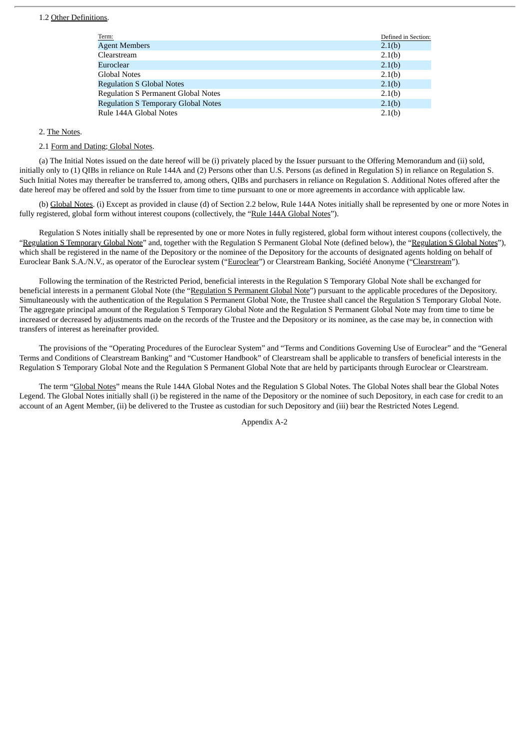#### 1.2 Other Definitions.

| Term:                                      | Defined in Section: |
|--------------------------------------------|---------------------|
| <b>Agent Members</b>                       | 2.1(b)              |
| Clearstream                                | 2.1(b)              |
| Euroclear                                  | 2.1(b)              |
| <b>Global Notes</b>                        | 2.1(b)              |
| <b>Regulation S Global Notes</b>           | 2.1(b)              |
| <b>Regulation S Permanent Global Notes</b> | 2.1(b)              |
| <b>Regulation S Temporary Global Notes</b> | 2.1(b)              |
| Rule 144A Global Notes                     | 2.1(b)              |

### 2. The Notes.

#### 2.1 Form and Dating; Global Notes.

(a) The Initial Notes issued on the date hereof will be (i) privately placed by the Issuer pursuant to the Offering Memorandum and (ii) sold, initially only to (1) QIBs in reliance on Rule 144A and (2) Persons other than U.S. Persons (as defined in Regulation S) in reliance on Regulation S. Such Initial Notes may thereafter be transferred to, among others, QIBs and purchasers in reliance on Regulation S. Additional Notes offered after the date hereof may be offered and sold by the Issuer from time to time pursuant to one or more agreements in accordance with applicable law.

(b) Global Notes. (i) Except as provided in clause (d) of Section 2.2 below, Rule 144A Notes initially shall be represented by one or more Notes in fully registered, global form without interest coupons (collectively, the "Rule 144A Global Notes").

Regulation S Notes initially shall be represented by one or more Notes in fully registered, global form without interest coupons (collectively, the "Regulation S Temporary Global Note" and, together with the Regulation S Permanent Global Note (defined below), the "Regulation S Global Notes"), which shall be registered in the name of the Depository or the nominee of the Depository for the accounts of designated agents holding on behalf of Euroclear Bank S.A./N.V., as operator of the Euroclear system ("Euroclear") or Clearstream Banking, Société Anonyme ("Clearstream").

Following the termination of the Restricted Period, beneficial interests in the Regulation S Temporary Global Note shall be exchanged for beneficial interests in a permanent Global Note (the "Regulation S Permanent Global Note") pursuant to the applicable procedures of the Depository. Simultaneously with the authentication of the Regulation S Permanent Global Note, the Trustee shall cancel the Regulation S Temporary Global Note. The aggregate principal amount of the Regulation S Temporary Global Note and the Regulation S Permanent Global Note may from time to time be increased or decreased by adjustments made on the records of the Trustee and the Depository or its nominee, as the case may be, in connection with transfers of interest as hereinafter provided.

The provisions of the "Operating Procedures of the Euroclear System" and "Terms and Conditions Governing Use of Euroclear" and the "General Terms and Conditions of Clearstream Banking" and "Customer Handbook" of Clearstream shall be applicable to transfers of beneficial interests in the Regulation S Temporary Global Note and the Regulation S Permanent Global Note that are held by participants through Euroclear or Clearstream.

The term "Global Notes" means the Rule 144A Global Notes and the Regulation S Global Notes. The Global Notes shall bear the Global Notes Legend. The Global Notes initially shall (i) be registered in the name of the Depository or the nominee of such Depository, in each case for credit to an account of an Agent Member, (ii) be delivered to the Trustee as custodian for such Depository and (iii) bear the Restricted Notes Legend.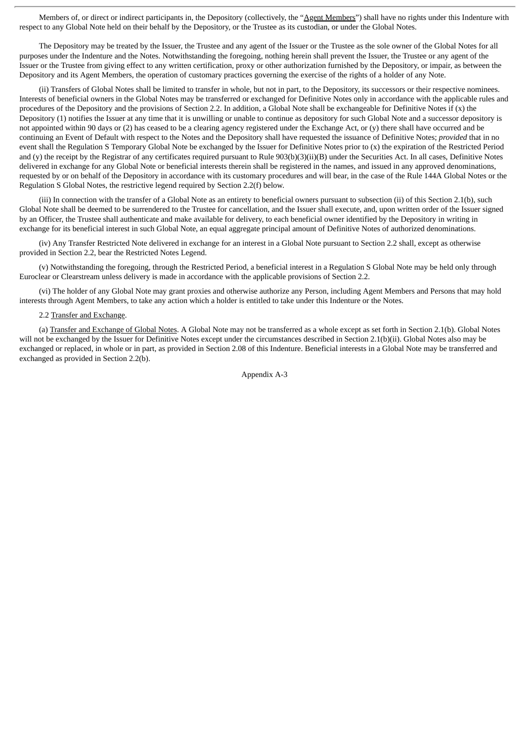Members of, or direct or indirect participants in, the Depository (collectively, the "Agent Members") shall have no rights under this Indenture with respect to any Global Note held on their behalf by the Depository, or the Trustee as its custodian, or under the Global Notes.

The Depository may be treated by the Issuer, the Trustee and any agent of the Issuer or the Trustee as the sole owner of the Global Notes for all purposes under the Indenture and the Notes. Notwithstanding the foregoing, nothing herein shall prevent the Issuer, the Trustee or any agent of the Issuer or the Trustee from giving effect to any written certification, proxy or other authorization furnished by the Depository, or impair, as between the Depository and its Agent Members, the operation of customary practices governing the exercise of the rights of a holder of any Note.

(ii) Transfers of Global Notes shall be limited to transfer in whole, but not in part, to the Depository, its successors or their respective nominees. Interests of beneficial owners in the Global Notes may be transferred or exchanged for Definitive Notes only in accordance with the applicable rules and procedures of the Depository and the provisions of Section 2.2. In addition, a Global Note shall be exchangeable for Definitive Notes if (x) the Depository (1) notifies the Issuer at any time that it is unwilling or unable to continue as depository for such Global Note and a successor depository is not appointed within 90 days or (2) has ceased to be a clearing agency registered under the Exchange Act, or (y) there shall have occurred and be continuing an Event of Default with respect to the Notes and the Depository shall have requested the issuance of Definitive Notes; *provided* that in no event shall the Regulation S Temporary Global Note be exchanged by the Issuer for Definitive Notes prior to (x) the expiration of the Restricted Period and (y) the receipt by the Registrar of any certificates required pursuant to Rule 903(b)(3)(ii)(B) under the Securities Act. In all cases, Definitive Notes delivered in exchange for any Global Note or beneficial interests therein shall be registered in the names, and issued in any approved denominations, requested by or on behalf of the Depository in accordance with its customary procedures and will bear, in the case of the Rule 144A Global Notes or the Regulation S Global Notes, the restrictive legend required by Section 2.2(f) below.

(iii) In connection with the transfer of a Global Note as an entirety to beneficial owners pursuant to subsection (ii) of this Section 2.1(b), such Global Note shall be deemed to be surrendered to the Trustee for cancellation, and the Issuer shall execute, and, upon written order of the Issuer signed by an Officer, the Trustee shall authenticate and make available for delivery, to each beneficial owner identified by the Depository in writing in exchange for its beneficial interest in such Global Note, an equal aggregate principal amount of Definitive Notes of authorized denominations.

(iv) Any Transfer Restricted Note delivered in exchange for an interest in a Global Note pursuant to Section 2.2 shall, except as otherwise provided in Section 2.2, bear the Restricted Notes Legend.

(v) Notwithstanding the foregoing, through the Restricted Period, a beneficial interest in a Regulation S Global Note may be held only through Euroclear or Clearstream unless delivery is made in accordance with the applicable provisions of Section 2.2.

(vi) The holder of any Global Note may grant proxies and otherwise authorize any Person, including Agent Members and Persons that may hold interests through Agent Members, to take any action which a holder is entitled to take under this Indenture or the Notes.

### 2.2 Transfer and Exchange.

(a) Transfer and Exchange of Global Notes. A Global Note may not be transferred as a whole except as set forth in Section 2.1(b). Global Notes will not be exchanged by the Issuer for Definitive Notes except under the circumstances described in Section 2.1(b)(ii). Global Notes also may be exchanged or replaced, in whole or in part, as provided in Section 2.08 of this Indenture. Beneficial interests in a Global Note may be transferred and exchanged as provided in Section 2.2(b).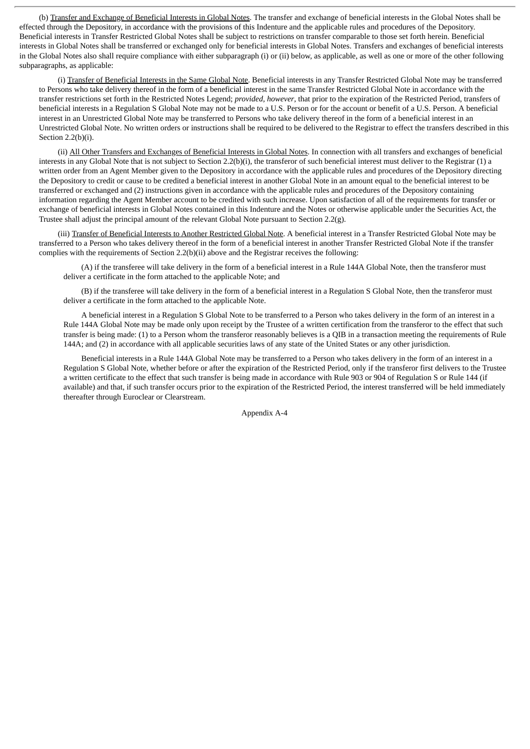(b) Transfer and Exchange of Beneficial Interests in Global Notes. The transfer and exchange of beneficial interests in the Global Notes shall be effected through the Depository, in accordance with the provisions of this Indenture and the applicable rules and procedures of the Depository. Beneficial interests in Transfer Restricted Global Notes shall be subject to restrictions on transfer comparable to those set forth herein. Beneficial interests in Global Notes shall be transferred or exchanged only for beneficial interests in Global Notes. Transfers and exchanges of beneficial interests in the Global Notes also shall require compliance with either subparagraph (i) or (ii) below, as applicable, as well as one or more of the other following subparagraphs, as applicable:

(i) Transfer of Beneficial Interests in the Same Global Note. Beneficial interests in any Transfer Restricted Global Note may be transferred to Persons who take delivery thereof in the form of a beneficial interest in the same Transfer Restricted Global Note in accordance with the transfer restrictions set forth in the Restricted Notes Legend; *provided*, *however*, that prior to the expiration of the Restricted Period, transfers of beneficial interests in a Regulation S Global Note may not be made to a U.S. Person or for the account or benefit of a U.S. Person. A beneficial interest in an Unrestricted Global Note may be transferred to Persons who take delivery thereof in the form of a beneficial interest in an Unrestricted Global Note. No written orders or instructions shall be required to be delivered to the Registrar to effect the transfers described in this Section 2.2(b)(i).

(ii) All Other Transfers and Exchanges of Beneficial Interests in Global Notes. In connection with all transfers and exchanges of beneficial interests in any Global Note that is not subject to Section 2.2(b)(i), the transferor of such beneficial interest must deliver to the Registrar (1) a written order from an Agent Member given to the Depository in accordance with the applicable rules and procedures of the Depository directing the Depository to credit or cause to be credited a beneficial interest in another Global Note in an amount equal to the beneficial interest to be transferred or exchanged and (2) instructions given in accordance with the applicable rules and procedures of the Depository containing information regarding the Agent Member account to be credited with such increase. Upon satisfaction of all of the requirements for transfer or exchange of beneficial interests in Global Notes contained in this Indenture and the Notes or otherwise applicable under the Securities Act, the Trustee shall adjust the principal amount of the relevant Global Note pursuant to Section 2.2(g).

(iii) Transfer of Beneficial Interests to Another Restricted Global Note. A beneficial interest in a Transfer Restricted Global Note may be transferred to a Person who takes delivery thereof in the form of a beneficial interest in another Transfer Restricted Global Note if the transfer complies with the requirements of Section 2.2(b)(ii) above and the Registrar receives the following:

(A) if the transferee will take delivery in the form of a beneficial interest in a Rule 144A Global Note, then the transferor must deliver a certificate in the form attached to the applicable Note; and

(B) if the transferee will take delivery in the form of a beneficial interest in a Regulation S Global Note, then the transferor must deliver a certificate in the form attached to the applicable Note.

A beneficial interest in a Regulation S Global Note to be transferred to a Person who takes delivery in the form of an interest in a Rule 144A Global Note may be made only upon receipt by the Trustee of a written certification from the transferor to the effect that such transfer is being made: (1) to a Person whom the transferor reasonably believes is a QIB in a transaction meeting the requirements of Rule 144A; and (2) in accordance with all applicable securities laws of any state of the United States or any other jurisdiction.

Beneficial interests in a Rule 144A Global Note may be transferred to a Person who takes delivery in the form of an interest in a Regulation S Global Note, whether before or after the expiration of the Restricted Period, only if the transferor first delivers to the Trustee a written certificate to the effect that such transfer is being made in accordance with Rule 903 or 904 of Regulation S or Rule 144 (if available) and that, if such transfer occurs prior to the expiration of the Restricted Period, the interest transferred will be held immediately thereafter through Euroclear or Clearstream.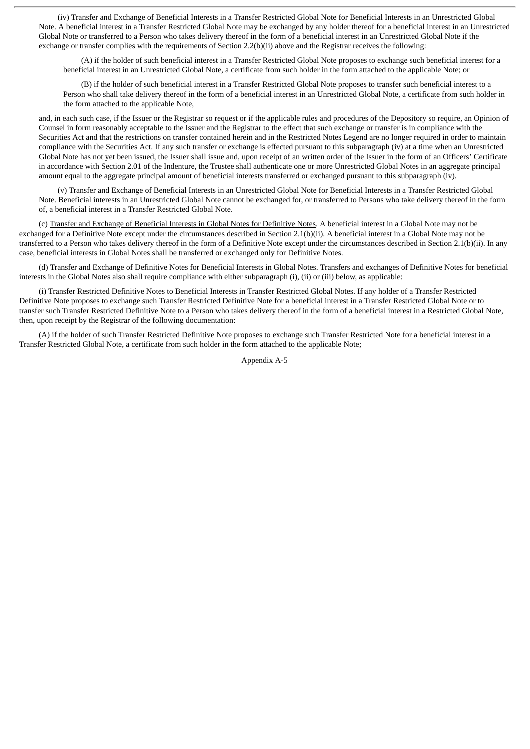(iv) Transfer and Exchange of Beneficial Interests in a Transfer Restricted Global Note for Beneficial Interests in an Unrestricted Global Note. A beneficial interest in a Transfer Restricted Global Note may be exchanged by any holder thereof for a beneficial interest in an Unrestricted Global Note or transferred to a Person who takes delivery thereof in the form of a beneficial interest in an Unrestricted Global Note if the exchange or transfer complies with the requirements of Section 2.2(b)(ii) above and the Registrar receives the following:

(A) if the holder of such beneficial interest in a Transfer Restricted Global Note proposes to exchange such beneficial interest for a beneficial interest in an Unrestricted Global Note, a certificate from such holder in the form attached to the applicable Note; or

(B) if the holder of such beneficial interest in a Transfer Restricted Global Note proposes to transfer such beneficial interest to a Person who shall take delivery thereof in the form of a beneficial interest in an Unrestricted Global Note, a certificate from such holder in the form attached to the applicable Note,

and, in each such case, if the Issuer or the Registrar so request or if the applicable rules and procedures of the Depository so require, an Opinion of Counsel in form reasonably acceptable to the Issuer and the Registrar to the effect that such exchange or transfer is in compliance with the Securities Act and that the restrictions on transfer contained herein and in the Restricted Notes Legend are no longer required in order to maintain compliance with the Securities Act. If any such transfer or exchange is effected pursuant to this subparagraph (iv) at a time when an Unrestricted Global Note has not yet been issued, the Issuer shall issue and, upon receipt of an written order of the Issuer in the form of an Officers' Certificate in accordance with Section 2.01 of the Indenture, the Trustee shall authenticate one or more Unrestricted Global Notes in an aggregate principal amount equal to the aggregate principal amount of beneficial interests transferred or exchanged pursuant to this subparagraph (iv).

(v) Transfer and Exchange of Beneficial Interests in an Unrestricted Global Note for Beneficial Interests in a Transfer Restricted Global Note. Beneficial interests in an Unrestricted Global Note cannot be exchanged for, or transferred to Persons who take delivery thereof in the form of, a beneficial interest in a Transfer Restricted Global Note.

(c) Transfer and Exchange of Beneficial Interests in Global Notes for Definitive Notes. A beneficial interest in a Global Note may not be exchanged for a Definitive Note except under the circumstances described in Section 2.1(b)(ii). A beneficial interest in a Global Note may not be transferred to a Person who takes delivery thereof in the form of a Definitive Note except under the circumstances described in Section 2.1(b)(ii). In any case, beneficial interests in Global Notes shall be transferred or exchanged only for Definitive Notes.

(d) Transfer and Exchange of Definitive Notes for Beneficial Interests in Global Notes. Transfers and exchanges of Definitive Notes for beneficial interests in the Global Notes also shall require compliance with either subparagraph (i), (ii) or (iii) below, as applicable:

(i) Transfer Restricted Definitive Notes to Beneficial Interests in Transfer Restricted Global Notes. If any holder of a Transfer Restricted Definitive Note proposes to exchange such Transfer Restricted Definitive Note for a beneficial interest in a Transfer Restricted Global Note or to transfer such Transfer Restricted Definitive Note to a Person who takes delivery thereof in the form of a beneficial interest in a Restricted Global Note, then, upon receipt by the Registrar of the following documentation:

(A) if the holder of such Transfer Restricted Definitive Note proposes to exchange such Transfer Restricted Note for a beneficial interest in a Transfer Restricted Global Note, a certificate from such holder in the form attached to the applicable Note;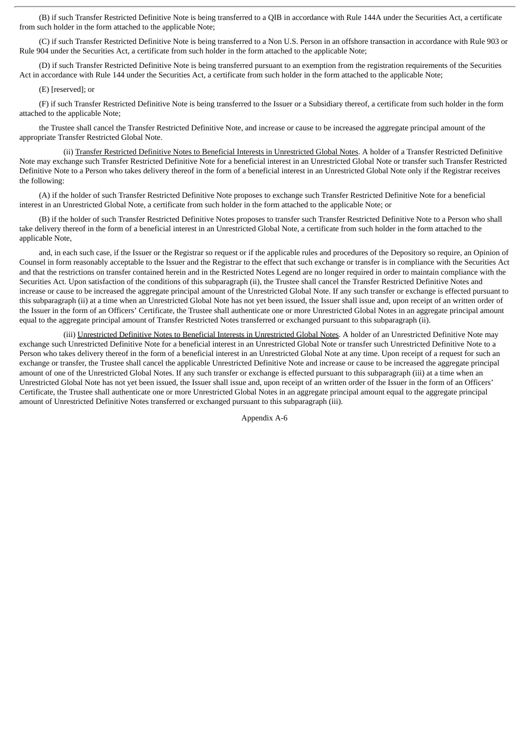(B) if such Transfer Restricted Definitive Note is being transferred to a QIB in accordance with Rule 144A under the Securities Act, a certificate from such holder in the form attached to the applicable Note;

(C) if such Transfer Restricted Definitive Note is being transferred to a Non U.S. Person in an offshore transaction in accordance with Rule 903 or Rule 904 under the Securities Act, a certificate from such holder in the form attached to the applicable Note;

(D) if such Transfer Restricted Definitive Note is being transferred pursuant to an exemption from the registration requirements of the Securities Act in accordance with Rule 144 under the Securities Act, a certificate from such holder in the form attached to the applicable Note;

#### (E) [reserved]; or

(F) if such Transfer Restricted Definitive Note is being transferred to the Issuer or a Subsidiary thereof, a certificate from such holder in the form attached to the applicable Note;

the Trustee shall cancel the Transfer Restricted Definitive Note, and increase or cause to be increased the aggregate principal amount of the appropriate Transfer Restricted Global Note.

(ii) Transfer Restricted Definitive Notes to Beneficial Interests in Unrestricted Global Notes. A holder of a Transfer Restricted Definitive Note may exchange such Transfer Restricted Definitive Note for a beneficial interest in an Unrestricted Global Note or transfer such Transfer Restricted Definitive Note to a Person who takes delivery thereof in the form of a beneficial interest in an Unrestricted Global Note only if the Registrar receives the following:

(A) if the holder of such Transfer Restricted Definitive Note proposes to exchange such Transfer Restricted Definitive Note for a beneficial interest in an Unrestricted Global Note, a certificate from such holder in the form attached to the applicable Note; or

(B) if the holder of such Transfer Restricted Definitive Notes proposes to transfer such Transfer Restricted Definitive Note to a Person who shall take delivery thereof in the form of a beneficial interest in an Unrestricted Global Note, a certificate from such holder in the form attached to the applicable Note,

and, in each such case, if the Issuer or the Registrar so request or if the applicable rules and procedures of the Depository so require, an Opinion of Counsel in form reasonably acceptable to the Issuer and the Registrar to the effect that such exchange or transfer is in compliance with the Securities Act and that the restrictions on transfer contained herein and in the Restricted Notes Legend are no longer required in order to maintain compliance with the Securities Act. Upon satisfaction of the conditions of this subparagraph (ii), the Trustee shall cancel the Transfer Restricted Definitive Notes and increase or cause to be increased the aggregate principal amount of the Unrestricted Global Note. If any such transfer or exchange is effected pursuant to this subparagraph (ii) at a time when an Unrestricted Global Note has not yet been issued, the Issuer shall issue and, upon receipt of an written order of the Issuer in the form of an Officers' Certificate, the Trustee shall authenticate one or more Unrestricted Global Notes in an aggregate principal amount equal to the aggregate principal amount of Transfer Restricted Notes transferred or exchanged pursuant to this subparagraph (ii).

(iii) Unrestricted Definitive Notes to Beneficial Interests in Unrestricted Global Notes. A holder of an Unrestricted Definitive Note may exchange such Unrestricted Definitive Note for a beneficial interest in an Unrestricted Global Note or transfer such Unrestricted Definitive Note to a Person who takes delivery thereof in the form of a beneficial interest in an Unrestricted Global Note at any time. Upon receipt of a request for such an exchange or transfer, the Trustee shall cancel the applicable Unrestricted Definitive Note and increase or cause to be increased the aggregate principal amount of one of the Unrestricted Global Notes. If any such transfer or exchange is effected pursuant to this subparagraph (iii) at a time when an Unrestricted Global Note has not yet been issued, the Issuer shall issue and, upon receipt of an written order of the Issuer in the form of an Officers' Certificate, the Trustee shall authenticate one or more Unrestricted Global Notes in an aggregate principal amount equal to the aggregate principal amount of Unrestricted Definitive Notes transferred or exchanged pursuant to this subparagraph (iii).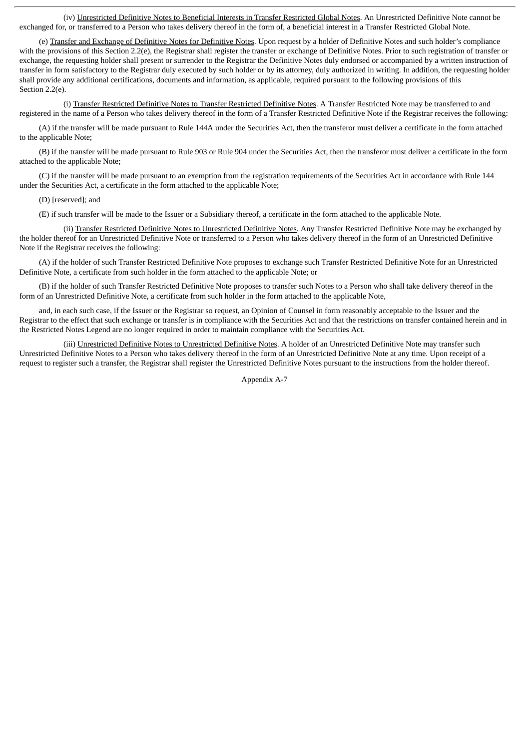(iv) Unrestricted Definitive Notes to Beneficial Interests in Transfer Restricted Global Notes. An Unrestricted Definitive Note cannot be exchanged for, or transferred to a Person who takes delivery thereof in the form of, a beneficial interest in a Transfer Restricted Global Note.

(e) Transfer and Exchange of Definitive Notes for Definitive Notes. Upon request by a holder of Definitive Notes and such holder's compliance with the provisions of this Section 2.2(e), the Registrar shall register the transfer or exchange of Definitive Notes. Prior to such registration of transfer or exchange, the requesting holder shall present or surrender to the Registrar the Definitive Notes duly endorsed or accompanied by a written instruction of transfer in form satisfactory to the Registrar duly executed by such holder or by its attorney, duly authorized in writing. In addition, the requesting holder shall provide any additional certifications, documents and information, as applicable, required pursuant to the following provisions of this Section 2.2(e).

(i) Transfer Restricted Definitive Notes to Transfer Restricted Definitive Notes. A Transfer Restricted Note may be transferred to and registered in the name of a Person who takes delivery thereof in the form of a Transfer Restricted Definitive Note if the Registrar receives the following:

(A) if the transfer will be made pursuant to Rule 144A under the Securities Act, then the transferor must deliver a certificate in the form attached to the applicable Note;

(B) if the transfer will be made pursuant to Rule 903 or Rule 904 under the Securities Act, then the transferor must deliver a certificate in the form attached to the applicable Note;

(C) if the transfer will be made pursuant to an exemption from the registration requirements of the Securities Act in accordance with Rule 144 under the Securities Act, a certificate in the form attached to the applicable Note;

(D) [reserved]; and

(E) if such transfer will be made to the Issuer or a Subsidiary thereof, a certificate in the form attached to the applicable Note.

(ii) Transfer Restricted Definitive Notes to Unrestricted Definitive Notes. Any Transfer Restricted Definitive Note may be exchanged by the holder thereof for an Unrestricted Definitive Note or transferred to a Person who takes delivery thereof in the form of an Unrestricted Definitive Note if the Registrar receives the following:

(A) if the holder of such Transfer Restricted Definitive Note proposes to exchange such Transfer Restricted Definitive Note for an Unrestricted Definitive Note, a certificate from such holder in the form attached to the applicable Note; or

(B) if the holder of such Transfer Restricted Definitive Note proposes to transfer such Notes to a Person who shall take delivery thereof in the form of an Unrestricted Definitive Note, a certificate from such holder in the form attached to the applicable Note,

and, in each such case, if the Issuer or the Registrar so request, an Opinion of Counsel in form reasonably acceptable to the Issuer and the Registrar to the effect that such exchange or transfer is in compliance with the Securities Act and that the restrictions on transfer contained herein and in the Restricted Notes Legend are no longer required in order to maintain compliance with the Securities Act.

(iii) Unrestricted Definitive Notes to Unrestricted Definitive Notes. A holder of an Unrestricted Definitive Note may transfer such Unrestricted Definitive Notes to a Person who takes delivery thereof in the form of an Unrestricted Definitive Note at any time. Upon receipt of a request to register such a transfer, the Registrar shall register the Unrestricted Definitive Notes pursuant to the instructions from the holder thereof.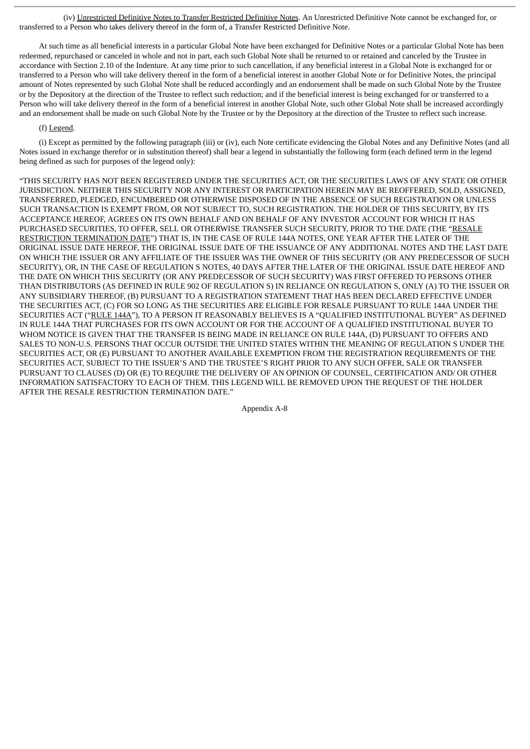(iv) Unrestricted Definitive Notes to Transfer Restricted Definitive Notes. An Unrestricted Definitive Note cannot be exchanged for, or transferred to a Person who takes delivery thereof in the form of, a Transfer Restricted Definitive Note.

At such time as all beneficial interests in a particular Global Note have been exchanged for Definitive Notes or a particular Global Note has been redeemed, repurchased or canceled in whole and not in part, each such Global Note shall be returned to or retained and canceled by the Trustee in accordance with Section 2.10 of the Indenture. At any time prior to such cancellation, if any beneficial interest in a Global Note is exchanged for or transferred to a Person who will take delivery thereof in the form of a beneficial interest in another Global Note or for Definitive Notes, the principal amount of Notes represented by such Global Note shall be reduced accordingly and an endorsement shall be made on such Global Note by the Trustee or by the Depository at the direction of the Trustee to reflect such reduction; and if the beneficial interest is being exchanged for or transferred to a Person who will take delivery thereof in the form of a beneficial interest in another Global Note, such other Global Note shall be increased accordingly and an endorsement shall be made on such Global Note by the Trustee or by the Depository at the direction of the Trustee to reflect such increase.

#### (f) Legend.

(i) Except as permitted by the following paragraph (iii) or (iv), each Note certificate evidencing the Global Notes and any Definitive Notes (and all Notes issued in exchange therefor or in substitution thereof) shall bear a legend in substantially the following form (each defined term in the legend being defined as such for purposes of the legend only):

"THIS SECURITY HAS NOT BEEN REGISTERED UNDER THE SECURITIES ACT, OR THE SECURITIES LAWS OF ANY STATE OR OTHER JURISDICTION. NEITHER THIS SECURITY NOR ANY INTEREST OR PARTICIPATION HEREIN MAY BE REOFFERED, SOLD, ASSIGNED, TRANSFERRED, PLEDGED, ENCUMBERED OR OTHERWISE DISPOSED OF IN THE ABSENCE OF SUCH REGISTRATION OR UNLESS SUCH TRANSACTION IS EXEMPT FROM, OR NOT SUBJECT TO, SUCH REGISTRATION. THE HOLDER OF THIS SECURITY, BY ITS ACCEPTANCE HEREOF, AGREES ON ITS OWN BEHALF AND ON BEHALF OF ANY INVESTOR ACCOUNT FOR WHICH IT HAS PURCHASED SECURITIES, TO OFFER, SELL OR OTHERWISE TRANSFER SUCH SECURITY, PRIOR TO THE DATE (THE "RESALE RESTRICTION TERMINATION DATE") THAT IS, IN THE CASE OF RULE 144A NOTES, ONE YEAR AFTER THE LATER OF THE ORIGINAL ISSUE DATE HEREOF, THE ORIGINAL ISSUE DATE OF THE ISSUANCE OF ANY ADDITIONAL NOTES AND THE LAST DATE ON WHICH THE ISSUER OR ANY AFFILIATE OF THE ISSUER WAS THE OWNER OF THIS SECURITY (OR ANY PREDECESSOR OF SUCH SECURITY), OR, IN THE CASE OF REGULATION S NOTES, 40 DAYS AFTER THE LATER OF THE ORIGINAL ISSUE DATE HEREOF AND THE DATE ON WHICH THIS SECURITY (OR ANY PREDECESSOR OF SUCH SECURITY) WAS FIRST OFFERED TO PERSONS OTHER THAN DISTRIBUTORS (AS DEFINED IN RULE 902 OF REGULATION S) IN RELIANCE ON REGULATION S, ONLY (A) TO THE ISSUER OR ANY SUBSIDIARY THEREOF, (B) PURSUANT TO A REGISTRATION STATEMENT THAT HAS BEEN DECLARED EFFECTIVE UNDER THE SECURITIES ACT, (C) FOR SO LONG AS THE SECURITIES ARE ELIGIBLE FOR RESALE PURSUANT TO RULE 144A UNDER THE SECURITIES ACT ("RULE 144A"), TO A PERSON IT REASONABLY BELIEVES IS A "QUALIFIED INSTITUTIONAL BUYER" AS DEFINED IN RULE 144A THAT PURCHASES FOR ITS OWN ACCOUNT OR FOR THE ACCOUNT OF A QUALIFIED INSTITUTIONAL BUYER TO WHOM NOTICE IS GIVEN THAT THE TRANSFER IS BEING MADE IN RELIANCE ON RULE 144A, (D) PURSUANT TO OFFERS AND SALES TO NON-U.S. PERSONS THAT OCCUR OUTSIDE THE UNITED STATES WITHIN THE MEANING OF REGULATION S UNDER THE SECURITIES ACT, OR (E) PURSUANT TO ANOTHER AVAILABLE EXEMPTION FROM THE REGISTRATION REQUIREMENTS OF THE SECURITIES ACT, SUBJECT TO THE ISSUER'S AND THE TRUSTEE'S RIGHT PRIOR TO ANY SUCH OFFER, SALE OR TRANSFER PURSUANT TO CLAUSES (D) OR (E) TO REQUIRE THE DELIVERY OF AN OPINION OF COUNSEL, CERTIFICATION AND/ OR OTHER INFORMATION SATISFACTORY TO EACH OF THEM. THIS LEGEND WILL BE REMOVED UPON THE REQUEST OF THE HOLDER AFTER THE RESALE RESTRICTION TERMINATION DATE."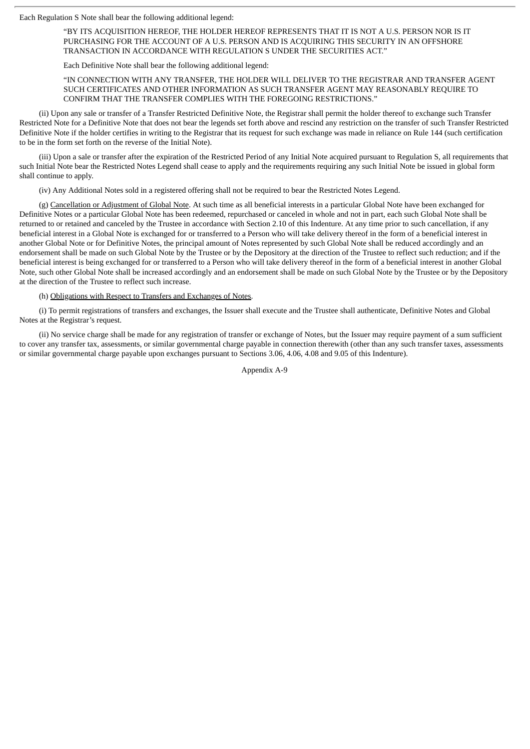Each Regulation S Note shall bear the following additional legend:

"BY ITS ACQUISITION HEREOF, THE HOLDER HEREOF REPRESENTS THAT IT IS NOT A U.S. PERSON NOR IS IT PURCHASING FOR THE ACCOUNT OF A U.S. PERSON AND IS ACQUIRING THIS SECURITY IN AN OFFSHORE TRANSACTION IN ACCORDANCE WITH REGULATION S UNDER THE SECURITIES ACT."

Each Definitive Note shall bear the following additional legend:

"IN CONNECTION WITH ANY TRANSFER, THE HOLDER WILL DELIVER TO THE REGISTRAR AND TRANSFER AGENT SUCH CERTIFICATES AND OTHER INFORMATION AS SUCH TRANSFER AGENT MAY REASONABLY REQUIRE TO CONFIRM THAT THE TRANSFER COMPLIES WITH THE FOREGOING RESTRICTIONS."

(ii) Upon any sale or transfer of a Transfer Restricted Definitive Note, the Registrar shall permit the holder thereof to exchange such Transfer Restricted Note for a Definitive Note that does not bear the legends set forth above and rescind any restriction on the transfer of such Transfer Restricted Definitive Note if the holder certifies in writing to the Registrar that its request for such exchange was made in reliance on Rule 144 (such certification to be in the form set forth on the reverse of the Initial Note).

(iii) Upon a sale or transfer after the expiration of the Restricted Period of any Initial Note acquired pursuant to Regulation S, all requirements that such Initial Note bear the Restricted Notes Legend shall cease to apply and the requirements requiring any such Initial Note be issued in global form shall continue to apply.

(iv) Any Additional Notes sold in a registered offering shall not be required to bear the Restricted Notes Legend.

(g) Cancellation or Adjustment of Global Note. At such time as all beneficial interests in a particular Global Note have been exchanged for Definitive Notes or a particular Global Note has been redeemed, repurchased or canceled in whole and not in part, each such Global Note shall be returned to or retained and canceled by the Trustee in accordance with Section 2.10 of this Indenture. At any time prior to such cancellation, if any beneficial interest in a Global Note is exchanged for or transferred to a Person who will take delivery thereof in the form of a beneficial interest in another Global Note or for Definitive Notes, the principal amount of Notes represented by such Global Note shall be reduced accordingly and an endorsement shall be made on such Global Note by the Trustee or by the Depository at the direction of the Trustee to reflect such reduction; and if the beneficial interest is being exchanged for or transferred to a Person who will take delivery thereof in the form of a beneficial interest in another Global Note, such other Global Note shall be increased accordingly and an endorsement shall be made on such Global Note by the Trustee or by the Depository at the direction of the Trustee to reflect such increase.

(h) Obligations with Respect to Transfers and Exchanges of Notes.

(i) To permit registrations of transfers and exchanges, the Issuer shall execute and the Trustee shall authenticate, Definitive Notes and Global Notes at the Registrar's request.

(ii) No service charge shall be made for any registration of transfer or exchange of Notes, but the Issuer may require payment of a sum sufficient to cover any transfer tax, assessments, or similar governmental charge payable in connection therewith (other than any such transfer taxes, assessments or similar governmental charge payable upon exchanges pursuant to Sections 3.06, 4.06, 4.08 and 9.05 of this Indenture).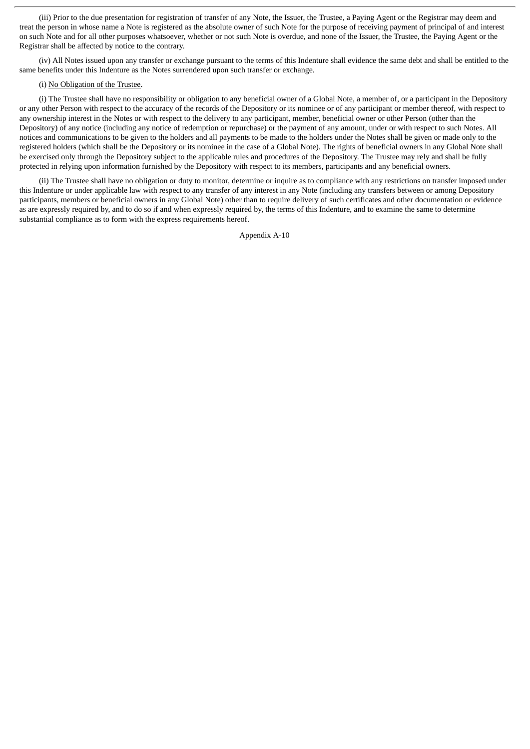(iii) Prior to the due presentation for registration of transfer of any Note, the Issuer, the Trustee, a Paying Agent or the Registrar may deem and treat the person in whose name a Note is registered as the absolute owner of such Note for the purpose of receiving payment of principal of and interest on such Note and for all other purposes whatsoever, whether or not such Note is overdue, and none of the Issuer, the Trustee, the Paying Agent or the Registrar shall be affected by notice to the contrary.

(iv) All Notes issued upon any transfer or exchange pursuant to the terms of this Indenture shall evidence the same debt and shall be entitled to the same benefits under this Indenture as the Notes surrendered upon such transfer or exchange.

### (i) No Obligation of the Trustee.

(i) The Trustee shall have no responsibility or obligation to any beneficial owner of a Global Note, a member of, or a participant in the Depository or any other Person with respect to the accuracy of the records of the Depository or its nominee or of any participant or member thereof, with respect to any ownership interest in the Notes or with respect to the delivery to any participant, member, beneficial owner or other Person (other than the Depository) of any notice (including any notice of redemption or repurchase) or the payment of any amount, under or with respect to such Notes. All notices and communications to be given to the holders and all payments to be made to the holders under the Notes shall be given or made only to the registered holders (which shall be the Depository or its nominee in the case of a Global Note). The rights of beneficial owners in any Global Note shall be exercised only through the Depository subject to the applicable rules and procedures of the Depository. The Trustee may rely and shall be fully protected in relying upon information furnished by the Depository with respect to its members, participants and any beneficial owners.

(ii) The Trustee shall have no obligation or duty to monitor, determine or inquire as to compliance with any restrictions on transfer imposed under this Indenture or under applicable law with respect to any transfer of any interest in any Note (including any transfers between or among Depository participants, members or beneficial owners in any Global Note) other than to require delivery of such certificates and other documentation or evidence as are expressly required by, and to do so if and when expressly required by, the terms of this Indenture, and to examine the same to determine substantial compliance as to form with the express requirements hereof.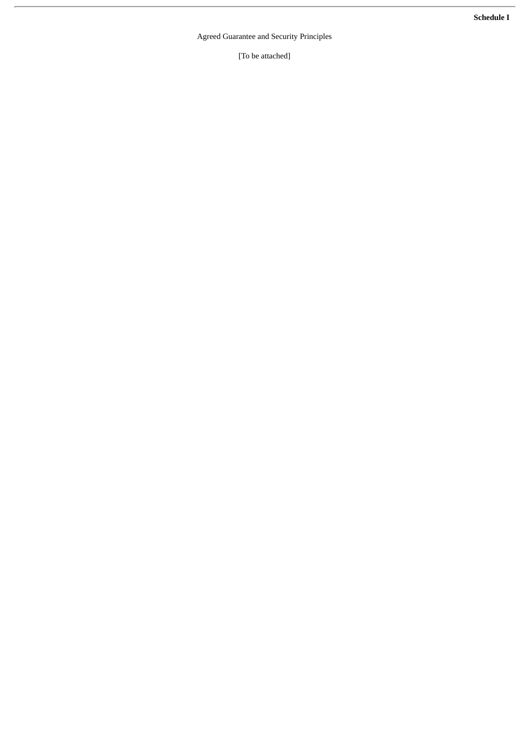**Schedule I**

Agreed Guarantee and Security Principles

[To be attached]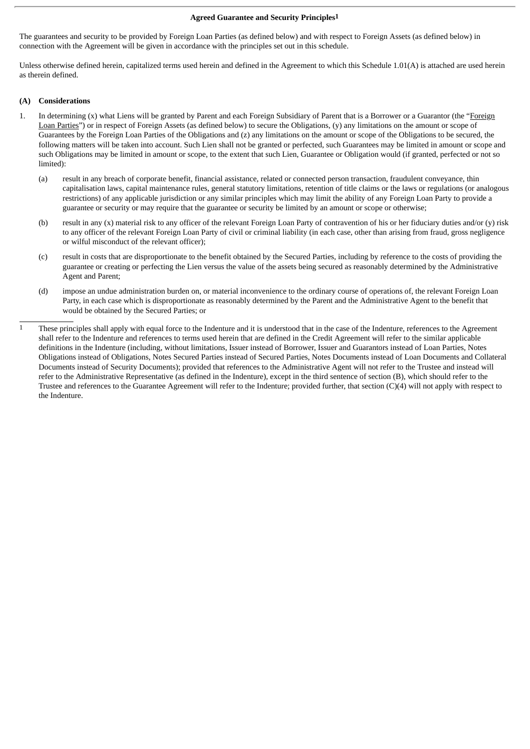#### **Agreed Guarantee and Security Principles1**

The guarantees and security to be provided by Foreign Loan Parties (as defined below) and with respect to Foreign Assets (as defined below) in connection with the Agreement will be given in accordance with the principles set out in this schedule.

Unless otherwise defined herein, capitalized terms used herein and defined in the Agreement to which this Schedule 1.01(A) is attached are used herein as therein defined.

## **(A) Considerations**

- 1. In determining (x) what Liens will be granted by Parent and each Foreign Subsidiary of Parent that is a Borrower or a Guarantor (the "Foreign Loan Parties") or in respect of Foreign Assets (as defined below) to secure the Obligations, (y) any limitations on the amount or scope of Guarantees by the Foreign Loan Parties of the Obligations and (z) any limitations on the amount or scope of the Obligations to be secured, the following matters will be taken into account. Such Lien shall not be granted or perfected, such Guarantees may be limited in amount or scope and such Obligations may be limited in amount or scope, to the extent that such Lien, Guarantee or Obligation would (if granted, perfected or not so limited):
	- (a) result in any breach of corporate benefit, financial assistance, related or connected person transaction, fraudulent conveyance, thin capitalisation laws, capital maintenance rules, general statutory limitations, retention of title claims or the laws or regulations (or analogous restrictions) of any applicable jurisdiction or any similar principles which may limit the ability of any Foreign Loan Party to provide a guarantee or security or may require that the guarantee or security be limited by an amount or scope or otherwise;
	- (b) result in any (x) material risk to any officer of the relevant Foreign Loan Party of contravention of his or her fiduciary duties and/or (y) risk to any officer of the relevant Foreign Loan Party of civil or criminal liability (in each case, other than arising from fraud, gross negligence or wilful misconduct of the relevant officer);
	- (c) result in costs that are disproportionate to the benefit obtained by the Secured Parties, including by reference to the costs of providing the guarantee or creating or perfecting the Lien versus the value of the assets being secured as reasonably determined by the Administrative Agent and Parent;
	- (d) impose an undue administration burden on, or material inconvenience to the ordinary course of operations of, the relevant Foreign Loan Party, in each case which is disproportionate as reasonably determined by the Parent and the Administrative Agent to the benefit that would be obtained by the Secured Parties; or
- 1 These principles shall apply with equal force to the Indenture and it is understood that in the case of the Indenture, references to the Agreement shall refer to the Indenture and references to terms used herein that are defined in the Credit Agreement will refer to the similar applicable definitions in the Indenture (including, without limitations, Issuer instead of Borrower, Issuer and Guarantors instead of Loan Parties, Notes Obligations instead of Obligations, Notes Secured Parties instead of Secured Parties, Notes Documents instead of Loan Documents and Collateral Documents instead of Security Documents); provided that references to the Administrative Agent will not refer to the Trustee and instead will refer to the Administrative Representative (as defined in the Indenture), except in the third sentence of section (B), which should refer to the Trustee and references to the Guarantee Agreement will refer to the Indenture; provided further, that section (C)(4) will not apply with respect to the Indenture.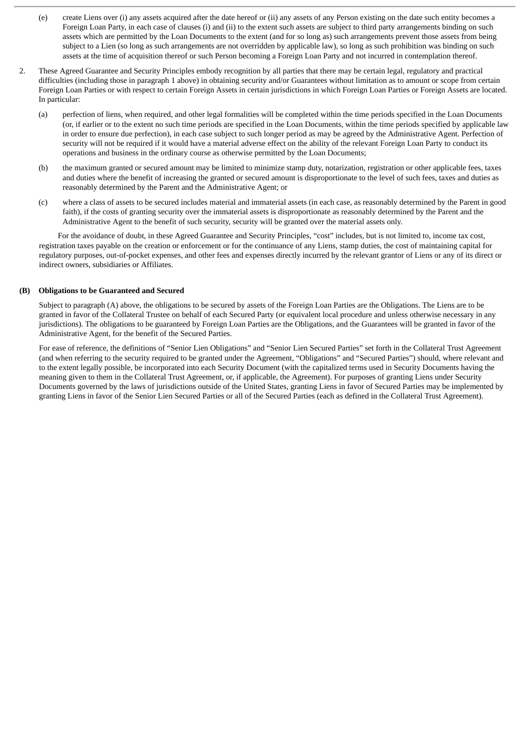- (e) create Liens over (i) any assets acquired after the date hereof or (ii) any assets of any Person existing on the date such entity becomes a Foreign Loan Party, in each case of clauses (i) and (ii) to the extent such assets are subject to third party arrangements binding on such assets which are permitted by the Loan Documents to the extent (and for so long as) such arrangements prevent those assets from being subject to a Lien (so long as such arrangements are not overridden by applicable law), so long as such prohibition was binding on such assets at the time of acquisition thereof or such Person becoming a Foreign Loan Party and not incurred in contemplation thereof.
- 2. These Agreed Guarantee and Security Principles embody recognition by all parties that there may be certain legal, regulatory and practical difficulties (including those in paragraph 1 above) in obtaining security and/or Guarantees without limitation as to amount or scope from certain Foreign Loan Parties or with respect to certain Foreign Assets in certain jurisdictions in which Foreign Loan Parties or Foreign Assets are located. In particular:
	- (a) perfection of liens, when required, and other legal formalities will be completed within the time periods specified in the Loan Documents (or, if earlier or to the extent no such time periods are specified in the Loan Documents, within the time periods specified by applicable law in order to ensure due perfection), in each case subject to such longer period as may be agreed by the Administrative Agent. Perfection of security will not be required if it would have a material adverse effect on the ability of the relevant Foreign Loan Party to conduct its operations and business in the ordinary course as otherwise permitted by the Loan Documents;
	- (b) the maximum granted or secured amount may be limited to minimize stamp duty, notarization, registration or other applicable fees, taxes and duties where the benefit of increasing the granted or secured amount is disproportionate to the level of such fees, taxes and duties as reasonably determined by the Parent and the Administrative Agent; or
	- (c) where a class of assets to be secured includes material and immaterial assets (in each case, as reasonably determined by the Parent in good faith), if the costs of granting security over the immaterial assets is disproportionate as reasonably determined by the Parent and the Administrative Agent to the benefit of such security, security will be granted over the material assets only.

For the avoidance of doubt, in these Agreed Guarantee and Security Principles, "cost" includes, but is not limited to, income tax cost, registration taxes payable on the creation or enforcement or for the continuance of any Liens, stamp duties, the cost of maintaining capital for regulatory purposes, out-of-pocket expenses, and other fees and expenses directly incurred by the relevant grantor of Liens or any of its direct or indirect owners, subsidiaries or Affiliates.

### **(B) Obligations to be Guaranteed and Secured**

Subject to paragraph (A) above, the obligations to be secured by assets of the Foreign Loan Parties are the Obligations. The Liens are to be granted in favor of the Collateral Trustee on behalf of each Secured Party (or equivalent local procedure and unless otherwise necessary in any jurisdictions). The obligations to be guaranteed by Foreign Loan Parties are the Obligations, and the Guarantees will be granted in favor of the Administrative Agent, for the benefit of the Secured Parties.

For ease of reference, the definitions of "Senior Lien Obligations" and "Senior Lien Secured Parties" set forth in the Collateral Trust Agreement (and when referring to the security required to be granted under the Agreement, "Obligations" and "Secured Parties") should, where relevant and to the extent legally possible, be incorporated into each Security Document (with the capitalized terms used in Security Documents having the meaning given to them in the Collateral Trust Agreement, or, if applicable, the Agreement). For purposes of granting Liens under Security Documents governed by the laws of jurisdictions outside of the United States, granting Liens in favor of Secured Parties may be implemented by granting Liens in favor of the Senior Lien Secured Parties or all of the Secured Parties (each as defined in the Collateral Trust Agreement).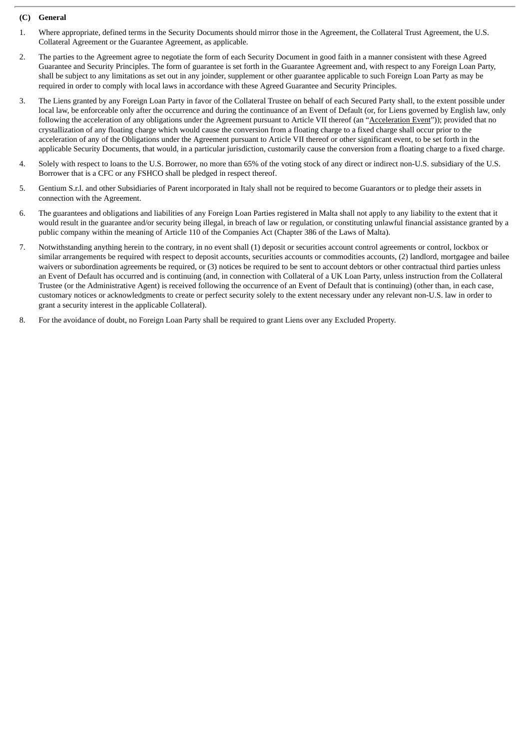## **(C) General**

- 1. Where appropriate, defined terms in the Security Documents should mirror those in the Agreement, the Collateral Trust Agreement, the U.S. Collateral Agreement or the Guarantee Agreement, as applicable.
- 2. The parties to the Agreement agree to negotiate the form of each Security Document in good faith in a manner consistent with these Agreed Guarantee and Security Principles. The form of guarantee is set forth in the Guarantee Agreement and, with respect to any Foreign Loan Party, shall be subject to any limitations as set out in any joinder, supplement or other guarantee applicable to such Foreign Loan Party as may be required in order to comply with local laws in accordance with these Agreed Guarantee and Security Principles.
- 3. The Liens granted by any Foreign Loan Party in favor of the Collateral Trustee on behalf of each Secured Party shall, to the extent possible under local law, be enforceable only after the occurrence and during the continuance of an Event of Default (or, for Liens governed by English law, only following the acceleration of any obligations under the Agreement pursuant to Article VII thereof (an "Acceleration Event")); provided that no crystallization of any floating charge which would cause the conversion from a floating charge to a fixed charge shall occur prior to the acceleration of any of the Obligations under the Agreement pursuant to Article VII thereof or other significant event, to be set forth in the applicable Security Documents, that would, in a particular jurisdiction, customarily cause the conversion from a floating charge to a fixed charge.
- 4. Solely with respect to loans to the U.S. Borrower, no more than 65% of the voting stock of any direct or indirect non-U.S. subsidiary of the U.S. Borrower that is a CFC or any FSHCO shall be pledged in respect thereof.
- 5. Gentium S.r.l. and other Subsidiaries of Parent incorporated in Italy shall not be required to become Guarantors or to pledge their assets in connection with the Agreement.
- 6. The guarantees and obligations and liabilities of any Foreign Loan Parties registered in Malta shall not apply to any liability to the extent that it would result in the guarantee and/or security being illegal, in breach of law or regulation, or constituting unlawful financial assistance granted by a public company within the meaning of Article 110 of the Companies Act (Chapter 386 of the Laws of Malta).
- 7. Notwithstanding anything herein to the contrary, in no event shall (1) deposit or securities account control agreements or control, lockbox or similar arrangements be required with respect to deposit accounts, securities accounts or commodities accounts, (2) landlord, mortgagee and bailee waivers or subordination agreements be required, or (3) notices be required to be sent to account debtors or other contractual third parties unless an Event of Default has occurred and is continuing (and, in connection with Collateral of a UK Loan Party, unless instruction from the Collateral Trustee (or the Administrative Agent) is received following the occurrence of an Event of Default that is continuing) (other than, in each case, customary notices or acknowledgments to create or perfect security solely to the extent necessary under any relevant non-U.S. law in order to grant a security interest in the applicable Collateral).
- 8. For the avoidance of doubt, no Foreign Loan Party shall be required to grant Liens over any Excluded Property.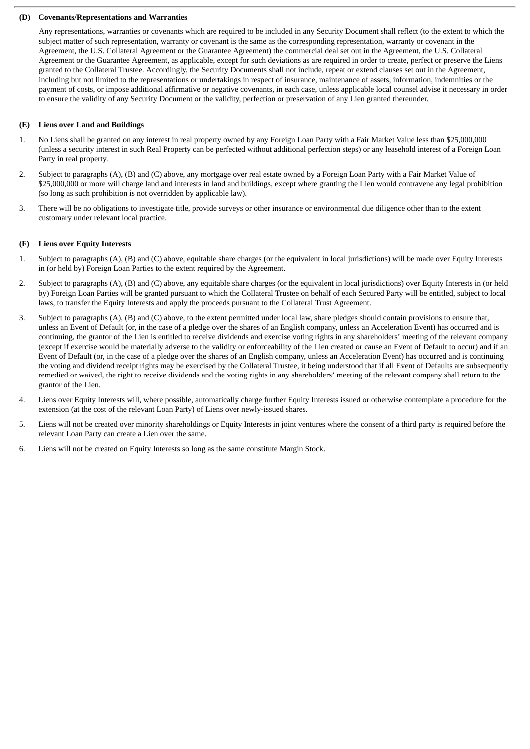#### **(D) Covenants/Representations and Warranties**

Any representations, warranties or covenants which are required to be included in any Security Document shall reflect (to the extent to which the subject matter of such representation, warranty or covenant is the same as the corresponding representation, warranty or covenant in the Agreement, the U.S. Collateral Agreement or the Guarantee Agreement) the commercial deal set out in the Agreement, the U.S. Collateral Agreement or the Guarantee Agreement, as applicable, except for such deviations as are required in order to create, perfect or preserve the Liens granted to the Collateral Trustee. Accordingly, the Security Documents shall not include, repeat or extend clauses set out in the Agreement, including but not limited to the representations or undertakings in respect of insurance, maintenance of assets, information, indemnities or the payment of costs, or impose additional affirmative or negative covenants, in each case, unless applicable local counsel advise it necessary in order to ensure the validity of any Security Document or the validity, perfection or preservation of any Lien granted thereunder.

### **(E) Liens over Land and Buildings**

- 1. No Liens shall be granted on any interest in real property owned by any Foreign Loan Party with a Fair Market Value less than \$25,000,000 (unless a security interest in such Real Property can be perfected without additional perfection steps) or any leasehold interest of a Foreign Loan Party in real property.
- 2. Subject to paragraphs (A), (B) and (C) above, any mortgage over real estate owned by a Foreign Loan Party with a Fair Market Value of \$25,000,000 or more will charge land and interests in land and buildings, except where granting the Lien would contravene any legal prohibition (so long as such prohibition is not overridden by applicable law).
- 3. There will be no obligations to investigate title, provide surveys or other insurance or environmental due diligence other than to the extent customary under relevant local practice.

#### **(F) Liens over Equity Interests**

- 1. Subject to paragraphs (A), (B) and (C) above, equitable share charges (or the equivalent in local jurisdictions) will be made over Equity Interests in (or held by) Foreign Loan Parties to the extent required by the Agreement.
- 2. Subject to paragraphs (A), (B) and (C) above, any equitable share charges (or the equivalent in local jurisdictions) over Equity Interests in (or held by) Foreign Loan Parties will be granted pursuant to which the Collateral Trustee on behalf of each Secured Party will be entitled, subject to local laws, to transfer the Equity Interests and apply the proceeds pursuant to the Collateral Trust Agreement.
- 3. Subject to paragraphs (A), (B) and (C) above, to the extent permitted under local law, share pledges should contain provisions to ensure that, unless an Event of Default (or, in the case of a pledge over the shares of an English company, unless an Acceleration Event) has occurred and is continuing, the grantor of the Lien is entitled to receive dividends and exercise voting rights in any shareholders' meeting of the relevant company (except if exercise would be materially adverse to the validity or enforceability of the Lien created or cause an Event of Default to occur) and if an Event of Default (or, in the case of a pledge over the shares of an English company, unless an Acceleration Event) has occurred and is continuing the voting and dividend receipt rights may be exercised by the Collateral Trustee, it being understood that if all Event of Defaults are subsequently remedied or waived, the right to receive dividends and the voting rights in any shareholders' meeting of the relevant company shall return to the grantor of the Lien.
- 4. Liens over Equity Interests will, where possible, automatically charge further Equity Interests issued or otherwise contemplate a procedure for the extension (at the cost of the relevant Loan Party) of Liens over newly-issued shares.
- 5. Liens will not be created over minority shareholdings or Equity Interests in joint ventures where the consent of a third party is required before the relevant Loan Party can create a Lien over the same.
- 6. Liens will not be created on Equity Interests so long as the same constitute Margin Stock.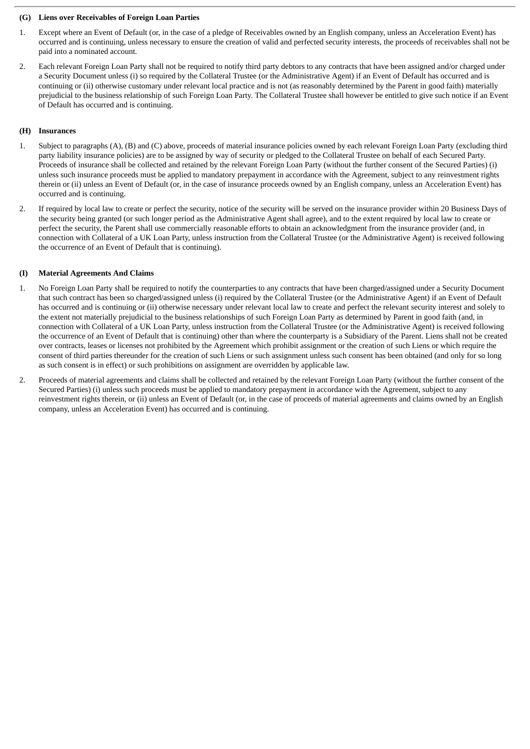### **(G) Liens over Receivables of Foreign Loan Parties**

- 1. Except where an Event of Default (or, in the case of a pledge of Receivables owned by an English company, unless an Acceleration Event) has occurred and is continuing, unless necessary to ensure the creation of valid and perfected security interests, the proceeds of receivables shall not be paid into a nominated account.
- 2. Each relevant Foreign Loan Party shall not be required to notify third party debtors to any contracts that have been assigned and/or charged under a Security Document unless (i) so required by the Collateral Trustee (or the Administrative Agent) if an Event of Default has occurred and is continuing or (ii) otherwise customary under relevant local practice and is not (as reasonably determined by the Parent in good faith) materially prejudicial to the business relationship of such Foreign Loan Party. The Collateral Trustee shall however be entitled to give such notice if an Event of Default has occurred and is continuing.

### **(H) Insurances**

- 1. Subject to paragraphs (A), (B) and (C) above, proceeds of material insurance policies owned by each relevant Foreign Loan Party (excluding third party liability insurance policies) are to be assigned by way of security or pledged to the Collateral Trustee on behalf of each Secured Party. Proceeds of insurance shall be collected and retained by the relevant Foreign Loan Party (without the further consent of the Secured Parties) (i) unless such insurance proceeds must be applied to mandatory prepayment in accordance with the Agreement, subject to any reinvestment rights therein or (ii) unless an Event of Default (or, in the case of insurance proceeds owned by an English company, unless an Acceleration Event) has occurred and is continuing.
- 2. If required by local law to create or perfect the security, notice of the security will be served on the insurance provider within 20 Business Days of the security being granted (or such longer period as the Administrative Agent shall agree), and to the extent required by local law to create or perfect the security, the Parent shall use commercially reasonable efforts to obtain an acknowledgment from the insurance provider (and, in connection with Collateral of a UK Loan Party, unless instruction from the Collateral Trustee (or the Administrative Agent) is received following the occurrence of an Event of Default that is continuing).

#### **(I) Material Agreements And Claims**

- 1. No Foreign Loan Party shall be required to notify the counterparties to any contracts that have been charged/assigned under a Security Document that such contract has been so charged/assigned unless (i) required by the Collateral Trustee (or the Administrative Agent) if an Event of Default has occurred and is continuing or (ii) otherwise necessary under relevant local law to create and perfect the relevant security interest and solely to the extent not materially prejudicial to the business relationships of such Foreign Loan Party as determined by Parent in good faith (and, in connection with Collateral of a UK Loan Party, unless instruction from the Collateral Trustee (or the Administrative Agent) is received following the occurrence of an Event of Default that is continuing) other than where the counterparty is a Subsidiary of the Parent. Liens shall not be created over contracts, leases or licenses not prohibited by the Agreement which prohibit assignment or the creation of such Liens or which require the consent of third parties thereunder for the creation of such Liens or such assignment unless such consent has been obtained (and only for so long as such consent is in effect) or such prohibitions on assignment are overridden by applicable law.
- 2. Proceeds of material agreements and claims shall be collected and retained by the relevant Foreign Loan Party (without the further consent of the Secured Parties) (i) unless such proceeds must be applied to mandatory prepayment in accordance with the Agreement, subject to any reinvestment rights therein, or (ii) unless an Event of Default (or, in the case of proceeds of material agreements and claims owned by an English company, unless an Acceleration Event) has occurred and is continuing.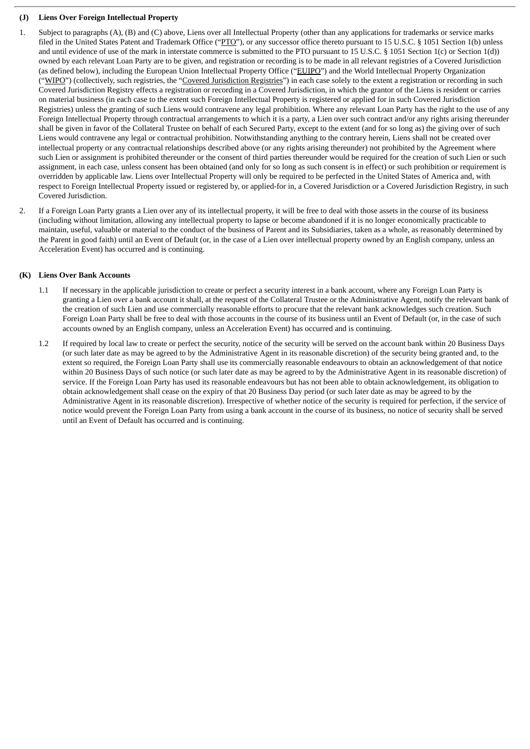## **(J) Liens Over Foreign Intellectual Property**

- 1. Subject to paragraphs (A), (B) and (C) above, Liens over all Intellectual Property (other than any applications for trademarks or service marks filed in the United States Patent and Trademark Office ("PTO"), or any successor office thereto pursuant to 15 U.S.C. § 1051 Section 1(b) unless and until evidence of use of the mark in interstate commerce is submitted to the PTO pursuant to 15 U.S.C. § 1051 Section 1(c) or Section 1(d)) owned by each relevant Loan Party are to be given, and registration or recording is to be made in all relevant registries of a Covered Jurisdiction (as defined below), including the European Union Intellectual Property Office ("EUIPO") and the World Intellectual Property Organization ("WIPO") (collectively, such registries, the "Covered Jurisdiction Registries") in each case solely to the extent a registration or recording in such Covered Jurisdiction Registry effects a registration or recording in a Covered Jurisdiction, in which the grantor of the Liens is resident or carries on material business (in each case to the extent such Foreign Intellectual Property is registered or applied for in such Covered Jurisdiction Registries) unless the granting of such Liens would contravene any legal prohibition. Where any relevant Loan Party has the right to the use of any Foreign Intellectual Property through contractual arrangements to which it is a party, a Lien over such contract and/or any rights arising thereunder shall be given in favor of the Collateral Trustee on behalf of each Secured Party, except to the extent (and for so long as) the giving over of such Liens would contravene any legal or contractual prohibition. Notwithstanding anything to the contrary herein, Liens shall not be created over intellectual property or any contractual relationships described above (or any rights arising thereunder) not prohibited by the Agreement where such Lien or assignment is prohibited thereunder or the consent of third parties thereunder would be required for the creation of such Lien or such assignment, in each case, unless consent has been obtained (and only for so long as such consent is in effect) or such prohibition or requirement is overridden by applicable law. Liens over Intellectual Property will only be required to be perfected in the United States of America and, with respect to Foreign Intellectual Property issued or registered by, or applied-for in, a Covered Jurisdiction or a Covered Jurisdiction Registry, in such Covered Jurisdiction.
- 2. If a Foreign Loan Party grants a Lien over any of its intellectual property, it will be free to deal with those assets in the course of its business (including without limitation, allowing any intellectual property to lapse or become abandoned if it is no longer economically practicable to maintain, useful, valuable or material to the conduct of the business of Parent and its Subsidiaries, taken as a whole, as reasonably determined by the Parent in good faith) until an Event of Default (or, in the case of a Lien over intellectual property owned by an English company, unless an Acceleration Event) has occurred and is continuing.

## **(K) Liens Over Bank Accounts**

- 1.1 If necessary in the applicable jurisdiction to create or perfect a security interest in a bank account, where any Foreign Loan Party is granting a Lien over a bank account it shall, at the request of the Collateral Trustee or the Administrative Agent, notify the relevant bank of the creation of such Lien and use commercially reasonable efforts to procure that the relevant bank acknowledges such creation. Such Foreign Loan Party shall be free to deal with those accounts in the course of its business until an Event of Default (or, in the case of such accounts owned by an English company, unless an Acceleration Event) has occurred and is continuing.
- 1.2 If required by local law to create or perfect the security, notice of the security will be served on the account bank within 20 Business Days (or such later date as may be agreed to by the Administrative Agent in its reasonable discretion) of the security being granted and, to the extent so required, the Foreign Loan Party shall use its commercially reasonable endeavours to obtain an acknowledgement of that notice within 20 Business Days of such notice (or such later date as may be agreed to by the Administrative Agent in its reasonable discretion) of service. If the Foreign Loan Party has used its reasonable endeavours but has not been able to obtain acknowledgement, its obligation to obtain acknowledgement shall cease on the expiry of that 20 Business Day period (or such later date as may be agreed to by the Administrative Agent in its reasonable discretion). Irrespective of whether notice of the security is required for perfection, if the service of notice would prevent the Foreign Loan Party from using a bank account in the course of its business, no notice of security shall be served until an Event of Default has occurred and is continuing.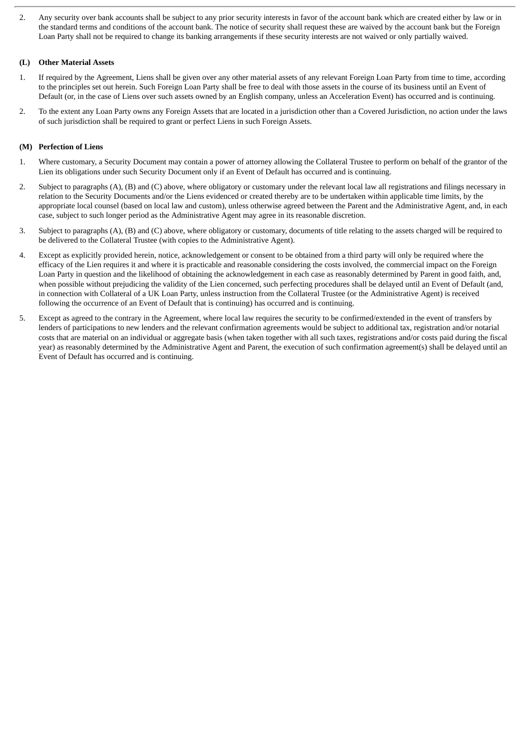2. Any security over bank accounts shall be subject to any prior security interests in favor of the account bank which are created either by law or in the standard terms and conditions of the account bank. The notice of security shall request these are waived by the account bank but the Foreign Loan Party shall not be required to change its banking arrangements if these security interests are not waived or only partially waived.

## **(L) Other Material Assets**

- 1. If required by the Agreement, Liens shall be given over any other material assets of any relevant Foreign Loan Party from time to time, according to the principles set out herein. Such Foreign Loan Party shall be free to deal with those assets in the course of its business until an Event of Default (or, in the case of Liens over such assets owned by an English company, unless an Acceleration Event) has occurred and is continuing.
- 2. To the extent any Loan Party owns any Foreign Assets that are located in a jurisdiction other than a Covered Jurisdiction, no action under the laws of such jurisdiction shall be required to grant or perfect Liens in such Foreign Assets.

## **(M) Perfection of Liens**

- 1. Where customary, a Security Document may contain a power of attorney allowing the Collateral Trustee to perform on behalf of the grantor of the Lien its obligations under such Security Document only if an Event of Default has occurred and is continuing.
- 2. Subject to paragraphs (A), (B) and (C) above, where obligatory or customary under the relevant local law all registrations and filings necessary in relation to the Security Documents and/or the Liens evidenced or created thereby are to be undertaken within applicable time limits, by the appropriate local counsel (based on local law and custom), unless otherwise agreed between the Parent and the Administrative Agent, and, in each case, subject to such longer period as the Administrative Agent may agree in its reasonable discretion.
- 3. Subject to paragraphs (A), (B) and (C) above, where obligatory or customary, documents of title relating to the assets charged will be required to be delivered to the Collateral Trustee (with copies to the Administrative Agent).
- 4. Except as explicitly provided herein, notice, acknowledgement or consent to be obtained from a third party will only be required where the efficacy of the Lien requires it and where it is practicable and reasonable considering the costs involved, the commercial impact on the Foreign Loan Party in question and the likelihood of obtaining the acknowledgement in each case as reasonably determined by Parent in good faith, and, when possible without prejudicing the validity of the Lien concerned, such perfecting procedures shall be delayed until an Event of Default (and, in connection with Collateral of a UK Loan Party, unless instruction from the Collateral Trustee (or the Administrative Agent) is received following the occurrence of an Event of Default that is continuing) has occurred and is continuing.
- 5. Except as agreed to the contrary in the Agreement, where local law requires the security to be confirmed/extended in the event of transfers by lenders of participations to new lenders and the relevant confirmation agreements would be subject to additional tax, registration and/or notarial costs that are material on an individual or aggregate basis (when taken together with all such taxes, registrations and/or costs paid during the fiscal year) as reasonably determined by the Administrative Agent and Parent, the execution of such confirmation agreement(s) shall be delayed until an Event of Default has occurred and is continuing.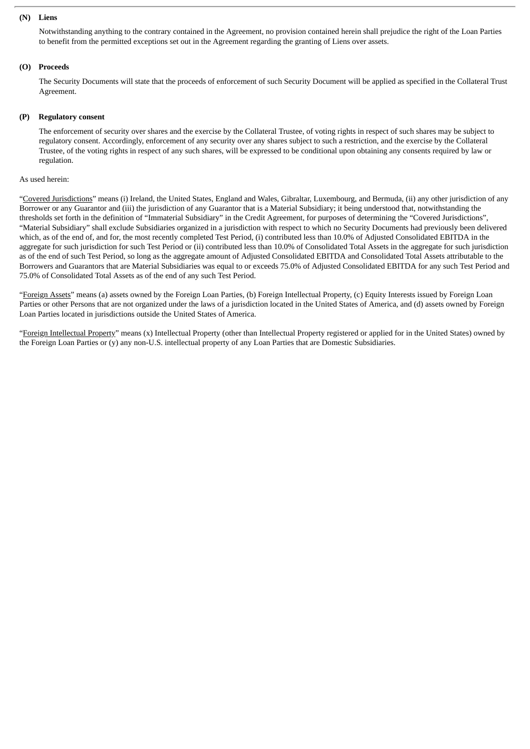#### **(N) Liens**

Notwithstanding anything to the contrary contained in the Agreement, no provision contained herein shall prejudice the right of the Loan Parties to benefit from the permitted exceptions set out in the Agreement regarding the granting of Liens over assets.

## **(O) Proceeds**

The Security Documents will state that the proceeds of enforcement of such Security Document will be applied as specified in the Collateral Trust Agreement.

#### **(P) Regulatory consent**

The enforcement of security over shares and the exercise by the Collateral Trustee, of voting rights in respect of such shares may be subject to regulatory consent. Accordingly, enforcement of any security over any shares subject to such a restriction, and the exercise by the Collateral Trustee, of the voting rights in respect of any such shares, will be expressed to be conditional upon obtaining any consents required by law or regulation.

#### As used herein:

"Covered Jurisdictions" means (i) Ireland, the United States, England and Wales, Gibraltar, Luxembourg, and Bermuda, (ii) any other jurisdiction of any Borrower or any Guarantor and (iii) the jurisdiction of any Guarantor that is a Material Subsidiary; it being understood that, notwithstanding the thresholds set forth in the definition of "Immaterial Subsidiary" in the Credit Agreement, for purposes of determining the "Covered Jurisdictions", "Material Subsidiary" shall exclude Subsidiaries organized in a jurisdiction with respect to which no Security Documents had previously been delivered which, as of the end of, and for, the most recently completed Test Period, (i) contributed less than 10.0% of Adjusted Consolidated EBITDA in the aggregate for such jurisdiction for such Test Period or (ii) contributed less than 10.0% of Consolidated Total Assets in the aggregate for such jurisdiction as of the end of such Test Period, so long as the aggregate amount of Adjusted Consolidated EBITDA and Consolidated Total Assets attributable to the Borrowers and Guarantors that are Material Subsidiaries was equal to or exceeds 75.0% of Adjusted Consolidated EBITDA for any such Test Period and 75.0% of Consolidated Total Assets as of the end of any such Test Period.

"Foreign Assets" means (a) assets owned by the Foreign Loan Parties, (b) Foreign Intellectual Property, (c) Equity Interests issued by Foreign Loan Parties or other Persons that are not organized under the laws of a jurisdiction located in the United States of America, and (d) assets owned by Foreign Loan Parties located in jurisdictions outside the United States of America.

"Foreign Intellectual Property" means (x) Intellectual Property (other than Intellectual Property registered or applied for in the United States) owned by the Foreign Loan Parties or (y) any non-U.S. intellectual property of any Loan Parties that are Domestic Subsidiaries.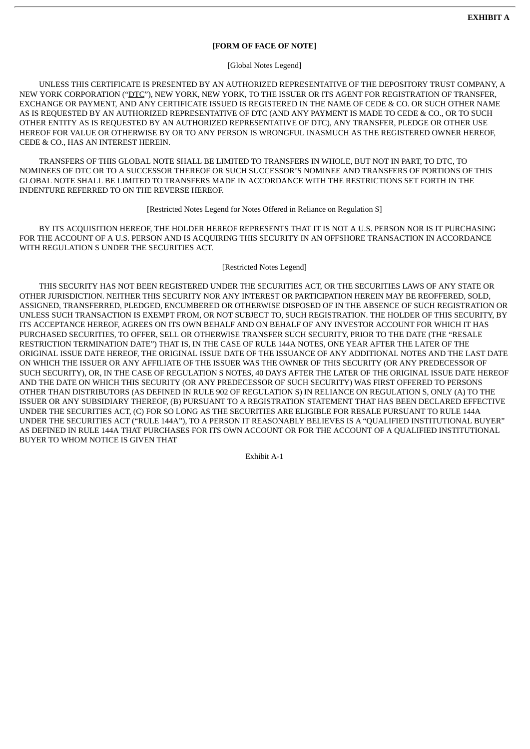### **[FORM OF FACE OF NOTE]**

[Global Notes Legend]

UNLESS THIS CERTIFICATE IS PRESENTED BY AN AUTHORIZED REPRESENTATIVE OF THE DEPOSITORY TRUST COMPANY, A NEW YORK CORPORATION ("DTC"), NEW YORK, NEW YORK, TO THE ISSUER OR ITS AGENT FOR REGISTRATION OF TRANSFER, EXCHANGE OR PAYMENT, AND ANY CERTIFICATE ISSUED IS REGISTERED IN THE NAME OF CEDE & CO. OR SUCH OTHER NAME AS IS REQUESTED BY AN AUTHORIZED REPRESENTATIVE OF DTC (AND ANY PAYMENT IS MADE TO CEDE & CO., OR TO SUCH OTHER ENTITY AS IS REQUESTED BY AN AUTHORIZED REPRESENTATIVE OF DTC), ANY TRANSFER, PLEDGE OR OTHER USE HEREOF FOR VALUE OR OTHERWISE BY OR TO ANY PERSON IS WRONGFUL INASMUCH AS THE REGISTERED OWNER HEREOF, CEDE & CO., HAS AN INTEREST HEREIN.

TRANSFERS OF THIS GLOBAL NOTE SHALL BE LIMITED TO TRANSFERS IN WHOLE, BUT NOT IN PART, TO DTC, TO NOMINEES OF DTC OR TO A SUCCESSOR THEREOF OR SUCH SUCCESSOR'S NOMINEE AND TRANSFERS OF PORTIONS OF THIS GLOBAL NOTE SHALL BE LIMITED TO TRANSFERS MADE IN ACCORDANCE WITH THE RESTRICTIONS SET FORTH IN THE INDENTURE REFERRED TO ON THE REVERSE HEREOF.

[Restricted Notes Legend for Notes Offered in Reliance on Regulation S]

BY ITS ACQUISITION HEREOF, THE HOLDER HEREOF REPRESENTS THAT IT IS NOT A U.S. PERSON NOR IS IT PURCHASING FOR THE ACCOUNT OF A U.S. PERSON AND IS ACQUIRING THIS SECURITY IN AN OFFSHORE TRANSACTION IN ACCORDANCE WITH REGULATION S UNDER THE SECURITIES ACT.

#### [Restricted Notes Legend]

THIS SECURITY HAS NOT BEEN REGISTERED UNDER THE SECURITIES ACT, OR THE SECURITIES LAWS OF ANY STATE OR OTHER JURISDICTION. NEITHER THIS SECURITY NOR ANY INTEREST OR PARTICIPATION HEREIN MAY BE REOFFERED, SOLD, ASSIGNED, TRANSFERRED, PLEDGED, ENCUMBERED OR OTHERWISE DISPOSED OF IN THE ABSENCE OF SUCH REGISTRATION OR UNLESS SUCH TRANSACTION IS EXEMPT FROM, OR NOT SUBJECT TO, SUCH REGISTRATION. THE HOLDER OF THIS SECURITY, BY ITS ACCEPTANCE HEREOF, AGREES ON ITS OWN BEHALF AND ON BEHALF OF ANY INVESTOR ACCOUNT FOR WHICH IT HAS PURCHASED SECURITIES, TO OFFER, SELL OR OTHERWISE TRANSFER SUCH SECURITY, PRIOR TO THE DATE (THE "RESALE RESTRICTION TERMINATION DATE") THAT IS, IN THE CASE OF RULE 144A NOTES, ONE YEAR AFTER THE LATER OF THE ORIGINAL ISSUE DATE HEREOF, THE ORIGINAL ISSUE DATE OF THE ISSUANCE OF ANY ADDITIONAL NOTES AND THE LAST DATE ON WHICH THE ISSUER OR ANY AFFILIATE OF THE ISSUER WAS THE OWNER OF THIS SECURITY (OR ANY PREDECESSOR OF SUCH SECURITY), OR, IN THE CASE OF REGULATION S NOTES, 40 DAYS AFTER THE LATER OF THE ORIGINAL ISSUE DATE HEREOF AND THE DATE ON WHICH THIS SECURITY (OR ANY PREDECESSOR OF SUCH SECURITY) WAS FIRST OFFERED TO PERSONS OTHER THAN DISTRIBUTORS (AS DEFINED IN RULE 902 OF REGULATION S) IN RELIANCE ON REGULATION S, ONLY (A) TO THE ISSUER OR ANY SUBSIDIARY THEREOF, (B) PURSUANT TO A REGISTRATION STATEMENT THAT HAS BEEN DECLARED EFFECTIVE UNDER THE SECURITIES ACT, (C) FOR SO LONG AS THE SECURITIES ARE ELIGIBLE FOR RESALE PURSUANT TO RULE 144A UNDER THE SECURITIES ACT ("RULE 144A"), TO A PERSON IT REASONABLY BELIEVES IS A "QUALIFIED INSTITUTIONAL BUYER" AS DEFINED IN RULE 144A THAT PURCHASES FOR ITS OWN ACCOUNT OR FOR THE ACCOUNT OF A QUALIFIED INSTITUTIONAL BUYER TO WHOM NOTICE IS GIVEN THAT

Exhibit A-1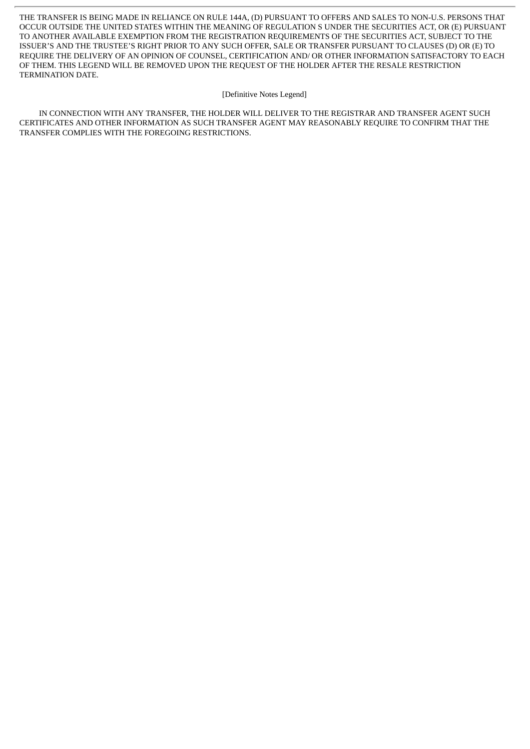THE TRANSFER IS BEING MADE IN RELIANCE ON RULE 144A, (D) PURSUANT TO OFFERS AND SALES TO NON-U.S. PERSONS THAT OCCUR OUTSIDE THE UNITED STATES WITHIN THE MEANING OF REGULATION S UNDER THE SECURITIES ACT, OR (E) PURSUANT TO ANOTHER AVAILABLE EXEMPTION FROM THE REGISTRATION REQUIREMENTS OF THE SECURITIES ACT, SUBJECT TO THE ISSUER'S AND THE TRUSTEE'S RIGHT PRIOR TO ANY SUCH OFFER, SALE OR TRANSFER PURSUANT TO CLAUSES (D) OR (E) TO REQUIRE THE DELIVERY OF AN OPINION OF COUNSEL, CERTIFICATION AND/ OR OTHER INFORMATION SATISFACTORY TO EACH OF THEM. THIS LEGEND WILL BE REMOVED UPON THE REQUEST OF THE HOLDER AFTER THE RESALE RESTRICTION TERMINATION DATE.

#### [Definitive Notes Legend]

IN CONNECTION WITH ANY TRANSFER, THE HOLDER WILL DELIVER TO THE REGISTRAR AND TRANSFER AGENT SUCH CERTIFICATES AND OTHER INFORMATION AS SUCH TRANSFER AGENT MAY REASONABLY REQUIRE TO CONFIRM THAT THE TRANSFER COMPLIES WITH THE FOREGOING RESTRICTIONS.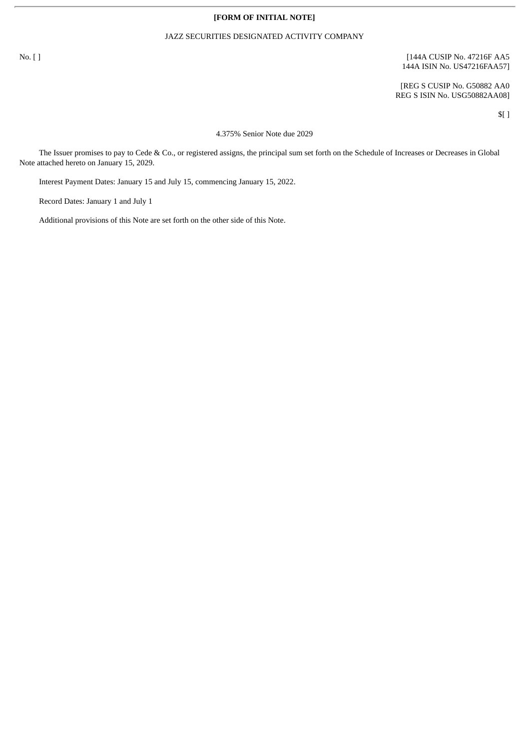### **[FORM OF INITIAL NOTE]**

### JAZZ SECURITIES DESIGNATED ACTIVITY COMPANY

## No. [ ] [144A CUSIP No. 47216F AA5 144A ISIN No. US47216FAA57]

[REG S CUSIP No. G50882 AA0 REG S ISIN No. USG50882AA08]

\$[ ]

4.375% Senior Note due 2029

The Issuer promises to pay to Cede & Co., or registered assigns, the principal sum set forth on the Schedule of Increases or Decreases in Global Note attached hereto on January 15, 2029.

Interest Payment Dates: January 15 and July 15, commencing January 15, 2022.

Record Dates: January 1 and July 1

Additional provisions of this Note are set forth on the other side of this Note.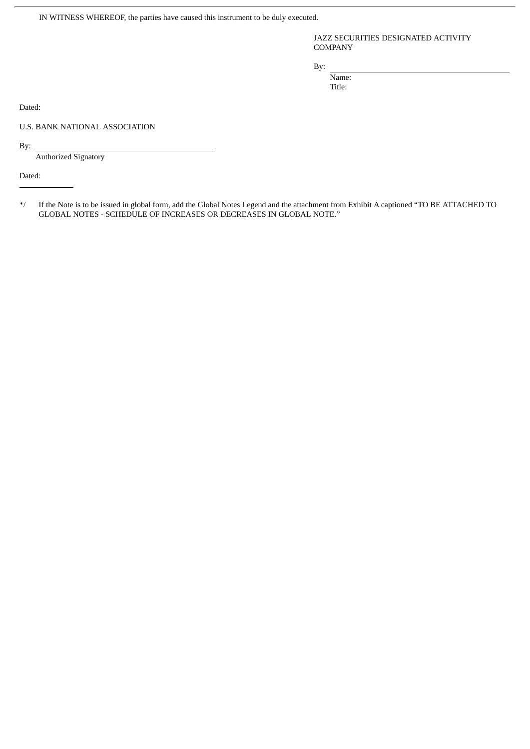IN WITNESS WHEREOF, the parties have caused this instrument to be duly executed.

JAZZ SECURITIES DESIGNATED ACTIVITY **COMPANY** 

By:

Name: Title:

Dated:

U.S. BANK NATIONAL ASSOCIATION

By:

Authorized Signatory

Dated:

\*/ If the Note is to be issued in global form, add the Global Notes Legend and the attachment from Exhibit A captioned "TO BE ATTACHED TO GLOBAL NOTES - SCHEDULE OF INCREASES OR DECREASES IN GLOBAL NOTE."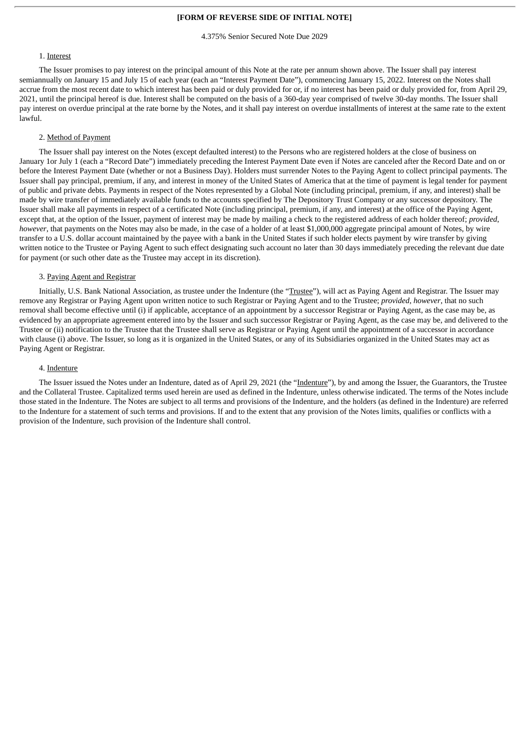## **[FORM OF REVERSE SIDE OF INITIAL NOTE]**

4.375% Senior Secured Note Due 2029

#### 1. Interest

The Issuer promises to pay interest on the principal amount of this Note at the rate per annum shown above. The Issuer shall pay interest semiannually on January 15 and July 15 of each year (each an "Interest Payment Date"), commencing January 15, 2022. Interest on the Notes shall accrue from the most recent date to which interest has been paid or duly provided for or, if no interest has been paid or duly provided for, from April 29, 2021, until the principal hereof is due. Interest shall be computed on the basis of a 360-day year comprised of twelve 30-day months. The Issuer shall pay interest on overdue principal at the rate borne by the Notes, and it shall pay interest on overdue installments of interest at the same rate to the extent lawful.

## 2. Method of Payment

The Issuer shall pay interest on the Notes (except defaulted interest) to the Persons who are registered holders at the close of business on January 1or July 1 (each a "Record Date") immediately preceding the Interest Payment Date even if Notes are canceled after the Record Date and on or before the Interest Payment Date (whether or not a Business Day). Holders must surrender Notes to the Paying Agent to collect principal payments. The Issuer shall pay principal, premium, if any, and interest in money of the United States of America that at the time of payment is legal tender for payment of public and private debts. Payments in respect of the Notes represented by a Global Note (including principal, premium, if any, and interest) shall be made by wire transfer of immediately available funds to the accounts specified by The Depository Trust Company or any successor depository. The Issuer shall make all payments in respect of a certificated Note (including principal, premium, if any, and interest) at the office of the Paying Agent, except that, at the option of the Issuer, payment of interest may be made by mailing a check to the registered address of each holder thereof; *provided*, *however*, that payments on the Notes may also be made, in the case of a holder of at least \$1,000,000 aggregate principal amount of Notes, by wire transfer to a U.S. dollar account maintained by the payee with a bank in the United States if such holder elects payment by wire transfer by giving written notice to the Trustee or Paying Agent to such effect designating such account no later than 30 days immediately preceding the relevant due date for payment (or such other date as the Trustee may accept in its discretion).

#### 3. Paying Agent and Registrar

Initially, U.S. Bank National Association, as trustee under the Indenture (the "Trustee"), will act as Paying Agent and Registrar. The Issuer may remove any Registrar or Paying Agent upon written notice to such Registrar or Paying Agent and to the Trustee; *provided*, *however*, that no such removal shall become effective until (i) if applicable, acceptance of an appointment by a successor Registrar or Paying Agent, as the case may be, as evidenced by an appropriate agreement entered into by the Issuer and such successor Registrar or Paying Agent, as the case may be, and delivered to the Trustee or (ii) notification to the Trustee that the Trustee shall serve as Registrar or Paying Agent until the appointment of a successor in accordance with clause (i) above. The Issuer, so long as it is organized in the United States, or any of its Subsidiaries organized in the United States may act as Paying Agent or Registrar.

#### 4. Indenture

The Issuer issued the Notes under an Indenture, dated as of April 29, 2021 (the "Indenture"), by and among the Issuer, the Guarantors, the Trustee and the Collateral Trustee. Capitalized terms used herein are used as defined in the Indenture, unless otherwise indicated. The terms of the Notes include those stated in the Indenture. The Notes are subject to all terms and provisions of the Indenture, and the holders (as defined in the Indenture) are referred to the Indenture for a statement of such terms and provisions. If and to the extent that any provision of the Notes limits, qualifies or conflicts with a provision of the Indenture, such provision of the Indenture shall control.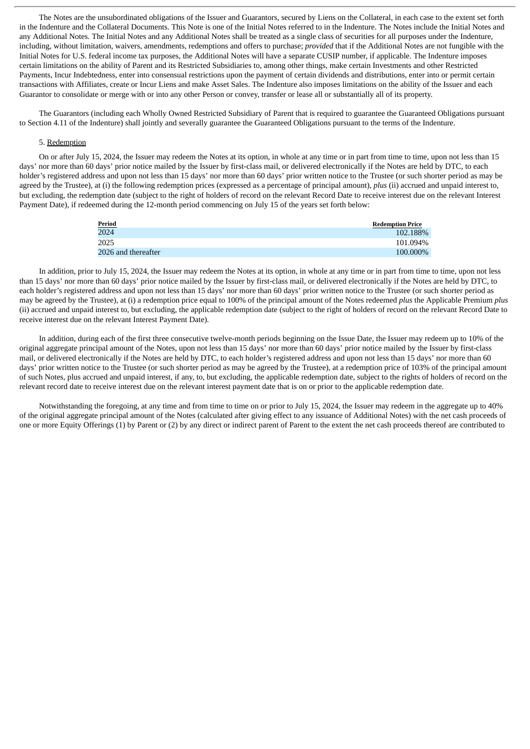The Notes are the unsubordinated obligations of the Issuer and Guarantors, secured by Liens on the Collateral, in each case to the extent set forth in the Indenture and the Collateral Documents. This Note is one of the Initial Notes referred to in the Indenture. The Notes include the Initial Notes and any Additional Notes. The Initial Notes and any Additional Notes shall be treated as a single class of securities for all purposes under the Indenture, including, without limitation, waivers, amendments, redemptions and offers to purchase; *provided* that if the Additional Notes are not fungible with the Initial Notes for U.S. federal income tax purposes, the Additional Notes will have a separate CUSIP number, if applicable. The Indenture imposes certain limitations on the ability of Parent and its Restricted Subsidiaries to, among other things, make certain Investments and other Restricted Payments, Incur Indebtedness, enter into consensual restrictions upon the payment of certain dividends and distributions, enter into or permit certain transactions with Affiliates, create or Incur Liens and make Asset Sales. The Indenture also imposes limitations on the ability of the Issuer and each Guarantor to consolidate or merge with or into any other Person or convey, transfer or lease all or substantially all of its property.

The Guarantors (including each Wholly Owned Restricted Subsidiary of Parent that is required to guarantee the Guaranteed Obligations pursuant to Section 4.11 of the Indenture) shall jointly and severally guarantee the Guaranteed Obligations pursuant to the terms of the Indenture.

## 5. Redemption

On or after July 15, 2024, the Issuer may redeem the Notes at its option, in whole at any time or in part from time to time, upon not less than 15 days' nor more than 60 days' prior notice mailed by the Issuer by first-class mail, or delivered electronically if the Notes are held by DTC, to each holder's registered address and upon not less than 15 days' nor more than 60 days' prior written notice to the Trustee (or such shorter period as may be agreed by the Trustee), at (i) the following redemption prices (expressed as a percentage of principal amount), *plus* (ii) accrued and unpaid interest to, but excluding, the redemption date (subject to the right of holders of record on the relevant Record Date to receive interest due on the relevant Interest Payment Date), if redeemed during the 12-month period commencing on July 15 of the years set forth below:

| <b>Period</b>       | <b>Redemption Price</b> |
|---------------------|-------------------------|
| 2024                | 102.188%                |
| 2025                | 101.094%                |
| 2026 and thereafter | 100.000%                |

In addition, prior to July 15, 2024, the Issuer may redeem the Notes at its option, in whole at any time or in part from time to time, upon not less than 15 days' nor more than 60 days' prior notice mailed by the Issuer by first-class mail, or delivered electronically if the Notes are held by DTC, to each holder's registered address and upon not less than 15 days' nor more than 60 days' prior written notice to the Trustee (or such shorter period as may be agreed by the Trustee), at (i) a redemption price equal to 100% of the principal amount of the Notes redeemed *plus* the Applicable Premium *plus* (ii) accrued and unpaid interest to, but excluding, the applicable redemption date (subject to the right of holders of record on the relevant Record Date to receive interest due on the relevant Interest Payment Date).

In addition, during each of the first three consecutive twelve-month periods beginning on the Issue Date, the Issuer may redeem up to 10% of the original aggregate principal amount of the Notes, upon not less than 15 days' nor more than 60 days' prior notice mailed by the Issuer by first-class mail, or delivered electronically if the Notes are held by DTC, to each holder's registered address and upon not less than 15 days' nor more than 60 days' prior written notice to the Trustee (or such shorter period as may be agreed by the Trustee), at a redemption price of 103% of the principal amount of such Notes, plus accrued and unpaid interest, if any, to, but excluding, the applicable redemption date, subject to the rights of holders of record on the relevant record date to receive interest due on the relevant interest payment date that is on or prior to the applicable redemption date.

Notwithstanding the foregoing, at any time and from time to time on or prior to July 15, 2024, the Issuer may redeem in the aggregate up to 40% of the original aggregate principal amount of the Notes (calculated after giving effect to any issuance of Additional Notes) with the net cash proceeds of one or more Equity Offerings (1) by Parent or (2) by any direct or indirect parent of Parent to the extent the net cash proceeds thereof are contributed to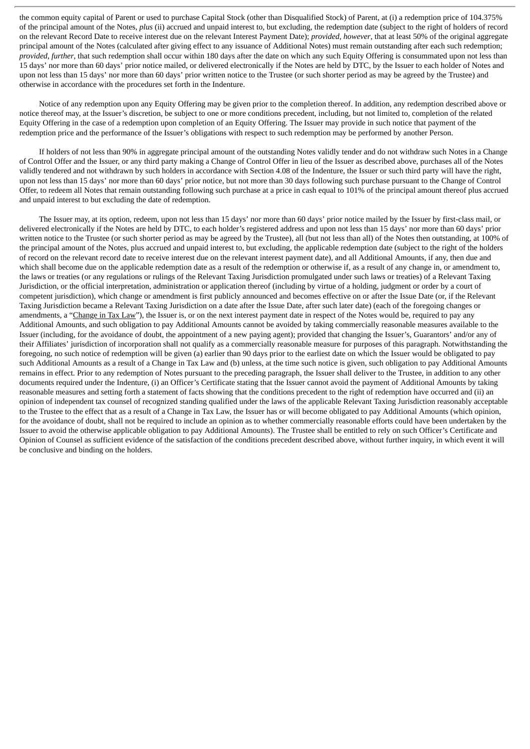the common equity capital of Parent or used to purchase Capital Stock (other than Disqualified Stock) of Parent, at (i) a redemption price of 104.375% of the principal amount of the Notes, *plus* (ii) accrued and unpaid interest to, but excluding, the redemption date (subject to the right of holders of record on the relevant Record Date to receive interest due on the relevant Interest Payment Date); *provided*, *however*, that at least 50% of the original aggregate principal amount of the Notes (calculated after giving effect to any issuance of Additional Notes) must remain outstanding after each such redemption; *provided*, *further*, that such redemption shall occur within 180 days after the date on which any such Equity Offering is consummated upon not less than 15 days' nor more than 60 days' prior notice mailed, or delivered electronically if the Notes are held by DTC, by the Issuer to each holder of Notes and upon not less than 15 days' nor more than 60 days' prior written notice to the Trustee (or such shorter period as may be agreed by the Trustee) and otherwise in accordance with the procedures set forth in the Indenture.

Notice of any redemption upon any Equity Offering may be given prior to the completion thereof. In addition, any redemption described above or notice thereof may, at the Issuer's discretion, be subject to one or more conditions precedent, including, but not limited to, completion of the related Equity Offering in the case of a redemption upon completion of an Equity Offering. The Issuer may provide in such notice that payment of the redemption price and the performance of the Issuer's obligations with respect to such redemption may be performed by another Person.

If holders of not less than 90% in aggregate principal amount of the outstanding Notes validly tender and do not withdraw such Notes in a Change of Control Offer and the Issuer, or any third party making a Change of Control Offer in lieu of the Issuer as described above, purchases all of the Notes validly tendered and not withdrawn by such holders in accordance with Section 4.08 of the Indenture, the Issuer or such third party will have the right, upon not less than 15 days' nor more than 60 days' prior notice, but not more than 30 days following such purchase pursuant to the Change of Control Offer, to redeem all Notes that remain outstanding following such purchase at a price in cash equal to 101% of the principal amount thereof plus accrued and unpaid interest to but excluding the date of redemption.

The Issuer may, at its option, redeem, upon not less than 15 days' nor more than 60 days' prior notice mailed by the Issuer by first-class mail, or delivered electronically if the Notes are held by DTC, to each holder's registered address and upon not less than 15 days' nor more than 60 days' prior written notice to the Trustee (or such shorter period as may be agreed by the Trustee), all (but not less than all) of the Notes then outstanding, at 100% of the principal amount of the Notes, plus accrued and unpaid interest to, but excluding, the applicable redemption date (subject to the right of the holders of record on the relevant record date to receive interest due on the relevant interest payment date), and all Additional Amounts, if any, then due and which shall become due on the applicable redemption date as a result of the redemption or otherwise if, as a result of any change in, or amendment to, the laws or treaties (or any regulations or rulings of the Relevant Taxing Jurisdiction promulgated under such laws or treaties) of a Relevant Taxing Jurisdiction, or the official interpretation, administration or application thereof (including by virtue of a holding, judgment or order by a court of competent jurisdiction), which change or amendment is first publicly announced and becomes effective on or after the Issue Date (or, if the Relevant Taxing Jurisdiction became a Relevant Taxing Jurisdiction on a date after the Issue Date, after such later date) (each of the foregoing changes or amendments, a "Change in Tax Law"), the Issuer is, or on the next interest payment date in respect of the Notes would be, required to pay any Additional Amounts, and such obligation to pay Additional Amounts cannot be avoided by taking commercially reasonable measures available to the Issuer (including, for the avoidance of doubt, the appointment of a new paying agent); provided that changing the Issuer's, Guarantors' and/or any of their Affiliates' jurisdiction of incorporation shall not qualify as a commercially reasonable measure for purposes of this paragraph. Notwithstanding the foregoing, no such notice of redemption will be given (a) earlier than 90 days prior to the earliest date on which the Issuer would be obligated to pay such Additional Amounts as a result of a Change in Tax Law and (b) unless, at the time such notice is given, such obligation to pay Additional Amounts remains in effect. Prior to any redemption of Notes pursuant to the preceding paragraph, the Issuer shall deliver to the Trustee, in addition to any other documents required under the Indenture, (i) an Officer's Certificate stating that the Issuer cannot avoid the payment of Additional Amounts by taking reasonable measures and setting forth a statement of facts showing that the conditions precedent to the right of redemption have occurred and (ii) an opinion of independent tax counsel of recognized standing qualified under the laws of the applicable Relevant Taxing Jurisdiction reasonably acceptable to the Trustee to the effect that as a result of a Change in Tax Law, the Issuer has or will become obligated to pay Additional Amounts (which opinion, for the avoidance of doubt, shall not be required to include an opinion as to whether commercially reasonable efforts could have been undertaken by the Issuer to avoid the otherwise applicable obligation to pay Additional Amounts). The Trustee shall be entitled to rely on such Officer's Certificate and Opinion of Counsel as sufficient evidence of the satisfaction of the conditions precedent described above, without further inquiry, in which event it will be conclusive and binding on the holders.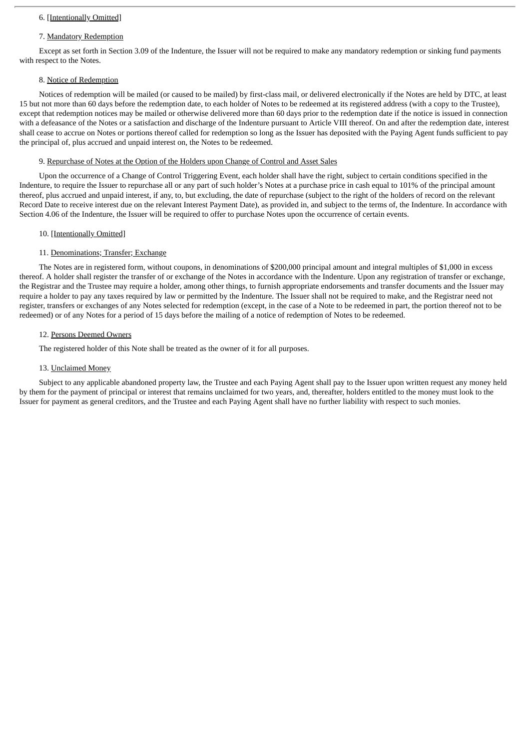## 6. [Intentionally Omitted]

### 7. Mandatory Redemption

Except as set forth in Section 3.09 of the Indenture, the Issuer will not be required to make any mandatory redemption or sinking fund payments with respect to the Notes.

### 8. Notice of Redemption

Notices of redemption will be mailed (or caused to be mailed) by first-class mail, or delivered electronically if the Notes are held by DTC, at least 15 but not more than 60 days before the redemption date, to each holder of Notes to be redeemed at its registered address (with a copy to the Trustee), except that redemption notices may be mailed or otherwise delivered more than 60 days prior to the redemption date if the notice is issued in connection with a defeasance of the Notes or a satisfaction and discharge of the Indenture pursuant to Article VIII thereof. On and after the redemption date, interest shall cease to accrue on Notes or portions thereof called for redemption so long as the Issuer has deposited with the Paying Agent funds sufficient to pay the principal of, plus accrued and unpaid interest on, the Notes to be redeemed.

#### 9. Repurchase of Notes at the Option of the Holders upon Change of Control and Asset Sales

Upon the occurrence of a Change of Control Triggering Event, each holder shall have the right, subject to certain conditions specified in the Indenture, to require the Issuer to repurchase all or any part of such holder's Notes at a purchase price in cash equal to 101% of the principal amount thereof, plus accrued and unpaid interest, if any, to, but excluding, the date of repurchase (subject to the right of the holders of record on the relevant Record Date to receive interest due on the relevant Interest Payment Date), as provided in, and subject to the terms of, the Indenture. In accordance with Section 4.06 of the Indenture, the Issuer will be required to offer to purchase Notes upon the occurrence of certain events.

### 10. [Intentionally Omitted]

## 11. Denominations; Transfer; Exchange

The Notes are in registered form, without coupons, in denominations of \$200,000 principal amount and integral multiples of \$1,000 in excess thereof. A holder shall register the transfer of or exchange of the Notes in accordance with the Indenture. Upon any registration of transfer or exchange, the Registrar and the Trustee may require a holder, among other things, to furnish appropriate endorsements and transfer documents and the Issuer may require a holder to pay any taxes required by law or permitted by the Indenture. The Issuer shall not be required to make, and the Registrar need not register, transfers or exchanges of any Notes selected for redemption (except, in the case of a Note to be redeemed in part, the portion thereof not to be redeemed) or of any Notes for a period of 15 days before the mailing of a notice of redemption of Notes to be redeemed.

### 12. Persons Deemed Owners

The registered holder of this Note shall be treated as the owner of it for all purposes.

### 13. Unclaimed Money

Subject to any applicable abandoned property law, the Trustee and each Paying Agent shall pay to the Issuer upon written request any money held by them for the payment of principal or interest that remains unclaimed for two years, and, thereafter, holders entitled to the money must look to the Issuer for payment as general creditors, and the Trustee and each Paying Agent shall have no further liability with respect to such monies.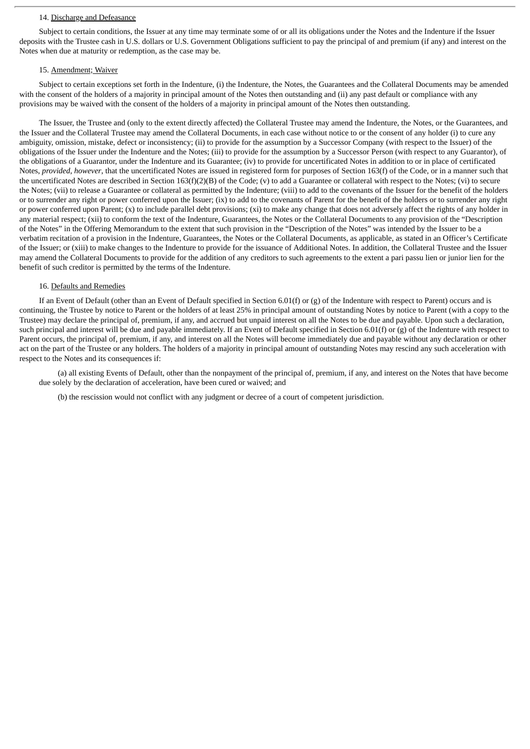#### 14. Discharge and Defeasance

Subject to certain conditions, the Issuer at any time may terminate some of or all its obligations under the Notes and the Indenture if the Issuer deposits with the Trustee cash in U.S. dollars or U.S. Government Obligations sufficient to pay the principal of and premium (if any) and interest on the Notes when due at maturity or redemption, as the case may be.

### 15. Amendment; Waiver

Subject to certain exceptions set forth in the Indenture, (i) the Indenture, the Notes, the Guarantees and the Collateral Documents may be amended with the consent of the holders of a majority in principal amount of the Notes then outstanding and (ii) any past default or compliance with any provisions may be waived with the consent of the holders of a majority in principal amount of the Notes then outstanding.

The Issuer, the Trustee and (only to the extent directly affected) the Collateral Trustee may amend the Indenture, the Notes, or the Guarantees, and the Issuer and the Collateral Trustee may amend the Collateral Documents, in each case without notice to or the consent of any holder (i) to cure any ambiguity, omission, mistake, defect or inconsistency; (ii) to provide for the assumption by a Successor Company (with respect to the Issuer) of the obligations of the Issuer under the Indenture and the Notes; (iii) to provide for the assumption by a Successor Person (with respect to any Guarantor), of the obligations of a Guarantor, under the Indenture and its Guarantee; (iv) to provide for uncertificated Notes in addition to or in place of certificated Notes, *provided*, *however*, that the uncertificated Notes are issued in registered form for purposes of Section 163(f) of the Code, or in a manner such that the uncertificated Notes are described in Section 163(f)(2)(B) of the Code; (v) to add a Guarantee or collateral with respect to the Notes; (vi) to secure the Notes; (vii) to release a Guarantee or collateral as permitted by the Indenture; (viii) to add to the covenants of the Issuer for the benefit of the holders or to surrender any right or power conferred upon the Issuer; (ix) to add to the covenants of Parent for the benefit of the holders or to surrender any right or power conferred upon Parent; (x) to include parallel debt provisions; (xi) to make any change that does not adversely affect the rights of any holder in any material respect; (xii) to conform the text of the Indenture, Guarantees, the Notes or the Collateral Documents to any provision of the "Description of the Notes" in the Offering Memorandum to the extent that such provision in the "Description of the Notes" was intended by the Issuer to be a verbatim recitation of a provision in the Indenture, Guarantees, the Notes or the Collateral Documents, as applicable, as stated in an Officer's Certificate of the Issuer; or (xiii) to make changes to the Indenture to provide for the issuance of Additional Notes. In addition, the Collateral Trustee and the Issuer may amend the Collateral Documents to provide for the addition of any creditors to such agreements to the extent a pari passu lien or junior lien for the benefit of such creditor is permitted by the terms of the Indenture.

### 16. Defaults and Remedies

If an Event of Default (other than an Event of Default specified in Section 6.01(f) or (g) of the Indenture with respect to Parent) occurs and is continuing, the Trustee by notice to Parent or the holders of at least 25% in principal amount of outstanding Notes by notice to Parent (with a copy to the Trustee) may declare the principal of, premium, if any, and accrued but unpaid interest on all the Notes to be due and payable. Upon such a declaration, such principal and interest will be due and payable immediately. If an Event of Default specified in Section  $6.01(f)$  or  $(g)$  of the Indenture with respect to Parent occurs, the principal of, premium, if any, and interest on all the Notes will become immediately due and payable without any declaration or other act on the part of the Trustee or any holders. The holders of a majority in principal amount of outstanding Notes may rescind any such acceleration with respect to the Notes and its consequences if:

(a) all existing Events of Default, other than the nonpayment of the principal of, premium, if any, and interest on the Notes that have become due solely by the declaration of acceleration, have been cured or waived; and

(b) the rescission would not conflict with any judgment or decree of a court of competent jurisdiction.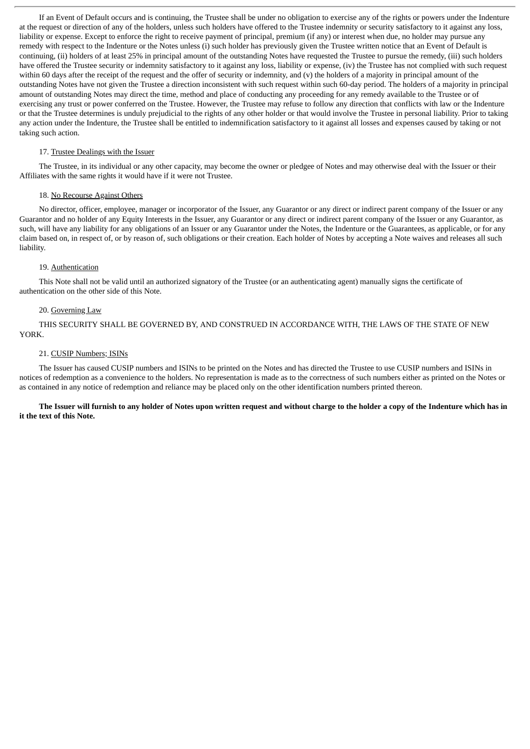If an Event of Default occurs and is continuing, the Trustee shall be under no obligation to exercise any of the rights or powers under the Indenture at the request or direction of any of the holders, unless such holders have offered to the Trustee indemnity or security satisfactory to it against any loss, liability or expense. Except to enforce the right to receive payment of principal, premium (if any) or interest when due, no holder may pursue any remedy with respect to the Indenture or the Notes unless (i) such holder has previously given the Trustee written notice that an Event of Default is continuing, (ii) holders of at least 25% in principal amount of the outstanding Notes have requested the Trustee to pursue the remedy, (iii) such holders have offered the Trustee security or indemnity satisfactory to it against any loss, liability or expense, (iv) the Trustee has not complied with such request within 60 days after the receipt of the request and the offer of security or indemnity, and (y) the holders of a majority in principal amount of the outstanding Notes have not given the Trustee a direction inconsistent with such request within such 60-day period. The holders of a majority in principal amount of outstanding Notes may direct the time, method and place of conducting any proceeding for any remedy available to the Trustee or of exercising any trust or power conferred on the Trustee. However, the Trustee may refuse to follow any direction that conflicts with law or the Indenture or that the Trustee determines is unduly prejudicial to the rights of any other holder or that would involve the Trustee in personal liability. Prior to taking any action under the Indenture, the Trustee shall be entitled to indemnification satisfactory to it against all losses and expenses caused by taking or not taking such action.

### 17. Trustee Dealings with the Issuer

The Trustee, in its individual or any other capacity, may become the owner or pledgee of Notes and may otherwise deal with the Issuer or their Affiliates with the same rights it would have if it were not Trustee.

## 18. No Recourse Against Others

No director, officer, employee, manager or incorporator of the Issuer, any Guarantor or any direct or indirect parent company of the Issuer or any Guarantor and no holder of any Equity Interests in the Issuer, any Guarantor or any direct or indirect parent company of the Issuer or any Guarantor, as such, will have any liability for any obligations of an Issuer or any Guarantor under the Notes, the Indenture or the Guarantees, as applicable, or for any claim based on, in respect of, or by reason of, such obligations or their creation. Each holder of Notes by accepting a Note waives and releases all such liability.

#### 19. Authentication

This Note shall not be valid until an authorized signatory of the Trustee (or an authenticating agent) manually signs the certificate of authentication on the other side of this Note.

## 20. Governing Law

THIS SECURITY SHALL BE GOVERNED BY, AND CONSTRUED IN ACCORDANCE WITH, THE LAWS OF THE STATE OF NEW YORK.

#### 21. CUSIP Numbers; ISINs

The Issuer has caused CUSIP numbers and ISINs to be printed on the Notes and has directed the Trustee to use CUSIP numbers and ISINs in notices of redemption as a convenience to the holders. No representation is made as to the correctness of such numbers either as printed on the Notes or as contained in any notice of redemption and reliance may be placed only on the other identification numbers printed thereon.

The Issuer will furnish to any holder of Notes upon written request and without charge to the holder a copy of the Indenture which has in **it the text of this Note.**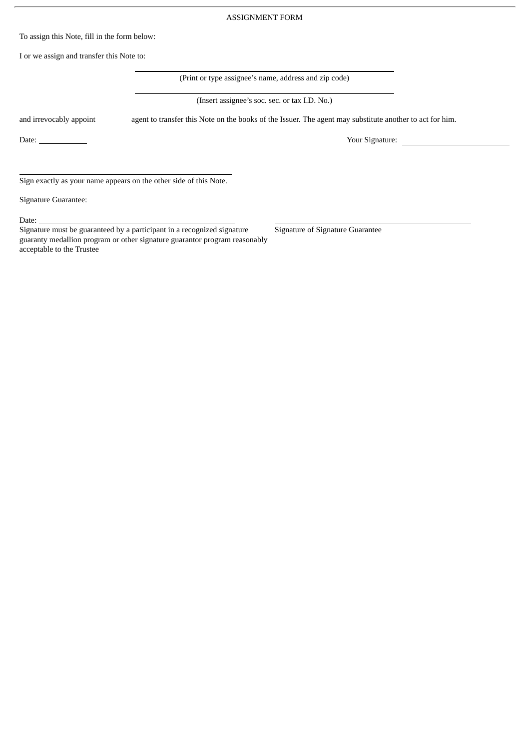#### ASSIGNMENT FORM

To assign this Note, fill in the form below:

I or we assign and transfer this Note to:

(Print or type assignee's name, address and zip code)

(Insert assignee's soc. sec. or tax I.D. No.)

and irrevocably appoint agent to transfer this Note on the books of the Issuer. The agent may substitute another to act for him.

Date: <u>Vour Signature:</u>

Sign exactly as your name appears on the other side of this Note.

Signature Guarantee:

Date:

Signature must be guaranteed by a participant in a recognized signature guaranty medallion program or other signature guarantor program reasonably acceptable to the Trustee

Signature of Signature Guarantee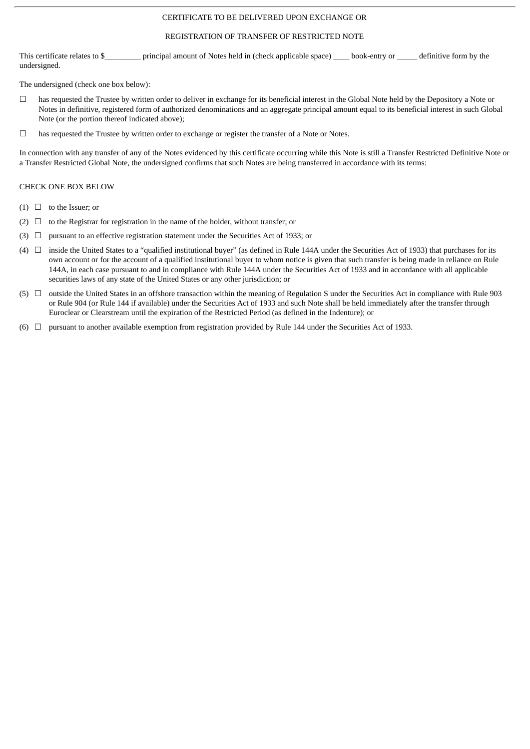## CERTIFICATE TO BE DELIVERED UPON EXCHANGE OR

#### REGISTRATION OF TRANSFER OF RESTRICTED NOTE

This certificate relates to \$\_\_\_\_\_\_\_\_\_ principal amount of Notes held in (check applicable space) \_\_\_\_\_ book-entry or \_\_\_\_\_ definitive form by the undersigned.

The undersigned (check one box below):

- $\Box$  has requested the Trustee by written order to deliver in exchange for its beneficial interest in the Global Note held by the Depository a Note or Notes in definitive, registered form of authorized denominations and an aggregate principal amount equal to its beneficial interest in such Global Note (or the portion thereof indicated above);
- ☐ has requested the Trustee by written order to exchange or register the transfer of a Note or Notes.

In connection with any transfer of any of the Notes evidenced by this certificate occurring while this Note is still a Transfer Restricted Definitive Note or a Transfer Restricted Global Note, the undersigned confirms that such Notes are being transferred in accordance with its terms:

#### CHECK ONE BOX BELOW

- $(1)$   $\Box$  to the Issuer; or
- (2)  $\Box$  to the Registrar for registration in the name of the holder, without transfer; or
- (3)  $\Box$  pursuant to an effective registration statement under the Securities Act of 1933; or
- (4)  $\Box$  inside the United States to a "qualified institutional buver" (as defined in Rule 144A under the Securities Act of 1933) that purchases for its own account or for the account of a qualified institutional buyer to whom notice is given that such transfer is being made in reliance on Rule 144A, in each case pursuant to and in compliance with Rule 144A under the Securities Act of 1933 and in accordance with all applicable securities laws of any state of the United States or any other jurisdiction; or
- (5) ☐ outside the United States in an offshore transaction within the meaning of Regulation S under the Securities Act in compliance with Rule 903 or Rule 904 (or Rule 144 if available) under the Securities Act of 1933 and such Note shall be held immediately after the transfer through Euroclear or Clearstream until the expiration of the Restricted Period (as defined in the Indenture); or
- (6)  $\Box$  pursuant to another available exemption from registration provided by Rule 144 under the Securities Act of 1933.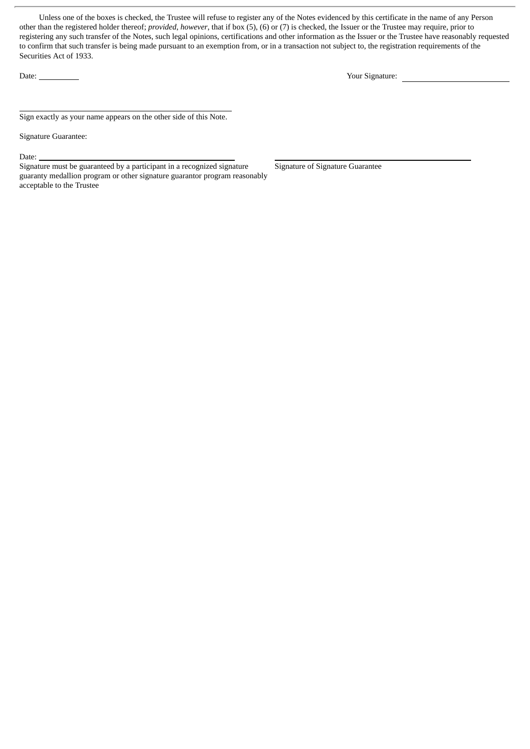Unless one of the boxes is checked, the Trustee will refuse to register any of the Notes evidenced by this certificate in the name of any Person other than the registered holder thereof; *provided*, *however*, that if box (5), (6) or (7) is checked, the Issuer or the Trustee may require, prior to registering any such transfer of the Notes, such legal opinions, certifications and other information as the Issuer or the Trustee have reasonably requested to confirm that such transfer is being made pursuant to an exemption from, or in a transaction not subject to, the registration requirements of the Securities Act of 1933.

Date: <u>Nour Signature:</u> Nour Signature: Nour Signature: 2008. Nour Signature: 2008. Nour Signature: 2008. Nour Signature: 2008. Nour Signature: 2008. Nour Signature: 2008. Nour Signature: 2008. Nour Signature: 2008. No und

Sign exactly as your name appears on the other side of this Note.

Signature Guarantee:

Date:

Signature must be guaranteed by a participant in a recognized signature guaranty medallion program or other signature guarantor program reasonably acceptable to the Trustee

Signature of Signature Guarantee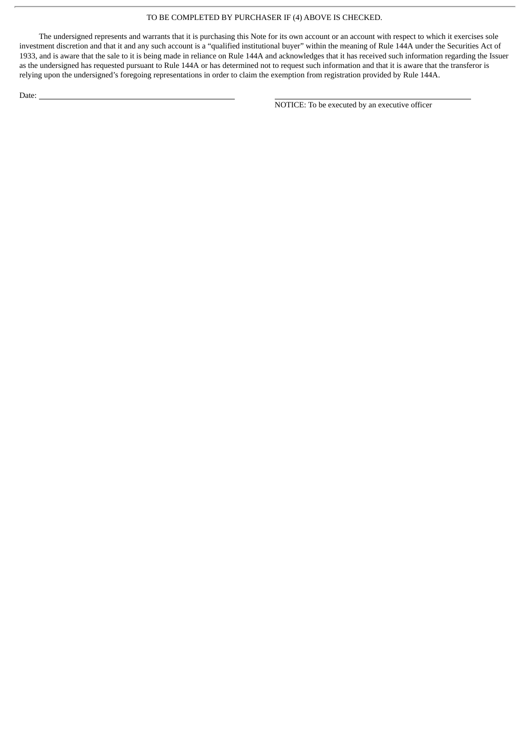## TO BE COMPLETED BY PURCHASER IF (4) ABOVE IS CHECKED.

The undersigned represents and warrants that it is purchasing this Note for its own account or an account with respect to which it exercises sole investment discretion and that it and any such account is a "qualified institutional buyer" within the meaning of Rule 144A under the Securities Act of 1933, and is aware that the sale to it is being made in reliance on Rule 144A and acknowledges that it has received such information regarding the Issuer as the undersigned has requested pursuant to Rule 144A or has determined not to request such information and that it is aware that the transferor is relying upon the undersigned's foregoing representations in order to claim the exemption from registration provided by Rule 144A.

Date:

NOTICE: To be executed by an executive officer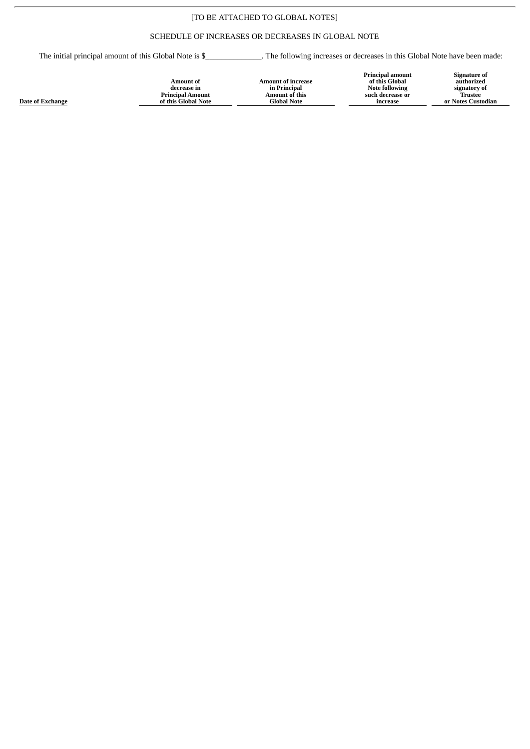# [TO BE ATTACHED TO GLOBAL NOTES]

# SCHEDULE OF INCREASES OR DECREASES IN GLOBAL NOTE

The initial principal amount of this Global Note is \$\_\_\_\_\_\_\_\_\_\_\_\_\_\_\_\_. The following increases or decreases in this Global Note have been made:

| of this Global<br><b>Amount of increase</b><br>Amount of<br><b>Note following</b><br>in Principal<br>decrease in<br>Amount of this<br><b>Principal Amount</b><br>such decrease or<br>ate of Exchange<br>of this Global Note<br>Global Note<br>increase | authorized<br>signatory of<br><b>Trustee</b><br>or Notes Custodian |
|--------------------------------------------------------------------------------------------------------------------------------------------------------------------------------------------------------------------------------------------------------|--------------------------------------------------------------------|
|--------------------------------------------------------------------------------------------------------------------------------------------------------------------------------------------------------------------------------------------------------|--------------------------------------------------------------------|

**<u>Da</u>**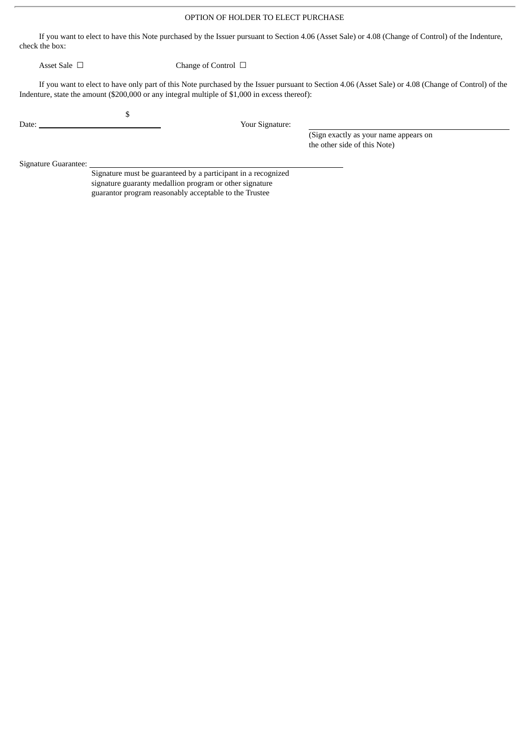## OPTION OF HOLDER TO ELECT PURCHASE

If you want to elect to have this Note purchased by the Issuer pursuant to Section 4.06 (Asset Sale) or 4.08 (Change of Control) of the Indenture, check the box:

Asset Sale □ Change of Control □

If you want to elect to have only part of this Note purchased by the Issuer pursuant to Section 4.06 (Asset Sale) or 4.08 (Change of Control) of the Indenture, state the amount (\$200,000 or any integral multiple of \$1,000 in excess thereof):

\$

Date: Vour Signature:

(Sign exactly as your name appears on the other side of this Note)

Signature Guarantee:

Signature must be guaranteed by a participant in a recognized signature guaranty medallion program or other signature guarantor program reasonably acceptable to the Trustee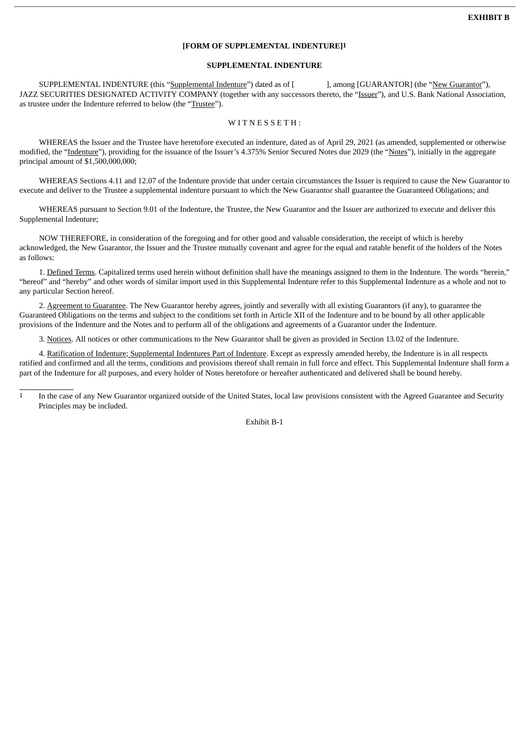## **[FORM OF SUPPLEMENTAL INDENTURE]1**

## **SUPPLEMENTAL INDENTURE**

SUPPLEMENTAL INDENTURE (this "Supplemental Indenture") dated as of [ ], among [GUARANTOR] (the "New Guarantor"), JAZZ SECURITIES DESIGNATED ACTIVITY COMPANY (together with any successors thereto, the "Issuer"), and U.S. Bank National Association, as trustee under the Indenture referred to below (the "Trustee").

## WITNESSETH:

WHEREAS the Issuer and the Trustee have heretofore executed an indenture, dated as of April 29, 2021 (as amended, supplemented or otherwise modified, the "Indenture"), providing for the issuance of the Issuer's 4.375% Senior Secured Notes due 2029 (the "Notes"), initially in the aggregate principal amount of \$1,500,000,000;

WHEREAS Sections 4.11 and 12.07 of the Indenture provide that under certain circumstances the Issuer is required to cause the New Guarantor to execute and deliver to the Trustee a supplemental indenture pursuant to which the New Guarantor shall guarantee the Guaranteed Obligations; and

WHEREAS pursuant to Section 9.01 of the Indenture, the Trustee, the New Guarantor and the Issuer are authorized to execute and deliver this Supplemental Indenture;

NOW THEREFORE, in consideration of the foregoing and for other good and valuable consideration, the receipt of which is hereby acknowledged, the New Guarantor, the Issuer and the Trustee mutually covenant and agree for the equal and ratable benefit of the holders of the Notes as follows:

1. Defined Terms. Capitalized terms used herein without definition shall have the meanings assigned to them in the Indenture. The words "herein," "hereof" and "hereby" and other words of similar import used in this Supplemental Indenture refer to this Supplemental Indenture as a whole and not to any particular Section hereof.

2. Agreement to Guarantee. The New Guarantor hereby agrees, jointly and severally with all existing Guarantors (if any), to guarantee the Guaranteed Obligations on the terms and subject to the conditions set forth in Article XII of the Indenture and to be bound by all other applicable provisions of the Indenture and the Notes and to perform all of the obligations and agreements of a Guarantor under the Indenture.

3. Notices. All notices or other communications to the New Guarantor shall be given as provided in Section 13.02 of the Indenture.

4. Ratification of Indenture; Supplemental Indentures Part of Indenture. Except as expressly amended hereby, the Indenture is in all respects ratified and confirmed and all the terms, conditions and provisions thereof shall remain in full force and effect. This Supplemental Indenture shall form a part of the Indenture for all purposes, and every holder of Notes heretofore or hereafter authenticated and delivered shall be bound hereby.

Exhibit B-1

 $\frac{1}{1}$  In the case of any New Guarantor organized outside of the United States, local law provisions consistent with the Agreed Guarantee and Security Principles may be included.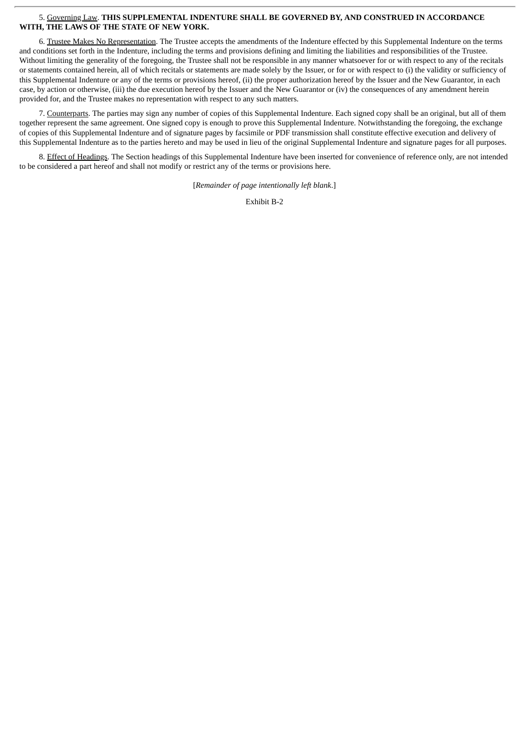### 5. Governing Law. **THIS SUPPLEMENTAL INDENTURE SHALL BE GOVERNED BY, AND CONSTRUED IN ACCORDANCE WITH, THE LAWS OF THE STATE OF NEW YORK.**

6. Trustee Makes No Representation. The Trustee accepts the amendments of the Indenture effected by this Supplemental Indenture on the terms and conditions set forth in the Indenture, including the terms and provisions defining and limiting the liabilities and responsibilities of the Trustee. Without limiting the generality of the foregoing, the Trustee shall not be responsible in any manner whatsoever for or with respect to any of the recitals or statements contained herein, all of which recitals or statements are made solely by the Issuer, or for or with respect to (i) the validity or sufficiency of this Supplemental Indenture or any of the terms or provisions hereof, (ii) the proper authorization hereof by the Issuer and the New Guarantor, in each case, by action or otherwise, (iii) the due execution hereof by the Issuer and the New Guarantor or (iv) the consequences of any amendment herein provided for, and the Trustee makes no representation with respect to any such matters.

7. Counterparts. The parties may sign any number of copies of this Supplemental Indenture. Each signed copy shall be an original, but all of them together represent the same agreement. One signed copy is enough to prove this Supplemental Indenture. Notwithstanding the foregoing, the exchange of copies of this Supplemental Indenture and of signature pages by facsimile or PDF transmission shall constitute effective execution and delivery of this Supplemental Indenture as to the parties hereto and may be used in lieu of the original Supplemental Indenture and signature pages for all purposes.

8. Effect of Headings. The Section headings of this Supplemental Indenture have been inserted for convenience of reference only, are not intended to be considered a part hereof and shall not modify or restrict any of the terms or provisions here.

[*Remainder of page intentionally left blank*.]

Exhibit B-2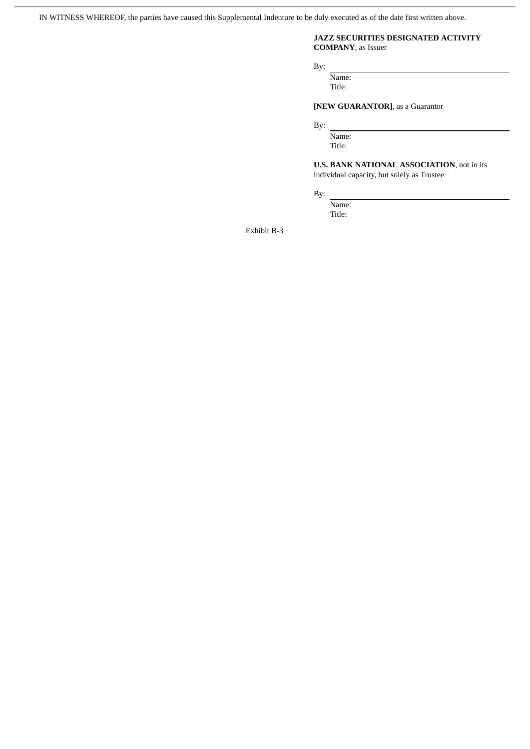IN WITNESS WHEREOF, the parties have caused this Supplemental Indenture to be duly executed as of the date first written above.

## **JAZZ SECURITIES DESIGNATED ACTIVITY COMPANY**, as Issuer

By:

Name: Title:

# **[NEW GUARANTOR]**, as a Guarantor

By:

Name: Title:

**U.S. BANK NATIONAL ASSOCIATION**, not in its individual capacity, but solely as Trustee

By:

Name: Title:

Exhibit B-3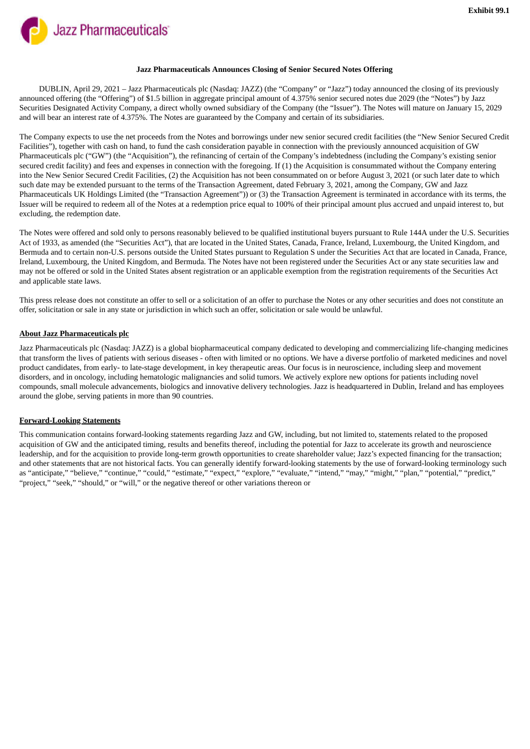**Jazz Pharmaceuticals** 

#### **Jazz Pharmaceuticals Announces Closing of Senior Secured Notes Offering**

DUBLIN, April 29, 2021 – Jazz Pharmaceuticals plc (Nasdaq: JAZZ) (the "Company" or "Jazz") today announced the closing of its previously announced offering (the "Offering") of \$1.5 billion in aggregate principal amount of 4.375% senior secured notes due 2029 (the "Notes") by Jazz Securities Designated Activity Company, a direct wholly owned subsidiary of the Company (the "Issuer"). The Notes will mature on January 15, 2029 and will bear an interest rate of 4.375%. The Notes are guaranteed by the Company and certain of its subsidiaries.

The Company expects to use the net proceeds from the Notes and borrowings under new senior secured credit facilities (the "New Senior Secured Credit Facilities"), together with cash on hand, to fund the cash consideration payable in connection with the previously announced acquisition of GW Pharmaceuticals plc ("GW") (the "Acquisition"), the refinancing of certain of the Company's indebtedness (including the Company's existing senior secured credit facility) and fees and expenses in connection with the foregoing. If (1) the Acquisition is consummated without the Company entering into the New Senior Secured Credit Facilities, (2) the Acquisition has not been consummated on or before August 3, 2021 (or such later date to which such date may be extended pursuant to the terms of the Transaction Agreement, dated February 3, 2021, among the Company, GW and Jazz Pharmaceuticals UK Holdings Limited (the "Transaction Agreement")) or (3) the Transaction Agreement is terminated in accordance with its terms, the Issuer will be required to redeem all of the Notes at a redemption price equal to 100% of their principal amount plus accrued and unpaid interest to, but excluding, the redemption date.

The Notes were offered and sold only to persons reasonably believed to be qualified institutional buyers pursuant to Rule 144A under the U.S. Securities Act of 1933, as amended (the "Securities Act"), that are located in the United States, Canada, France, Ireland, Luxembourg, the United Kingdom, and Bermuda and to certain non-U.S. persons outside the United States pursuant to Regulation S under the Securities Act that are located in Canada, France, Ireland, Luxembourg, the United Kingdom, and Bermuda. The Notes have not been registered under the Securities Act or any state securities law and may not be offered or sold in the United States absent registration or an applicable exemption from the registration requirements of the Securities Act and applicable state laws.

This press release does not constitute an offer to sell or a solicitation of an offer to purchase the Notes or any other securities and does not constitute an offer, solicitation or sale in any state or jurisdiction in which such an offer, solicitation or sale would be unlawful.

## **About Jazz Pharmaceuticals plc**

Jazz Pharmaceuticals plc (Nasdaq: JAZZ) is a global biopharmaceutical company dedicated to developing and commercializing life-changing medicines that transform the lives of patients with serious diseases - often with limited or no options. We have a diverse portfolio of marketed medicines and novel product candidates, from early- to late-stage development, in key therapeutic areas. Our focus is in neuroscience, including sleep and movement disorders, and in oncology, including hematologic malignancies and solid tumors. We actively explore new options for patients including novel compounds, small molecule advancements, biologics and innovative delivery technologies. Jazz is headquartered in Dublin, Ireland and has employees around the globe, serving patients in more than 90 countries.

#### **Forward-Looking Statements**

This communication contains forward-looking statements regarding Jazz and GW, including, but not limited to, statements related to the proposed acquisition of GW and the anticipated timing, results and benefits thereof, including the potential for Jazz to accelerate its growth and neuroscience leadership, and for the acquisition to provide long-term growth opportunities to create shareholder value; Jazz's expected financing for the transaction; and other statements that are not historical facts. You can generally identify forward-looking statements by the use of forward-looking terminology such as "anticipate," "believe," "continue," "could," "estimate," "expect," "explore," "evaluate," "intend," "may," "might," "plan," "potential," "predict," "project," "seek," "should," or "will," or the negative thereof or other variations thereon or